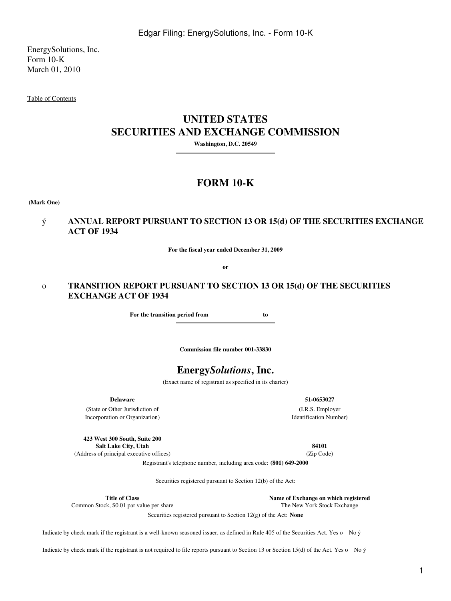EnergySolutions, Inc. Form 10-K March 01, 2010

[Table of Contents](#page-2-0)

# **UNITED STATES SECURITIES AND EXCHANGE COMMISSION**

**Washington, D.C. 20549**

# **FORM 10-K**

**(Mark One)**

## ý **ANNUAL REPORT PURSUANT TO SECTION 13 OR 15(d) OF THE SECURITIES EXCHANGE ACT OF 1934**

**For the fiscal year ended December 31, 2009**

**or**

## o **TRANSITION REPORT PURSUANT TO SECTION 13 OR 15(d) OF THE SECURITIES EXCHANGE ACT OF 1934**

**For the transition period from to** 

**Commission file number 001-33830**

# **Energy***Solutions***, Inc.**

(Exact name of registrant as specified in its charter)

**Delaware**

(State or Other Jurisdiction of Incorporation or Organization)

**423 West 300 South, Suite 200 Salt Lake City, Utah 84101** (Address of principal executive offices) (Zip Code)

**51-0653027** (I.R.S. Employer Identification Number)

Registrant's telephone number, including area code: **(801) 649-2000**

Securities registered pursuant to Section 12(b) of the Act:

**Title of Class Name of Exchange on which registered**<br>
ck, \$0.01 par value per share **Name of Exchange The New York Stock Exchange** 

Common Stock, \$0.01 par value per share

Securities registered pursuant to Section 12(g) of the Act: **None**

Indicate by check mark if the registrant is a well-known seasoned issuer, as defined in Rule 405 of the Securities Act. Yes o No ý

Indicate by check mark if the registrant is not required to file reports pursuant to Section 13 or Section 15(d) of the Act. Yes o No ý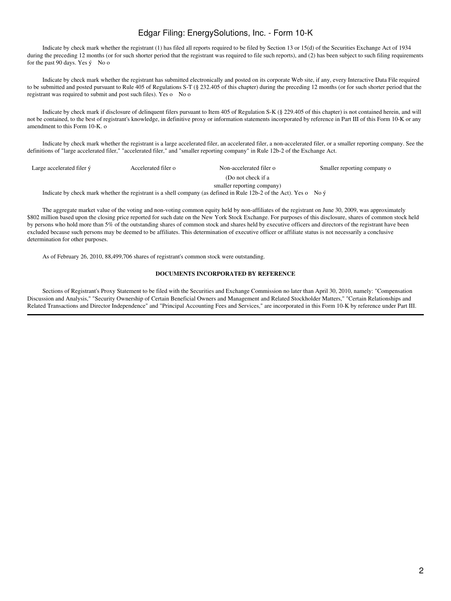Indicate by check mark whether the registrant (1) has filed all reports required to be filed by Section 13 or 15(d) of the Securities Exchange Act of 1934 during the preceding 12 months (or for such shorter period that the registrant was required to file such reports), and (2) has been subject to such filing requirements for the past 90 days. Yes ý No o

 Indicate by check mark whether the registrant has submitted electronically and posted on its corporate Web site, if any, every Interactive Data File required to be submitted and posted pursuant to Rule 405 of Regulations S-T (§ 232.405 of this chapter) during the preceding 12 months (or for such shorter period that the registrant was required to submit and post such files). Yes o No o

 Indicate by check mark if disclosure of delinquent filers pursuant to Item 405 of Regulation S-K (§ 229.405 of this chapter) is not contained herein, and will not be contained, to the best of registrant's knowledge, in definitive proxy or information statements incorporated by reference in Part III of this Form 10-K or any amendment to this Form 10-K. o

 Indicate by check mark whether the registrant is a large accelerated filer, an accelerated filer, a non-accelerated filer, or a smaller reporting company. See the definitions of "large accelerated filer," "accelerated filer," and "smaller reporting company" in Rule 12b-2 of the Exchange Act.

| Large accelerated filer $\acute{v}$                                                                                          | Accelerated filer o | Non-accelerated filer o    | Smaller reporting company of |
|------------------------------------------------------------------------------------------------------------------------------|---------------------|----------------------------|------------------------------|
|                                                                                                                              |                     | (Do not check if a         |                              |
|                                                                                                                              |                     | smaller reporting company) |                              |
| Indicate by check mark whether the registrant is a shell company (as defined in Rule 12b-2 of the Act). Yes o No $\acute{y}$ |                     |                            |                              |

 The aggregate market value of the voting and non-voting common equity held by non-affiliates of the registrant on June 30, 2009, was approximately \$802 million based upon the closing price reported for such date on the New York Stock Exchange. For purposes of this disclosure, shares of common stock held by persons who hold more than 5% of the outstanding shares of common stock and shares held by executive officers and directors of the registrant have been excluded because such persons may be deemed to be affiliates. This determination of executive officer or affiliate status is not necessarily a conclusive determination for other purposes.

As of February 26, 2010, 88,499,706 shares of registrant's common stock were outstanding.

#### **DOCUMENTS INCORPORATED BY REFERENCE**

 Sections of Registrant's Proxy Statement to be filed with the Securities and Exchange Commission no later than April 30, 2010, namely: "Compensation Discussion and Analysis," "Security Ownership of Certain Beneficial Owners and Management and Related Stockholder Matters," "Certain Relationships and Related Transactions and Director Independence" and "Principal Accounting Fees and Services," are incorporated in this Form 10-K by reference under Part III.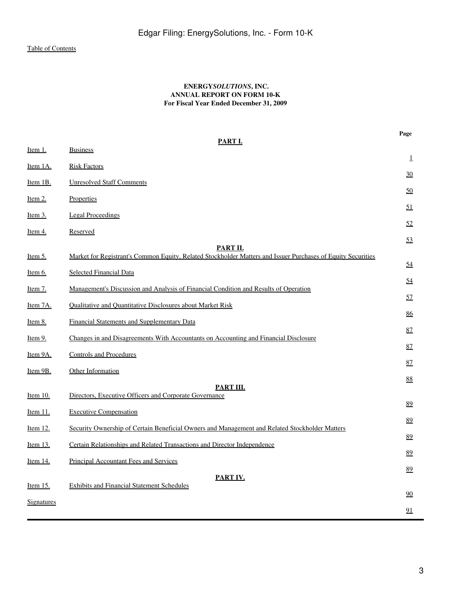## **ENERGY***SOLUTIONS***, INC. ANNUAL REPORT ON FORM 10-K For Fiscal Year Ended December 31, 2009**

<span id="page-2-0"></span>

| PART I.           |                                                                                                              |    |  |  |
|-------------------|--------------------------------------------------------------------------------------------------------------|----|--|--|
| Item 1.           | <b>Business</b>                                                                                              | 1  |  |  |
| Item 1A.          | <b>Risk Factors</b>                                                                                          |    |  |  |
| <u>Item 1B.</u>   | <b>Unresolved Staff Comments</b>                                                                             | 30 |  |  |
| <u>Item 2.</u>    | Properties                                                                                                   | 50 |  |  |
| <u>Item 3.</u>    | <b>Legal Proceedings</b>                                                                                     | 51 |  |  |
| <u>Item 4.</u>    | Reserved                                                                                                     | 52 |  |  |
|                   | PART II.                                                                                                     | 53 |  |  |
| <u>Item 5.</u>    | Market for Registrant's Common Equity, Related Stockholder Matters and Issuer Purchases of Equity Securities |    |  |  |
| <u>Item 6.</u>    | Selected Financial Data                                                                                      | 54 |  |  |
| <u>Item 7.</u>    | Management's Discussion and Analysis of Financial Condition and Results of Operation                         | 54 |  |  |
|                   | Qualitative and Quantitative Disclosures about Market Risk                                                   | 57 |  |  |
| Item 7A.          |                                                                                                              | 86 |  |  |
| Item 8.           | Financial Statements and Supplementary Data                                                                  | 87 |  |  |
| Item 9.           | Changes in and Disagreements With Accountants on Accounting and Financial Disclosure                         |    |  |  |
| Item 9A.          | <b>Controls and Procedures</b>                                                                               | 87 |  |  |
| Item 9B.          | Other Information                                                                                            | 87 |  |  |
|                   |                                                                                                              | 88 |  |  |
| Item 10.          | PART III.<br>Directors, Executive Officers and Corporate Governance                                          |    |  |  |
|                   | <b>Executive Compensation</b>                                                                                | 89 |  |  |
| <u>Item 11.</u>   |                                                                                                              | 89 |  |  |
| <u>Item 12.</u>   | Security Ownership of Certain Beneficial Owners and Management and Related Stockholder Matters               | 89 |  |  |
| Item 13.          | Certain Relationships and Related Transactions and Director Independence                                     |    |  |  |
| Item $14$ .       | Principal Accountant Fees and Services                                                                       | 89 |  |  |
|                   | PART IV.                                                                                                     | 89 |  |  |
| <u>Item 15.</u>   | <b>Exhibits and Financial Statement Schedules</b>                                                            |    |  |  |
| <b>Signatures</b> |                                                                                                              | 90 |  |  |
|                   |                                                                                                              | 91 |  |  |

**Page**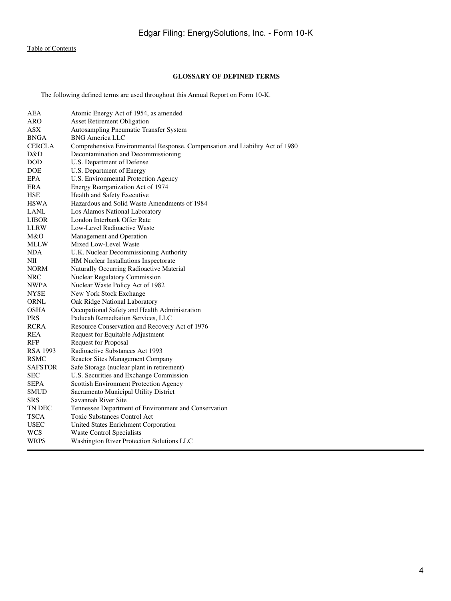## **GLOSSARY OF DEFINED TERMS**

The following defined terms are used throughout this Annual Report on Form 10-K.

| AEA             | Atomic Energy Act of 1954, as amended                                        |
|-----------------|------------------------------------------------------------------------------|
| ARO             | <b>Asset Retirement Obligation</b>                                           |
| <b>ASX</b>      | Autosampling Pneumatic Transfer System                                       |
| BNGA            | <b>BNG America LLC</b>                                                       |
| <b>CERCLA</b>   | Comprehensive Environmental Response, Compensation and Liability Act of 1980 |
| D&D             | Decontamination and Decommissioning                                          |
| <b>DOD</b>      | U.S. Department of Defense                                                   |
| DOE             | U.S. Department of Energy                                                    |
| EPA             | U.S. Environmental Protection Agency                                         |
| ERA             | Energy Reorganization Act of 1974                                            |
| <b>HSE</b>      | Health and Safety Executive                                                  |
| <b>HSWA</b>     | Hazardous and Solid Waste Amendments of 1984                                 |
| LANL            | Los Alamos National Laboratory                                               |
| <b>LIBOR</b>    | London Interbank Offer Rate                                                  |
| LLRW            | Low-Level Radioactive Waste                                                  |
| M&O             | Management and Operation                                                     |
| MLLW            | Mixed Low-Level Waste                                                        |
| NDA             | U.K. Nuclear Decommissioning Authority                                       |
| ΝIΙ             | HM Nuclear Installations Inspectorate                                        |
| <b>NORM</b>     | Naturally Occurring Radioactive Material                                     |
| <b>NRC</b>      | <b>Nuclear Regulatory Commission</b>                                         |
| NWPA            | Nuclear Waste Policy Act of 1982                                             |
| NYSE            | New York Stock Exchange                                                      |
| ORNL            | Oak Ridge National Laboratory                                                |
| OSHA            | Occupational Safety and Health Administration                                |
| <b>PRS</b>      | Paducah Remediation Services, LLC                                            |
| <b>RCRA</b>     | Resource Conservation and Recovery Act of 1976                               |
| REA             | Request for Equitable Adjustment                                             |
| RFP             | <b>Request for Proposal</b>                                                  |
| <b>RSA 1993</b> | Radioactive Substances Act 1993                                              |
| RSMC            | <b>Reactor Sites Management Company</b>                                      |
| <b>SAFSTOR</b>  | Safe Storage (nuclear plant in retirement)                                   |
| SEC             | U.S. Securities and Exchange Commission                                      |
| SEPA            | <b>Scottish Environment Protection Agency</b>                                |
| SMUD            | Sacramento Municipal Utility District                                        |
| SRS             | Savannah River Site                                                          |
| TN DEC          | Tennessee Department of Environment and Conservation                         |
| TSCA            | <b>Toxic Substances Control Act</b>                                          |
| <b>USEC</b>     | United States Enrichment Corporation                                         |
| WCS             | <b>Waste Control Specialists</b>                                             |
| WRPS            | Washington River Protection Solutions LLC                                    |
|                 |                                                                              |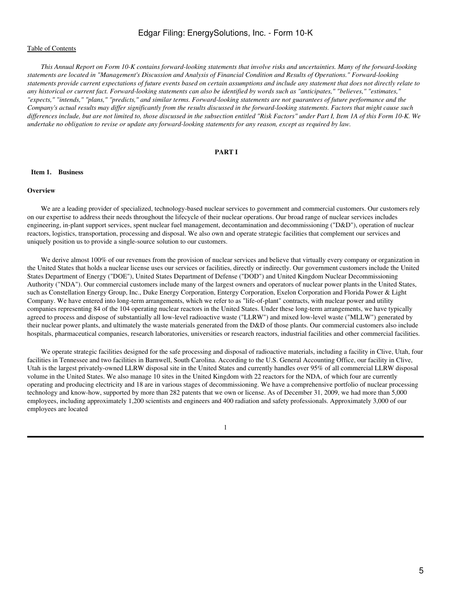### [Table of Contents](#page-2-0)

*This Annual Report on Form 10-K contains forward-looking statements that involve risks and uncertainties. Many of the forward-looking statements are located in "Management's Discussion and Analysis of Financial Condition and Results of Operations." Forward-looking statements provide current expectations of future events based on certain assumptions and include any statement that does not directly relate to any historical or current fact. Forward-looking statements can also be identified by words such as "anticipates," "believes," "estimates," "expects," "intends," "plans," "predicts," and similar terms. Forward-looking statements are not guarantees of future performance and the Company's actual results may differ significantly from the results discussed in the forward-looking statements. Factors that might cause such differences include, but are not limited to, those discussed in the subsection entitled "Risk Factors" under Part I, Item 1A of this Form 10-K. We undertake no obligation to revise or update any forward-looking statements for any reason, except as required by law.*

#### **PART I**

#### <span id="page-4-1"></span><span id="page-4-0"></span> **Item 1. Business**

## **Overview**

 We are a leading provider of specialized, technology-based nuclear services to government and commercial customers. Our customers rely on our expertise to address their needs throughout the lifecycle of their nuclear operations. Our broad range of nuclear services includes engineering, in-plant support services, spent nuclear fuel management, decontamination and decommissioning ("D&D"), operation of nuclear reactors, logistics, transportation, processing and disposal. We also own and operate strategic facilities that complement our services and uniquely position us to provide a single-source solution to our customers.

We derive almost 100% of our revenues from the provision of nuclear services and believe that virtually every company or organization in the United States that holds a nuclear license uses our services or facilities, directly or indirectly. Our government customers include the United States Department of Energy ("DOE"), United States Department of Defense ("DOD") and United Kingdom Nuclear Decommissioning Authority ("NDA"). Our commercial customers include many of the largest owners and operators of nuclear power plants in the United States, such as Constellation Energy Group, Inc., Duke Energy Corporation, Entergy Corporation, Exelon Corporation and Florida Power & Light Company. We have entered into long-term arrangements, which we refer to as "life-of-plant" contracts, with nuclear power and utility companies representing 84 of the 104 operating nuclear reactors in the United States. Under these long-term arrangements, we have typically agreed to process and dispose of substantially all low-level radioactive waste ("LLRW") and mixed low-level waste ("MLLW") generated by their nuclear power plants, and ultimately the waste materials generated from the D&D of those plants. Our commercial customers also include hospitals, pharmaceutical companies, research laboratories, universities or research reactors, industrial facilities and other commercial facilities.

 We operate strategic facilities designed for the safe processing and disposal of radioactive materials, including a facility in Clive, Utah, four facilities in Tennessee and two facilities in Barnwell, South Carolina. According to the U.S. General Accounting Office, our facility in Clive, Utah is the largest privately-owned LLRW disposal site in the United States and currently handles over 95% of all commercial LLRW disposal volume in the United States. We also manage 10 sites in the United Kingdom with 22 reactors for the NDA, of which four are currently operating and producing electricity and 18 are in various stages of decommissioning. We have a comprehensive portfolio of nuclear processing technology and know-how, supported by more than 282 patents that we own or license. As of December 31, 2009, we had more than 5,000 employees, including approximately 1,200 scientists and engineers and 400 radiation and safety professionals. Approximately 3,000 of our employees are located

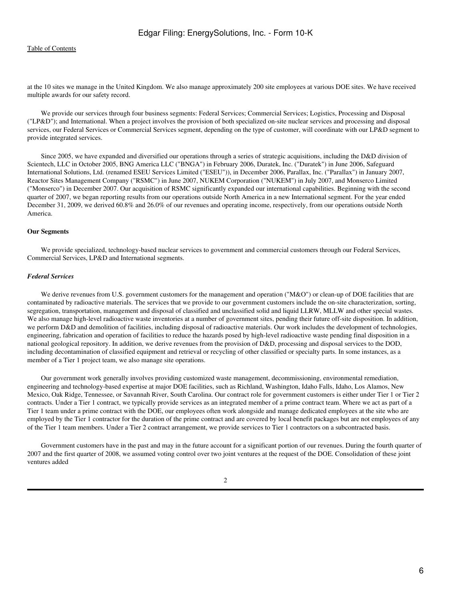at the 10 sites we manage in the United Kingdom. We also manage approximately 200 site employees at various DOE sites. We have received multiple awards for our safety record.

 We provide our services through four business segments: Federal Services; Commercial Services; Logistics, Processing and Disposal ("LP&D"); and International. When a project involves the provision of both specialized on-site nuclear services and processing and disposal services, our Federal Services or Commercial Services segment, depending on the type of customer, will coordinate with our LP&D segment to provide integrated services.

 Since 2005, we have expanded and diversified our operations through a series of strategic acquisitions, including the D&D division of Scientech, LLC in October 2005, BNG America LLC ("BNGA") in February 2006, Duratek, Inc. ("Duratek") in June 2006, Safeguard International Solutions, Ltd. (renamed ESEU Services Limited ("ESEU")), in December 2006, Parallax, Inc. ("Parallax") in January 2007, Reactor Sites Management Company ("RSMC") in June 2007, NUKEM Corporation ("NUKEM") in July 2007, and Monserco Limited ("Monserco") in December 2007. Our acquisition of RSMC significantly expanded our international capabilities. Beginning with the second quarter of 2007, we began reporting results from our operations outside North America in a new International segment. For the year ended December 31, 2009, we derived 60.8% and 26.0% of our revenues and operating income, respectively, from our operations outside North America.

#### **Our Segments**

 We provide specialized, technology-based nuclear services to government and commercial customers through our Federal Services, Commercial Services, LP&D and International segments.

#### *Federal Services*

We derive revenues from U.S. government customers for the management and operation ("M&O") or clean-up of DOE facilities that are contaminated by radioactive materials. The services that we provide to our government customers include the on-site characterization, sorting, segregation, transportation, management and disposal of classified and unclassified solid and liquid LLRW, MLLW and other special wastes. We also manage high-level radioactive waste inventories at a number of government sites, pending their future off-site disposition. In addition, we perform D&D and demolition of facilities, including disposal of radioactive materials. Our work includes the development of technologies, engineering, fabrication and operation of facilities to reduce the hazards posed by high-level radioactive waste pending final disposition in a national geological repository. In addition, we derive revenues from the provision of D&D, processing and disposal services to the DOD, including decontamination of classified equipment and retrieval or recycling of other classified or specialty parts. In some instances, as a member of a Tier 1 project team, we also manage site operations.

 Our government work generally involves providing customized waste management, decommissioning, environmental remediation, engineering and technology-based expertise at major DOE facilities, such as Richland, Washington, Idaho Falls, Idaho, Los Alamos, New Mexico, Oak Ridge, Tennessee, or Savannah River, South Carolina. Our contract role for government customers is either under Tier 1 or Tier 2 contracts. Under a Tier 1 contract, we typically provide services as an integrated member of a prime contract team. Where we act as part of a Tier 1 team under a prime contract with the DOE, our employees often work alongside and manage dedicated employees at the site who are employed by the Tier 1 contractor for the duration of the prime contract and are covered by local benefit packages but are not employees of any of the Tier 1 team members. Under a Tier 2 contract arrangement, we provide services to Tier 1 contractors on a subcontracted basis.

 Government customers have in the past and may in the future account for a significant portion of our revenues. During the fourth quarter of 2007 and the first quarter of 2008, we assumed voting control over two joint ventures at the request of the DOE. Consolidation of these joint ventures added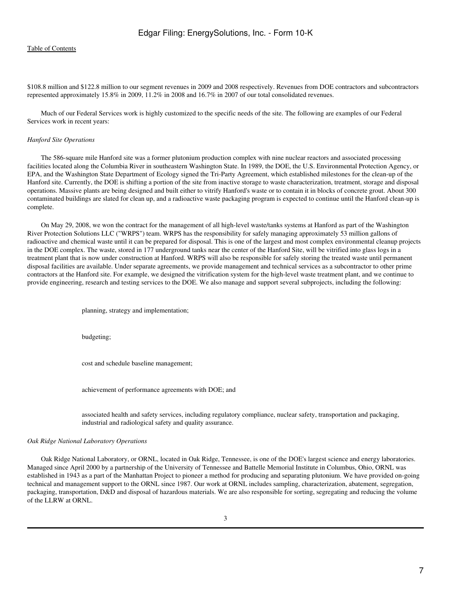\$108.8 million and \$122.8 million to our segment revenues in 2009 and 2008 respectively. Revenues from DOE contractors and subcontractors represented approximately 15.8% in 2009, 11.2% in 2008 and 16.7% in 2007 of our total consolidated revenues.

 Much of our Federal Services work is highly customized to the specific needs of the site. The following are examples of our Federal Services work in recent years:

#### *Hanford Site Operations*

 The 586-square mile Hanford site was a former plutonium production complex with nine nuclear reactors and associated processing facilities located along the Columbia River in southeastern Washington State. In 1989, the DOE, the U.S. Environmental Protection Agency, or EPA, and the Washington State Department of Ecology signed the Tri-Party Agreement, which established milestones for the clean-up of the Hanford site. Currently, the DOE is shifting a portion of the site from inactive storage to waste characterization, treatment, storage and disposal operations. Massive plants are being designed and built either to vitrify Hanford's waste or to contain it in blocks of concrete grout. About 300 contaminated buildings are slated for clean up, and a radioactive waste packaging program is expected to continue until the Hanford clean-up is complete.

 On May 29, 2008, we won the contract for the management of all high-level waste/tanks systems at Hanford as part of the Washington River Protection Solutions LLC ("WRPS") team. WRPS has the responsibility for safely managing approximately 53 million gallons of radioactive and chemical waste until it can be prepared for disposal. This is one of the largest and most complex environmental cleanup projects in the DOE complex. The waste, stored in 177 underground tanks near the center of the Hanford Site, will be vitrified into glass logs in a treatment plant that is now under construction at Hanford. WRPS will also be responsible for safely storing the treated waste until permanent disposal facilities are available. Under separate agreements, we provide management and technical services as a subcontractor to other prime contractors at the Hanford site. For example, we designed the vitrification system for the high-level waste treatment plant, and we continue to provide engineering, research and testing services to the DOE. We also manage and support several subprojects, including the following:

planning, strategy and implementation;

budgeting;

cost and schedule baseline management;

achievement of performance agreements with DOE; and

associated health and safety services, including regulatory compliance, nuclear safety, transportation and packaging, industrial and radiological safety and quality assurance.

#### *Oak Ridge National Laboratory Operations*

 Oak Ridge National Laboratory, or ORNL, located in Oak Ridge, Tennessee, is one of the DOE's largest science and energy laboratories. Managed since April 2000 by a partnership of the University of Tennessee and Battelle Memorial Institute in Columbus, Ohio, ORNL was established in 1943 as a part of the Manhattan Project to pioneer a method for producing and separating plutonium. We have provided on-going technical and management support to the ORNL since 1987. Our work at ORNL includes sampling, characterization, abatement, segregation, packaging, transportation, D&D and disposal of hazardous materials. We are also responsible for sorting, segregating and reducing the volume of the LLRW at ORNL.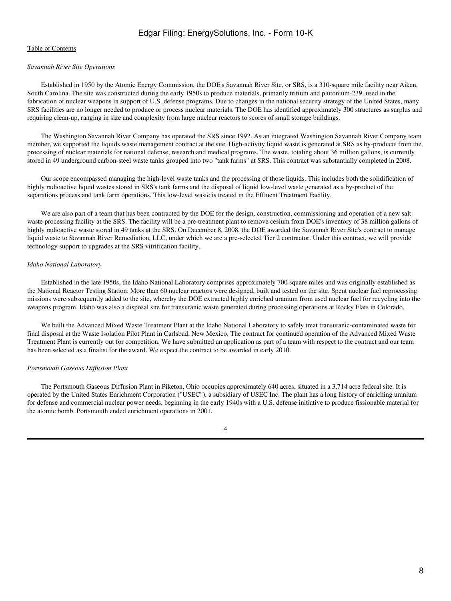## [Table of Contents](#page-2-0)

## *Savannah River Site Operations*

 Established in 1950 by the Atomic Energy Commission, the DOE's Savannah River Site, or SRS, is a 310-square mile facility near Aiken, South Carolina. The site was constructed during the early 1950s to produce materials, primarily tritium and plutonium-239, used in the fabrication of nuclear weapons in support of U.S. defense programs. Due to changes in the national security strategy of the United States, many SRS facilities are no longer needed to produce or process nuclear materials. The DOE has identified approximately 300 structures as surplus and requiring clean-up, ranging in size and complexity from large nuclear reactors to scores of small storage buildings.

 The Washington Savannah River Company has operated the SRS since 1992. As an integrated Washington Savannah River Company team member, we supported the liquids waste management contract at the site. High-activity liquid waste is generated at SRS as by-products from the processing of nuclear materials for national defense, research and medical programs. The waste, totaling about 36 million gallons, is currently stored in 49 underground carbon-steel waste tanks grouped into two "tank farms" at SRS. This contract was substantially completed in 2008.

 Our scope encompassed managing the high-level waste tanks and the processing of those liquids. This includes both the solidification of highly radioactive liquid wastes stored in SRS's tank farms and the disposal of liquid low-level waste generated as a by-product of the separations process and tank farm operations. This low-level waste is treated in the Effluent Treatment Facility.

 We are also part of a team that has been contracted by the DOE for the design, construction, commissioning and operation of a new salt waste processing facility at the SRS. The facility will be a pre-treatment plant to remove cesium from DOE's inventory of 38 million gallons of highly radioactive waste stored in 49 tanks at the SRS. On December 8, 2008, the DOE awarded the Savannah River Site's contract to manage liquid waste to Savannah River Remediation, LLC, under which we are a pre-selected Tier 2 contractor. Under this contract, we will provide technology support to upgrades at the SRS vitrification facility.

#### *Idaho National Laboratory*

 Established in the late 1950s, the Idaho National Laboratory comprises approximately 700 square miles and was originally established as the National Reactor Testing Station. More than 60 nuclear reactors were designed, built and tested on the site. Spent nuclear fuel reprocessing missions were subsequently added to the site, whereby the DOE extracted highly enriched uranium from used nuclear fuel for recycling into the weapons program. Idaho was also a disposal site for transuranic waste generated during processing operations at Rocky Flats in Colorado.

 We built the Advanced Mixed Waste Treatment Plant at the Idaho National Laboratory to safely treat transuranic-contaminated waste for final disposal at the Waste Isolation Pilot Plant in Carlsbad, New Mexico. The contract for continued operation of the Advanced Mixed Waste Treatment Plant is currently out for competition. We have submitted an application as part of a team with respect to the contract and our team has been selected as a finalist for the award. We expect the contract to be awarded in early 2010.

### *Portsmouth Gaseous Diffusion Plant*

 The Portsmouth Gaseous Diffusion Plant in Piketon, Ohio occupies approximately 640 acres, situated in a 3,714 acre federal site. It is operated by the United States Enrichment Corporation ("USEC"), a subsidiary of USEC Inc. The plant has a long history of enriching uranium for defense and commercial nuclear power needs, beginning in the early 1940s with a U.S. defense initiative to produce fissionable material for the atomic bomb. Portsmouth ended enrichment operations in 2001.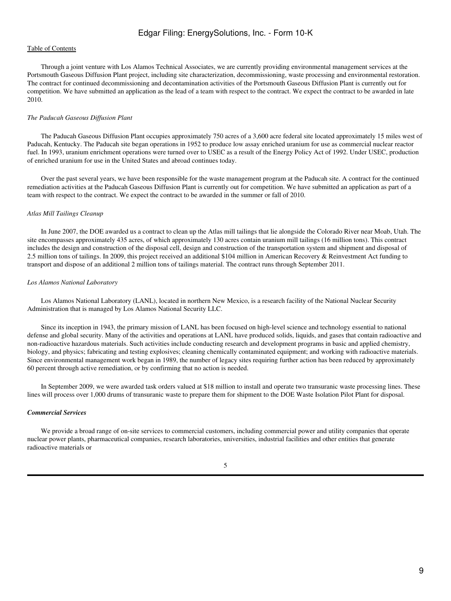## [Table of Contents](#page-2-0)

 Through a joint venture with Los Alamos Technical Associates, we are currently providing environmental management services at the Portsmouth Gaseous Diffusion Plant project, including site characterization, decommissioning, waste processing and environmental restoration. The contract for continued decommissioning and decontamination activities of the Portsmouth Gaseous Diffusion Plant is currently out for competition. We have submitted an application as the lead of a team with respect to the contract. We expect the contract to be awarded in late 2010.

#### *The Paducah Gaseous Diffusion Plant*

 The Paducah Gaseous Diffusion Plant occupies approximately 750 acres of a 3,600 acre federal site located approximately 15 miles west of Paducah, Kentucky. The Paducah site began operations in 1952 to produce low assay enriched uranium for use as commercial nuclear reactor fuel. In 1993, uranium enrichment operations were turned over to USEC as a result of the Energy Policy Act of 1992. Under USEC, production of enriched uranium for use in the United States and abroad continues today.

 Over the past several years, we have been responsible for the waste management program at the Paducah site. A contract for the continued remediation activities at the Paducah Gaseous Diffusion Plant is currently out for competition. We have submitted an application as part of a team with respect to the contract. We expect the contract to be awarded in the summer or fall of 2010.

#### *Atlas Mill Tailings Cleanup*

 In June 2007, the DOE awarded us a contract to clean up the Atlas mill tailings that lie alongside the Colorado River near Moab, Utah. The site encompasses approximately 435 acres, of which approximately 130 acres contain uranium mill tailings (16 million tons). This contract includes the design and construction of the disposal cell, design and construction of the transportation system and shipment and disposal of 2.5 million tons of tailings. In 2009, this project received an additional \$104 million in American Recovery & Reinvestment Act funding to transport and dispose of an additional 2 million tons of tailings material. The contract runs through September 2011.

### *Los Alamos National Laboratory*

 Los Alamos National Laboratory (LANL), located in northern New Mexico, is a research facility of the National Nuclear Security Administration that is managed by Los Alamos National Security LLC.

 Since its inception in 1943, the primary mission of LANL has been focused on high-level science and technology essential to national defense and global security. Many of the activities and operations at LANL have produced solids, liquids, and gases that contain radioactive and non-radioactive hazardous materials. Such activities include conducting research and development programs in basic and applied chemistry, biology, and physics; fabricating and testing explosives; cleaning chemically contaminated equipment; and working with radioactive materials. Since environmental management work began in 1989, the number of legacy sites requiring further action has been reduced by approximately 60 percent through active remediation, or by confirming that no action is needed.

 In September 2009, we were awarded task orders valued at \$18 million to install and operate two transuranic waste processing lines. These lines will process over 1,000 drums of transuranic waste to prepare them for shipment to the DOE Waste Isolation Pilot Plant for disposal.

## *Commercial Services*

We provide a broad range of on-site services to commercial customers, including commercial power and utility companies that operate nuclear power plants, pharmaceutical companies, research laboratories, universities, industrial facilities and other entities that generate radioactive materials or

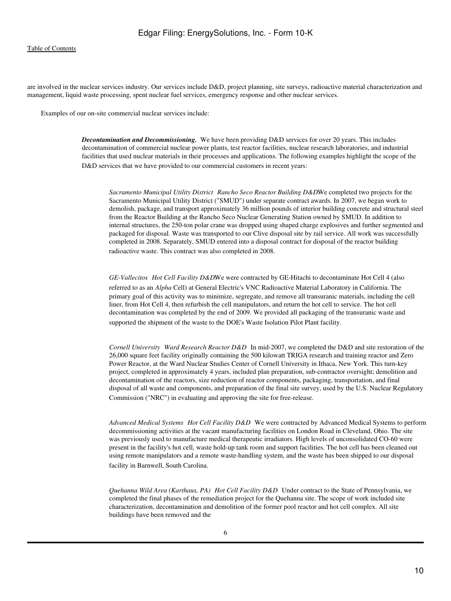are involved in the nuclear services industry. Our services include D&D, project planning, site surveys, radioactive material characterization and management, liquid waste processing, spent nuclear fuel services, emergency response and other nuclear services.

Examples of our on-site commercial nuclear services include:

*Decontamination and Decommissioning.* We have been providing D&D services for over 20 years. This includes decontamination of commercial nuclear power plants, test reactor facilities, nuclear research laboratories, and industrial facilities that used nuclear materials in their processes and applications. The following examples highlight the scope of the D&D services that we have provided to our commercial customers in recent years:

*Sacramento Municipal Utility District Rancho Seco Reactor Building D&D.We completed two projects for the* Sacramento Municipal Utility District ("SMUD") under separate contract awards. In 2007, we began work to demolish, package, and transport approximately 36 million pounds of interior building concrete and structural steel from the Reactor Building at the Rancho Seco Nuclear Generating Station owned by SMUD. In addition to internal structures, the 250-ton polar crane was dropped using shaped charge explosives and further segmented and packaged for disposal. Waste was transported to our Clive disposal site by rail service. All work was successfully completed in 2008. Separately, SMUD entered into a disposal contract for disposal of the reactor building radioactive waste. This contract was also completed in 2008.

*GE-Vallecitos Hot Cell Facility D&D.We* were contracted by GE-Hitachi to decontaminate Hot Cell 4 (also referred to as an *Alpha* Cell) at General Electric's VNC Radioactive Material Laboratory in California. The primary goal of this activity was to minimize, segregate, and remove all transuranic materials, including the cell liner, from Hot Cell 4, then refurbish the cell manipulators, and return the hot cell to service. The hot cell decontamination was completed by the end of 2009. We provided all packaging of the transuranic waste and supported the shipment of the waste to the DOE's Waste Isolation Pilot Plant facility.

*Cornell University Ward Research Reactor D&D* In mid-2007, we completed the D&D and site restoration of the 26,000 square feet facility originally containing the 500 kilowatt TRIGA research and training reactor and Zero Power Reactor, at the Ward Nuclear Studies Center of Cornell University in Ithaca, New York. This turn-key project, completed in approximately 4 years, included plan preparation, sub-contractor oversight; demolition and decontamination of the reactors, size reduction of reactor components, packaging, transportation, and final disposal of all waste and components, and preparation of the final site survey, used by the U.S. Nuclear Regulatory Commission ("NRC") in evaluating and approving the site for free-release.

Advanced Medical Systems Hot Cell Facility D&D We were contracted by Advanced Medical Systems to perform decommissioning activities at the vacant manufacturing facilities on London Road in Cleveland, Ohio. The site was previously used to manufacture medical therapeutic irradiators. High levels of unconsolidated CO-60 were present in the facility's hot cell, waste hold-up tank room and support facilities. The hot cell has been cleaned out using remote manipulators and a remote waste-handling system, and the waste has been shipped to our disposal facility in Barnwell, South Carolina.

*Quehanna Wild Area (Karthaus, PA) Hot Cell Facility D&D* Under contract to the State of Pennsylvania, we completed the final phases of the remediation project for the Quehanna site. The scope of work included site characterization, decontamination and demolition of the former pool reactor and hot cell complex. All site buildings have been removed and the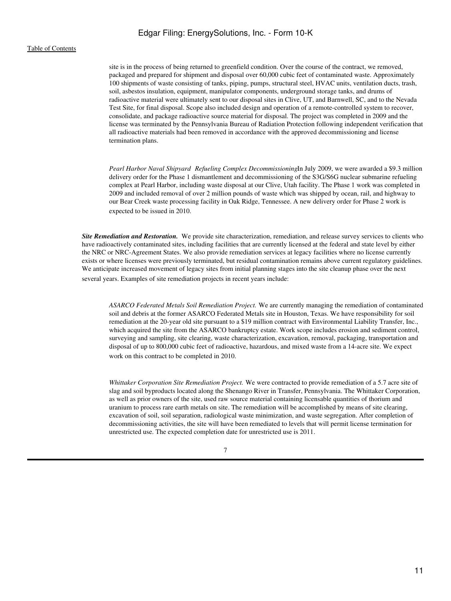## [Table of Contents](#page-2-0)

site is in the process of being returned to greenfield condition. Over the course of the contract, we removed, packaged and prepared for shipment and disposal over 60,000 cubic feet of contaminated waste. Approximately 100 shipments of waste consisting of tanks, piping, pumps, structural steel, HVAC units, ventilation ducts, trash, soil, asbestos insulation, equipment, manipulator components, underground storage tanks, and drums of radioactive material were ultimately sent to our disposal sites in Clive, UT, and Barnwell, SC, and to the Nevada Test Site, for final disposal. Scope also included design and operation of a remote-controlled system to recover, consolidate, and package radioactive source material for disposal. The project was completed in 2009 and the license was terminated by the Pennsylvania Bureau of Radiation Protection following independent verification that all radioactive materials had been removed in accordance with the approved decommissioning and license termination plans.

*Pearl Harbor Naval Shipyard Refueling Complex Decommissioning*In July 2009, we were awarded a \$9.3 million delivery order for the Phase 1 dismantlement and decommissioning of the S3G/S6G nuclear submarine refueling complex at Pearl Harbor, including waste disposal at our Clive, Utah facility. The Phase 1 work was completed in 2009 and included removal of over 2 million pounds of waste which was shipped by ocean, rail, and highway to our Bear Creek waste processing facility in Oak Ridge, Tennessee. A new delivery order for Phase 2 work is expected to be issued in 2010.

*Site Remediation and Restoration.* We provide site characterization, remediation, and release survey services to clients who have radioactively contaminated sites, including facilities that are currently licensed at the federal and state level by either the NRC or NRC-Agreement States. We also provide remediation services at legacy facilities where no license currently exists or where licenses were previously terminated, but residual contamination remains above current regulatory guidelines. We anticipate increased movement of legacy sites from initial planning stages into the site cleanup phase over the next several years. Examples of site remediation projects in recent years include:

*ASARCO Federated Metals Soil Remediation Project.* We are currently managing the remediation of contaminated soil and debris at the former ASARCO Federated Metals site in Houston, Texas. We have responsibility for soil remediation at the 20-year old site pursuant to a \$19 million contract with Environmental Liability Transfer, Inc., which acquired the site from the ASARCO bankruptcy estate. Work scope includes erosion and sediment control, surveying and sampling, site clearing, waste characterization, excavation, removal, packaging, transportation and disposal of up to 800,000 cubic feet of radioactive, hazardous, and mixed waste from a 14-acre site. We expect work on this contract to be completed in 2010.

*Whittaker Corporation Site Remediation Project.* We were contracted to provide remediation of a 5.7 acre site of slag and soil byproducts located along the Shenango River in Transfer, Pennsylvania. The Whittaker Corporation, as well as prior owners of the site, used raw source material containing licensable quantities of thorium and uranium to process rare earth metals on site. The remediation will be accomplished by means of site clearing, excavation of soil, soil separation, radiological waste minimization, and waste segregation. After completion of decommissioning activities, the site will have been remediated to levels that will permit license termination for unrestricted use. The expected completion date for unrestricted use is 2011.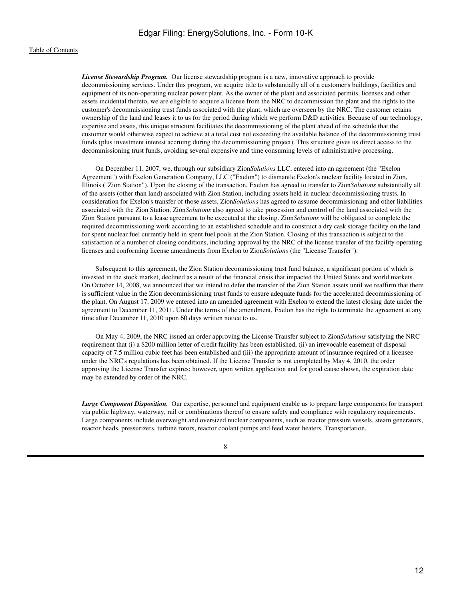*License Stewardship Program.* Our license stewardship program is a new, innovative approach to provide decommissioning services. Under this program, we acquire title to substantially all of a customer's buildings, facilities and equipment of its non-operating nuclear power plant. As the owner of the plant and associated permits, licenses and other assets incidental thereto, we are eligible to acquire a license from the NRC to decommission the plant and the rights to the customer's decommissioning trust funds associated with the plant, which are overseen by the NRC. The customer retains ownership of the land and leases it to us for the period during which we perform D&D activities. Because of our technology, expertise and assets, this unique structure facilitates the decommissioning of the plant ahead of the schedule that the customer would otherwise expect to achieve at a total cost not exceeding the available balance of the decommissioning trust funds (plus investment interest accruing during the decommissioning project). This structure gives us direct access to the decommissioning trust funds, avoiding several expensive and time consuming levels of administrative processing.

 On December 11, 2007, we, through our subsidiary Zion*Solutions* LLC, entered into an agreement (the "Exelon Agreement") with Exelon Generation Company, LLC ("Exelon") to dismantle Exelon's nuclear facility located in Zion, Illinois ("Zion Station"). Upon the closing of the transaction, Exelon has agreed to transfer to Zion*Solutions* substantially all of the assets (other than land) associated with Zion Station, including assets held in nuclear decommissioning trusts. In consideration for Exelon's transfer of those assets, Zion*Solutions* has agreed to assume decommissioning and other liabilities associated with the Zion Station. Zion*Solutions* also agreed to take possession and control of the land associated with the Zion Station pursuant to a lease agreement to be executed at the closing. Zion*Solutions* will be obligated to complete the required decommissioning work according to an established schedule and to construct a dry cask storage facility on the land for spent nuclear fuel currently held in spent fuel pools at the Zion Station. Closing of this transaction is subject to the satisfaction of a number of closing conditions, including approval by the NRC of the license transfer of the facility operating licenses and conforming license amendments from Exelon to Zion*Solutions* (the "License Transfer").

 Subsequent to this agreement, the Zion Station decommissioning trust fund balance, a significant portion of which is invested in the stock market, declined as a result of the financial crisis that impacted the United States and world markets. On October 14, 2008, we announced that we intend to defer the transfer of the Zion Station assets until we reaffirm that there is sufficient value in the Zion decommissioning trust funds to ensure adequate funds for the accelerated decommissioning of the plant. On August 17, 2009 we entered into an amended agreement with Exelon to extend the latest closing date under the agreement to December 11, 2011. Under the terms of the amendment, Exelon has the right to terminate the agreement at any time after December 11, 2010 upon 60 days written notice to us.

 On May 4, 2009, the NRC issued an order approving the License Transfer subject to Zion*Solutions* satisfying the NRC requirement that (i) a \$200 million letter of credit facility has been established, (ii) an irrevocable easement of disposal capacity of 7.5 million cubic feet has been established and (iii) the appropriate amount of insurance required of a licensee under the NRC's regulations has been obtained. If the License Transfer is not completed by May 4, 2010, the order approving the License Transfer expires; however, upon written application and for good cause shown, the expiration date may be extended by order of the NRC.

*Large Component Disposition.* Our expertise, personnel and equipment enable us to prepare large components for transport via public highway, waterway, rail or combinations thereof to ensure safety and compliance with regulatory requirements. Large components include overweight and oversized nuclear components, such as reactor pressure vessels, steam generators, reactor heads, pressurizers, turbine rotors, reactor coolant pumps and feed water heaters. Transportation,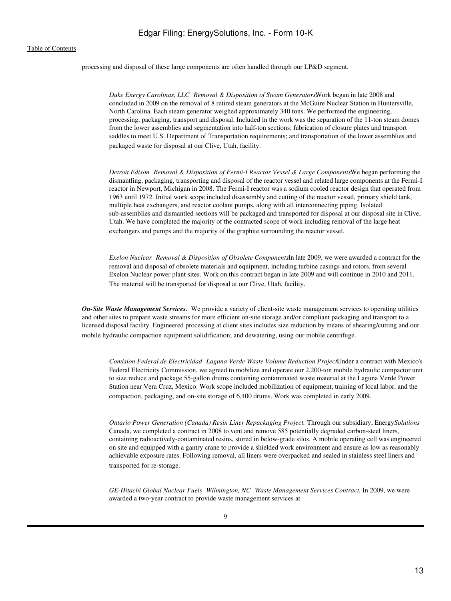processing and disposal of these large components are often handled through our LP&D segment.

*Duke Energy Carolinas, LLCRemoval & Disposition of Steam Generators.*Work began in late 2008 and concluded in 2009 on the removal of 8 retired steam generators at the McGuire Nuclear Station in Huntersville, North Carolina. Each steam generator weighed approximately 340 tons. We performed the engineering, processing, packaging, transport and disposal. Included in the work was the separation of the 11-ton steam domes from the lower assemblies and segmentation into half-ton sections; fabrication of closure plates and transport saddles to meet U.S. Department of Transportation requirements; and transportation of the lower assemblies and packaged waste for disposal at our Clive, Utah, facility.

*Detroit Edison Removal & Disposition of Fermi-I Reactor Vessel & Large Components.We began performing the* dismantling, packaging, transporting and disposal of the reactor vessel and related large components at the Fermi-I reactor in Newport, Michigan in 2008. The Fermi-I reactor was a sodium cooled reactor design that operated from 1963 until 1972. Initial work scope included disassembly and cutting of the reactor vessel, primary shield tank, multiple heat exchangers, and reactor coolant pumps, along with all interconnecting piping. Isolated sub-assemblies and dismantled sections will be packaged and transported for disposal at our disposal site in Clive, Utah. We have completed the majority of the contracted scope of work including removal of the large heat exchangers and pumps and the majority of the graphite surrounding the reactor vessel.

*Exelon Nuclear Removal & Disposition of Obsolete ComponentsIn late 2009, we were awarded a contract for the* removal and disposal of obsolete materials and equipment, including turbine casings and rotors, from several Exelon Nuclear power plant sites. Work on this contract began in late 2009 and will continue in 2010 and 2011. The material will be transported for disposal at our Clive, Utah, facility.

*On-Site Waste Management Services.* We provide a variety of client-site waste management services to operating utilities and other sites to prepare waste streams for more efficient on-site storage and/or compliant packaging and transport to a licensed disposal facility. Engineered processing at client sites includes size reduction by means of shearing/cutting and our mobile hydraulic compaction equipment solidification; and dewatering, using our mobile centrifuge.

Comision Federal de Electricidad Laguna Verde Waste Volume Reduction ProjectUnder a contract with Mexico's Federal Electricity Commission, we agreed to mobilize and operate our 2,200-ton mobile hydraulic compactor unit to size reduce and package 55-gallon drums containing contaminated waste material at the Laguna Verde Power Station near Vera Cruz, Mexico. Work scope included mobilization of equipment, training of local labor, and the compaction, packaging, and on-site storage of 6,400 drums. Work was completed in early 2009.

*Ontario Power Generation (Canada) Resin Liner Repackaging Project.* Through our subsidiary, Energy*Solutions* Canada, we completed a contract in 2008 to vent and remove 585 potentially degraded carbon-steel liners, containing radioactively-contaminated resins, stored in below-grade silos. A mobile operating cell was engineered on site and equipped with a gantry crane to provide a shielded work environment and ensure as low as reasonably achievable exposure rates. Following removal, all liners were overpacked and sealed in stainless steel liners and transported for re-storage.

*GE-Hitachi Global Nuclear FuelsWilmington, NCWaste Management Services Contract.* In 2009, we were awarded a two-year contract to provide waste management services at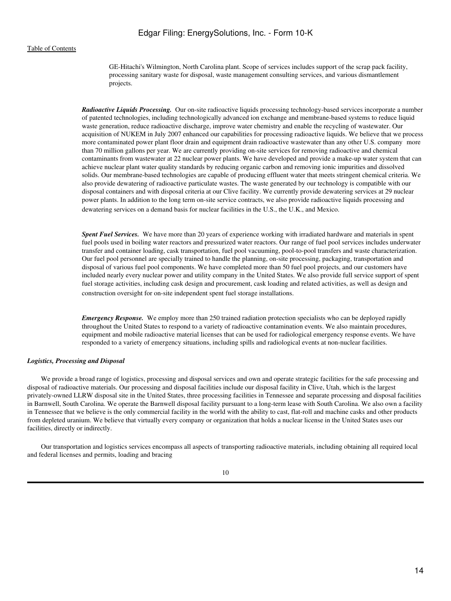GE-Hitachi's Wilmington, North Carolina plant. Scope of services includes support of the scrap pack facility, processing sanitary waste for disposal, waste management consulting services, and various dismantlement projects.

*Radioactive Liquids Processing.* Our on-site radioactive liquids processing technology-based services incorporate a number of patented technologies, including technologically advanced ion exchange and membrane-based systems to reduce liquid waste generation, reduce radioactive discharge, improve water chemistry and enable the recycling of wastewater. Our acquisition of NUKEM in July 2007 enhanced our capabilities for processing radioactive liquids. We believe that we process more contaminated power plant floor drain and equipment drain radioactive wastewater than any other U.S. company more than 70 million gallons per year. We are currently providing on-site services for removing radioactive and chemical contaminants from wastewater at 22 nuclear power plants. We have developed and provide a make-up water system that can achieve nuclear plant water quality standards by reducing organic carbon and removing ionic impurities and dissolved solids. Our membrane-based technologies are capable of producing effluent water that meets stringent chemical criteria. We also provide dewatering of radioactive particulate wastes. The waste generated by our technology is compatible with our disposal containers and with disposal criteria at our Clive facility. We currently provide dewatering services at 29 nuclear power plants. In addition to the long term on-site service contracts, we also provide radioactive liquids processing and dewatering services on a demand basis for nuclear facilities in the U.S., the U.K., and Mexico.

*Spent Fuel Services.* We have more than 20 years of experience working with irradiated hardware and materials in spent fuel pools used in boiling water reactors and pressurized water reactors. Our range of fuel pool services includes underwater transfer and container loading, cask transportation, fuel pool vacuuming, pool-to-pool transfers and waste characterization. Our fuel pool personnel are specially trained to handle the planning, on-site processing, packaging, transportation and disposal of various fuel pool components. We have completed more than 50 fuel pool projects, and our customers have included nearly every nuclear power and utility company in the United States. We also provide full service support of spent fuel storage activities, including cask design and procurement, cask loading and related activities, as well as design and construction oversight for on-site independent spent fuel storage installations.

*Emergency Response.* We employ more than 250 trained radiation protection specialists who can be deployed rapidly throughout the United States to respond to a variety of radioactive contamination events. We also maintain procedures, equipment and mobile radioactive material licenses that can be used for radiological emergency response events. We have responded to a variety of emergency situations, including spills and radiological events at non-nuclear facilities.

### *Logistics, Processing and Disposal*

 We provide a broad range of logistics, processing and disposal services and own and operate strategic facilities for the safe processing and disposal of radioactive materials. Our processing and disposal facilities include our disposal facility in Clive, Utah, which is the largest privately-owned LLRW disposal site in the United States, three processing facilities in Tennessee and separate processing and disposal facilities in Barnwell, South Carolina. We operate the Barnwell disposal facility pursuant to a long-term lease with South Carolina. We also own a facility in Tennessee that we believe is the only commercial facility in the world with the ability to cast, flat-roll and machine casks and other products from depleted uranium. We believe that virtually every company or organization that holds a nuclear license in the United States uses our facilities, directly or indirectly.

 Our transportation and logistics services encompass all aspects of transporting radioactive materials, including obtaining all required local and federal licenses and permits, loading and bracing

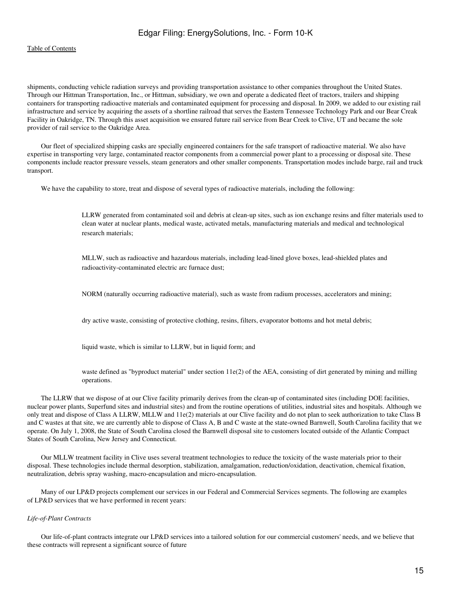## [Table of Contents](#page-2-0)

shipments, conducting vehicle radiation surveys and providing transportation assistance to other companies throughout the United States. Through our Hittman Transportation, Inc., or Hittman, subsidiary, we own and operate a dedicated fleet of tractors, trailers and shipping containers for transporting radioactive materials and contaminated equipment for processing and disposal. In 2009, we added to our existing rail infrastructure and service by acquiring the assets of a shortline railroad that serves the Eastern Tennessee Technology Park and our Bear Creak Facility in Oakridge, TN. Through this asset acquisition we ensured future rail service from Bear Creek to Clive, UT and became the sole provider of rail service to the Oakridge Area.

 Our fleet of specialized shipping casks are specially engineered containers for the safe transport of radioactive material. We also have expertise in transporting very large, contaminated reactor components from a commercial power plant to a processing or disposal site. These components include reactor pressure vessels, steam generators and other smaller components. Transportation modes include barge, rail and truck transport.

We have the capability to store, treat and dispose of several types of radioactive materials, including the following:

LLRW generated from contaminated soil and debris at clean-up sites, such as ion exchange resins and filter materials used to clean water at nuclear plants, medical waste, activated metals, manufacturing materials and medical and technological research materials;

MLLW, such as radioactive and hazardous materials, including lead-lined glove boxes, lead-shielded plates and radioactivity-contaminated electric arc furnace dust;

NORM (naturally occurring radioactive material), such as waste from radium processes, accelerators and mining;

dry active waste, consisting of protective clothing, resins, filters, evaporator bottoms and hot metal debris;

liquid waste, which is similar to LLRW, but in liquid form; and

waste defined as "byproduct material" under section 11e(2) of the AEA, consisting of dirt generated by mining and milling operations.

 The LLRW that we dispose of at our Clive facility primarily derives from the clean-up of contaminated sites (including DOE facilities, nuclear power plants, Superfund sites and industrial sites) and from the routine operations of utilities, industrial sites and hospitals. Although we only treat and dispose of Class A LLRW, MLLW and 11e(2) materials at our Clive facility and do not plan to seek authorization to take Class B and C wastes at that site, we are currently able to dispose of Class A, B and C waste at the state-owned Barnwell, South Carolina facility that we operate. On July 1, 2008, the State of South Carolina closed the Barnwell disposal site to customers located outside of the Atlantic Compact States of South Carolina, New Jersey and Connecticut.

 Our MLLW treatment facility in Clive uses several treatment technologies to reduce the toxicity of the waste materials prior to their disposal. These technologies include thermal desorption, stabilization, amalgamation, reduction/oxidation, deactivation, chemical fixation, neutralization, debris spray washing, macro-encapsulation and micro-encapsulation.

 Many of our LP&D projects complement our services in our Federal and Commercial Services segments. The following are examples of LP&D services that we have performed in recent years:

#### *Life-of-Plant Contracts*

 Our life-of-plant contracts integrate our LP&D services into a tailored solution for our commercial customers' needs, and we believe that these contracts will represent a significant source of future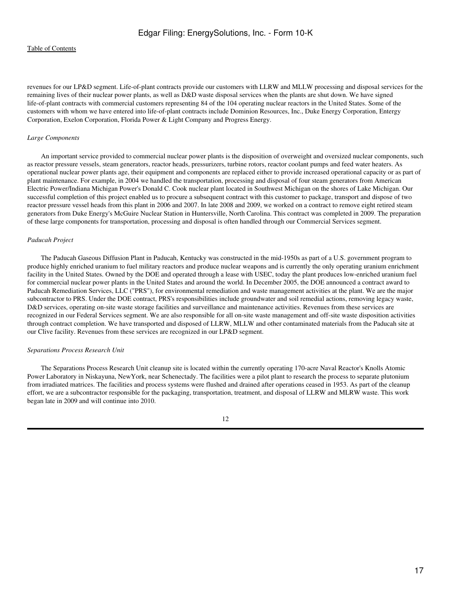revenues for our LP&D segment. Life-of-plant contracts provide our customers with LLRW and MLLW processing and disposal services for the remaining lives of their nuclear power plants, as well as D&D waste disposal services when the plants are shut down. We have signed life-of-plant contracts with commercial customers representing 84 of the 104 operating nuclear reactors in the United States. Some of the customers with whom we have entered into life-of-plant contracts include Dominion Resources, Inc., Duke Energy Corporation, Entergy Corporation, Exelon Corporation, Florida Power & Light Company and Progress Energy.

## *Large Components*

 An important service provided to commercial nuclear power plants is the disposition of overweight and oversized nuclear components, such as reactor pressure vessels, steam generators, reactor heads, pressurizers, turbine rotors, reactor coolant pumps and feed water heaters. As operational nuclear power plants age, their equipment and components are replaced either to provide increased operational capacity or as part of plant maintenance. For example, in 2004 we handled the transportation, processing and disposal of four steam generators from American Electric Power/Indiana Michigan Power's Donald C. Cook nuclear plant located in Southwest Michigan on the shores of Lake Michigan. Our successful completion of this project enabled us to procure a subsequent contract with this customer to package, transport and dispose of two reactor pressure vessel heads from this plant in 2006 and 2007. In late 2008 and 2009, we worked on a contract to remove eight retired steam generators from Duke Energy's McGuire Nuclear Station in Huntersville, North Carolina. This contract was completed in 2009. The preparation of these large components for transportation, processing and disposal is often handled through our Commercial Services segment.

## *Paducah Project*

 The Paducah Gaseous Diffusion Plant in Paducah, Kentucky was constructed in the mid-1950s as part of a U.S. government program to produce highly enriched uranium to fuel military reactors and produce nuclear weapons and is currently the only operating uranium enrichment facility in the United States. Owned by the DOE and operated through a lease with USEC, today the plant produces low-enriched uranium fuel for commercial nuclear power plants in the United States and around the world. In December 2005, the DOE announced a contract award to Paducah Remediation Services, LLC ("PRS"), for environmental remediation and waste management activities at the plant. We are the major subcontractor to PRS. Under the DOE contract, PRS's responsibilities include groundwater and soil remedial actions, removing legacy waste, D&D services, operating on-site waste storage facilities and surveillance and maintenance activities. Revenues from these services are recognized in our Federal Services segment. We are also responsible for all on-site waste management and off-site waste disposition activities through contract completion. We have transported and disposed of LLRW, MLLW and other contaminated materials from the Paducah site at our Clive facility. Revenues from these services are recognized in our LP&D segment.

## *Separations Process Research Unit*

 The Separations Process Research Unit cleanup site is located within the currently operating 170-acre Naval Reactor's Knolls Atomic Power Laboratory in Niskayuna, NewYork, near Schenectady. The facilities were a pilot plant to research the process to separate plutonium from irradiated matrices. The facilities and process systems were flushed and drained after operations ceased in 1953. As part of the cleanup effort, we are a subcontractor responsible for the packaging, transportation, treatment, and disposal of LLRW and MLRW waste. This work began late in 2009 and will continue into 2010.

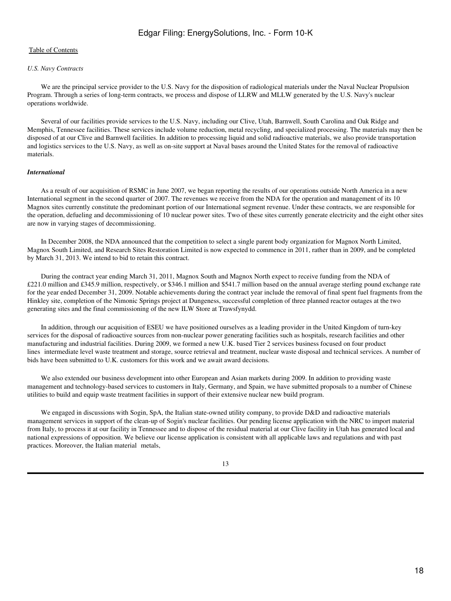#### *U.S. Navy Contracts*

 We are the principal service provider to the U.S. Navy for the disposition of radiological materials under the Naval Nuclear Propulsion Program. Through a series of long-term contracts, we process and dispose of LLRW and MLLW generated by the U.S. Navy's nuclear operations worldwide.

 Several of our facilities provide services to the U.S. Navy, including our Clive, Utah, Barnwell, South Carolina and Oak Ridge and Memphis, Tennessee facilities. These services include volume reduction, metal recycling, and specialized processing. The materials may then be disposed of at our Clive and Barnwell facilities. In addition to processing liquid and solid radioactive materials, we also provide transportation and logistics services to the U.S. Navy, as well as on-site support at Naval bases around the United States for the removal of radioactive materials.

### *International*

 As a result of our acquisition of RSMC in June 2007, we began reporting the results of our operations outside North America in a new International segment in the second quarter of 2007. The revenues we receive from the NDA for the operation and management of its 10 Magnox sites currently constitute the predominant portion of our International segment revenue. Under these contracts, we are responsible for the operation, defueling and decommissioning of 10 nuclear power sites. Two of these sites currently generate electricity and the eight other sites are now in varying stages of decommissioning.

 In December 2008, the NDA announced that the competition to select a single parent body organization for Magnox North Limited, Magnox South Limited, and Research Sites Restoration Limited is now expected to commence in 2011, rather than in 2009, and be completed by March 31, 2013. We intend to bid to retain this contract.

 During the contract year ending March 31, 2011, Magnox South and Magnox North expect to receive funding from the NDA of £221.0 million and £345.9 million, respectively, or \$346.1 million and \$541.7 million based on the annual average sterling pound exchange rate for the year ended December 31, 2009. Notable achievements during the contract year include the removal of final spent fuel fragments from the Hinkley site, completion of the Nimonic Springs project at Dungeness, successful completion of three planned reactor outages at the two generating sites and the final commissioning of the new ILW Store at Trawsfynydd.

 In addition, through our acquisition of ESEU we have positioned ourselves as a leading provider in the United Kingdom of turn-key services for the disposal of radioactive sources from non-nuclear power generating facilities such as hospitals, research facilities and other manufacturing and industrial facilities. During 2009, we formed a new U.K. based Tier 2 services business focused on four product lines intermediate level waste treatment and storage, source retrieval and treatment, nuclear waste disposal and technical services. A number of bids have been submitted to U.K. customers for this work and we await award decisions.

 We also extended our business development into other European and Asian markets during 2009. In addition to providing waste management and technology-based services to customers in Italy, Germany, and Spain, we have submitted proposals to a number of Chinese utilities to build and equip waste treatment facilities in support of their extensive nuclear new build program.

We engaged in discussions with Sogin, SpA, the Italian state-owned utility company, to provide D&D and radioactive materials management services in support of the clean-up of Sogin's nuclear facilities. Our pending license application with the NRC to import material from Italy, to process it at our facility in Tennessee and to dispose of the residual material at our Clive facility in Utah has generated local and national expressions of opposition. We believe our license application is consistent with all applicable laws and regulations and with past practices. Moreover, the Italian material metals,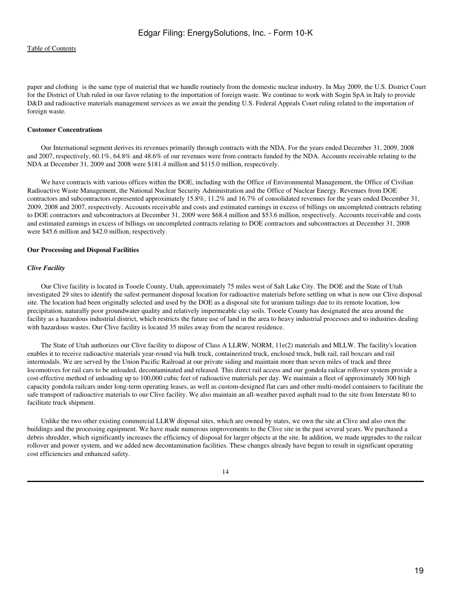paper and clothing is the same type of material that we handle routinely from the domestic nuclear industry. In May 2009, the U.S. District Court for the District of Utah ruled in our favor relating to the importation of foreign waste. We continue to work with Sogin SpA in Italy to provide D&D and radioactive materials management services as we await the pending U.S. Federal Appeals Court ruling related to the importation of foreign waste.

#### **Customer Concentrations**

 Our International segment derives its revenues primarily through contracts with the NDA. For the years ended December 31, 2009, 2008 and 2007, respectively, 60.1%, 64.8% and 48.6% of our revenues were from contracts funded by the NDA. Accounts receivable relating to the NDA at December 31, 2009 and 2008 were \$181.4 million and \$115.0 million, respectively.

 We have contracts with various offices within the DOE, including with the Office of Environmental Management, the Office of Civilian Radioactive Waste Management, the National Nuclear Security Administration and the Office of Nuclear Energy. Revenues from DOE contractors and subcontractors represented approximately 15.8%, 11.2% and 16.7% of consolidated revenues for the years ended December 31, 2009, 2008 and 2007, respectively. Accounts receivable and costs and estimated earnings in excess of billings on uncompleted contracts relating to DOE contractors and subcontractors at December 31, 2009 were \$68.4 million and \$53.6 million, respectively. Accounts receivable and costs and estimated earnings in excess of billings on uncompleted contracts relating to DOE contractors and subcontractors at December 31, 2008 were \$45.6 million and \$42.0 million, respectively.

#### **Our Processing and Disposal Facilities**

#### *Clive Facility*

 Our Clive facility is located in Tooele County, Utah, approximately 75 miles west of Salt Lake City. The DOE and the State of Utah investigated 29 sites to identify the safest permanent disposal location for radioactive materials before settling on what is now our Clive disposal site. The location had been originally selected and used by the DOE as a disposal site for uranium tailings due to its remote location, low precipitation, naturally poor groundwater quality and relatively impermeable clay soils. Tooele County has designated the area around the facility as a hazardous industrial district, which restricts the future use of land in the area to heavy industrial processes and to industries dealing with hazardous wastes. Our Clive facility is located 35 miles away from the nearest residence.

 The State of Utah authorizes our Clive facility to dispose of Class A LLRW, NORM, 11e(2) materials and MLLW. The facility's location enables it to receive radioactive materials year-round via bulk truck, containerized truck, enclosed truck, bulk rail, rail boxcars and rail intermodals. We are served by the Union Pacific Railroad at our private siding and maintain more than seven miles of track and three locomotives for rail cars to be unloaded, decontaminated and released. This direct rail access and our gondola railcar rollover system provide a cost-effective method of unloading up to 100,000 cubic feet of radioactive materials per day. We maintain a fleet of approximately 300 high capacity gondola railcars under long-term operating leases, as well as custom-designed flat cars and other multi-model containers to facilitate the safe transport of radioactive materials to our Clive facility. We also maintain an all-weather paved asphalt road to the site from Interstate 80 to facilitate truck shipment.

 Unlike the two other existing commercial LLRW disposal sites, which are owned by states, we own the site at Clive and also own the buildings and the processing equipment. We have made numerous improvements to the Clive site in the past several years. We purchased a debris shredder, which significantly increases the efficiency of disposal for larger objects at the site. In addition, we made upgrades to the railcar rollover and power system, and we added new decontamination facilities. These changes already have begun to result in significant operating cost efficiencies and enhanced safety.

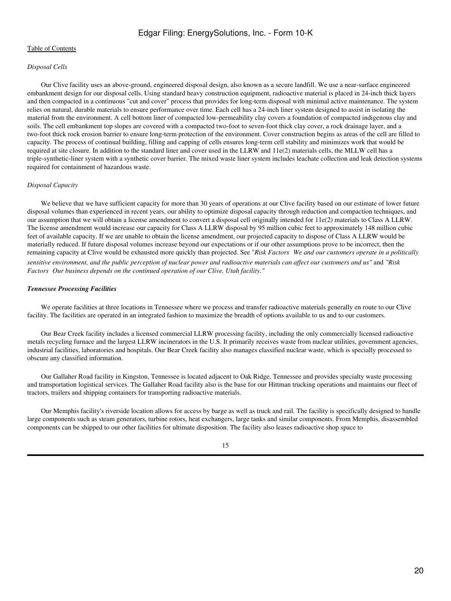## *Disposal Cells*

 Our Clive facility uses an above-ground, engineered disposal design, also known as a secure landfill. We use a near-surface engineered embankment design for our disposal cells. Using standard heavy construction equipment, radioactive material is placed in 24-inch thick layers and then compacted in a continuous "cut and cover" process that provides for long-term disposal with minimal active maintenance. The system relies on natural, durable materials to ensure performance over time. Each cell has a 24-inch liner system designed to assist in isolating the material from the environment. A cell bottom liner of compacted low-permeability clay covers a foundation of compacted indigenous clay and soils. The cell embankment top slopes are covered with a compacted two-foot to seven-foot thick clay cover, a rock drainage layer, and a two-foot thick rock erosion barrier to ensure long-term protection of the environment. Cover construction begins as areas of the cell are filled to capacity. The process of continual building, filling and capping of cells ensures long-term cell stability and minimizes work that would be required at site closure. In addition to the standard liner and cover used in the LLRW and 11e(2) materials cells, the MLLW cell has a triple-synthetic-liner system with a synthetic cover barrier. The mixed waste liner system includes leachate collection and leak detection systems required for containment of hazardous waste.

### *Disposal Capacity*

We believe that we have sufficient capacity for more than 30 years of operations at our Clive facility based on our estimate of lower future disposal volumes than experienced in recent years, our ability to optimize disposal capacity through reduction and compaction techniques, and our assumption that we will obtain a license amendment to convert a disposal cell originally intended for 11e(2) materials to Class A LLRW. The license amendment would increase our capacity for Class A LLRW disposal by 95 million cubic feet to approximately 148 million cubic feet of available capacity. If we are unable to obtain the license amendment, our projected capacity to dispose of Class A LLRW would be materially reduced. If future disposal volumes increase beyond our expectations or if our other assumptions prove to be incorrect, then the remaining capacity at Clive would be exhausted more quickly than projected. See "*Risk FactorsWe and our customers operate in a politically sensitive environment, and the public perception of nuclear power and radioactive materials can affect our customers and us"* and *"Risk* Factors Our business depends on the continued operation of our Clive, Utah facility."

### *Tennessee Processing Facilities*

 We operate facilities at three locations in Tennessee where we process and transfer radioactive materials generally en route to our Clive facility. The facilities are operated in an integrated fashion to maximize the breadth of options available to us and to our customers.

 Our Bear Creek facility includes a licensed commercial LLRW processing facility, including the only commercially licensed radioactive metals recycling furnace and the largest LLRW incinerators in the U.S. It primarily receives waste from nuclear utilities, government agencies, industrial facilities, laboratories and hospitals. Our Bear Creek facility also manages classified nuclear waste, which is specially processed to obscure any classified information.

 Our Gallaher Road facility in Kingston, Tennessee is located adjacent to Oak Ridge, Tennessee and provides specialty waste processing and transportation logistical services. The Gallaher Road facility also is the base for our Hittman trucking operations and maintains our fleet of tractors, trailers and shipping containers for transporting radioactive materials.

 Our Memphis facility's riverside location allows for access by barge as well as truck and rail. The facility is specifically designed to handle large components such as steam generators, turbine rotors, heat exchangers, large tanks and similar components. From Memphis, disassembled components can be shipped to our other facilities for ultimate disposition. The facility also leases radioactive shop space to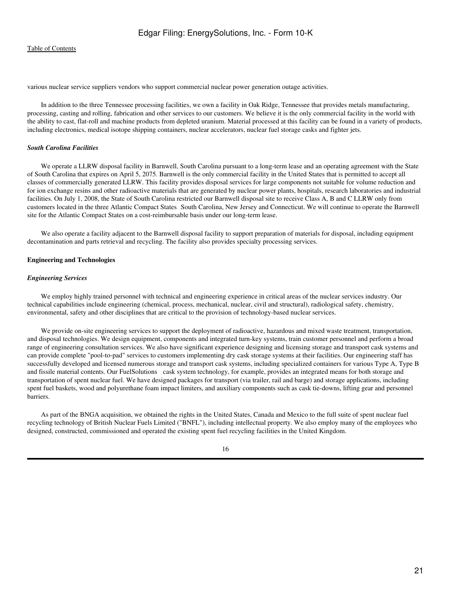various nuclear service suppliers vendors who support commercial nuclear power generation outage activities.

 In addition to the three Tennessee processing facilities, we own a facility in Oak Ridge, Tennessee that provides metals manufacturing, processing, casting and rolling, fabrication and other services to our customers. We believe it is the only commercial facility in the world with the ability to cast, flat-roll and machine products from depleted uranium. Material processed at this facility can be found in a variety of products, including electronics, medical isotope shipping containers, nuclear accelerators, nuclear fuel storage casks and fighter jets.

#### *South Carolina Facilities*

 We operate a LLRW disposal facility in Barnwell, South Carolina pursuant to a long-term lease and an operating agreement with the State of South Carolina that expires on April 5, 2075. Barnwell is the only commercial facility in the United States that is permitted to accept all classes of commercially generated LLRW. This facility provides disposal services for large components not suitable for volume reduction and for ion exchange resins and other radioactive materials that are generated by nuclear power plants, hospitals, research laboratories and industrial facilities. On July 1, 2008, the State of South Carolina restricted our Barnwell disposal site to receive Class A, B and C LLRW only from customers located in the three Atlantic Compact States South Carolina, New Jersey and Connecticut. We will continue to operate the Barnwell site for the Atlantic Compact States on a cost-reimbursable basis under our long-term lease.

 We also operate a facility adjacent to the Barnwell disposal facility to support preparation of materials for disposal, including equipment decontamination and parts retrieval and recycling. The facility also provides specialty processing services.

#### **Engineering and Technologies**

#### *Engineering Services*

 We employ highly trained personnel with technical and engineering experience in critical areas of the nuclear services industry. Our technical capabilities include engineering (chemical, process, mechanical, nuclear, civil and structural), radiological safety, chemistry, environmental, safety and other disciplines that are critical to the provision of technology-based nuclear services.

We provide on-site engineering services to support the deployment of radioactive, hazardous and mixed waste treatment, transportation, and disposal technologies. We design equipment, components and integrated turn-key systems, train customer personnel and perform a broad range of engineering consultation services. We also have significant experience designing and licensing storage and transport cask systems and can provide complete "pool-to-pad" services to customers implementing dry cask storage systems at their facilities. Our engineering staff has successfully developed and licensed numerous storage and transport cask systems, including specialized containers for various Type A, Type B and fissile material contents. Our FuelSolutions cask system technology, for example, provides an integrated means for both storage and transportation of spent nuclear fuel. We have designed packages for transport (via trailer, rail and barge) and storage applications, including spent fuel baskets, wood and polyurethane foam impact limiters, and auxiliary components such as cask tie-downs, lifting gear and personnel barriers.

 As part of the BNGA acquisition, we obtained the rights in the United States, Canada and Mexico to the full suite of spent nuclear fuel recycling technology of British Nuclear Fuels Limited ("BNFL"), including intellectual property. We also employ many of the employees who designed, constructed, commissioned and operated the existing spent fuel recycling facilities in the United Kingdom.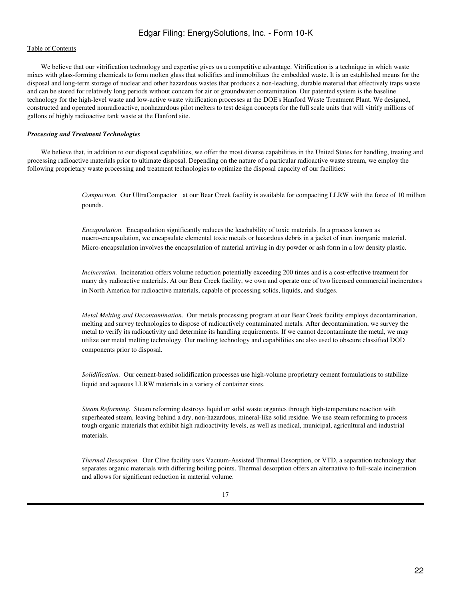## [Table of Contents](#page-2-0)

 We believe that our vitrification technology and expertise gives us a competitive advantage. Vitrification is a technique in which waste mixes with glass-forming chemicals to form molten glass that solidifies and immobilizes the embedded waste. It is an established means for the disposal and long-term storage of nuclear and other hazardous wastes that produces a non-leaching, durable material that effectively traps waste and can be stored for relatively long periods without concern for air or groundwater contamination. Our patented system is the baseline technology for the high-level waste and low-active waste vitrification processes at the DOE's Hanford Waste Treatment Plant. We designed, constructed and operated nonradioactive, nonhazardous pilot melters to test design concepts for the full scale units that will vitrify millions of gallons of highly radioactive tank waste at the Hanford site.

#### *Processing and Treatment Technologies*

We believe that, in addition to our disposal capabilities, we offer the most diverse capabilities in the United States for handling, treating and processing radioactive materials prior to ultimate disposal. Depending on the nature of a particular radioactive waste stream, we employ the following proprietary waste processing and treatment technologies to optimize the disposal capacity of our facilities:

> *Compaction.* Our UltraCompactor at our Bear Creek facility is available for compacting LLRW with the force of 10 million pounds.

*Encapsulation.* Encapsulation significantly reduces the leachability of toxic materials. In a process known as macro-encapsulation, we encapsulate elemental toxic metals or hazardous debris in a jacket of inert inorganic material. Micro-encapsulation involves the encapsulation of material arriving in dry powder or ash form in a low density plastic.

*Incineration*. Incineration offers volume reduction potentially exceeding 200 times and is a cost-effective treatment for many dry radioactive materials. At our Bear Creek facility, we own and operate one of two licensed commercial incinerators in North America for radioactive materials, capable of processing solids, liquids, and sludges.

*Metal Melting and Decontamination.* Our metals processing program at our Bear Creek facility employs decontamination, melting and survey technologies to dispose of radioactively contaminated metals. After decontamination, we survey the metal to verify its radioactivity and determine its handling requirements. If we cannot decontaminate the metal, we may utilize our metal melting technology. Our melting technology and capabilities are also used to obscure classified DOD components prior to disposal.

*Solidification.* Our cement-based solidification processes use high-volume proprietary cement formulations to stabilize liquid and aqueous LLRW materials in a variety of container sizes.

*Steam Reforming.* Steam reforming destroys liquid or solid waste organics through high-temperature reaction with superheated steam, leaving behind a dry, non-hazardous, mineral-like solid residue. We use steam reforming to process tough organic materials that exhibit high radioactivity levels, as well as medical, municipal, agricultural and industrial materials.

*Thermal Desorption.* Our Clive facility uses Vacuum-Assisted Thermal Desorption, or VTD, a separation technology that separates organic materials with differing boiling points. Thermal desorption offers an alternative to full-scale incineration and allows for significant reduction in material volume.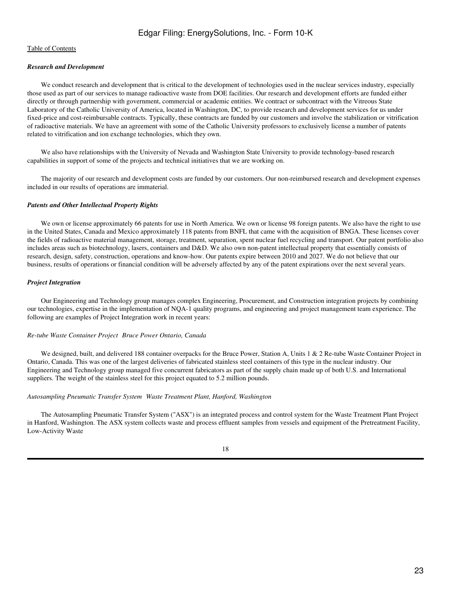## *Research and Development*

We conduct research and development that is critical to the development of technologies used in the nuclear services industry, especially those used as part of our services to manage radioactive waste from DOE facilities. Our research and development efforts are funded either directly or through partnership with government, commercial or academic entities. We contract or subcontract with the Vitreous State Laboratory of the Catholic University of America, located in Washington, DC, to provide research and development services for us under fixed-price and cost-reimbursable contracts. Typically, these contracts are funded by our customers and involve the stabilization or vitrification of radioactive materials. We have an agreement with some of the Catholic University professors to exclusively license a number of patents related to vitrification and ion exchange technologies, which they own.

 We also have relationships with the University of Nevada and Washington State University to provide technology-based research capabilities in support of some of the projects and technical initiatives that we are working on.

 The majority of our research and development costs are funded by our customers. Our non-reimbursed research and development expenses included in our results of operations are immaterial.

## *Patents and Other Intellectual Property Rights*

 We own or license approximately 66 patents for use in North America. We own or license 98 foreign patents. We also have the right to use in the United States, Canada and Mexico approximately 118 patents from BNFL that came with the acquisition of BNGA. These licenses cover the fields of radioactive material management, storage, treatment, separation, spent nuclear fuel recycling and transport. Our patent portfolio also includes areas such as biotechnology, lasers, containers and D&D. We also own non-patent intellectual property that essentially consists of research, design, safety, construction, operations and know-how. Our patents expire between 2010 and 2027. We do not believe that our business, results of operations or financial condition will be adversely affected by any of the patent expirations over the next several years.

## *Project Integration*

 Our Engineering and Technology group manages complex Engineering, Procurement, and Construction integration projects by combining our technologies, expertise in the implementation of NQA-1 quality programs, and engineering and project management team experience. The following are examples of Project Integration work in recent years:

### *Re-tube Waste Container ProjectBruce Power Ontario, Canada*

We designed, built, and delivered 188 container overpacks for the Bruce Power, Station A, Units 1 & 2 Re-tube Waste Container Project in Ontario, Canada. This was one of the largest deliveries of fabricated stainless steel containers of this type in the nuclear industry. Our Engineering and Technology group managed five concurrent fabricators as part of the supply chain made up of both U.S. and International suppliers. The weight of the stainless steel for this project equated to 5.2 million pounds.

## *Autosampling Pneumatic Transfer SystemWaste Treatment Plant, Hanford, Washington*

 The Autosampling Pneumatic Transfer System ("ASX") is an integrated process and control system for the Waste Treatment Plant Project in Hanford, Washington. The ASX system collects waste and process effluent samples from vessels and equipment of the Pretreatment Facility, Low-Activity Waste

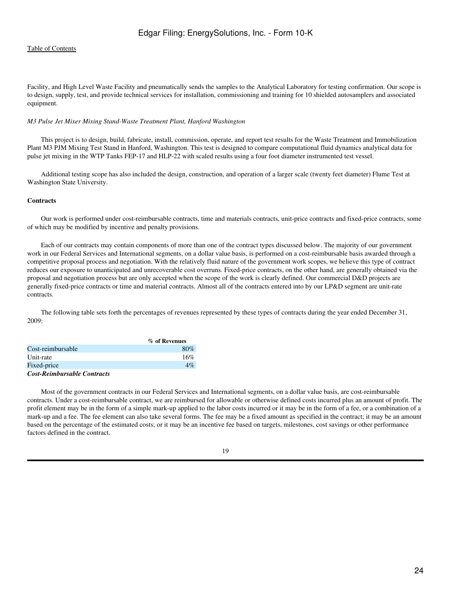Facility, and High Level Waste Facility and pneumatically sends the samples to the Analytical Laboratory for testing confirmation. Our scope is to design, supply, test, and provide technical services for installation, commissioning and training for 10 shielded autosamplers and associated equipment.

### *M3 Pulse Jet Mixer Mixing Stand-Waste Treatment Plant, Hanford Washington*

 This project is to design, build, fabricate, install, commission, operate, and report test results for the Waste Treatment and Immobilization Plant M3 PJM Mixing Test Stand in Hanford, Washington. This test is designed to compare computational fluid dynamics analytical data for pulse jet mixing in the WTP Tanks FEP-17 and HLP-22 with scaled results using a four foot diameter instrumented test vessel.

 Additional testing scope has also included the design, construction, and operation of a larger scale (twenty feet diameter) Flume Test at Washington State University.

## **Contracts**

 Our work is performed under cost-reimbursable contracts, time and materials contracts, unit-price contracts and fixed-price contracts, some of which may be modified by incentive and penalty provisions.

 Each of our contracts may contain components of more than one of the contract types discussed below. The majority of our government work in our Federal Services and International segments, on a dollar value basis, is performed on a cost-reimbursable basis awarded through a competitive proposal process and negotiation. With the relatively fluid nature of the government work scopes, we believe this type of contract reduces our exposure to unanticipated and unrecoverable cost overruns. Fixed-price contracts, on the other hand, are generally obtained via the proposal and negotiation process but are only accepted when the scope of the work is clearly defined. Our commercial D&D projects are generally fixed-price contracts or time and material contracts. Almost all of the contracts entered into by our LP&D segment are unit-rate contracts.

 The following table sets forth the percentages of revenues represented by these types of contracts during the year ended December 31, 2009:

|                                    | % of Revenues |  |
|------------------------------------|---------------|--|
| Cost-reimbursable                  | 80%           |  |
| Unit-rate                          | 16%           |  |
| Fixed-price                        | $4\%$         |  |
| <b>Cost-Reimbursable Contracts</b> |               |  |

 Most of the government contracts in our Federal Services and International segments, on a dollar value basis, are cost-reimbursable contracts. Under a cost-reimbursable contract, we are reimbursed for allowable or otherwise defined costs incurred plus an amount of profit. The profit element may be in the form of a simple mark-up applied to the labor costs incurred or it may be in the form of a fee, or a combination of a mark-up and a fee. The fee element can also take several forms. The fee may be a fixed amount as specified in the contract; it may be an amount based on the percentage of the estimated costs; or it may be an incentive fee based on targets, milestones, cost savings or other performance factors defined in the contract.

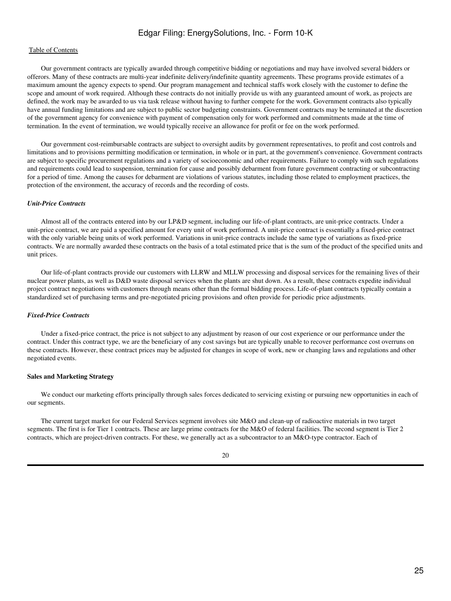## [Table of Contents](#page-2-0)

 Our government contracts are typically awarded through competitive bidding or negotiations and may have involved several bidders or offerors. Many of these contracts are multi-year indefinite delivery/indefinite quantity agreements. These programs provide estimates of a maximum amount the agency expects to spend. Our program management and technical staffs work closely with the customer to define the scope and amount of work required. Although these contracts do not initially provide us with any guaranteed amount of work, as projects are defined, the work may be awarded to us via task release without having to further compete for the work. Government contracts also typically have annual funding limitations and are subject to public sector budgeting constraints. Government contracts may be terminated at the discretion of the government agency for convenience with payment of compensation only for work performed and commitments made at the time of termination. In the event of termination, we would typically receive an allowance for profit or fee on the work performed.

 Our government cost-reimbursable contracts are subject to oversight audits by government representatives, to profit and cost controls and limitations and to provisions permitting modification or termination, in whole or in part, at the government's convenience. Government contracts are subject to specific procurement regulations and a variety of socioeconomic and other requirements. Failure to comply with such regulations and requirements could lead to suspension, termination for cause and possibly debarment from future government contracting or subcontracting for a period of time. Among the causes for debarment are violations of various statutes, including those related to employment practices, the protection of the environment, the accuracy of records and the recording of costs.

#### *Unit-Price Contracts*

 Almost all of the contracts entered into by our LP&D segment, including our life-of-plant contracts, are unit-price contracts. Under a unit-price contract, we are paid a specified amount for every unit of work performed. A unit-price contract is essentially a fixed-price contract with the only variable being units of work performed. Variations in unit-price contracts include the same type of variations as fixed-price contracts. We are normally awarded these contracts on the basis of a total estimated price that is the sum of the product of the specified units and unit prices.

 Our life-of-plant contracts provide our customers with LLRW and MLLW processing and disposal services for the remaining lives of their nuclear power plants, as well as D&D waste disposal services when the plants are shut down. As a result, these contracts expedite individual project contract negotiations with customers through means other than the formal bidding process. Life-of-plant contracts typically contain a standardized set of purchasing terms and pre-negotiated pricing provisions and often provide for periodic price adjustments.

## *Fixed-Price Contracts*

 Under a fixed-price contract, the price is not subject to any adjustment by reason of our cost experience or our performance under the contract. Under this contract type, we are the beneficiary of any cost savings but are typically unable to recover performance cost overruns on these contracts. However, these contract prices may be adjusted for changes in scope of work, new or changing laws and regulations and other negotiated events.

#### **Sales and Marketing Strategy**

We conduct our marketing efforts principally through sales forces dedicated to servicing existing or pursuing new opportunities in each of our segments.

 The current target market for our Federal Services segment involves site M&O and clean-up of radioactive materials in two target segments. The first is for Tier 1 contracts. These are large prime contracts for the M&O of federal facilities. The second segment is Tier 2 contracts, which are project-driven contracts. For these, we generally act as a subcontractor to an M&O-type contractor. Each of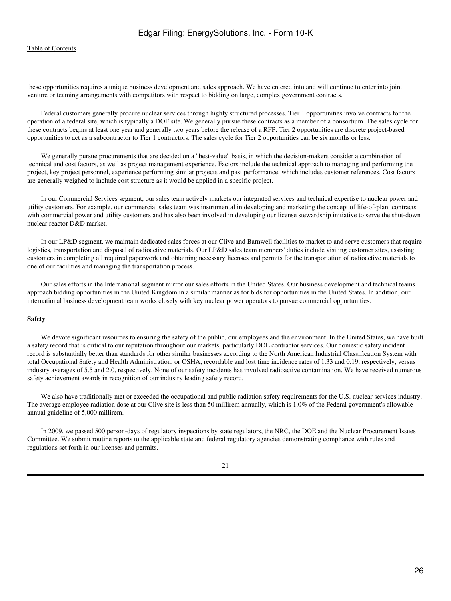these opportunities requires a unique business development and sales approach. We have entered into and will continue to enter into joint venture or teaming arrangements with competitors with respect to bidding on large, complex government contracts.

 Federal customers generally procure nuclear services through highly structured processes. Tier 1 opportunities involve contracts for the operation of a federal site, which is typically a DOE site. We generally pursue these contracts as a member of a consortium. The sales cycle for these contracts begins at least one year and generally two years before the release of a RFP. Tier 2 opportunities are discrete project-based opportunities to act as a subcontractor to Tier 1 contractors. The sales cycle for Tier 2 opportunities can be six months or less.

 We generally pursue procurements that are decided on a "best-value" basis, in which the decision-makers consider a combination of technical and cost factors, as well as project management experience. Factors include the technical approach to managing and performing the project, key project personnel, experience performing similar projects and past performance, which includes customer references. Cost factors are generally weighed to include cost structure as it would be applied in a specific project.

 In our Commercial Services segment, our sales team actively markets our integrated services and technical expertise to nuclear power and utility customers. For example, our commercial sales team was instrumental in developing and marketing the concept of life-of-plant contracts with commercial power and utility customers and has also been involved in developing our license stewardship initiative to serve the shut-down nuclear reactor D&D market.

 In our LP&D segment, we maintain dedicated sales forces at our Clive and Barnwell facilities to market to and serve customers that require logistics, transportation and disposal of radioactive materials. Our LP&D sales team members' duties include visiting customer sites, assisting customers in completing all required paperwork and obtaining necessary licenses and permits for the transportation of radioactive materials to one of our facilities and managing the transportation process.

 Our sales efforts in the International segment mirror our sales efforts in the United States. Our business development and technical teams approach bidding opportunities in the United Kingdom in a similar manner as for bids for opportunities in the United States. In addition, our international business development team works closely with key nuclear power operators to pursue commercial opportunities.

#### **Safety**

 We devote significant resources to ensuring the safety of the public, our employees and the environment. In the United States, we have built a safety record that is critical to our reputation throughout our markets, particularly DOE contractor services. Our domestic safety incident record is substantially better than standards for other similar businesses according to the North American Industrial Classification System with total Occupational Safety and Health Administration, or OSHA, recordable and lost time incidence rates of 1.33 and 0.19, respectively, versus industry averages of 5.5 and 2.0, respectively. None of our safety incidents has involved radioactive contamination. We have received numerous safety achievement awards in recognition of our industry leading safety record.

 We also have traditionally met or exceeded the occupational and public radiation safety requirements for the U.S. nuclear services industry. The average employee radiation dose at our Clive site is less than 50 millirem annually, which is 1.0% of the Federal government's allowable annual guideline of 5,000 millirem.

 In 2009, we passed 500 person-days of regulatory inspections by state regulators, the NRC, the DOE and the Nuclear Procurement Issues Committee. We submit routine reports to the applicable state and federal regulatory agencies demonstrating compliance with rules and regulations set forth in our licenses and permits.

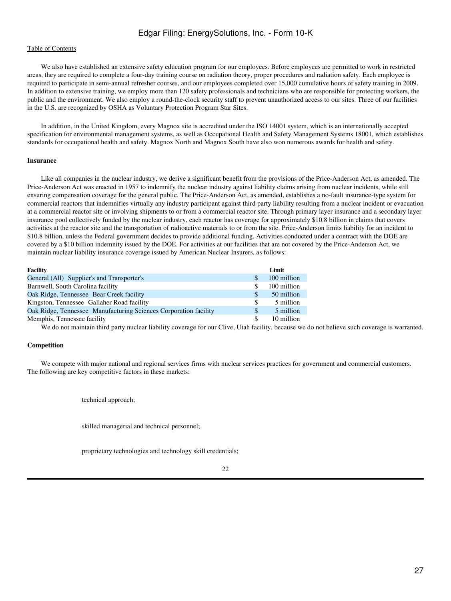## [Table of Contents](#page-2-0)

 We also have established an extensive safety education program for our employees. Before employees are permitted to work in restricted areas, they are required to complete a four-day training course on radiation theory, proper procedures and radiation safety. Each employee is required to participate in semi-annual refresher courses, and our employees completed over 15,000 cumulative hours of safety training in 2009. In addition to extensive training, we employ more than 120 safety professionals and technicians who are responsible for protecting workers, the public and the environment. We also employ a round-the-clock security staff to prevent unauthorized access to our sites. Three of our facilities in the U.S. are recognized by OSHA as Voluntary Protection Program Star Sites.

 In addition, in the United Kingdom, every Magnox site is accredited under the ISO 14001 system, which is an internationally accepted specification for environmental management systems, as well as Occupational Health and Safety Management Systems 18001, which establishes standards for occupational health and safety. Magnox North and Magnox South have also won numerous awards for health and safety.

#### **Insurance**

 Like all companies in the nuclear industry, we derive a significant benefit from the provisions of the Price-Anderson Act, as amended. The Price-Anderson Act was enacted in 1957 to indemnify the nuclear industry against liability claims arising from nuclear incidents, while still ensuring compensation coverage for the general public. The Price-Anderson Act, as amended, establishes a no-fault insurance-type system for commercial reactors that indemnifies virtually any industry participant against third party liability resulting from a nuclear incident or evacuation at a commercial reactor site or involving shipments to or from a commercial reactor site. Through primary layer insurance and a secondary layer insurance pool collectively funded by the nuclear industry, each reactor has coverage for approximately \$10.8 billion in claims that covers activities at the reactor site and the transportation of radioactive materials to or from the site. Price-Anderson limits liability for an incident to \$10.8 billion, unless the Federal government decides to provide additional funding. Activities conducted under a contract with the DOE are covered by a \$10 billion indemnity issued by the DOE. For activities at our facilities that are not covered by the Price-Anderson Act, we maintain nuclear liability insurance coverage issued by American Nuclear Insurers, as follows:

| <b>Facility</b>                                                  |               | Limit       |
|------------------------------------------------------------------|---------------|-------------|
| General (All) Supplier's and Transporter's                       | \$.           | 100 million |
| Barnwell, South Carolina facility                                | \$.           | 100 million |
| Oak Ridge, Tennessee Bear Creek facility                         | <sup>\$</sup> | 50 million  |
| Kingston, Tennessee Gallaher Road facility                       | \$            | 5 million   |
| Oak Ridge, Tennessee Manufacturing Sciences Corporation facility | \$            | 5 million   |
| Memphis, Tennessee facility<br>\$.                               |               | 10 million  |

We do not maintain third party nuclear liability coverage for our Clive, Utah facility, because we do not believe such coverage is warranted.

## **Competition**

 We compete with major national and regional services firms with nuclear services practices for government and commercial customers. The following are key competitive factors in these markets:

technical approach;

skilled managerial and technical personnel;

proprietary technologies and technology skill credentials;

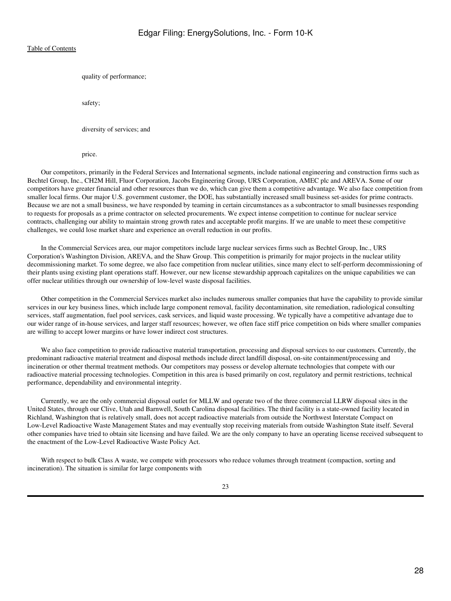quality of performance;

safety;

diversity of services; and

price.

 Our competitors, primarily in the Federal Services and International segments, include national engineering and construction firms such as Bechtel Group, Inc., CH2M Hill, Fluor Corporation, Jacobs Engineering Group, URS Corporation, AMEC plc and AREVA. Some of our competitors have greater financial and other resources than we do, which can give them a competitive advantage. We also face competition from smaller local firms. Our major U.S. government customer, the DOE, has substantially increased small business set-asides for prime contracts. Because we are not a small business, we have responded by teaming in certain circumstances as a subcontractor to small businesses responding to requests for proposals as a prime contractor on selected procurements. We expect intense competition to continue for nuclear service contracts, challenging our ability to maintain strong growth rates and acceptable profit margins. If we are unable to meet these competitive challenges, we could lose market share and experience an overall reduction in our profits.

 In the Commercial Services area, our major competitors include large nuclear services firms such as Bechtel Group, Inc., URS Corporation's Washington Division, AREVA, and the Shaw Group. This competition is primarily for major projects in the nuclear utility decommissioning market. To some degree, we also face competition from nuclear utilities, since many elect to self-perform decommissioning of their plants using existing plant operations staff. However, our new license stewardship approach capitalizes on the unique capabilities we can offer nuclear utilities through our ownership of low-level waste disposal facilities.

 Other competition in the Commercial Services market also includes numerous smaller companies that have the capability to provide similar services in our key business lines, which include large component removal, facility decontamination, site remediation, radiological consulting services, staff augmentation, fuel pool services, cask services, and liquid waste processing. We typically have a competitive advantage due to our wider range of in-house services, and larger staff resources; however, we often face stiff price competition on bids where smaller companies are willing to accept lower margins or have lower indirect cost structures.

 We also face competition to provide radioactive material transportation, processing and disposal services to our customers. Currently, the predominant radioactive material treatment and disposal methods include direct landfill disposal, on-site containment/processing and incineration or other thermal treatment methods. Our competitors may possess or develop alternate technologies that compete with our radioactive material processing technologies. Competition in this area is based primarily on cost, regulatory and permit restrictions, technical performance, dependability and environmental integrity.

 Currently, we are the only commercial disposal outlet for MLLW and operate two of the three commercial LLRW disposal sites in the United States, through our Clive, Utah and Barnwell, South Carolina disposal facilities. The third facility is a state-owned facility located in Richland, Washington that is relatively small, does not accept radioactive materials from outside the Northwest Interstate Compact on Low-Level Radioactive Waste Management States and may eventually stop receiving materials from outside Washington State itself. Several other companies have tried to obtain site licensing and have failed. We are the only company to have an operating license received subsequent to the enactment of the Low-Level Radioactive Waste Policy Act.

 With respect to bulk Class A waste, we compete with processors who reduce volumes through treatment (compaction, sorting and incineration). The situation is similar for large components with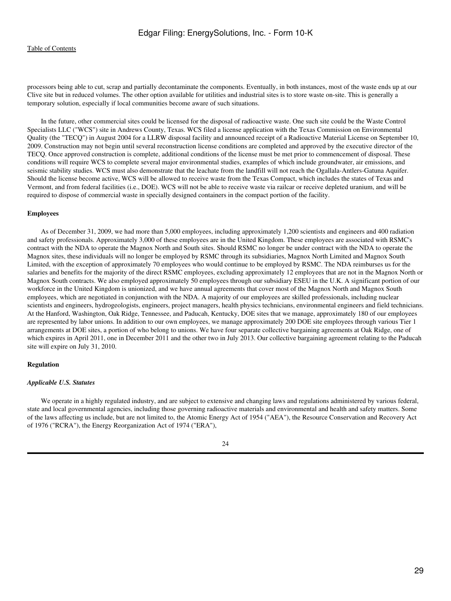processors being able to cut, scrap and partially decontaminate the components. Eventually, in both instances, most of the waste ends up at our Clive site but in reduced volumes. The other option available for utilities and industrial sites is to store waste on-site. This is generally a temporary solution, especially if local communities become aware of such situations.

 In the future, other commercial sites could be licensed for the disposal of radioactive waste. One such site could be the Waste Control Specialists LLC ("WCS") site in Andrews County, Texas. WCS filed a license application with the Texas Commission on Environmental Quality (the "TECQ") in August 2004 for a LLRW disposal facility and announced receipt of a Radioactive Material License on September 10, 2009. Construction may not begin until several reconstruction license conditions are completed and approved by the executive director of the TECQ. Once approved construction is complete, additional conditions of the license must be met prior to commencement of disposal. These conditions will require WCS to complete several major environmental studies, examples of which include groundwater, air emissions, and seismic stability studies. WCS must also demonstrate that the leachate from the landfill will not reach the Ogallala-Antlers-Gatuna Aquifer. Should the license become active, WCS will be allowed to receive waste from the Texas Compact, which includes the states of Texas and Vermont, and from federal facilities (i.e., DOE). WCS will not be able to receive waste via railcar or receive depleted uranium, and will be required to dispose of commercial waste in specially designed containers in the compact portion of the facility.

#### **Employees**

 As of December 31, 2009, we had more than 5,000 employees, including approximately 1,200 scientists and engineers and 400 radiation and safety professionals. Approximately 3,000 of these employees are in the United Kingdom. These employees are associated with RSMC's contract with the NDA to operate the Magnox North and South sites. Should RSMC no longer be under contract with the NDA to operate the Magnox sites, these individuals will no longer be employed by RSMC through its subsidiaries, Magnox North Limited and Magnox South Limited, with the exception of approximately 70 employees who would continue to be employed by RSMC. The NDA reimburses us for the salaries and benefits for the majority of the direct RSMC employees, excluding approximately 12 employees that are not in the Magnox North or Magnox South contracts. We also employed approximately 50 employees through our subsidiary ESEU in the U.K. A significant portion of our workforce in the United Kingdom is unionized, and we have annual agreements that cover most of the Magnox North and Magnox South employees, which are negotiated in conjunction with the NDA. A majority of our employees are skilled professionals, including nuclear scientists and engineers, hydrogeologists, engineers, project managers, health physics technicians, environmental engineers and field technicians. At the Hanford, Washington, Oak Ridge, Tennessee, and Paducah, Kentucky, DOE sites that we manage, approximately 180 of our employees are represented by labor unions. In addition to our own employees, we manage approximately 200 DOE site employees through various Tier 1 arrangements at DOE sites, a portion of who belong to unions. We have four separate collective bargaining agreements at Oak Ridge, one of which expires in April 2011, one in December 2011 and the other two in July 2013. Our collective bargaining agreement relating to the Paducah site will expire on July 31, 2010.

### **Regulation**

#### *Applicable U.S. Statutes*

 We operate in a highly regulated industry, and are subject to extensive and changing laws and regulations administered by various federal, state and local governmental agencies, including those governing radioactive materials and environmental and health and safety matters. Some of the laws affecting us include, but are not limited to, the Atomic Energy Act of 1954 ("AEA"), the Resource Conservation and Recovery Act of 1976 ("RCRA"), the Energy Reorganization Act of 1974 ("ERA"),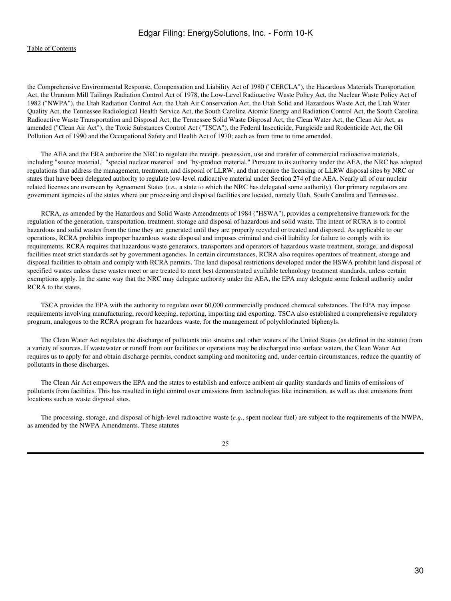the Comprehensive Environmental Response, Compensation and Liability Act of 1980 ("CERCLA"), the Hazardous Materials Transportation Act, the Uranium Mill Tailings Radiation Control Act of 1978, the Low-Level Radioactive Waste Policy Act, the Nuclear Waste Policy Act of 1982 ("NWPA"), the Utah Radiation Control Act, the Utah Air Conservation Act, the Utah Solid and Hazardous Waste Act, the Utah Water Quality Act, the Tennessee Radiological Health Service Act, the South Carolina Atomic Energy and Radiation Control Act, the South Carolina Radioactive Waste Transportation and Disposal Act, the Tennessee Solid Waste Disposal Act, the Clean Water Act, the Clean Air Act, as amended ("Clean Air Act"), the Toxic Substances Control Act ("TSCA"), the Federal Insecticide, Fungicide and Rodenticide Act, the Oil Pollution Act of 1990 and the Occupational Safety and Health Act of 1970; each as from time to time amended.

 The AEA and the ERA authorize the NRC to regulate the receipt, possession, use and transfer of commercial radioactive materials, including "source material," "special nuclear material" and "by-product material." Pursuant to its authority under the AEA, the NRC has adopted regulations that address the management, treatment, and disposal of LLRW, and that require the licensing of LLRW disposal sites by NRC or states that have been delegated authority to regulate low-level radioactive material under Section 274 of the AEA. Nearly all of our nuclear related licenses are overseen by Agreement States (*i.e.*, a state to which the NRC has delegated some authority). Our primary regulators are government agencies of the states where our processing and disposal facilities are located, namely Utah, South Carolina and Tennessee.

 RCRA, as amended by the Hazardous and Solid Waste Amendments of 1984 ("HSWA"), provides a comprehensive framework for the regulation of the generation, transportation, treatment, storage and disposal of hazardous and solid waste. The intent of RCRA is to control hazardous and solid wastes from the time they are generated until they are properly recycled or treated and disposed. As applicable to our operations, RCRA prohibits improper hazardous waste disposal and imposes criminal and civil liability for failure to comply with its requirements. RCRA requires that hazardous waste generators, transporters and operators of hazardous waste treatment, storage, and disposal facilities meet strict standards set by government agencies. In certain circumstances, RCRA also requires operators of treatment, storage and disposal facilities to obtain and comply with RCRA permits. The land disposal restrictions developed under the HSWA prohibit land disposal of specified wastes unless these wastes meet or are treated to meet best demonstrated available technology treatment standards, unless certain exemptions apply. In the same way that the NRC may delegate authority under the AEA, the EPA may delegate some federal authority under RCRA to the states.

 TSCA provides the EPA with the authority to regulate over 60,000 commercially produced chemical substances. The EPA may impose requirements involving manufacturing, record keeping, reporting, importing and exporting. TSCA also established a comprehensive regulatory program, analogous to the RCRA program for hazardous waste, for the management of polychlorinated biphenyls.

 The Clean Water Act regulates the discharge of pollutants into streams and other waters of the United States (as defined in the statute) from a variety of sources. If wastewater or runoff from our facilities or operations may be discharged into surface waters, the Clean Water Act requires us to apply for and obtain discharge permits, conduct sampling and monitoring and, under certain circumstances, reduce the quantity of pollutants in those discharges.

 The Clean Air Act empowers the EPA and the states to establish and enforce ambient air quality standards and limits of emissions of pollutants from facilities. This has resulted in tight control over emissions from technologies like incineration, as well as dust emissions from locations such as waste disposal sites.

 The processing, storage, and disposal of high-level radioactive waste (*e.g.*, spent nuclear fuel) are subject to the requirements of the NWPA, as amended by the NWPA Amendments. These statutes

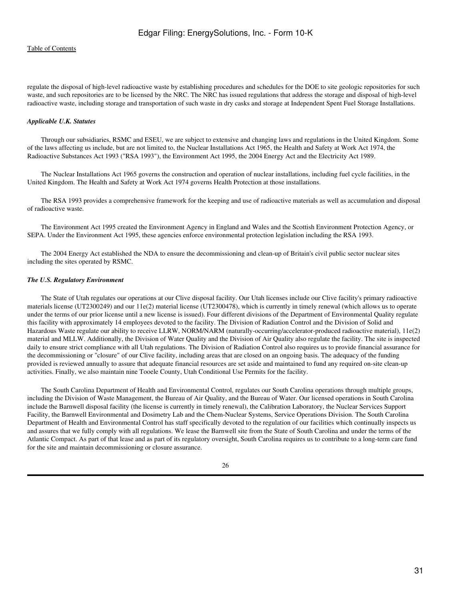regulate the disposal of high-level radioactive waste by establishing procedures and schedules for the DOE to site geologic repositories for such waste, and such repositories are to be licensed by the NRC. The NRC has issued regulations that address the storage and disposal of high-level radioactive waste, including storage and transportation of such waste in dry casks and storage at Independent Spent Fuel Storage Installations.

## *Applicable U.K. Statutes*

 Through our subsidiaries, RSMC and ESEU, we are subject to extensive and changing laws and regulations in the United Kingdom. Some of the laws affecting us include, but are not limited to, the Nuclear Installations Act 1965, the Health and Safety at Work Act 1974, the Radioactive Substances Act 1993 ("RSA 1993"), the Environment Act 1995, the 2004 Energy Act and the Electricity Act 1989.

 The Nuclear Installations Act 1965 governs the construction and operation of nuclear installations, including fuel cycle facilities, in the United Kingdom. The Health and Safety at Work Act 1974 governs Health Protection at those installations.

 The RSA 1993 provides a comprehensive framework for the keeping and use of radioactive materials as well as accumulation and disposal of radioactive waste.

 The Environment Act 1995 created the Environment Agency in England and Wales and the Scottish Environment Protection Agency, or SEPA. Under the Environment Act 1995, these agencies enforce environmental protection legislation including the RSA 1993.

 The 2004 Energy Act established the NDA to ensure the decommissioning and clean-up of Britain's civil public sector nuclear sites including the sites operated by RSMC.

### *The U.S. Regulatory Environment*

 The State of Utah regulates our operations at our Clive disposal facility. Our Utah licenses include our Clive facility's primary radioactive materials license (UT2300249) and our 11e(2) material license (UT2300478), which is currently in timely renewal (which allows us to operate under the terms of our prior license until a new license is issued). Four different divisions of the Department of Environmental Quality regulate this facility with approximately 14 employees devoted to the facility. The Division of Radiation Control and the Division of Solid and Hazardous Waste regulate our ability to receive LLRW, NORM/NARM (naturally-occurring/accelerator-produced radioactive material), 11e(2) material and MLLW. Additionally, the Division of Water Quality and the Division of Air Quality also regulate the facility. The site is inspected daily to ensure strict compliance with all Utah regulations. The Division of Radiation Control also requires us to provide financial assurance for the decommissioning or "closure" of our Clive facility, including areas that are closed on an ongoing basis. The adequacy of the funding provided is reviewed annually to assure that adequate financial resources are set aside and maintained to fund any required on-site clean-up activities. Finally, we also maintain nine Tooele County, Utah Conditional Use Permits for the facility.

 The South Carolina Department of Health and Environmental Control, regulates our South Carolina operations through multiple groups, including the Division of Waste Management, the Bureau of Air Quality, and the Bureau of Water. Our licensed operations in South Carolina include the Barnwell disposal facility (the license is currently in timely renewal), the Calibration Laboratory, the Nuclear Services Support Facility, the Barnwell Environmental and Dosimetry Lab and the Chem-Nuclear Systems, Service Operations Division. The South Carolina Department of Health and Environmental Control has staff specifically devoted to the regulation of our facilities which continually inspects us and assures that we fully comply with all regulations. We lease the Barnwell site from the State of South Carolina and under the terms of the Atlantic Compact. As part of that lease and as part of its regulatory oversight, South Carolina requires us to contribute to a long-term care fund for the site and maintain decommissioning or closure assurance.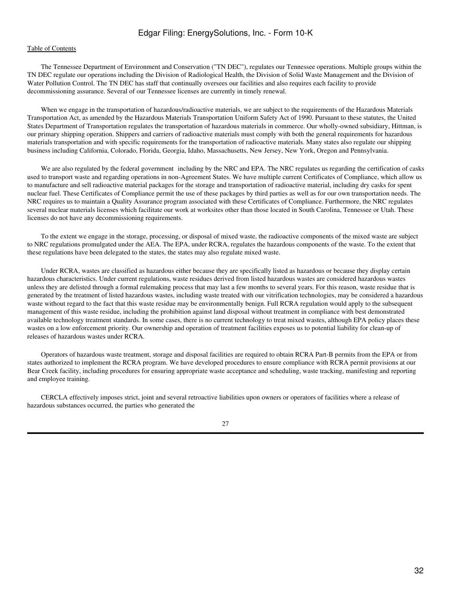The Tennessee Department of Environment and Conservation ("TN DEC"), regulates our Tennessee operations. Multiple groups within the TN DEC regulate our operations including the Division of Radiological Health, the Division of Solid Waste Management and the Division of Water Pollution Control. The TN DEC has staff that continually oversees our facilities and also requires each facility to provide decommissioning assurance. Several of our Tennessee licenses are currently in timely renewal.

 When we engage in the transportation of hazardous/radioactive materials, we are subject to the requirements of the Hazardous Materials Transportation Act, as amended by the Hazardous Materials Transportation Uniform Safety Act of 1990. Pursuant to these statutes, the United States Department of Transportation regulates the transportation of hazardous materials in commerce. Our wholly-owned subsidiary, Hittman, is our primary shipping operation. Shippers and carriers of radioactive materials must comply with both the general requirements for hazardous materials transportation and with specific requirements for the transportation of radioactive materials. Many states also regulate our shipping business including California, Colorado, Florida, Georgia, Idaho, Massachusetts, New Jersey, New York, Oregon and Pennsylvania.

We are also regulated by the federal government including by the NRC and EPA. The NRC regulates us regarding the certification of casks used to transport waste and regarding operations in non-Agreement States. We have multiple current Certificates of Compliance, which allow us to manufacture and sell radioactive material packages for the storage and transportation of radioactive material, including dry casks for spent nuclear fuel. These Certificates of Compliance permit the use of these packages by third parties as well as for our own transportation needs. The NRC requires us to maintain a Quality Assurance program associated with these Certificates of Compliance. Furthermore, the NRC regulates several nuclear materials licenses which facilitate our work at worksites other than those located in South Carolina, Tennessee or Utah. These licenses do not have any decommissioning requirements.

 To the extent we engage in the storage, processing, or disposal of mixed waste, the radioactive components of the mixed waste are subject to NRC regulations promulgated under the AEA. The EPA, under RCRA, regulates the hazardous components of the waste. To the extent that these regulations have been delegated to the states, the states may also regulate mixed waste.

 Under RCRA, wastes are classified as hazardous either because they are specifically listed as hazardous or because they display certain hazardous characteristics. Under current regulations, waste residues derived from listed hazardous wastes are considered hazardous wastes unless they are delisted through a formal rulemaking process that may last a few months to several years. For this reason, waste residue that is generated by the treatment of listed hazardous wastes, including waste treated with our vitrification technologies, may be considered a hazardous waste without regard to the fact that this waste residue may be environmentally benign. Full RCRA regulation would apply to the subsequent management of this waste residue, including the prohibition against land disposal without treatment in compliance with best demonstrated available technology treatment standards. In some cases, there is no current technology to treat mixed wastes, although EPA policy places these wastes on a low enforcement priority. Our ownership and operation of treatment facilities exposes us to potential liability for clean-up of releases of hazardous wastes under RCRA.

 Operators of hazardous waste treatment, storage and disposal facilities are required to obtain RCRA Part-B permits from the EPA or from states authorized to implement the RCRA program. We have developed procedures to ensure compliance with RCRA permit provisions at our Bear Creek facility, including procedures for ensuring appropriate waste acceptance and scheduling, waste tracking, manifesting and reporting and employee training.

 CERCLA effectively imposes strict, joint and several retroactive liabilities upon owners or operators of facilities where a release of hazardous substances occurred, the parties who generated the

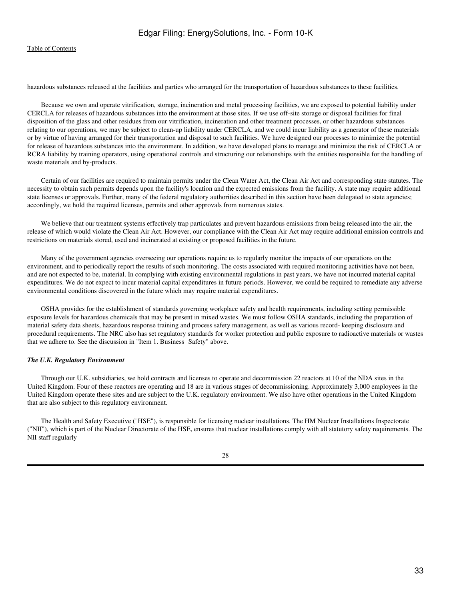hazardous substances released at the facilities and parties who arranged for the transportation of hazardous substances to these facilities.

 Because we own and operate vitrification, storage, incineration and metal processing facilities, we are exposed to potential liability under CERCLA for releases of hazardous substances into the environment at those sites. If we use off-site storage or disposal facilities for final disposition of the glass and other residues from our vitrification, incineration and other treatment processes, or other hazardous substances relating to our operations, we may be subject to clean-up liability under CERCLA, and we could incur liability as a generator of these materials or by virtue of having arranged for their transportation and disposal to such facilities. We have designed our processes to minimize the potential for release of hazardous substances into the environment. In addition, we have developed plans to manage and minimize the risk of CERCLA or RCRA liability by training operators, using operational controls and structuring our relationships with the entities responsible for the handling of waste materials and by-products.

 Certain of our facilities are required to maintain permits under the Clean Water Act, the Clean Air Act and corresponding state statutes. The necessity to obtain such permits depends upon the facility's location and the expected emissions from the facility. A state may require additional state licenses or approvals. Further, many of the federal regulatory authorities described in this section have been delegated to state agencies; accordingly, we hold the required licenses, permits and other approvals from numerous states.

 We believe that our treatment systems effectively trap particulates and prevent hazardous emissions from being released into the air, the release of which would violate the Clean Air Act. However, our compliance with the Clean Air Act may require additional emission controls and restrictions on materials stored, used and incinerated at existing or proposed facilities in the future.

 Many of the government agencies overseeing our operations require us to regularly monitor the impacts of our operations on the environment, and to periodically report the results of such monitoring. The costs associated with required monitoring activities have not been, and are not expected to be, material. In complying with existing environmental regulations in past years, we have not incurred material capital expenditures. We do not expect to incur material capital expenditures in future periods. However, we could be required to remediate any adverse environmental conditions discovered in the future which may require material expenditures.

 OSHA provides for the establishment of standards governing workplace safety and health requirements, including setting permissible exposure levels for hazardous chemicals that may be present in mixed wastes. We must follow OSHA standards, including the preparation of material safety data sheets, hazardous response training and process safety management, as well as various record- keeping disclosure and procedural requirements. The NRC also has set regulatory standards for worker protection and public exposure to radioactive materials or wastes that we adhere to. See the discussion in "Item 1. Business Safety" above.

### *The U.K. Regulatory Environment*

 Through our U.K. subsidiaries, we hold contracts and licenses to operate and decommission 22 reactors at 10 of the NDA sites in the United Kingdom. Four of these reactors are operating and 18 are in various stages of decommissioning. Approximately 3,000 employees in the United Kingdom operate these sites and are subject to the U.K. regulatory environment. We also have other operations in the United Kingdom that are also subject to this regulatory environment.

 The Health and Safety Executive ("HSE"), is responsible for licensing nuclear installations. The HM Nuclear Installations Inspectorate ("NII"), which is part of the Nuclear Directorate of the HSE, ensures that nuclear installations comply with all statutory safety requirements. The NII staff regularly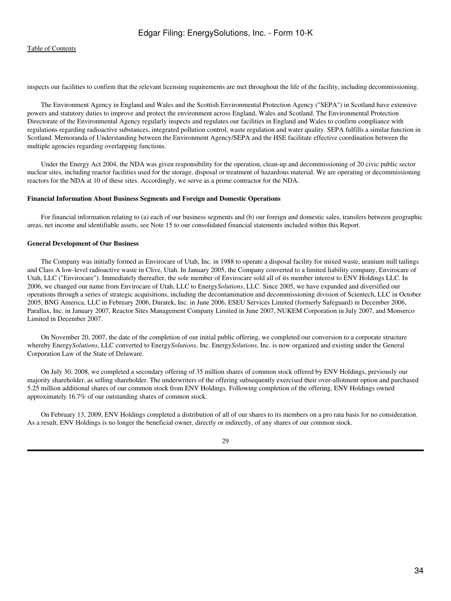inspects our facilities to confirm that the relevant licensing requirements are met throughout the life of the facility, including decommissioning.

 The Environment Agency in England and Wales and the Scottish Environmental Protection Agency ("SEPA") in Scotland have extensive powers and statutory duties to improve and protect the environment across England, Wales and Scotland. The Environmental Protection Directorate of the Environmental Agency regularly inspects and regulates our facilities in England and Wales to confirm compliance with regulations regarding radioactive substances, integrated pollution control, waste regulation and water quality. SEPA fulfills a similar function in Scotland. Memoranda of Understanding between the Environment Agency/SEPA and the HSE facilitate effective coordination between the multiple agencies regarding overlapping functions.

 Under the Energy Act 2004, the NDA was given responsibility for the operation, clean-up and decommissioning of 20 civic public sector nuclear sites, including reactor facilities used for the storage, disposal or treatment of hazardous material. We are operating or decommissioning reactors for the NDA at 10 of these sites. Accordingly, we serve as a prime contractor for the NDA.

### **Financial Information About Business Segments and Foreign and Domestic Operations**

 For financial information relating to (a) each of our business segments and (b) our foreign and domestic sales, transfers between geographic areas, net income and identifiable assets, see Note 15 to our consolidated financial statements included within this Report.

### **General Development of Our Business**

 The Company was initially formed as Envirocare of Utah, Inc. in 1988 to operate a disposal facility for mixed waste, uranium mill tailings and Class A low-level radioactive waste in Clive, Utah. In January 2005, the Company converted to a limited liability company, Envirocare of Utah, LLC ("Envirocare"). Immediately thereafter, the sole member of Envirocare sold all of its member interest to ENV Holdings LLC. In 2006, we changed our name from Envirocare of Utah, LLC to Energy*Solutions*, LLC. Since 2005, we have expanded and diversified our operations through a series of strategic acquisitions, including the decontamination and decommissioning division of Scientech, LLC in October 2005, BNG America, LLC in February 2006, Duratek, Inc. in June 2006, ESEU Services Limited (formerly Safeguard) in December 2006, Parallax, Inc. in January 2007, Reactor Sites Management Company Limited in June 2007, NUKEM Corporation in July 2007, and Monserco Limited in December 2007.

 On November 20, 2007, the date of the completion of our initial public offering, we completed our conversion to a corporate structure whereby Energy*Solutions*, LLC converted to Energy*Solutions*, Inc. Energy*Solutions*, Inc. is now organized and existing under the General Corporation Law of the State of Delaware.

 On July 30, 2008, we completed a secondary offering of 35 million shares of common stock offered by ENV Holdings, previously our majority shareholder, as selling shareholder. The underwriters of the offering subsequently exercised their over-allotment option and purchased 5.25 million additional shares of our common stock from ENV Holdings. Following completion of the offering, ENV Holdings owned approximately 16.7% of our outstanding shares of common stock.

 On February 13, 2009, ENV Holdings completed a distribution of all of our shares to its members on a pro rata basis for no consideration. As a result, ENV Holdings is no longer the beneficial owner, directly or indirectly, of any shares of our common stock.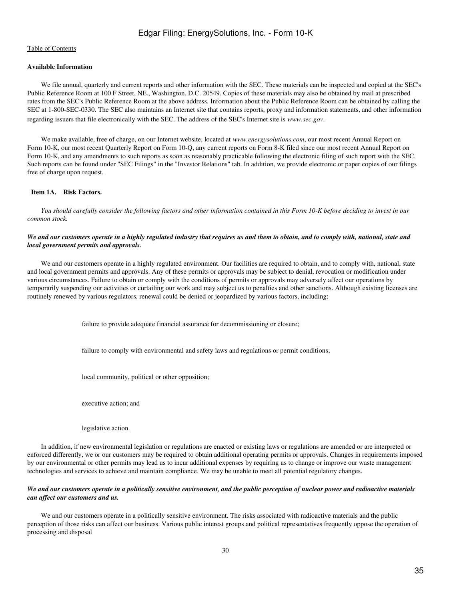## **Available Information**

 We file annual, quarterly and current reports and other information with the SEC. These materials can be inspected and copied at the SEC's Public Reference Room at 100 F Street, NE., Washington, D.C. 20549. Copies of these materials may also be obtained by mail at prescribed rates from the SEC's Public Reference Room at the above address. Information about the Public Reference Room can be obtained by calling the SEC at 1-800-SEC-0330. The SEC also maintains an Internet site that contains reports, proxy and information statements, and other information regarding issuers that file electronically with the SEC. The address of the SEC's Internet site is *www.sec.gov*.

 We make available, free of charge, on our Internet website, located at *www.energysolutions.com*, our most recent Annual Report on Form 10-K, our most recent Quarterly Report on Form 10-Q, any current reports on Form 8-K filed since our most recent Annual Report on Form 10-K, and any amendments to such reports as soon as reasonably practicable following the electronic filing of such report with the SEC. Such reports can be found under "SEC Filings" in the "Investor Relations" tab. In addition, we provide electronic or paper copies of our filings free of charge upon request.

## <span id="page-34-0"></span> **Item 1A. Risk Factors.**

*You should carefully consider the following factors and other information contained in this Form 10-K before deciding to invest in our common stock.*

## *We and our customers operate in a highly regulated industry that requires us and them to obtain, and to comply with, national, state and local government permits and approvals.*

 We and our customers operate in a highly regulated environment. Our facilities are required to obtain, and to comply with, national, state and local government permits and approvals. Any of these permits or approvals may be subject to denial, revocation or modification under various circumstances. Failure to obtain or comply with the conditions of permits or approvals may adversely affect our operations by temporarily suspending our activities or curtailing our work and may subject us to penalties and other sanctions. Although existing licenses are routinely renewed by various regulators, renewal could be denied or jeopardized by various factors, including:

failure to provide adequate financial assurance for decommissioning or closure;

failure to comply with environmental and safety laws and regulations or permit conditions;

local community, political or other opposition;

executive action; and

legislative action.

 In addition, if new environmental legislation or regulations are enacted or existing laws or regulations are amended or are interpreted or enforced differently, we or our customers may be required to obtain additional operating permits or approvals. Changes in requirements imposed by our environmental or other permits may lead us to incur additional expenses by requiring us to change or improve our waste management technologies and services to achieve and maintain compliance. We may be unable to meet all potential regulatory changes.

## *We and our customers operate in a politically sensitive environment, and the public perception of nuclear power and radioactive materials can affect our customers and us.*

 We and our customers operate in a politically sensitive environment. The risks associated with radioactive materials and the public perception of those risks can affect our business. Various public interest groups and political representatives frequently oppose the operation of processing and disposal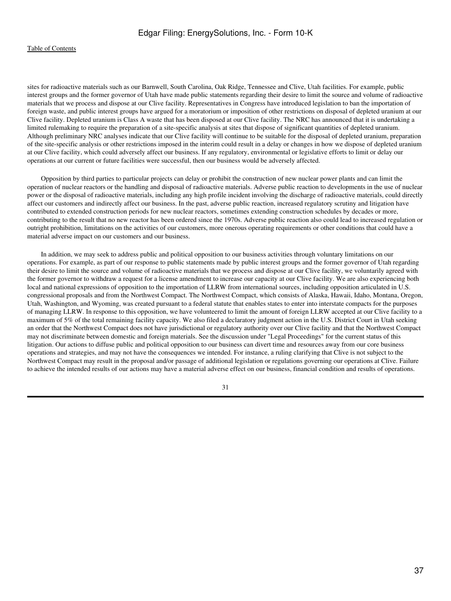sites for radioactive materials such as our Barnwell, South Carolina, Oak Ridge, Tennessee and Clive, Utah facilities. For example, public interest groups and the former governor of Utah have made public statements regarding their desire to limit the source and volume of radioactive materials that we process and dispose at our Clive facility. Representatives in Congress have introduced legislation to ban the importation of foreign waste, and public interest groups have argued for a moratorium or imposition of other restrictions on disposal of depleted uranium at our Clive facility. Depleted uranium is Class A waste that has been disposed at our Clive facility. The NRC has announced that it is undertaking a limited rulemaking to require the preparation of a site-specific analysis at sites that dispose of significant quantities of depleted uranium. Although preliminary NRC analyses indicate that our Clive facility will continue to be suitable for the disposal of depleted uranium, preparation of the site-specific analysis or other restrictions imposed in the interim could result in a delay or changes in how we dispose of depleted uranium at our Clive facility, which could adversely affect our business. If any regulatory, environmental or legislative efforts to limit or delay our operations at our current or future facilities were successful, then our business would be adversely affected.

 Opposition by third parties to particular projects can delay or prohibit the construction of new nuclear power plants and can limit the operation of nuclear reactors or the handling and disposal of radioactive materials. Adverse public reaction to developments in the use of nuclear power or the disposal of radioactive materials, including any high profile incident involving the discharge of radioactive materials, could directly affect our customers and indirectly affect our business. In the past, adverse public reaction, increased regulatory scrutiny and litigation have contributed to extended construction periods for new nuclear reactors, sometimes extending construction schedules by decades or more, contributing to the result that no new reactor has been ordered since the 1970s. Adverse public reaction also could lead to increased regulation or outright prohibition, limitations on the activities of our customers, more onerous operating requirements or other conditions that could have a material adverse impact on our customers and our business.

 In addition, we may seek to address public and political opposition to our business activities through voluntary limitations on our operations. For example, as part of our response to public statements made by public interest groups and the former governor of Utah regarding their desire to limit the source and volume of radioactive materials that we process and dispose at our Clive facility, we voluntarily agreed with the former governor to withdraw a request for a license amendment to increase our capacity at our Clive facility. We are also experiencing both local and national expressions of opposition to the importation of LLRW from international sources, including opposition articulated in U.S. congressional proposals and from the Northwest Compact. The Northwest Compact, which consists of Alaska, Hawaii, Idaho, Montana, Oregon, Utah, Washington, and Wyoming, was created pursuant to a federal statute that enables states to enter into interstate compacts for the purposes of managing LLRW. In response to this opposition, we have volunteered to limit the amount of foreign LLRW accepted at our Clive facility to a maximum of 5% of the total remaining facility capacity. We also filed a declaratory judgment action in the U.S. District Court in Utah seeking an order that the Northwest Compact does not have jurisdictional or regulatory authority over our Clive facility and that the Northwest Compact may not discriminate between domestic and foreign materials. See the discussion under "Legal Proceedings" for the current status of this litigation. Our actions to diffuse public and political opposition to our business can divert time and resources away from our core business operations and strategies, and may not have the consequences we intended. For instance, a ruling clarifying that Clive is not subject to the Northwest Compact may result in the proposal and/or passage of additional legislation or regulations governing our operations at Clive. Failure to achieve the intended results of our actions may have a material adverse effect on our business, financial condition and results of operations.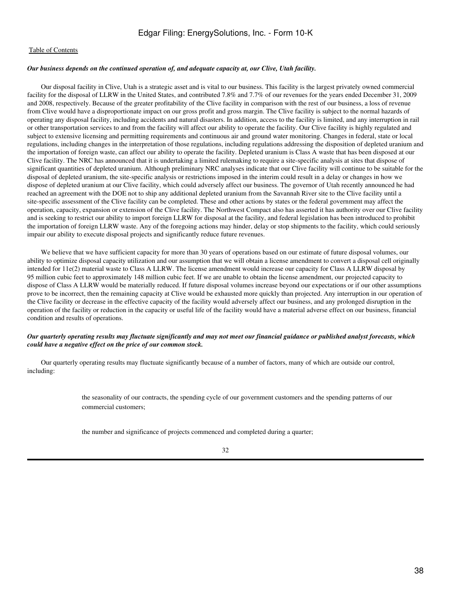#### *Our business depends on the continued operation of, and adequate capacity at, our Clive, Utah facility.*

 Our disposal facility in Clive, Utah is a strategic asset and is vital to our business. This facility is the largest privately owned commercial facility for the disposal of LLRW in the United States, and contributed 7.8% and 7.7% of our revenues for the years ended December 31, 2009 and 2008, respectively. Because of the greater profitability of the Clive facility in comparison with the rest of our business, a loss of revenue from Clive would have a disproportionate impact on our gross profit and gross margin. The Clive facility is subject to the normal hazards of operating any disposal facility, including accidents and natural disasters. In addition, access to the facility is limited, and any interruption in rail or other transportation services to and from the facility will affect our ability to operate the facility. Our Clive facility is highly regulated and subject to extensive licensing and permitting requirements and continuous air and ground water monitoring. Changes in federal, state or local regulations, including changes in the interpretation of those regulations, including regulations addressing the disposition of depleted uranium and the importation of foreign waste, can affect our ability to operate the facility. Depleted uranium is Class A waste that has been disposed at our Clive facility. The NRC has announced that it is undertaking a limited rulemaking to require a site-specific analysis at sites that dispose of significant quantities of depleted uranium. Although preliminary NRC analyses indicate that our Clive facility will continue to be suitable for the disposal of depleted uranium, the site-specific analysis or restrictions imposed in the interim could result in a delay or changes in how we dispose of depleted uranium at our Clive facility, which could adversely affect our business. The governor of Utah recently announced he had reached an agreement with the DOE not to ship any additional depleted uranium from the Savannah River site to the Clive facility until a site-specific assessment of the Clive facility can be completed. These and other actions by states or the federal government may affect the operation, capacity, expansion or extension of the Clive facility. The Northwest Compact also has asserted it has authority over our Clive facility and is seeking to restrict our ability to import foreign LLRW for disposal at the facility, and federal legislation has been introduced to prohibit the importation of foreign LLRW waste. Any of the foregoing actions may hinder, delay or stop shipments to the facility, which could seriously impair our ability to execute disposal projects and significantly reduce future revenues.

We believe that we have sufficient capacity for more than 30 years of operations based on our estimate of future disposal volumes, our ability to optimize disposal capacity utilization and our assumption that we will obtain a license amendment to convert a disposal cell originally intended for 11e(2) material waste to Class A LLRW. The license amendment would increase our capacity for Class A LLRW disposal by 95 million cubic feet to approximately 148 million cubic feet. If we are unable to obtain the license amendment, our projected capacity to dispose of Class A LLRW would be materially reduced. If future disposal volumes increase beyond our expectations or if our other assumptions prove to be incorrect, then the remaining capacity at Clive would be exhausted more quickly than projected. Any interruption in our operation of the Clive facility or decrease in the effective capacity of the facility would adversely affect our business, and any prolonged disruption in the operation of the facility or reduction in the capacity or useful life of the facility would have a material adverse effect on our business, financial condition and results of operations.

# *Our quarterly operating results may fluctuate significantly and may not meet our financial guidance or published analyst forecasts, which could have a negative effect on the price of our common stock.*

 Our quarterly operating results may fluctuate significantly because of a number of factors, many of which are outside our control, including:

> the seasonality of our contracts, the spending cycle of our government customers and the spending patterns of our commercial customers;

the number and significance of projects commenced and completed during a quarter;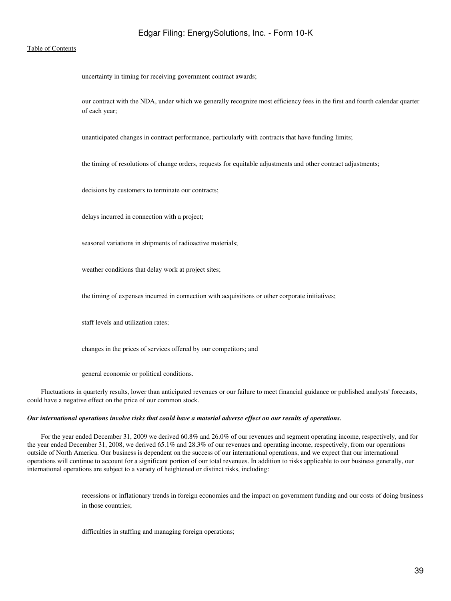### [Table of Contents](#page-2-0)

uncertainty in timing for receiving government contract awards;

our contract with the NDA, under which we generally recognize most efficiency fees in the first and fourth calendar quarter of each year;

unanticipated changes in contract performance, particularly with contracts that have funding limits;

the timing of resolutions of change orders, requests for equitable adjustments and other contract adjustments;

decisions by customers to terminate our contracts;

delays incurred in connection with a project;

seasonal variations in shipments of radioactive materials;

weather conditions that delay work at project sites;

the timing of expenses incurred in connection with acquisitions or other corporate initiatives;

staff levels and utilization rates;

changes in the prices of services offered by our competitors; and

general economic or political conditions.

 Fluctuations in quarterly results, lower than anticipated revenues or our failure to meet financial guidance or published analysts' forecasts, could have a negative effect on the price of our common stock.

#### *Our international operations involve risks that could have a material adverse effect on our results of operations.*

 For the year ended December 31, 2009 we derived 60.8% and 26.0% of our revenues and segment operating income, respectively, and for the year ended December 31, 2008, we derived 65.1% and 28.3% of our revenues and operating income, respectively, from our operations outside of North America. Our business is dependent on the success of our international operations, and we expect that our international operations will continue to account for a significant portion of our total revenues. In addition to risks applicable to our business generally, our international operations are subject to a variety of heightened or distinct risks, including:

> recessions or inflationary trends in foreign economies and the impact on government funding and our costs of doing business in those countries;

difficulties in staffing and managing foreign operations;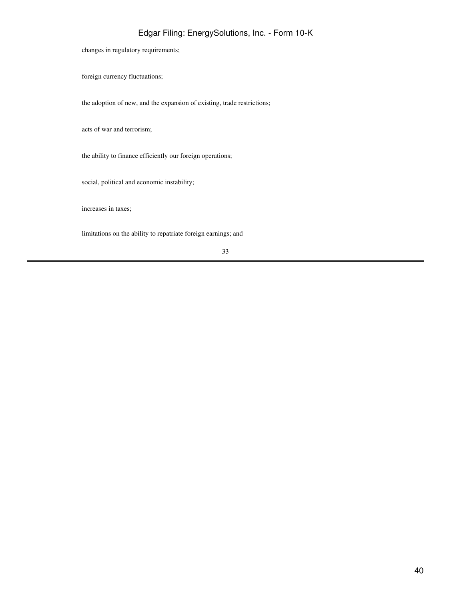changes in regulatory requirements;

foreign currency fluctuations;

the adoption of new, and the expansion of existing, trade restrictions;

acts of war and terrorism;

the ability to finance efficiently our foreign operations;

social, political and economic instability;

increases in taxes;

limitations on the ability to repatriate foreign earnings; and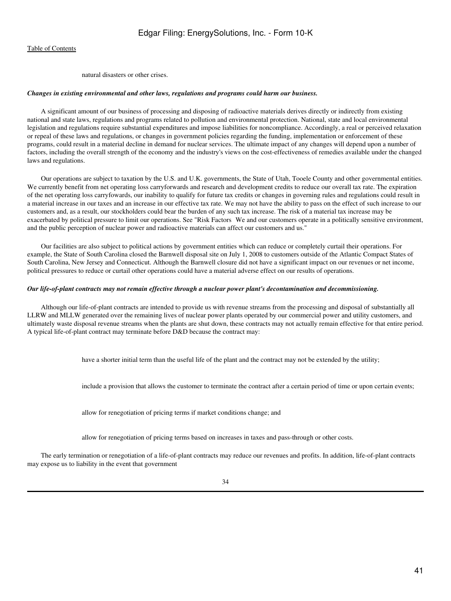natural disasters or other crises.

#### *Changes in existing environmental and other laws, regulations and programs could harm our business.*

 A significant amount of our business of processing and disposing of radioactive materials derives directly or indirectly from existing national and state laws, regulations and programs related to pollution and environmental protection. National, state and local environmental legislation and regulations require substantial expenditures and impose liabilities for noncompliance. Accordingly, a real or perceived relaxation or repeal of these laws and regulations, or changes in government policies regarding the funding, implementation or enforcement of these programs, could result in a material decline in demand for nuclear services. The ultimate impact of any changes will depend upon a number of factors, including the overall strength of the economy and the industry's views on the cost-effectiveness of remedies available under the changed laws and regulations.

 Our operations are subject to taxation by the U.S. and U.K. governments, the State of Utah, Tooele County and other governmental entities. We currently benefit from net operating loss carryforwards and research and development credits to reduce our overall tax rate. The expiration of the net operating loss carryfowards, our inability to qualify for future tax credits or changes in governing rules and regulations could result in a material increase in our taxes and an increase in our effective tax rate. We may not have the ability to pass on the effect of such increase to our customers and, as a result, our stockholders could bear the burden of any such tax increase. The risk of a material tax increase may be exacerbated by political pressure to limit our operations. See "Risk Factors We and our customers operate in a politically sensitive environment, and the public perception of nuclear power and radioactive materials can affect our customers and us."

 Our facilities are also subject to political actions by government entities which can reduce or completely curtail their operations. For example, the State of South Carolina closed the Barnwell disposal site on July 1, 2008 to customers outside of the Atlantic Compact States of South Carolina, New Jersey and Connecticut. Although the Barnwell closure did not have a significant impact on our revenues or net income, political pressures to reduce or curtail other operations could have a material adverse effect on our results of operations.

### *Our life-of-plant contracts may not remain effective through a nuclear power plant's decontamination and decommissioning.*

 Although our life-of-plant contracts are intended to provide us with revenue streams from the processing and disposal of substantially all LLRW and MLLW generated over the remaining lives of nuclear power plants operated by our commercial power and utility customers, and ultimately waste disposal revenue streams when the plants are shut down, these contracts may not actually remain effective for that entire period. A typical life-of-plant contract may terminate before D&D because the contract may:

have a shorter initial term than the useful life of the plant and the contract may not be extended by the utility;

include a provision that allows the customer to terminate the contract after a certain period of time or upon certain events;

allow for renegotiation of pricing terms if market conditions change; and

allow for renegotiation of pricing terms based on increases in taxes and pass-through or other costs.

 The early termination or renegotiation of a life-of-plant contracts may reduce our revenues and profits. In addition, life-of-plant contracts may expose us to liability in the event that government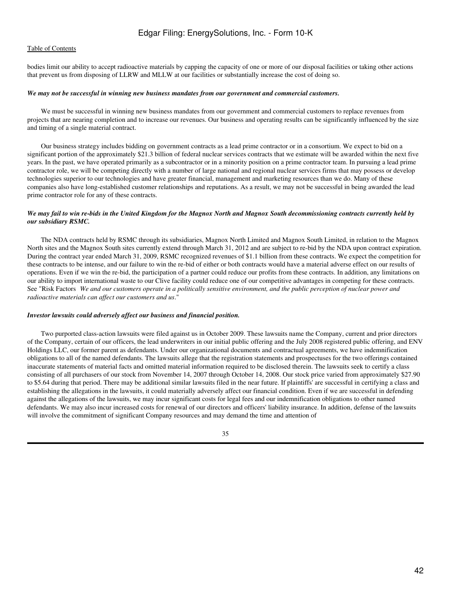# [Table of Contents](#page-2-0)

bodies limit our ability to accept radioactive materials by capping the capacity of one or more of our disposal facilities or taking other actions that prevent us from disposing of LLRW and MLLW at our facilities or substantially increase the cost of doing so.

#### *We may not be successful in winning new business mandates from our government and commercial customers.*

 We must be successful in winning new business mandates from our government and commercial customers to replace revenues from projects that are nearing completion and to increase our revenues. Our business and operating results can be significantly influenced by the size and timing of a single material contract.

 Our business strategy includes bidding on government contracts as a lead prime contractor or in a consortium. We expect to bid on a significant portion of the approximately \$21.3 billion of federal nuclear services contracts that we estimate will be awarded within the next five years. In the past, we have operated primarily as a subcontractor or in a minority position on a prime contractor team. In pursuing a lead prime contractor role, we will be competing directly with a number of large national and regional nuclear services firms that may possess or develop technologies superior to our technologies and have greater financial, management and marketing resources than we do. Many of these companies also have long-established customer relationships and reputations. As a result, we may not be successful in being awarded the lead prime contractor role for any of these contracts.

# *We may fail to win re-bids in the United Kingdom for the Magnox North and Magnox South decommissioning contracts currently held by our subsidiary RSMC.*

 The NDA contracts held by RSMC through its subsidiaries, Magnox North Limited and Magnox South Limited, in relation to the Magnox North sites and the Magnox South sites currently extend through March 31, 2012 and are subject to re-bid by the NDA upon contract expiration. During the contract year ended March 31, 2009, RSMC recognized revenues of \$1.1 billion from these contracts. We expect the competition for these contracts to be intense, and our failure to win the re-bid of either or both contracts would have a material adverse effect on our results of operations. Even if we win the re-bid, the participation of a partner could reduce our profits from these contracts. In addition, any limitations on our ability to import international waste to our Clive facility could reduce one of our competitive advantages in competing for these contracts. See "Risk Factors*We and our customers operate in a politically sensitive environment, and the public perception of nuclear power and radioactive materials can affect our customers and us*."

#### *Investor lawsuits could adversely affect our business and financial position.*

 Two purported class-action lawsuits were filed against us in October 2009. These lawsuits name the Company, current and prior directors of the Company, certain of our officers, the lead underwriters in our initial public offering and the July 2008 registered public offering, and ENV Holdings LLC, our former parent as defendants. Under our organizational documents and contractual agreements, we have indemnification obligations to all of the named defendants. The lawsuits allege that the registration statements and prospectuses for the two offerings contained inaccurate statements of material facts and omitted material information required to be disclosed therein. The lawsuits seek to certify a class consisting of all purchasers of our stock from November 14, 2007 through October 14, 2008. Our stock price varied from approximately \$27.90 to \$5.64 during that period. There may be additional similar lawsuits filed in the near future. If plaintiffs' are successful in certifying a class and establishing the allegations in the lawsuits, it could materially adversely affect our financial condition. Even if we are successful in defending against the allegations of the lawsuits, we may incur significant costs for legal fees and our indemnification obligations to other named defendants. We may also incur increased costs for renewal of our directors and officers' liability insurance. In addition, defense of the lawsuits will involve the commitment of significant Company resources and may demand the time and attention of

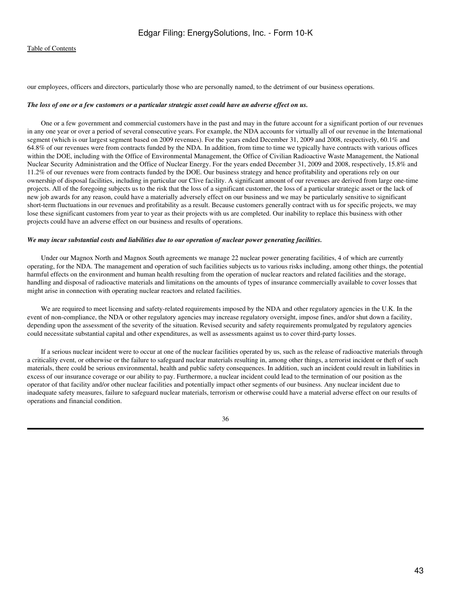our employees, officers and directors, particularly those who are personally named, to the detriment of our business operations.

#### *The loss of one or a few customers or a particular strategic asset could have an adverse effect on us.*

 One or a few government and commercial customers have in the past and may in the future account for a significant portion of our revenues in any one year or over a period of several consecutive years. For example, the NDA accounts for virtually all of our revenue in the International segment (which is our largest segment based on 2009 revenues). For the years ended December 31, 2009 and 2008, respectively, 60.1% and 64.8% of our revenues were from contracts funded by the NDA. In addition, from time to time we typically have contracts with various offices within the DOE, including with the Office of Environmental Management, the Office of Civilian Radioactive Waste Management, the National Nuclear Security Administration and the Office of Nuclear Energy. For the years ended December 31, 2009 and 2008, respectively, 15.8% and 11.2% of our revenues were from contracts funded by the DOE. Our business strategy and hence profitability and operations rely on our ownership of disposal facilities, including in particular our Clive facility. A significant amount of our revenues are derived from large one-time projects. All of the foregoing subjects us to the risk that the loss of a significant customer, the loss of a particular strategic asset or the lack of new job awards for any reason, could have a materially adversely effect on our business and we may be particularly sensitive to significant short-term fluctuations in our revenues and profitability as a result. Because customers generally contract with us for specific projects, we may lose these significant customers from year to year as their projects with us are completed. Our inability to replace this business with other projects could have an adverse effect on our business and results of operations.

#### *We may incur substantial costs and liabilities due to our operation of nuclear power generating facilities.*

 Under our Magnox North and Magnox South agreements we manage 22 nuclear power generating facilities, 4 of which are currently operating, for the NDA. The management and operation of such facilities subjects us to various risks including, among other things, the potential harmful effects on the environment and human health resulting from the operation of nuclear reactors and related facilities and the storage, handling and disposal of radioactive materials and limitations on the amounts of types of insurance commercially available to cover losses that might arise in connection with operating nuclear reactors and related facilities.

 We are required to meet licensing and safety-related requirements imposed by the NDA and other regulatory agencies in the U.K. In the event of non-compliance, the NDA or other regulatory agencies may increase regulatory oversight, impose fines, and/or shut down a facility, depending upon the assessment of the severity of the situation. Revised security and safety requirements promulgated by regulatory agencies could necessitate substantial capital and other expenditures, as well as assessments against us to cover third-party losses.

 If a serious nuclear incident were to occur at one of the nuclear facilities operated by us, such as the release of radioactive materials through a criticality event, or otherwise or the failure to safeguard nuclear materials resulting in, among other things, a terrorist incident or theft of such materials, there could be serious environmental, health and public safety consequences. In addition, such an incident could result in liabilities in excess of our insurance coverage or our ability to pay. Furthermore, a nuclear incident could lead to the termination of our position as the operator of that facility and/or other nuclear facilities and potentially impact other segments of our business. Any nuclear incident due to inadequate safety measures, failure to safeguard nuclear materials, terrorism or otherwise could have a material adverse effect on our results of operations and financial condition.

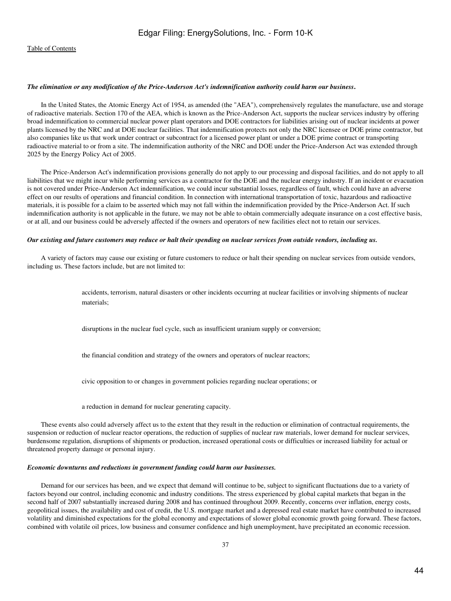#### *The elimination or any modification of the Price-Anderson Act's indemnification authority could harm our business***.**

 In the United States, the Atomic Energy Act of 1954, as amended (the "AEA"), comprehensively regulates the manufacture, use and storage of radioactive materials. Section 170 of the AEA, which is known as the Price-Anderson Act, supports the nuclear services industry by offering broad indemnification to commercial nuclear power plant operators and DOE contractors for liabilities arising out of nuclear incidents at power plants licensed by the NRC and at DOE nuclear facilities. That indemnification protects not only the NRC licensee or DOE prime contractor, but also companies like us that work under contract or subcontract for a licensed power plant or under a DOE prime contract or transporting radioactive material to or from a site. The indemnification authority of the NRC and DOE under the Price-Anderson Act was extended through 2025 by the Energy Policy Act of 2005.

 The Price-Anderson Act's indemnification provisions generally do not apply to our processing and disposal facilities, and do not apply to all liabilities that we might incur while performing services as a contractor for the DOE and the nuclear energy industry. If an incident or evacuation is not covered under Price-Anderson Act indemnification, we could incur substantial losses, regardless of fault, which could have an adverse effect on our results of operations and financial condition. In connection with international transportation of toxic, hazardous and radioactive materials, it is possible for a claim to be asserted which may not fall within the indemnification provided by the Price-Anderson Act. If such indemnification authority is not applicable in the future, we may not be able to obtain commercially adequate insurance on a cost effective basis, or at all, and our business could be adversely affected if the owners and operators of new facilities elect not to retain our services.

#### *Our existing and future customers may reduce or halt their spending on nuclear services from outside vendors, including us.*

 A variety of factors may cause our existing or future customers to reduce or halt their spending on nuclear services from outside vendors, including us. These factors include, but are not limited to:

> accidents, terrorism, natural disasters or other incidents occurring at nuclear facilities or involving shipments of nuclear materials;

disruptions in the nuclear fuel cycle, such as insufficient uranium supply or conversion;

the financial condition and strategy of the owners and operators of nuclear reactors;

civic opposition to or changes in government policies regarding nuclear operations; or

a reduction in demand for nuclear generating capacity.

 These events also could adversely affect us to the extent that they result in the reduction or elimination of contractual requirements, the suspension or reduction of nuclear reactor operations, the reduction of supplies of nuclear raw materials, lower demand for nuclear services, burdensome regulation, disruptions of shipments or production, increased operational costs or difficulties or increased liability for actual or threatened property damage or personal injury.

#### *Economic downturns and reductions in government funding could harm our businesses.*

 Demand for our services has been, and we expect that demand will continue to be, subject to significant fluctuations due to a variety of factors beyond our control, including economic and industry conditions. The stress experienced by global capital markets that began in the second half of 2007 substantially increased during 2008 and has continued throughout 2009. Recently, concerns over inflation, energy costs, geopolitical issues, the availability and cost of credit, the U.S. mortgage market and a depressed real estate market have contributed to increased volatility and diminished expectations for the global economy and expectations of slower global economic growth going forward. These factors, combined with volatile oil prices, low business and consumer confidence and high unemployment, have precipitated an economic recession.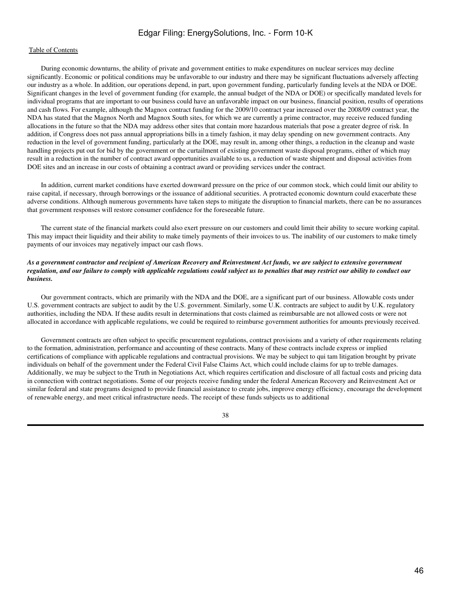# [Table of Contents](#page-2-0)

 During economic downturns, the ability of private and government entities to make expenditures on nuclear services may decline significantly. Economic or political conditions may be unfavorable to our industry and there may be significant fluctuations adversely affecting our industry as a whole. In addition, our operations depend, in part, upon government funding, particularly funding levels at the NDA or DOE. Significant changes in the level of government funding (for example, the annual budget of the NDA or DOE) or specifically mandated levels for individual programs that are important to our business could have an unfavorable impact on our business, financial position, results of operations and cash flows. For example, although the Magnox contract funding for the 2009/10 contract year increased over the 2008/09 contract year, the NDA has stated that the Magnox North and Magnox South sites, for which we are currently a prime contractor, may receive reduced funding allocations in the future so that the NDA may address other sites that contain more hazardous materials that pose a greater degree of risk. In addition, if Congress does not pass annual appropriations bills in a timely fashion, it may delay spending on new government contracts. Any reduction in the level of government funding, particularly at the DOE, may result in, among other things, a reduction in the cleanup and waste handling projects put out for bid by the government or the curtailment of existing government waste disposal programs, either of which may result in a reduction in the number of contract award opportunities available to us, a reduction of waste shipment and disposal activities from DOE sites and an increase in our costs of obtaining a contract award or providing services under the contract.

 In addition, current market conditions have exerted downward pressure on the price of our common stock, which could limit our ability to raise capital, if necessary, through borrowings or the issuance of additional securities. A protracted economic downturn could exacerbate these adverse conditions. Although numerous governments have taken steps to mitigate the disruption to financial markets, there can be no assurances that government responses will restore consumer confidence for the foreseeable future.

 The current state of the financial markets could also exert pressure on our customers and could limit their ability to secure working capital. This may impact their liquidity and their ability to make timely payments of their invoices to us. The inability of our customers to make timely payments of our invoices may negatively impact our cash flows.

# *As a government contractor and recipient of American Recovery and Reinvestment Act funds, we are subject to extensive government regulation, and our failure to comply with applicable regulations could subject us to penalties that may restrict our ability to conduct our business.*

 Our government contracts, which are primarily with the NDA and the DOE, are a significant part of our business. Allowable costs under U.S. government contracts are subject to audit by the U.S. government. Similarly, some U.K. contracts are subject to audit by U.K. regulatory authorities, including the NDA. If these audits result in determinations that costs claimed as reimbursable are not allowed costs or were not allocated in accordance with applicable regulations, we could be required to reimburse government authorities for amounts previously received.

 Government contracts are often subject to specific procurement regulations, contract provisions and a variety of other requirements relating to the formation, administration, performance and accounting of these contracts. Many of these contracts include express or implied certifications of compliance with applicable regulations and contractual provisions. We may be subject to qui tam litigation brought by private individuals on behalf of the government under the Federal Civil False Claims Act, which could include claims for up to treble damages. Additionally, we may be subject to the Truth in Negotiations Act, which requires certification and disclosure of all factual costs and pricing data in connection with contract negotiations. Some of our projects receive funding under the federal American Recovery and Reinvestment Act or similar federal and state programs designed to provide financial assistance to create jobs, improve energy efficiency, encourage the development of renewable energy, and meet critical infrastructure needs. The receipt of these funds subjects us to additional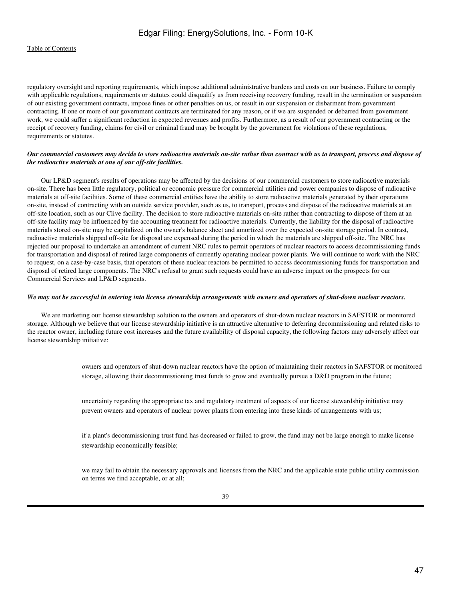regulatory oversight and reporting requirements, which impose additional administrative burdens and costs on our business. Failure to comply with applicable regulations, requirements or statutes could disqualify us from receiving recovery funding, result in the termination or suspension of our existing government contracts, impose fines or other penalties on us, or result in our suspension or disbarment from government contracting. If one or more of our government contracts are terminated for any reason, or if we are suspended or debarred from government work, we could suffer a significant reduction in expected revenues and profits. Furthermore, as a result of our government contracting or the receipt of recovery funding, claims for civil or criminal fraud may be brought by the government for violations of these regulations, requirements or statutes.

# *Our commercial customers may decide to store radioactive materials on-site rather than contract with us to transport, process and dispose of the radioactive materials at one of our off-site facilities.*

 Our LP&D segment's results of operations may be affected by the decisions of our commercial customers to store radioactive materials on-site. There has been little regulatory, political or economic pressure for commercial utilities and power companies to dispose of radioactive materials at off-site facilities. Some of these commercial entities have the ability to store radioactive materials generated by their operations on-site, instead of contracting with an outside service provider, such as us, to transport, process and dispose of the radioactive materials at an off-site location, such as our Clive facility. The decision to store radioactive materials on-site rather than contracting to dispose of them at an off-site facility may be influenced by the accounting treatment for radioactive materials. Currently, the liability for the disposal of radioactive materials stored on-site may be capitalized on the owner's balance sheet and amortized over the expected on-site storage period. In contrast, radioactive materials shipped off-site for disposal are expensed during the period in which the materials are shipped off-site. The NRC has rejected our proposal to undertake an amendment of current NRC rules to permit operators of nuclear reactors to access decommissioning funds for transportation and disposal of retired large components of currently operating nuclear power plants. We will continue to work with the NRC to request, on a case-by-case basis, that operators of these nuclear reactors be permitted to access decommissioning funds for transportation and disposal of retired large components. The NRC's refusal to grant such requests could have an adverse impact on the prospects for our Commercial Services and LP&D segments.

# *We may not be successful in entering into license stewardship arrangements with owners and operators of shut-down nuclear reactors.*

 We are marketing our license stewardship solution to the owners and operators of shut-down nuclear reactors in SAFSTOR or monitored storage. Although we believe that our license stewardship initiative is an attractive alternative to deferring decommissioning and related risks to the reactor owner, including future cost increases and the future availability of disposal capacity, the following factors may adversely affect our license stewardship initiative:

> owners and operators of shut-down nuclear reactors have the option of maintaining their reactors in SAFSTOR or monitored storage, allowing their decommissioning trust funds to grow and eventually pursue a D&D program in the future;

uncertainty regarding the appropriate tax and regulatory treatment of aspects of our license stewardship initiative may prevent owners and operators of nuclear power plants from entering into these kinds of arrangements with us;

if a plant's decommissioning trust fund has decreased or failed to grow, the fund may not be large enough to make license stewardship economically feasible;

we may fail to obtain the necessary approvals and licenses from the NRC and the applicable state public utility commission on terms we find acceptable, or at all;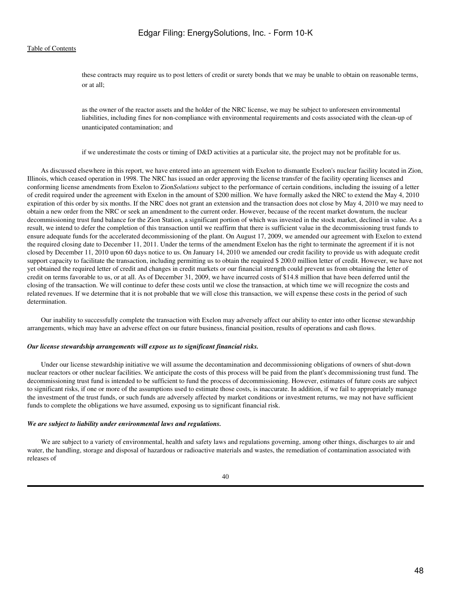these contracts may require us to post letters of credit or surety bonds that we may be unable to obtain on reasonable terms, or at all;

as the owner of the reactor assets and the holder of the NRC license, we may be subject to unforeseen environmental liabilities, including fines for non-compliance with environmental requirements and costs associated with the clean-up of unanticipated contamination; and

if we underestimate the costs or timing of D&D activities at a particular site, the project may not be profitable for us.

 As discussed elsewhere in this report, we have entered into an agreement with Exelon to dismantle Exelon's nuclear facility located in Zion, Illinois, which ceased operation in 1998. The NRC has issued an order approving the license transfer of the facility operating licenses and conforming license amendments from Exelon to Zion*Solutions* subject to the performance of certain conditions, including the issuing of a letter of credit required under the agreement with Exelon in the amount of \$200 million. We have formally asked the NRC to extend the May 4, 2010 expiration of this order by six months. If the NRC does not grant an extension and the transaction does not close by May 4, 2010 we may need to obtain a new order from the NRC or seek an amendment to the current order. However, because of the recent market downturn, the nuclear decommissioning trust fund balance for the Zion Station, a significant portion of which was invested in the stock market, declined in value. As a result, we intend to defer the completion of this transaction until we reaffirm that there is sufficient value in the decommissioning trust funds to ensure adequate funds for the accelerated decommissioning of the plant. On August 17, 2009, we amended our agreement with Exelon to extend the required closing date to December 11, 2011. Under the terms of the amendment Exelon has the right to terminate the agreement if it is not closed by December 11, 2010 upon 60 days notice to us. On January 14, 2010 we amended our credit facility to provide us with adequate credit support capacity to facilitate the transaction, including permitting us to obtain the required \$ 200.0 million letter of credit. However, we have not yet obtained the required letter of credit and changes in credit markets or our financial strength could prevent us from obtaining the letter of credit on terms favorable to us, or at all. As of December 31, 2009, we have incurred costs of \$14.8 million that have been deferred until the closing of the transaction. We will continue to defer these costs until we close the transaction, at which time we will recognize the costs and related revenues. If we determine that it is not probable that we will close this transaction, we will expense these costs in the period of such determination.

 Our inability to successfully complete the transaction with Exelon may adversely affect our ability to enter into other license stewardship arrangements, which may have an adverse effect on our future business, financial position, results of operations and cash flows.

# *Our license stewardship arrangements will expose us to significant financial risks.*

 Under our license stewardship initiative we will assume the decontamination and decommissioning obligations of owners of shut-down nuclear reactors or other nuclear facilities. We anticipate the costs of this process will be paid from the plant's decommissioning trust fund. The decommissioning trust fund is intended to be sufficient to fund the process of decommissioning. However, estimates of future costs are subject to significant risks, if one or more of the assumptions used to estimate those costs, is inaccurate. In addition, if we fail to appropriately manage the investment of the trust funds, or such funds are adversely affected by market conditions or investment returns, we may not have sufficient funds to complete the obligations we have assumed, exposing us to significant financial risk.

#### *We are subject to liability under environmental laws and regulations.*

 We are subject to a variety of environmental, health and safety laws and regulations governing, among other things, discharges to air and water, the handling, storage and disposal of hazardous or radioactive materials and wastes, the remediation of contamination associated with releases of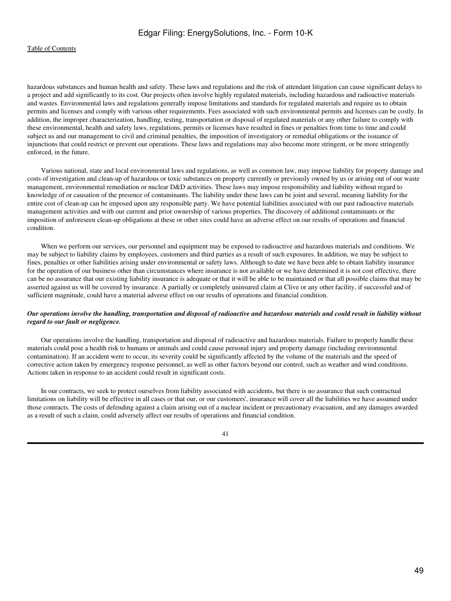hazardous substances and human health and safety. These laws and regulations and the risk of attendant litigation can cause significant delays to a project and add significantly to its cost. Our projects often involve highly regulated materials, including hazardous and radioactive materials and wastes. Environmental laws and regulations generally impose limitations and standards for regulated materials and require us to obtain permits and licenses and comply with various other requirements. Fees associated with such environmental permits and licenses can be costly. In addition, the improper characterization, handling, testing, transportation or disposal of regulated materials or any other failure to comply with these environmental, health and safety laws, regulations, permits or licenses have resulted in fines or penalties from time to time and could subject us and our management to civil and criminal penalties, the imposition of investigatory or remedial obligations or the issuance of injunctions that could restrict or prevent our operations. These laws and regulations may also become more stringent, or be more stringently enforced, in the future.

 Various national, state and local environmental laws and regulations, as well as common law, may impose liability for property damage and costs of investigation and clean-up of hazardous or toxic substances on property currently or previously owned by us or arising out of our waste management, environmental remediation or nuclear D&D activities. These laws may impose responsibility and liability without regard to knowledge of or causation of the presence of contaminants. The liability under these laws can be joint and several, meaning liability for the entire cost of clean-up can be imposed upon any responsible party. We have potential liabilities associated with our past radioactive materials management activities and with our current and prior ownership of various properties. The discovery of additional contaminants or the imposition of unforeseen clean-up obligations at these or other sites could have an adverse effect on our results of operations and financial condition.

 When we perform our services, our personnel and equipment may be exposed to radioactive and hazardous materials and conditions. We may be subject to liability claims by employees, customers and third parties as a result of such exposures. In addition, we may be subject to fines, penalties or other liabilities arising under environmental or safety laws. Although to date we have been able to obtain liability insurance for the operation of our business other than circumstances where insurance is not available or we have determined it is not cost effective, there can be no assurance that our existing liability insurance is adequate or that it will be able to be maintained or that all possible claims that may be asserted against us will be covered by insurance. A partially or completely uninsured claim at Clive or any other facility, if successful and of sufficient magnitude, could have a material adverse effect on our results of operations and financial condition.

# *Our operations involve the handling, transportation and disposal of radioactive and hazardous materials and could result in liability without regard to our fault or negligence.*

 Our operations involve the handling, transportation and disposal of radioactive and hazardous materials. Failure to properly handle these materials could pose a health risk to humans or animals and could cause personal injury and property damage (including environmental contamination). If an accident were to occur, its severity could be significantly affected by the volume of the materials and the speed of corrective action taken by emergency response personnel, as well as other factors beyond our control, such as weather and wind conditions. Actions taken in response to an accident could result in significant costs.

 In our contracts, we seek to protect ourselves from liability associated with accidents, but there is no assurance that such contractual limitations on liability will be effective in all cases or that our, or our customers', insurance will cover all the liabilities we have assumed under those contracts. The costs of defending against a claim arising out of a nuclear incident or precautionary evacuation, and any damages awarded as a result of such a claim, could adversely affect our results of operations and financial condition.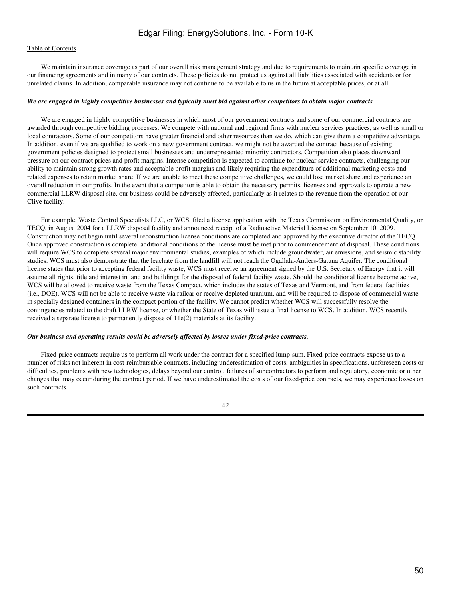We maintain insurance coverage as part of our overall risk management strategy and due to requirements to maintain specific coverage in our financing agreements and in many of our contracts. These policies do not protect us against all liabilities associated with accidents or for unrelated claims. In addition, comparable insurance may not continue to be available to us in the future at acceptable prices, or at all.

#### *We are engaged in highly competitive businesses and typically must bid against other competitors to obtain major contracts.*

 We are engaged in highly competitive businesses in which most of our government contracts and some of our commercial contracts are awarded through competitive bidding processes. We compete with national and regional firms with nuclear services practices, as well as small or local contractors. Some of our competitors have greater financial and other resources than we do, which can give them a competitive advantage. In addition, even if we are qualified to work on a new government contract, we might not be awarded the contract because of existing government policies designed to protect small businesses and underrepresented minority contractors. Competition also places downward pressure on our contract prices and profit margins. Intense competition is expected to continue for nuclear service contracts, challenging our ability to maintain strong growth rates and acceptable profit margins and likely requiring the expenditure of additional marketing costs and related expenses to retain market share. If we are unable to meet these competitive challenges, we could lose market share and experience an overall reduction in our profits. In the event that a competitor is able to obtain the necessary permits, licenses and approvals to operate a new commercial LLRW disposal site, our business could be adversely affected, particularly as it relates to the revenue from the operation of our Clive facility.

 For example, Waste Control Specialists LLC, or WCS, filed a license application with the Texas Commission on Environmental Quality, or TECQ, in August 2004 for a LLRW disposal facility and announced receipt of a Radioactive Material License on September 10, 2009. Construction may not begin until several reconstruction license conditions are completed and approved by the executive director of the TECQ. Once approved construction is complete, additional conditions of the license must be met prior to commencement of disposal. These conditions will require WCS to complete several major environmental studies, examples of which include groundwater, air emissions, and seismic stability studies. WCS must also demonstrate that the leachate from the landfill will not reach the Ogallala-Antlers-Gatuna Aquifer. The conditional license states that prior to accepting federal facility waste, WCS must receive an agreement signed by the U.S. Secretary of Energy that it will assume all rights, title and interest in land and buildings for the disposal of federal facility waste. Should the conditional license become active, WCS will be allowed to receive waste from the Texas Compact, which includes the states of Texas and Vermont, and from federal facilities (i.e., DOE). WCS will not be able to receive waste via railcar or receive depleted uranium, and will be required to dispose of commercial waste in specially designed containers in the compact portion of the facility. We cannot predict whether WCS will successfully resolve the contingencies related to the draft LLRW license, or whether the State of Texas will issue a final license to WCS. In addition, WCS recently received a separate license to permanently dispose of 11e(2) materials at its facility.

#### *Our business and operating results could be adversely affected by losses under fixed-price contracts.*

 Fixed-price contracts require us to perform all work under the contract for a specified lump-sum. Fixed-price contracts expose us to a number of risks not inherent in cost-reimbursable contracts, including underestimation of costs, ambiguities in specifications, unforeseen costs or difficulties, problems with new technologies, delays beyond our control, failures of subcontractors to perform and regulatory, economic or other changes that may occur during the contract period. If we have underestimated the costs of our fixed-price contracts, we may experience losses on such contracts.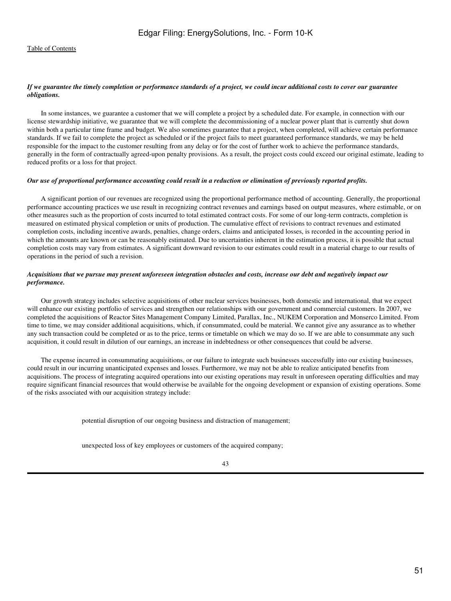# *If we guarantee the timely completion or performance standards of a project, we could incur additional costs to cover our guarantee obligations.*

 In some instances, we guarantee a customer that we will complete a project by a scheduled date. For example, in connection with our license stewardship initiative, we guarantee that we will complete the decommissioning of a nuclear power plant that is currently shut down within both a particular time frame and budget. We also sometimes guarantee that a project, when completed, will achieve certain performance standards. If we fail to complete the project as scheduled or if the project fails to meet guaranteed performance standards, we may be held responsible for the impact to the customer resulting from any delay or for the cost of further work to achieve the performance standards, generally in the form of contractually agreed-upon penalty provisions. As a result, the project costs could exceed our original estimate, leading to reduced profits or a loss for that project.

#### *Our use of proportional performance accounting could result in a reduction or elimination of previously reported profits.*

 A significant portion of our revenues are recognized using the proportional performance method of accounting. Generally, the proportional performance accounting practices we use result in recognizing contract revenues and earnings based on output measures, where estimable, or on other measures such as the proportion of costs incurred to total estimated contract costs. For some of our long-term contracts, completion is measured on estimated physical completion or units of production. The cumulative effect of revisions to contract revenues and estimated completion costs, including incentive awards, penalties, change orders, claims and anticipated losses, is recorded in the accounting period in which the amounts are known or can be reasonably estimated. Due to uncertainties inherent in the estimation process, it is possible that actual completion costs may vary from estimates. A significant downward revision to our estimates could result in a material charge to our results of operations in the period of such a revision.

# *Acquisitions that we pursue may present unforeseen integration obstacles and costs, increase our debt and negatively impact our performance.*

 Our growth strategy includes selective acquisitions of other nuclear services businesses, both domestic and international, that we expect will enhance our existing portfolio of services and strengthen our relationships with our government and commercial customers. In 2007, we completed the acquisitions of Reactor Sites Management Company Limited, Parallax, Inc., NUKEM Corporation and Monserco Limited. From time to time, we may consider additional acquisitions, which, if consummated, could be material. We cannot give any assurance as to whether any such transaction could be completed or as to the price, terms or timetable on which we may do so. If we are able to consummate any such acquisition, it could result in dilution of our earnings, an increase in indebtedness or other consequences that could be adverse.

 The expense incurred in consummating acquisitions, or our failure to integrate such businesses successfully into our existing businesses, could result in our incurring unanticipated expenses and losses. Furthermore, we may not be able to realize anticipated benefits from acquisitions. The process of integrating acquired operations into our existing operations may result in unforeseen operating difficulties and may require significant financial resources that would otherwise be available for the ongoing development or expansion of existing operations. Some of the risks associated with our acquisition strategy include:

potential disruption of our ongoing business and distraction of management;

unexpected loss of key employees or customers of the acquired company;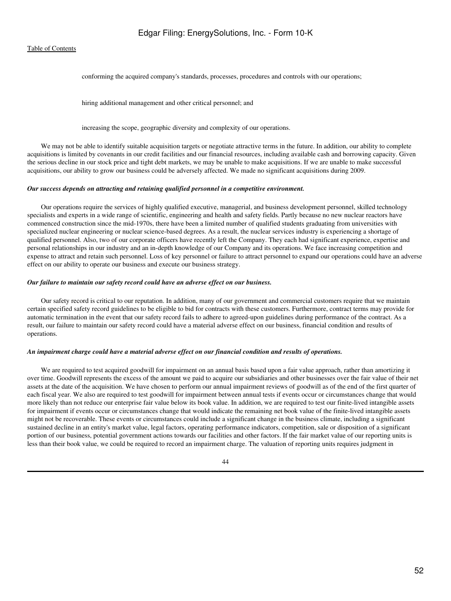conforming the acquired company's standards, processes, procedures and controls with our operations;

hiring additional management and other critical personnel; and

increasing the scope, geographic diversity and complexity of our operations.

 We may not be able to identify suitable acquisition targets or negotiate attractive terms in the future. In addition, our ability to complete acquisitions is limited by covenants in our credit facilities and our financial resources, including available cash and borrowing capacity. Given the serious decline in our stock price and tight debt markets, we may be unable to make acquisitions. If we are unable to make successful acquisitions, our ability to grow our business could be adversely affected. We made no significant acquisitions during 2009.

### *Our success depends on attracting and retaining qualified personnel in a competitive environment.*

 Our operations require the services of highly qualified executive, managerial, and business development personnel, skilled technology specialists and experts in a wide range of scientific, engineering and health and safety fields. Partly because no new nuclear reactors have commenced construction since the mid-1970s, there have been a limited number of qualified students graduating from universities with specialized nuclear engineering or nuclear science-based degrees. As a result, the nuclear services industry is experiencing a shortage of qualified personnel. Also, two of our corporate officers have recently left the Company. They each had significant experience, expertise and personal relationships in our industry and an in-depth knowledge of our Company and its operations. We face increasing competition and expense to attract and retain such personnel. Loss of key personnel or failure to attract personnel to expand our operations could have an adverse effect on our ability to operate our business and execute our business strategy.

### *Our failure to maintain our safety record could have an adverse effect on our business.*

 Our safety record is critical to our reputation. In addition, many of our government and commercial customers require that we maintain certain specified safety record guidelines to be eligible to bid for contracts with these customers. Furthermore, contract terms may provide for automatic termination in the event that our safety record fails to adhere to agreed-upon guidelines during performance of the contract. As a result, our failure to maintain our safety record could have a material adverse effect on our business, financial condition and results of operations.

#### *An impairment charge could have a material adverse effect on our financial condition and results of operations.*

 We are required to test acquired goodwill for impairment on an annual basis based upon a fair value approach, rather than amortizing it over time. Goodwill represents the excess of the amount we paid to acquire our subsidiaries and other businesses over the fair value of their net assets at the date of the acquisition. We have chosen to perform our annual impairment reviews of goodwill as of the end of the first quarter of each fiscal year. We also are required to test goodwill for impairment between annual tests if events occur or circumstances change that would more likely than not reduce our enterprise fair value below its book value. In addition, we are required to test our finite-lived intangible assets for impairment if events occur or circumstances change that would indicate the remaining net book value of the finite-lived intangible assets might not be recoverable. These events or circumstances could include a significant change in the business climate, including a significant sustained decline in an entity's market value, legal factors, operating performance indicators, competition, sale or disposition of a significant portion of our business, potential government actions towards our facilities and other factors. If the fair market value of our reporting units is less than their book value, we could be required to record an impairment charge. The valuation of reporting units requires judgment in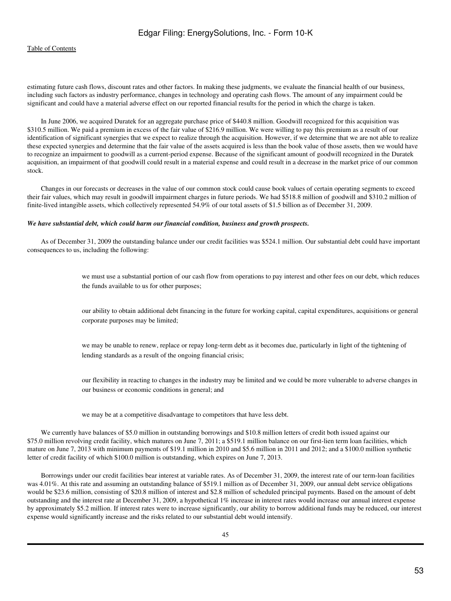estimating future cash flows, discount rates and other factors. In making these judgments, we evaluate the financial health of our business, including such factors as industry performance, changes in technology and operating cash flows. The amount of any impairment could be significant and could have a material adverse effect on our reported financial results for the period in which the charge is taken.

 In June 2006, we acquired Duratek for an aggregate purchase price of \$440.8 million. Goodwill recognized for this acquisition was \$310.5 million. We paid a premium in excess of the fair value of \$216.9 million. We were willing to pay this premium as a result of our identification of significant synergies that we expect to realize through the acquisition. However, if we determine that we are not able to realize these expected synergies and determine that the fair value of the assets acquired is less than the book value of those assets, then we would have to recognize an impairment to goodwill as a current-period expense. Because of the significant amount of goodwill recognized in the Duratek acquisition, an impairment of that goodwill could result in a material expense and could result in a decrease in the market price of our common stock.

 Changes in our forecasts or decreases in the value of our common stock could cause book values of certain operating segments to exceed their fair values, which may result in goodwill impairment charges in future periods. We had \$518.8 million of goodwill and \$310.2 million of finite-lived intangible assets, which collectively represented 54.9% of our total assets of \$1.5 billion as of December 31, 2009.

#### *We have substantial debt, which could harm our financial condition, business and growth prospects.*

 As of December 31, 2009 the outstanding balance under our credit facilities was \$524.1 million. Our substantial debt could have important consequences to us, including the following:

> we must use a substantial portion of our cash flow from operations to pay interest and other fees on our debt, which reduces the funds available to us for other purposes;

> our ability to obtain additional debt financing in the future for working capital, capital expenditures, acquisitions or general corporate purposes may be limited;

we may be unable to renew, replace or repay long-term debt as it becomes due, particularly in light of the tightening of lending standards as a result of the ongoing financial crisis;

our flexibility in reacting to changes in the industry may be limited and we could be more vulnerable to adverse changes in our business or economic conditions in general; and

we may be at a competitive disadvantage to competitors that have less debt.

 We currently have balances of \$5.0 million in outstanding borrowings and \$10.8 million letters of credit both issued against our \$75.0 million revolving credit facility, which matures on June 7, 2011; a \$519.1 million balance on our first-lien term loan facilities, which mature on June 7, 2013 with minimum payments of \$19.1 million in 2010 and \$5.6 million in 2011 and 2012; and a \$100.0 million synthetic letter of credit facility of which \$100.0 million is outstanding, which expires on June 7, 2013.

 Borrowings under our credit facilities bear interest at variable rates. As of December 31, 2009, the interest rate of our term-loan facilities was 4.01%. At this rate and assuming an outstanding balance of \$519.1 million as of December 31, 2009, our annual debt service obligations would be \$23.6 million, consisting of \$20.8 million of interest and \$2.8 million of scheduled principal payments. Based on the amount of debt outstanding and the interest rate at December 31, 2009, a hypothetical 1% increase in interest rates would increase our annual interest expense by approximately \$5.2 million. If interest rates were to increase significantly, our ability to borrow additional funds may be reduced, our interest expense would significantly increase and the risks related to our substantial debt would intensify.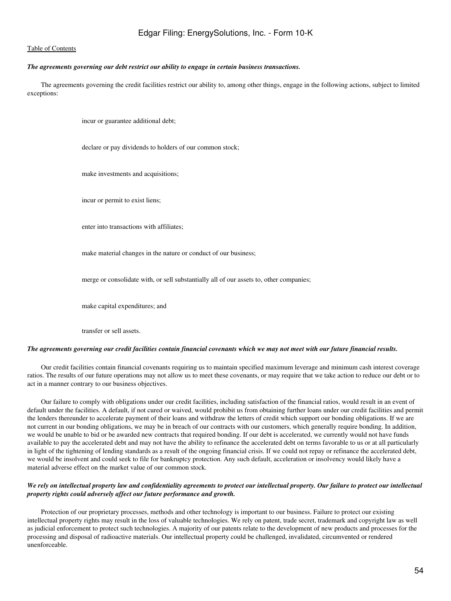# *The agreements governing our debt restrict our ability to engage in certain business transactions.*

 The agreements governing the credit facilities restrict our ability to, among other things, engage in the following actions, subject to limited exceptions:

incur or guarantee additional debt;

declare or pay dividends to holders of our common stock;

make investments and acquisitions;

incur or permit to exist liens;

enter into transactions with affiliates;

make material changes in the nature or conduct of our business;

merge or consolidate with, or sell substantially all of our assets to, other companies;

make capital expenditures; and

transfer or sell assets.

#### *The agreements governing our credit facilities contain financial covenants which we may not meet with our future financial results.*

 Our credit facilities contain financial covenants requiring us to maintain specified maximum leverage and minimum cash interest coverage ratios. The results of our future operations may not allow us to meet these covenants, or may require that we take action to reduce our debt or to act in a manner contrary to our business objectives.

 Our failure to comply with obligations under our credit facilities, including satisfaction of the financial ratios, would result in an event of default under the facilities. A default, if not cured or waived, would prohibit us from obtaining further loans under our credit facilities and permit the lenders thereunder to accelerate payment of their loans and withdraw the letters of credit which support our bonding obligations. If we are not current in our bonding obligations, we may be in breach of our contracts with our customers, which generally require bonding. In addition, we would be unable to bid or be awarded new contracts that required bonding. If our debt is accelerated, we currently would not have funds available to pay the accelerated debt and may not have the ability to refinance the accelerated debt on terms favorable to us or at all particularly in light of the tightening of lending standards as a result of the ongoing financial crisis. If we could not repay or refinance the accelerated debt, we would be insolvent and could seek to file for bankruptcy protection. Any such default, acceleration or insolvency would likely have a material adverse effect on the market value of our common stock.

# *We rely on intellectual property law and confidentiality agreements to protect our intellectual property. Our failure to protect our intellectual property rights could adversely affect our future performance and growth.*

 Protection of our proprietary processes, methods and other technology is important to our business. Failure to protect our existing intellectual property rights may result in the loss of valuable technologies. We rely on patent, trade secret, trademark and copyright law as well as judicial enforcement to protect such technologies. A majority of our patents relate to the development of new products and processes for the processing and disposal of radioactive materials. Our intellectual property could be challenged, invalidated, circumvented or rendered unenforceable.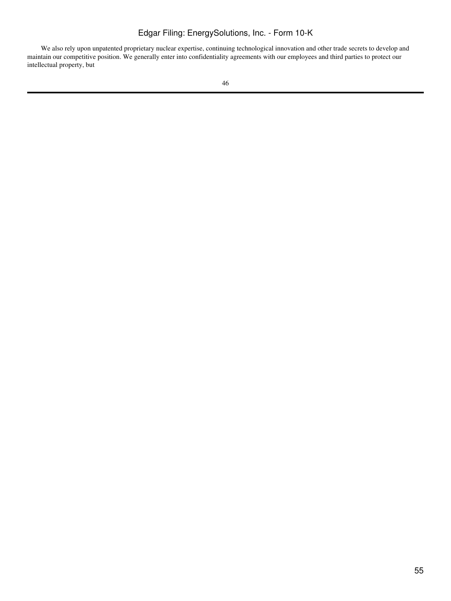We also rely upon unpatented proprietary nuclear expertise, continuing technological innovation and other trade secrets to develop and maintain our competitive position. We generally enter into confidentiality agreements with our employees and third parties to protect our intellectual property, but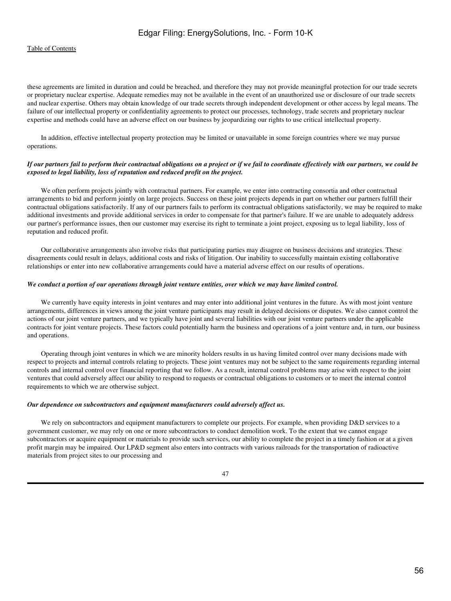these agreements are limited in duration and could be breached, and therefore they may not provide meaningful protection for our trade secrets or proprietary nuclear expertise. Adequate remedies may not be available in the event of an unauthorized use or disclosure of our trade secrets and nuclear expertise. Others may obtain knowledge of our trade secrets through independent development or other access by legal means. The failure of our intellectual property or confidentiality agreements to protect our processes, technology, trade secrets and proprietary nuclear expertise and methods could have an adverse effect on our business by jeopardizing our rights to use critical intellectual property.

 In addition, effective intellectual property protection may be limited or unavailable in some foreign countries where we may pursue operations.

# *If our partners fail to perform their contractual obligations on a project or if we fail to coordinate effectively with our partners, we could be exposed to legal liability, loss of reputation and reduced profit on the project.*

We often perform projects jointly with contractual partners. For example, we enter into contracting consortia and other contractual arrangements to bid and perform jointly on large projects. Success on these joint projects depends in part on whether our partners fulfill their contractual obligations satisfactorily. If any of our partners fails to perform its contractual obligations satisfactorily, we may be required to make additional investments and provide additional services in order to compensate for that partner's failure. If we are unable to adequately address our partner's performance issues, then our customer may exercise its right to terminate a joint project, exposing us to legal liability, loss of reputation and reduced profit.

 Our collaborative arrangements also involve risks that participating parties may disagree on business decisions and strategies. These disagreements could result in delays, additional costs and risks of litigation. Our inability to successfully maintain existing collaborative relationships or enter into new collaborative arrangements could have a material adverse effect on our results of operations.

### *We conduct a portion of our operations through joint venture entities, over which we may have limited control.*

 We currently have equity interests in joint ventures and may enter into additional joint ventures in the future. As with most joint venture arrangements, differences in views among the joint venture participants may result in delayed decisions or disputes. We also cannot control the actions of our joint venture partners, and we typically have joint and several liabilities with our joint venture partners under the applicable contracts for joint venture projects. These factors could potentially harm the business and operations of a joint venture and, in turn, our business and operations.

 Operating through joint ventures in which we are minority holders results in us having limited control over many decisions made with respect to projects and internal controls relating to projects. These joint ventures may not be subject to the same requirements regarding internal controls and internal control over financial reporting that we follow. As a result, internal control problems may arise with respect to the joint ventures that could adversely affect our ability to respond to requests or contractual obligations to customers or to meet the internal control requirements to which we are otherwise subject.

#### *Our dependence on subcontractors and equipment manufacturers could adversely affect us.*

We rely on subcontractors and equipment manufacturers to complete our projects. For example, when providing D&D services to a government customer, we may rely on one or more subcontractors to conduct demolition work. To the extent that we cannot engage subcontractors or acquire equipment or materials to provide such services, our ability to complete the project in a timely fashion or at a given profit margin may be impaired. Our LP&D segment also enters into contracts with various railroads for the transportation of radioactive materials from project sites to our processing and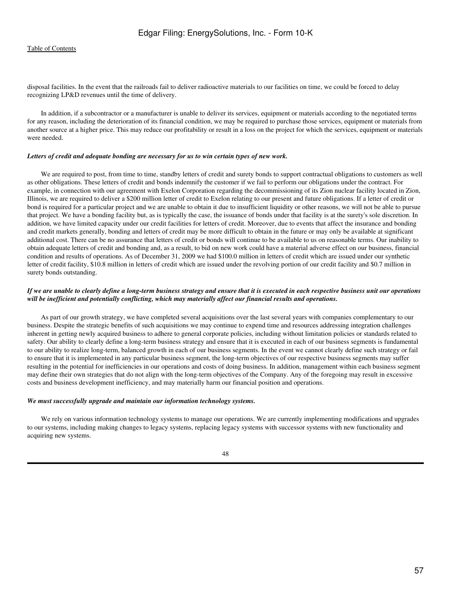disposal facilities. In the event that the railroads fail to deliver radioactive materials to our facilities on time, we could be forced to delay recognizing LP&D revenues until the time of delivery.

 In addition, if a subcontractor or a manufacturer is unable to deliver its services, equipment or materials according to the negotiated terms for any reason, including the deterioration of its financial condition, we may be required to purchase those services, equipment or materials from another source at a higher price. This may reduce our profitability or result in a loss on the project for which the services, equipment or materials were needed.

#### *Letters of credit and adequate bonding are necessary for us to win certain types of new work.*

 We are required to post, from time to time, standby letters of credit and surety bonds to support contractual obligations to customers as well as other obligations. These letters of credit and bonds indemnify the customer if we fail to perform our obligations under the contract. For example, in connection with our agreement with Exelon Corporation regarding the decommissioning of its Zion nuclear facility located in Zion, Illinois, we are required to deliver a \$200 million letter of credit to Exelon relating to our present and future obligations. If a letter of credit or bond is required for a particular project and we are unable to obtain it due to insufficient liquidity or other reasons, we will not be able to pursue that project. We have a bonding facility but, as is typically the case, the issuance of bonds under that facility is at the surety's sole discretion. In addition, we have limited capacity under our credit facilities for letters of credit. Moreover, due to events that affect the insurance and bonding and credit markets generally, bonding and letters of credit may be more difficult to obtain in the future or may only be available at significant additional cost. There can be no assurance that letters of credit or bonds will continue to be available to us on reasonable terms. Our inability to obtain adequate letters of credit and bonding and, as a result, to bid on new work could have a material adverse effect on our business, financial condition and results of operations. As of December 31, 2009 we had \$100.0 million in letters of credit which are issued under our synthetic letter of credit facility, \$10.8 million in letters of credit which are issued under the revolving portion of our credit facility and \$0.7 million in surety bonds outstanding.

# *If we are unable to clearly define a long-term business strategy and ensure that it is executed in each respective business unit our operations will be inefficient and potentially conflicting, which may materially affect our financial results and operations.*

 As part of our growth strategy, we have completed several acquisitions over the last several years with companies complementary to our business. Despite the strategic benefits of such acquisitions we may continue to expend time and resources addressing integration challenges inherent in getting newly acquired business to adhere to general corporate policies, including without limitation policies or standards related to safety. Our ability to clearly define a long-term business strategy and ensure that it is executed in each of our business segments is fundamental to our ability to realize long-term, balanced growth in each of our business segments. In the event we cannot clearly define such strategy or fail to ensure that it is implemented in any particular business segment, the long-term objectives of our respective business segments may suffer resulting in the potential for inefficiencies in our operations and costs of doing business. In addition, management within each business segment may define their own strategies that do not align with the long-term objectives of the Company. Any of the foregoing may result in excessive costs and business development inefficiency, and may materially harm our financial position and operations.

# *We must successfully upgrade and maintain our information technology systems.*

 We rely on various information technology systems to manage our operations. We are currently implementing modifications and upgrades to our systems, including making changes to legacy systems, replacing legacy systems with successor systems with new functionality and acquiring new systems.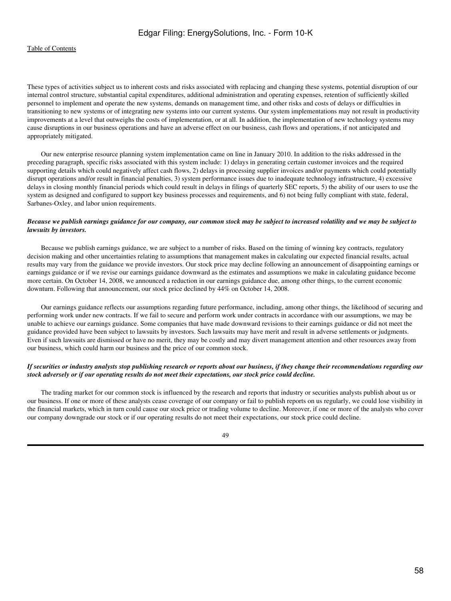These types of activities subject us to inherent costs and risks associated with replacing and changing these systems, potential disruption of our internal control structure, substantial capital expenditures, additional administration and operating expenses, retention of sufficiently skilled personnel to implement and operate the new systems, demands on management time, and other risks and costs of delays or difficulties in transitioning to new systems or of integrating new systems into our current systems. Our system implementations may not result in productivity improvements at a level that outweighs the costs of implementation, or at all. In addition, the implementation of new technology systems may cause disruptions in our business operations and have an adverse effect on our business, cash flows and operations, if not anticipated and appropriately mitigated.

 Our new enterprise resource planning system implementation came on line in January 2010. In addition to the risks addressed in the preceding paragraph, specific risks associated with this system include: 1) delays in generating certain customer invoices and the required supporting details which could negatively affect cash flows, 2) delays in processing supplier invoices and/or payments which could potentially disrupt operations and/or result in financial penalties, 3) system performance issues due to inadequate technology infrastructure, 4) excessive delays in closing monthly financial periods which could result in delays in filings of quarterly SEC reports, 5) the ability of our users to use the system as designed and configured to support key business processes and requirements, and 6) not being fully compliant with state, federal, Sarbanes-Oxley, and labor union requirements.

# *Because we publish earnings guidance for our company, our common stock may be subject to increased volatility and we may be subject to lawsuits by investors.*

Because we publish earnings guidance, we are subject to a number of risks. Based on the timing of winning key contracts, regulatory decision making and other uncertainties relating to assumptions that management makes in calculating our expected financial results, actual results may vary from the guidance we provide investors. Our stock price may decline following an announcement of disappointing earnings or earnings guidance or if we revise our earnings guidance downward as the estimates and assumptions we make in calculating guidance become more certain. On October 14, 2008, we announced a reduction in our earnings guidance due, among other things, to the current economic downturn. Following that announcement, our stock price declined by 44% on October 14, 2008.

 Our earnings guidance reflects our assumptions regarding future performance, including, among other things, the likelihood of securing and performing work under new contracts. If we fail to secure and perform work under contracts in accordance with our assumptions, we may be unable to achieve our earnings guidance. Some companies that have made downward revisions to their earnings guidance or did not meet the guidance provided have been subject to lawsuits by investors. Such lawsuits may have merit and result in adverse settlements or judgments. Even if such lawsuits are dismissed or have no merit, they may be costly and may divert management attention and other resources away from our business, which could harm our business and the price of our common stock.

# *If securities or industry analysts stop publishing research or reports about our business, if they change their recommendations regarding our stock adversely or if our operating results do not meet their expectations, our stock price could decline.*

 The trading market for our common stock is influenced by the research and reports that industry or securities analysts publish about us or our business. If one or more of these analysts cease coverage of our company or fail to publish reports on us regularly, we could lose visibility in the financial markets, which in turn could cause our stock price or trading volume to decline. Moreover, if one or more of the analysts who cover our company downgrade our stock or if our operating results do not meet their expectations, our stock price could decline.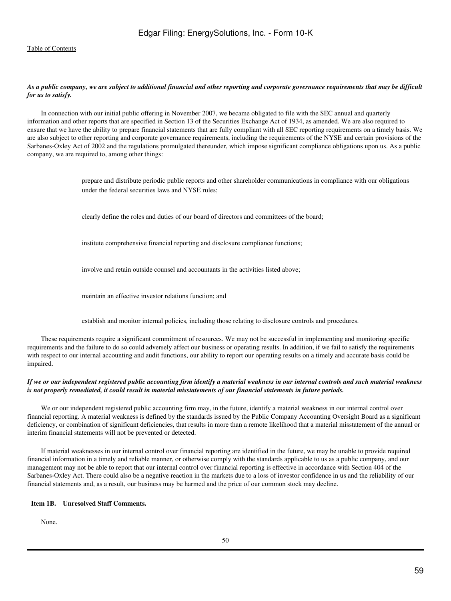# *As a public company, we are subject to additional financial and other reporting and corporate governance requirements that may be difficult for us to satisfy.*

 In connection with our initial public offering in November 2007, we became obligated to file with the SEC annual and quarterly information and other reports that are specified in Section 13 of the Securities Exchange Act of 1934, as amended. We are also required to ensure that we have the ability to prepare financial statements that are fully compliant with all SEC reporting requirements on a timely basis. We are also subject to other reporting and corporate governance requirements, including the requirements of the NYSE and certain provisions of the Sarbanes-Oxley Act of 2002 and the regulations promulgated thereunder, which impose significant compliance obligations upon us. As a public company, we are required to, among other things:

> prepare and distribute periodic public reports and other shareholder communications in compliance with our obligations under the federal securities laws and NYSE rules;

clearly define the roles and duties of our board of directors and committees of the board;

institute comprehensive financial reporting and disclosure compliance functions;

involve and retain outside counsel and accountants in the activities listed above;

maintain an effective investor relations function; and

establish and monitor internal policies, including those relating to disclosure controls and procedures.

 These requirements require a significant commitment of resources. We may not be successful in implementing and monitoring specific requirements and the failure to do so could adversely affect our business or operating results. In addition, if we fail to satisfy the requirements with respect to our internal accounting and audit functions, our ability to report our operating results on a timely and accurate basis could be impaired.

# *If we or our independent registered public accounting firm identify a material weakness in our internal controls and such material weakness is not properly remediated, it could result in material misstatements of our financial statements in future periods.*

We or our independent registered public accounting firm may, in the future, identify a material weakness in our internal control over financial reporting. A material weakness is defined by the standards issued by the Public Company Accounting Oversight Board as a significant deficiency, or combination of significant deficiencies, that results in more than a remote likelihood that a material misstatement of the annual or interim financial statements will not be prevented or detected.

 If material weaknesses in our internal control over financial reporting are identified in the future, we may be unable to provide required financial information in a timely and reliable manner, or otherwise comply with the standards applicable to us as a public company, and our management may not be able to report that our internal control over financial reporting is effective in accordance with Section 404 of the Sarbanes-Oxley Act. There could also be a negative reaction in the markets due to a loss of investor confidence in us and the reliability of our financial statements and, as a result, our business may be harmed and the price of our common stock may decline.

### **Item 1B. Unresolved Staff Comments.**

None.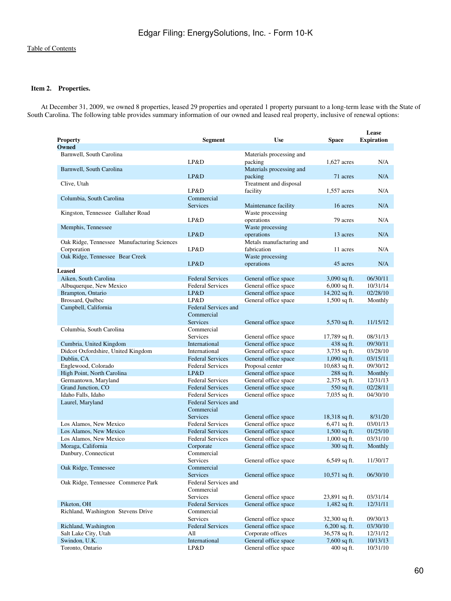# **Item 2. Properties.**

 At December 31, 2009, we owned 8 properties, leased 29 properties and operated 1 property pursuant to a long-term lease with the State of South Carolina. The following table provides summary information of our owned and leased real property, inclusive of renewal options:

| <b>Property</b>                                      | <b>Segment</b>                            | <b>Use</b>                                                      | <b>Space</b>    | Lease<br><b>Expiration</b> |
|------------------------------------------------------|-------------------------------------------|-----------------------------------------------------------------|-----------------|----------------------------|
| Owned                                                |                                           |                                                                 |                 |                            |
| Barnwell, South Carolina<br>Barnwell, South Carolina | LP&D                                      | Materials processing and<br>packing<br>Materials processing and | $1.627$ acres   | N/A                        |
|                                                      | LP&D                                      | packing                                                         | 71 acres        | N/A                        |
| Clive, Utah                                          | LP&D                                      | Treatment and disposal<br>facility                              | 1,557 acres     | N/A                        |
| Columbia, South Carolina                             | Commercial                                |                                                                 |                 |                            |
| Kingston, Tennessee Gallaher Road                    | <b>Services</b>                           | Maintenance facility<br>Waste processing                        | 16 acres        | N/A                        |
|                                                      | LP&D                                      | operations                                                      | 79 acres        | N/A                        |
| Memphis, Tennessee                                   |                                           | Waste processing                                                |                 |                            |
|                                                      | LP&D                                      | operations                                                      | 13 acres        | N/A                        |
| Oak Ridge, Tennessee Manufacturing Sciences          |                                           | Metals manufacturing and                                        |                 |                            |
| Corporation                                          | LP&D                                      | fabrication                                                     | 11 acres        | N/A                        |
| Oak Ridge, Tennessee Bear Creek                      |                                           | Waste processing                                                |                 |                            |
| <b>Leased</b>                                        | LP&D                                      | operations                                                      | 45 acres        | N/A                        |
| Aiken, South Carolina                                | <b>Federal Services</b>                   | General office space                                            | 3,090 sq ft.    | 06/30/11                   |
| Albuquerque, New Mexico                              | <b>Federal Services</b>                   | General office space                                            | $6,000$ sq ft.  | 10/31/14                   |
| Brampton, Ontario                                    | LP&D                                      | General office space                                            | 14,202 sq ft.   | 02/28/10                   |
| Brossard, Ouébec                                     | LP&D                                      | General office space                                            | $1,500$ sq ft.  | Monthly                    |
| Campbell, California                                 | <b>Federal Services and</b><br>Commercial |                                                                 |                 |                            |
|                                                      | <b>Services</b>                           | General office space                                            | 5,570 sq ft.    | 11/15/12                   |
| Columbia, South Carolina                             | Commercial                                |                                                                 |                 |                            |
|                                                      | <b>Services</b>                           | General office space                                            | 17,789 sq ft.   | 08/31/13                   |
| Cumbria, United Kingdom                              | <b>International</b>                      | General office space                                            | 438 sq ft.      | 09/30/11                   |
| Didcot Oxfordshire, United Kingdom                   | International                             | General office space                                            | 3,735 sq ft.    | 03/28/10                   |
| Dublin, CA                                           | <b>Federal Services</b>                   | General office space                                            | $1,090$ sq ft.  | 03/15/11                   |
| Englewood, Colorado                                  | <b>Federal Services</b>                   | Proposal center                                                 | 10,683 sq ft.   | 09/30/12                   |
| High Point, North Carolina                           | LP&D                                      | General office space                                            | 288 sq ft.      | Monthly                    |
| Germantown, Maryland                                 | <b>Federal Services</b>                   | General office space                                            | 2,375 sq ft.    | 12/31/13                   |
| Grand Junction, CO                                   | <b>Federal Services</b>                   | General office space                                            | 550 sq ft.      | 02/28/11                   |
| Idaho Falls, Idaho                                   | <b>Federal Services</b>                   | General office space                                            | 7,035 sq ft.    | 04/30/10                   |
| Laurel, Maryland                                     | Federal Services and<br>Commercial        |                                                                 |                 |                            |
|                                                      | <b>Services</b>                           | General office space                                            | 18,318 sq ft.   | 8/31/20                    |
| Los Alamos, New Mexico                               | <b>Federal Services</b>                   | General office space                                            | 6,471 sq ft.    | 03/01/13                   |
| Los Alamos, New Mexico                               | <b>Federal Services</b>                   | General office space                                            | $1,500$ sq ft.  | 01/25/10                   |
| Los Alamos, New Mexico                               | <b>Federal Services</b>                   | General office space                                            | $1,000$ sq ft.  | 03/31/10                   |
| Moraga, California                                   | Corporate                                 | General office space                                            | 300 sq ft.      | Monthly                    |
| Danbury, Connecticut                                 | Commercial                                |                                                                 |                 |                            |
|                                                      | <b>Services</b>                           | General office space                                            | $6,549$ sq ft.  | 11/30/17                   |
| Oak Ridge, Tennessee                                 | Commercial                                |                                                                 |                 |                            |
| Oak Ridge, Tennessee Commerce Park                   | Services<br>Federal Services and          | General office space                                            | $10,571$ sq ft. | 06/30/10                   |
|                                                      | Commercial                                |                                                                 |                 |                            |
|                                                      | <b>Services</b>                           | General office space                                            | 23,891 sq ft.   | 03/31/14                   |
| Piketon, OH                                          | <b>Federal Services</b>                   | General office space                                            | 1,482 sq ft.    | 12/31/11                   |
| Richland, Washington Stevens Drive                   | Commercial                                |                                                                 |                 |                            |
|                                                      | Services                                  | General office space                                            | 32,300 sq ft.   | 09/30/13                   |
| Richland, Washington                                 | <b>Federal Services</b>                   | General office space                                            | $6,200$ sq. ft. | 03/30/10                   |
| Salt Lake City, Utah                                 | All                                       | Corporate offices                                               | 36,578 sq ft.   | 12/31/12                   |
| Swindon, U.K.                                        | International                             | General office space                                            | 7,600 sq ft.    | 10/13/13                   |
| Toronto, Ontario                                     | LP&D                                      | General office space                                            | $400$ sq ft.    | 10/31/10                   |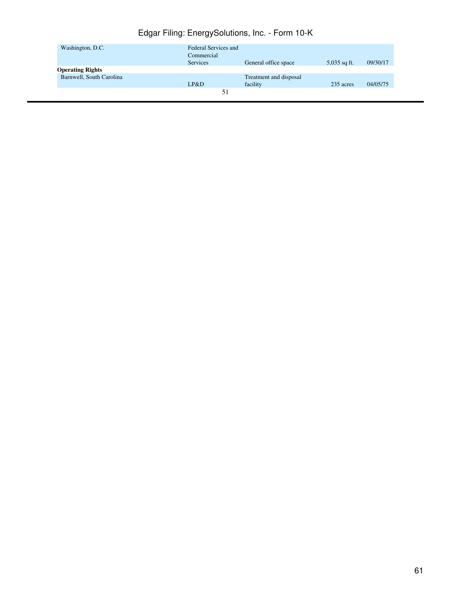| Washington, D.C.         | Federal Services and |                        |                |          |
|--------------------------|----------------------|------------------------|----------------|----------|
|                          | Commercial           |                        |                |          |
|                          | <b>Services</b>      | General office space   | $5,035$ sq ft. | 09/30/17 |
| <b>Operating Rights</b>  |                      |                        |                |          |
| Barnwell, South Carolina |                      | Treatment and disposal |                |          |
|                          | LP&D                 | facility               | 235 acres      | 04/05/75 |
|                          |                      |                        |                |          |
|                          |                      |                        |                |          |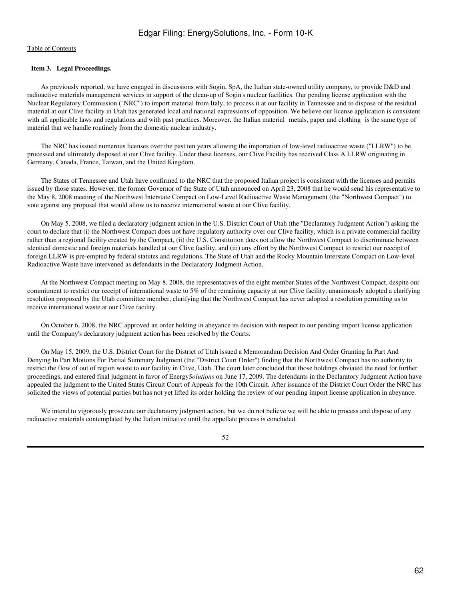# **Item 3. Legal Proceedings.**

 As previously reported, we have engaged in discussions with Sogin, SpA, the Italian state-owned utility company, to provide D&D and radioactive materials management services in support of the clean-up of Sogin's nuclear facilities. Our pending license application with the Nuclear Regulatory Commission ("NRC") to import material from Italy, to process it at our facility in Tennessee and to dispose of the residual material at our Clive facility in Utah has generated local and national expressions of opposition. We believe our license application is consistent with all applicable laws and regulations and with past practices. Moreover, the Italian material metals, paper and clothing is the same type of material that we handle routinely from the domestic nuclear industry.

 The NRC has issued numerous licenses over the past ten years allowing the importation of low-level radioactive waste ("LLRW") to be processed and ultimately disposed at our Clive facility. Under these licenses, our Clive Facility has received Class A LLRW originating in Germany, Canada, France, Taiwan, and the United Kingdom.

 The States of Tennessee and Utah have confirmed to the NRC that the proposed Italian project is consistent with the licenses and permits issued by those states. However, the former Governor of the State of Utah announced on April 23, 2008 that he would send his representative to the May 8, 2008 meeting of the Northwest Interstate Compact on Low-Level Radioactive Waste Management (the "Northwest Compact") to vote against any proposal that would allow us to receive international waste at our Clive facility.

 On May 5, 2008, we filed a declaratory judgment action in the U.S. District Court of Utah (the "Declaratory Judgment Action") asking the court to declare that (i) the Northwest Compact does not have regulatory authority over our Clive facility, which is a private commercial facility rather than a regional facility created by the Compact, (ii) the U.S. Constitution does not allow the Northwest Compact to discriminate between identical domestic and foreign materials handled at our Clive facility, and (iii) any effort by the Northwest Compact to restrict our receipt of foreign LLRW is pre-empted by federal statutes and regulations. The State of Utah and the Rocky Mountain Interstate Compact on Low-level Radioactive Waste have intervened as defendants in the Declaratory Judgment Action.

 At the Northwest Compact meeting on May 8, 2008, the representatives of the eight member States of the Northwest Compact, despite our commitment to restrict our receipt of international waste to 5% of the remaining capacity at our Clive facility, unanimously adopted a clarifying resolution proposed by the Utah committee member, clarifying that the Northwest Compact has never adopted a resolution permitting us to receive international waste at our Clive facility.

 On October 6, 2008, the NRC approved an order holding in abeyance its decision with respect to our pending import license application until the Company's declaratory judgment action has been resolved by the Courts.

 On May 15, 2009, the U.S. District Court for the District of Utah issued a Memorandum Decision And Order Granting In Part And Denying In Part Motions For Partial Summary Judgment (the "District Court Order") finding that the Northwest Compact has no authority to restrict the flow of out of region waste to our facility in Clive, Utah. The court later concluded that those holdings obviated the need for further proceedings, and entered final judgment in favor of Energy*Solutions* on June 17, 2009. The defendants in the Declaratory Judgment Action have appealed the judgment to the United States Circuit Court of Appeals for the 10th Circuit. After issuance of the District Court Order the NRC has solicited the views of potential parties but has not yet lifted its order holding the review of our pending import license application in abeyance.

 We intend to vigorously prosecute our declaratory judgment action, but we do not believe we will be able to process and dispose of any radioactive materials contemplated by the Italian initiative until the appellate process is concluded.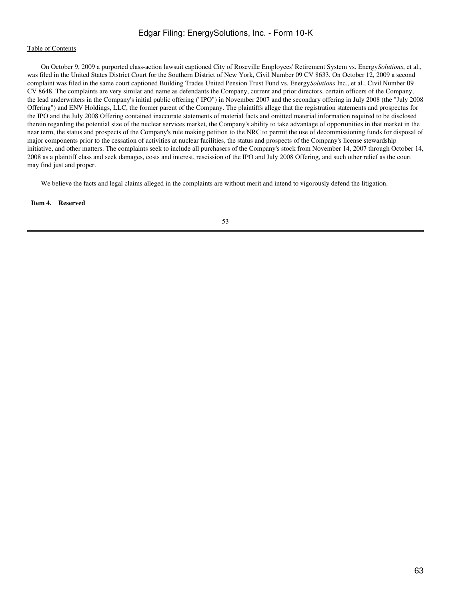# [Table of Contents](#page-2-0)

 On October 9, 2009 a purported class-action lawsuit captioned City of Roseville Employees' Retirement System vs. Energy*Solutions*, et al., was filed in the United States District Court for the Southern District of New York, Civil Number 09 CV 8633. On October 12, 2009 a second complaint was filed in the same court captioned Building Trades United Pension Trust Fund vs. Energy*Solutions* Inc., et al., Civil Number 09 CV 8648. The complaints are very similar and name as defendants the Company, current and prior directors, certain officers of the Company, the lead underwriters in the Company's initial public offering ("IPO") in November 2007 and the secondary offering in July 2008 (the "July 2008 Offering") and ENV Holdings, LLC, the former parent of the Company. The plaintiffs allege that the registration statements and prospectus for the IPO and the July 2008 Offering contained inaccurate statements of material facts and omitted material information required to be disclosed therein regarding the potential size of the nuclear services market, the Company's ability to take advantage of opportunities in that market in the near term, the status and prospects of the Company's rule making petition to the NRC to permit the use of decommissioning funds for disposal of major components prior to the cessation of activities at nuclear facilities, the status and prospects of the Company's license stewardship initiative, and other matters. The complaints seek to include all purchasers of the Company's stock from November 14, 2007 through October 14, 2008 as a plaintiff class and seek damages, costs and interest, rescission of the IPO and July 2008 Offering, and such other relief as the court may find just and proper.

We believe the facts and legal claims alleged in the complaints are without merit and intend to vigorously defend the litigation.

### **Item 4. Reserved**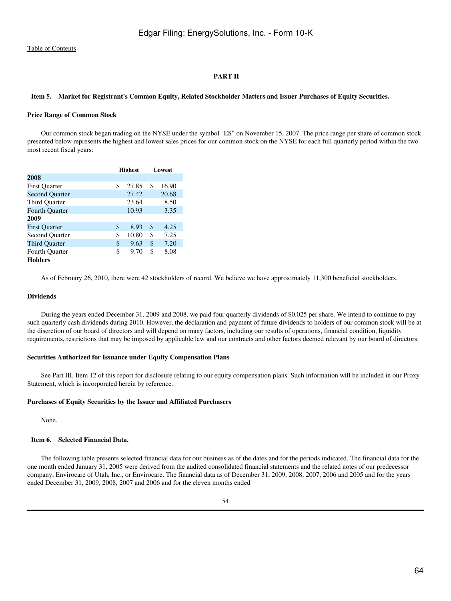# **PART II**

#### **Item 5. Market for Registrant's Common Equity, Related Stockholder Matters and Issuer Purchases of Equity Securities.**

#### **Price Range of Common Stock**

 Our common stock began trading on the NYSE under the symbol "ES" on November 15, 2007. The price range per share of common stock presented below represents the highest and lowest sales prices for our common stock on the NYSE for each full quarterly period within the two most recent fiscal years:

|                       | <b>Highest</b> | Lowest |       |  |
|-----------------------|----------------|--------|-------|--|
| 2008                  |                |        |       |  |
| <b>First Quarter</b>  | \$<br>27.85    | \$     | 16.90 |  |
| <b>Second Quarter</b> | 27.42          |        | 20.68 |  |
| Third Quarter         | 23.64          |        | 8.50  |  |
| <b>Fourth Quarter</b> | 10.93          |        | 3.35  |  |
| 2009                  |                |        |       |  |
| <b>First Ouarter</b>  | \$<br>8.93     | \$     | 4.25  |  |
| <b>Second Quarter</b> | \$<br>10.80    | \$     | 7.25  |  |
| <b>Third Quarter</b>  | \$<br>9.63     | \$     | 7.20  |  |
| Fourth Ouarter        | \$<br>9.70     | \$     | 8.08  |  |
| <b>Holders</b>        |                |        |       |  |

As of February 26, 2010, there were 42 stockholders of record. We believe we have approximately 11,300 beneficial stockholders.

#### **Dividends**

 During the years ended December 31, 2009 and 2008, we paid four quarterly dividends of \$0.025 per share. We intend to continue to pay such quarterly cash dividends during 2010. However, the declaration and payment of future dividends to holders of our common stock will be at the discretion of our board of directors and will depend on many factors, including our results of operations, financial condition, liquidity requirements, restrictions that may be imposed by applicable law and our contracts and other factors deemed relevant by our board of directors.

#### **Securities Authorized for Issuance under Equity Compensation Plans**

 See Part III, Item 12 of this report for disclosure relating to our equity compensation plans. Such information will be included in our Proxy Statement, which is incorporated herein by reference.

#### **Purchases of Equity Securities by the Issuer and Affiliated Purchasers**

None.

## **Item 6. Selected Financial Data.**

 The following table presents selected financial data for our business as of the dates and for the periods indicated. The financial data for the one month ended January 31, 2005 were derived from the audited consolidated financial statements and the related notes of our predecessor company, Envirocare of Utah, Inc., or Envirocare. The financial data as of December 31, 2009, 2008, 2007, 2006 and 2005 and for the years ended December 31, 2009, 2008, 2007 and 2006 and for the eleven months ended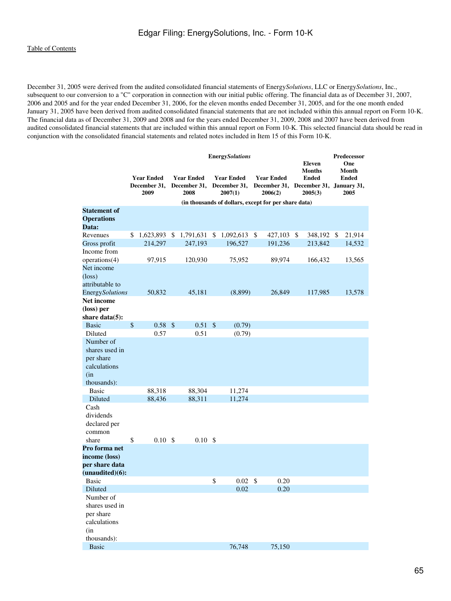December 31, 2005 were derived from the audited consolidated financial statements of Energy*Solutions*, LLC or Energy*Solutions*, Inc., subsequent to our conversion to a "C" corporation in connection with our initial public offering. The financial data as of December 31, 2007, 2006 and 2005 and for the year ended December 31, 2006, for the eleven months ended December 31, 2005, and for the one month ended January 31, 2005 have been derived from audited consolidated financial statements that are not included within this annual report on Form 10-K. The financial data as of December 31, 2009 and 2008 and for the years ended December 31, 2009, 2008 and 2007 have been derived from audited consolidated financial statements that are included within this annual report on Form 10-K. This selected financial data should be read in conjunction with the consolidated financial statements and related notes included in Item 15 of this Form 10-K.

|                                                                                |                                           | <b>EnergySolutions</b> |                                           |    |                                              |              |                                                                       |  | <b>Eleven</b><br>Months | Predecessor<br>One<br>Month |               |  |
|--------------------------------------------------------------------------------|-------------------------------------------|------------------------|-------------------------------------------|----|----------------------------------------------|--------------|-----------------------------------------------------------------------|--|-------------------------|-----------------------------|---------------|--|
|                                                                                | <b>Year Ended</b><br>December 31,<br>2009 |                        | <b>Year Ended</b><br>December 31,<br>2008 |    | <b>Year Ended</b><br>December 31,<br>2007(1) |              | <b>Year Ended</b><br>December 31, December 31, January 31,<br>2006(2) |  | <b>Ended</b><br>2005(3) |                             | Ended<br>2005 |  |
|                                                                                |                                           |                        |                                           |    |                                              |              | (in thousands of dollars, except for per share data)                  |  |                         |                             |               |  |
| <b>Statement of</b><br><b>Operations</b><br>Data:                              |                                           |                        |                                           |    |                                              |              |                                                                       |  |                         |                             |               |  |
| Revenues                                                                       | \$<br>1,623,893 \$ 1,791,631              |                        |                                           | \$ | $1,092,613$ \$                               |              | 427,103 \$                                                            |  | 348,192 \$              |                             | 21,914        |  |
| Gross profit                                                                   | 214,297                                   |                        | 247,193                                   |    | 196,527                                      |              | 191,236                                                               |  | 213,842                 |                             | 14,532        |  |
| Income from                                                                    |                                           |                        |                                           |    |                                              |              |                                                                       |  |                         |                             |               |  |
| operations(4)                                                                  | 97,915                                    |                        | 120,930                                   |    | 75,952                                       |              | 89,974                                                                |  | 166,432                 |                             | 13,565        |  |
| Net income<br>$(\text{loss})$<br>attributable to                               |                                           |                        |                                           |    |                                              |              |                                                                       |  |                         |                             |               |  |
| <b>EnergySolutions</b>                                                         | 50,832                                    |                        | 45,181                                    |    | (8,899)                                      |              | 26,849                                                                |  | 117,985                 |                             | 13,578        |  |
| Net income                                                                     |                                           |                        |                                           |    |                                              |              |                                                                       |  |                         |                             |               |  |
| (loss) per<br>share $data(5)$ :                                                |                                           |                        |                                           |    |                                              |              |                                                                       |  |                         |                             |               |  |
| <b>Basic</b>                                                                   | \$<br>0.58 <sup>°</sup>                   |                        | $0.51 \text{ }$ \$                        |    | (0.79)                                       |              |                                                                       |  |                         |                             |               |  |
| Diluted                                                                        | 0.57                                      |                        | 0.51                                      |    | (0.79)                                       |              |                                                                       |  |                         |                             |               |  |
| Number of<br>shares used in<br>per share<br>calculations<br>(in<br>thousands): |                                           |                        |                                           |    |                                              |              |                                                                       |  |                         |                             |               |  |
| <b>Basic</b>                                                                   | 88,318                                    |                        | 88,304                                    |    | 11,274                                       |              |                                                                       |  |                         |                             |               |  |
| Diluted                                                                        | 88,436                                    |                        | 88,311                                    |    | 11,274                                       |              |                                                                       |  |                         |                             |               |  |
| Cash<br>dividends<br>declared per<br>common                                    |                                           |                        |                                           |    |                                              |              |                                                                       |  |                         |                             |               |  |
| share                                                                          | \$<br>$0.10\,$ \$                         |                        | 0.10S                                     |    |                                              |              |                                                                       |  |                         |                             |               |  |
| Pro forma net                                                                  |                                           |                        |                                           |    |                                              |              |                                                                       |  |                         |                             |               |  |
| income (loss)<br>per share data<br>(unaudited)(6):                             |                                           |                        |                                           |    |                                              |              |                                                                       |  |                         |                             |               |  |
| <b>Basic</b>                                                                   |                                           |                        |                                           | \$ | 0.02                                         | $\mathbb{S}$ | 0.20                                                                  |  |                         |                             |               |  |
| Diluted                                                                        |                                           |                        |                                           |    | 0.02                                         |              | 0.20                                                                  |  |                         |                             |               |  |
| Number of<br>shares used in<br>per share<br>calculations<br>(in                |                                           |                        |                                           |    |                                              |              |                                                                       |  |                         |                             |               |  |
| thousands):                                                                    |                                           |                        |                                           |    |                                              |              |                                                                       |  |                         |                             |               |  |
| <b>Basic</b>                                                                   |                                           |                        |                                           |    | 76,748                                       |              | 75,150                                                                |  |                         |                             |               |  |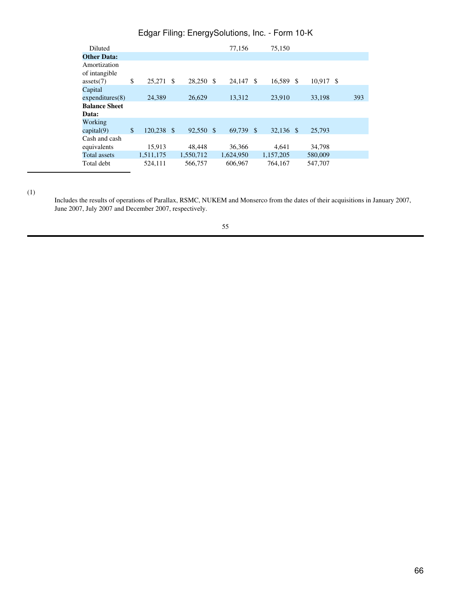| Diluted              |               |               |           | 77.156    |      | 75,150    |         |      |     |
|----------------------|---------------|---------------|-----------|-----------|------|-----------|---------|------|-----|
| <b>Other Data:</b>   |               |               |           |           |      |           |         |      |     |
| Amortization         |               |               |           |           |      |           |         |      |     |
| of intangible        |               |               |           |           |      |           |         |      |     |
| asserts(7)           | \$<br>25,271  | S             | 28,250 \$ | 24,147    | - \$ | 16,589 \$ | 10.917  | - \$ |     |
| Capital              |               |               |           |           |      |           |         |      |     |
| expenditures(8)      | 24.389        |               | 26,629    | 13,312    |      | 23,910    | 33,198  |      | 393 |
|                      |               |               |           |           |      |           |         |      |     |
| <b>Balance Sheet</b> |               |               |           |           |      |           |         |      |     |
| Data:                |               |               |           |           |      |           |         |      |     |
| Working              |               |               |           |           |      |           |         |      |     |
| capital(9)           | \$<br>120,238 | $\mathcal{S}$ | 92.550 \$ | 69.739 \$ |      | 32.136 \$ | 25,793  |      |     |
| Cash and cash        |               |               |           |           |      |           |         |      |     |
| equivalents          | 15,913        |               | 48.448    | 36,366    |      | 4.641     | 34,798  |      |     |
| <b>Total assets</b>  | 1,511,175     |               | 1,550,712 | 1,624,950 |      | 1,157,205 | 580,009 |      |     |
| Total debt           | 524,111       |               | 566,757   | 606,967   |      | 764.167   | 547,707 |      |     |

(1)

Includes the results of operations of Parallax, RSMC, NUKEM and Monserco from the dates of their acquisitions in January 2007, June 2007, July 2007 and December 2007, respectively.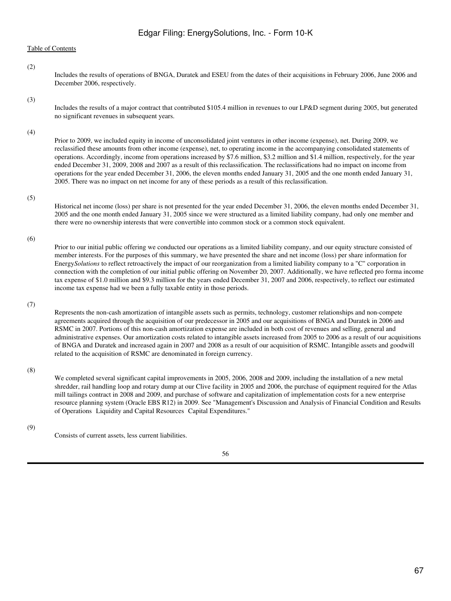Includes the results of operations of BNGA, Duratek and ESEU from the dates of their acquisitions in February 2006, June 2006 and December 2006, respectively.

(3)

(2)

Includes the results of a major contract that contributed \$105.4 million in revenues to our LP&D segment during 2005, but generated no significant revenues in subsequent years.

(4)

Prior to 2009, we included equity in income of unconsolidated joint ventures in other income (expense), net. During 2009, we reclassified these amounts from other income (expense), net, to operating income in the accompanying consolidated statements of operations. Accordingly, income from operations increased by \$7.6 million, \$3.2 million and \$1.4 million, respectively, for the year ended December 31, 2009, 2008 and 2007 as a result of this reclassification. The reclassifications had no impact on income from operations for the year ended December 31, 2006, the eleven months ended January 31, 2005 and the one month ended January 31, 2005. There was no impact on net income for any of these periods as a result of this reclassification.

# (5)

Historical net income (loss) per share is not presented for the year ended December 31, 2006, the eleven months ended December 31, 2005 and the one month ended January 31, 2005 since we were structured as a limited liability company, had only one member and there were no ownership interests that were convertible into common stock or a common stock equivalent.

(6)

Prior to our initial public offering we conducted our operations as a limited liability company, and our equity structure consisted of member interests. For the purposes of this summary, we have presented the share and net income (loss) per share information for Energy*Solutions* to reflect retroactively the impact of our reorganization from a limited liability company to a "C" corporation in connection with the completion of our initial public offering on November 20, 2007. Additionally, we have reflected pro forma income tax expense of \$1.0 million and \$9.3 million for the years ended December 31, 2007 and 2006, respectively, to reflect our estimated income tax expense had we been a fully taxable entity in those periods.

(7)

Represents the non-cash amortization of intangible assets such as permits, technology, customer relationships and non-compete agreements acquired through the acquisition of our predecessor in 2005 and our acquisitions of BNGA and Duratek in 2006 and RSMC in 2007. Portions of this non-cash amortization expense are included in both cost of revenues and selling, general and administrative expenses. Our amortization costs related to intangible assets increased from 2005 to 2006 as a result of our acquisitions of BNGA and Duratek and increased again in 2007 and 2008 as a result of our acquisition of RSMC. Intangible assets and goodwill related to the acquisition of RSMC are denominated in foreign currency.

(8)

We completed several significant capital improvements in 2005, 2006, 2008 and 2009, including the installation of a new metal shredder, rail handling loop and rotary dump at our Clive facility in 2005 and 2006, the purchase of equipment required for the Atlas mill tailings contract in 2008 and 2009, and purchase of software and capitalization of implementation costs for a new enterprise resource planning system (Oracle EBS R12) in 2009. See "Management's Discussion and Analysis of Financial Condition and Results of Operations Liquidity and Capital Resources Capital Expenditures."

(9)

Consists of current assets, less current liabilities.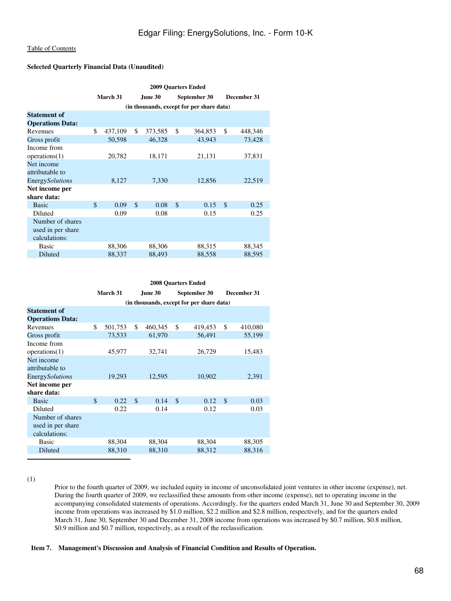# **Selected Quarterly Financial Data (Unaudited)**

|                         | <b>2009 Quarters Ended</b>                |          |    |                |               |              |               |         |  |  |  |  |
|-------------------------|-------------------------------------------|----------|----|----------------|---------------|--------------|---------------|---------|--|--|--|--|
|                         |                                           | March 31 |    | <b>June 30</b> |               | September 30 | December 31   |         |  |  |  |  |
|                         | (in thousands, except for per share data) |          |    |                |               |              |               |         |  |  |  |  |
| <b>Statement of</b>     |                                           |          |    |                |               |              |               |         |  |  |  |  |
| <b>Operations Data:</b> |                                           |          |    |                |               |              |               |         |  |  |  |  |
| Revenues                | \$                                        | 437,109  | \$ | 373,585        | \$            | 364,853      | \$            | 448,346 |  |  |  |  |
| Gross profit            |                                           | 50,598   |    | 46,328         |               | 43,943       |               | 73,428  |  |  |  |  |
| Income from             |                                           |          |    |                |               |              |               |         |  |  |  |  |
| operations(1)           |                                           | 20,782   |    | 18,171         |               | 21,131       |               | 37,831  |  |  |  |  |
| Net income              |                                           |          |    |                |               |              |               |         |  |  |  |  |
| attributable to         |                                           |          |    |                |               |              |               |         |  |  |  |  |
| <b>Energy</b> Solutions |                                           | 8,127    |    | 7,330          |               | 12,856       |               | 22,519  |  |  |  |  |
| Net income per          |                                           |          |    |                |               |              |               |         |  |  |  |  |
| share data:             |                                           |          |    |                |               |              |               |         |  |  |  |  |
| <b>Basic</b>            | \$                                        | 0.09     | \$ | 0.08           | $\mathcal{S}$ | 0.15         | $\mathcal{S}$ | 0.25    |  |  |  |  |
| Diluted                 |                                           | 0.09     |    | 0.08           |               | 0.15         |               | 0.25    |  |  |  |  |
| Number of shares        |                                           |          |    |                |               |              |               |         |  |  |  |  |
| used in per share       |                                           |          |    |                |               |              |               |         |  |  |  |  |
| calculations:           |                                           |          |    |                |               |              |               |         |  |  |  |  |
| <b>Basic</b>            |                                           | 88,306   |    | 88,306         |               | 88,315       |               | 88,345  |  |  |  |  |
| Diluted                 |                                           | 88,337   |    | 88,493         |               | 88,558       |               | 88,595  |  |  |  |  |

|                         | <b>2008 Ouarters Ended</b>                |         |    |         |               |              |               |             |  |  |  |  |
|-------------------------|-------------------------------------------|---------|----|---------|---------------|--------------|---------------|-------------|--|--|--|--|
|                         | March 31                                  |         |    | June 30 |               | September 30 |               | December 31 |  |  |  |  |
|                         | (in thousands, except for per share data) |         |    |         |               |              |               |             |  |  |  |  |
| <b>Statement of</b>     |                                           |         |    |         |               |              |               |             |  |  |  |  |
| <b>Operations Data:</b> |                                           |         |    |         |               |              |               |             |  |  |  |  |
| Revenues                | \$                                        | 501,753 | \$ | 460,345 | \$            | 419,453      | \$            | 410,080     |  |  |  |  |
| Gross profit            |                                           | 73,533  |    | 61,970  |               | 56,491       |               | 55,199      |  |  |  |  |
| Income from             |                                           |         |    |         |               |              |               |             |  |  |  |  |
| operations(1)           |                                           | 45,977  |    | 32,741  |               | 26,729       |               | 15,483      |  |  |  |  |
| Net income              |                                           |         |    |         |               |              |               |             |  |  |  |  |
| attributable to         |                                           |         |    |         |               |              |               |             |  |  |  |  |
| <b>Energy</b> Solutions |                                           | 19,293  |    | 12,595  |               | 10,902       |               | 2,391       |  |  |  |  |
| Net income per          |                                           |         |    |         |               |              |               |             |  |  |  |  |
| share data:             |                                           |         |    |         |               |              |               |             |  |  |  |  |
| <b>Basic</b>            | \$                                        | 0.22    | \$ | 0.14    | $\mathcal{S}$ | 0.12         | $\mathcal{S}$ | 0.03        |  |  |  |  |
| Diluted                 |                                           | 0.22    |    | 0.14    |               | 0.12         |               | 0.03        |  |  |  |  |
| Number of shares        |                                           |         |    |         |               |              |               |             |  |  |  |  |
| used in per share       |                                           |         |    |         |               |              |               |             |  |  |  |  |
| calculations:           |                                           |         |    |         |               |              |               |             |  |  |  |  |
| Basic                   |                                           | 88,304  |    | 88,304  |               | 88,304       |               | 88,305      |  |  |  |  |
| Diluted                 |                                           | 88,310  |    | 88,310  |               | 88,312       |               | 88,316      |  |  |  |  |

(1)

Prior to the fourth quarter of 2009, we included equity in income of unconsolidated joint ventures in other income (expense), net. During the fourth quarter of 2009, we reclassified these amounts from other income (expense), net to operating income in the accompanying consolidated statements of operations. Accordingly, for the quarters ended March 31, June 30 and September 30, 2009 income from operations was increased by \$1.0 million, \$2.2 million and \$2.8 million, respectively, and for the quarters ended March 31, June 30, September 30 and December 31, 2008 income from operations was increased by \$0.7 million, \$0.8 million, \$0.9 million and \$0.7 million, respectively, as a result of the reclassification.

#### **Item 7. Management's Discussion and Analysis of Financial Condition and Results of Operation.**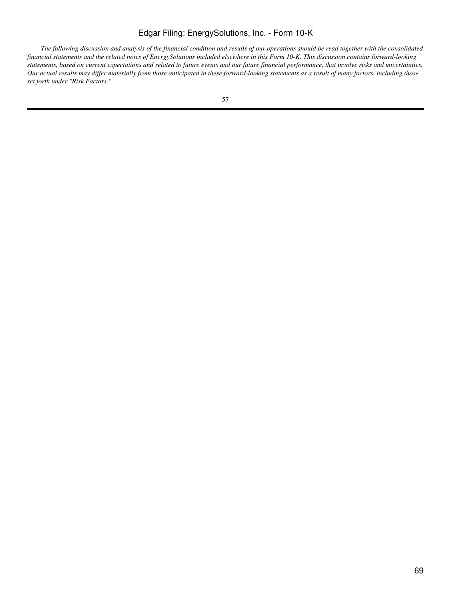*The following discussion and analysis of the financial condition and results of our operations should be read together with the consolidated financial statements and the related notes of EnergySolutions included elsewhere in this Form 10-K. This discussion contains forward-looking statements, based on current expectations and related to future events and our future financial performance, that involve risks and uncertainties. Our actual results may differ materially from those anticipated in these forward-looking statements as a result of many factors, including those set forth under "Risk Factors."*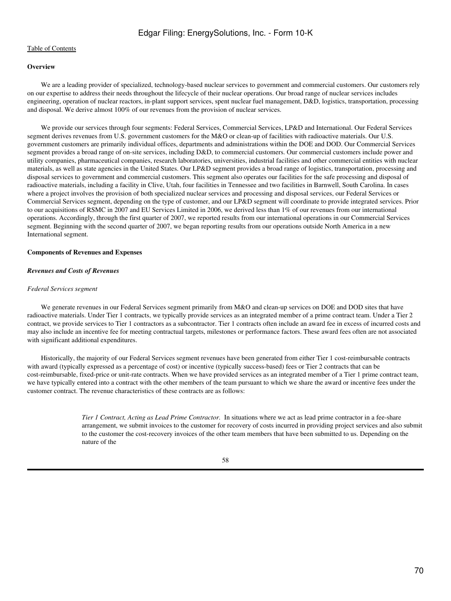### [Table of Contents](#page-2-0)

# **Overview**

 We are a leading provider of specialized, technology-based nuclear services to government and commercial customers. Our customers rely on our expertise to address their needs throughout the lifecycle of their nuclear operations. Our broad range of nuclear services includes engineering, operation of nuclear reactors, in-plant support services, spent nuclear fuel management, D&D, logistics, transportation, processing and disposal. We derive almost 100% of our revenues from the provision of nuclear services.

We provide our services through four segments: Federal Services, Commercial Services, LP&D and International. Our Federal Services segment derives revenues from U.S. government customers for the M&O or clean-up of facilities with radioactive materials. Our U.S. government customers are primarily individual offices, departments and administrations within the DOE and DOD. Our Commercial Services segment provides a broad range of on-site services, including D&D, to commercial customers. Our commercial customers include power and utility companies, pharmaceutical companies, research laboratories, universities, industrial facilities and other commercial entities with nuclear materials, as well as state agencies in the United States. Our LP&D segment provides a broad range of logistics, transportation, processing and disposal services to government and commercial customers. This segment also operates our facilities for the safe processing and disposal of radioactive materials, including a facility in Clive, Utah, four facilities in Tennessee and two facilities in Barnwell, South Carolina. In cases where a project involves the provision of both specialized nuclear services and processing and disposal services, our Federal Services or Commercial Services segment, depending on the type of customer, and our LP&D segment will coordinate to provide integrated services. Prior to our acquisitions of RSMC in 2007 and EU Services Limited in 2006, we derived less than 1% of our revenues from our international operations. Accordingly, through the first quarter of 2007, we reported results from our international operations in our Commercial Services segment. Beginning with the second quarter of 2007, we began reporting results from our operations outside North America in a new International segment.

#### **Components of Revenues and Expenses**

# *Revenues and Costs of Revenues*

#### *Federal Services segment*

We generate revenues in our Federal Services segment primarily from M&O and clean-up services on DOE and DOD sites that have radioactive materials. Under Tier 1 contracts, we typically provide services as an integrated member of a prime contract team. Under a Tier 2 contract, we provide services to Tier 1 contractors as a subcontractor. Tier 1 contracts often include an award fee in excess of incurred costs and may also include an incentive fee for meeting contractual targets, milestones or performance factors. These award fees often are not associated with significant additional expenditures.

 Historically, the majority of our Federal Services segment revenues have been generated from either Tier 1 cost-reimbursable contracts with award (typically expressed as a percentage of cost) or incentive (typically success-based) fees or Tier 2 contracts that can be cost-reimbursable, fixed-price or unit-rate contracts. When we have provided services as an integrated member of a Tier 1 prime contract team, we have typically entered into a contract with the other members of the team pursuant to which we share the award or incentive fees under the customer contract. The revenue characteristics of these contracts are as follows:

> *Tier 1 Contract, Acting as Lead Prime Contractor.* In situations where we act as lead prime contractor in a fee-share arrangement, we submit invoices to the customer for recovery of costs incurred in providing project services and also submit to the customer the cost-recovery invoices of the other team members that have been submitted to us. Depending on the nature of the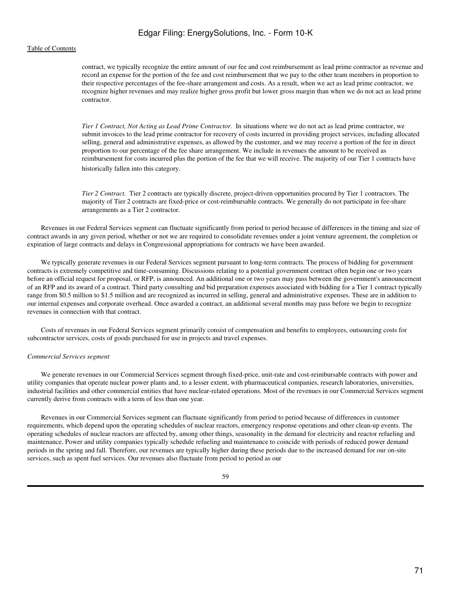contract, we typically recognize the entire amount of our fee and cost reimbursement as lead prime contractor as revenue and record an expense for the portion of the fee and cost reimbursement that we pay to the other team members in proportion to their respective percentages of the fee-share arrangement and costs. As a result, when we act as lead prime contractor, we recognize higher revenues and may realize higher gross profit but lower gross margin than when we do not act as lead prime contractor.

*Tier 1 Contract, Not Acting as Lead Prime Contractor.* In situations where we do not act as lead prime contractor, we submit invoices to the lead prime contractor for recovery of costs incurred in providing project services, including allocated selling, general and administrative expenses, as allowed by the customer, and we may receive a portion of the fee in direct proportion to our percentage of the fee share arrangement. We include in revenues the amount to be received as reimbursement for costs incurred plus the portion of the fee that we will receive. The majority of our Tier 1 contracts have historically fallen into this category.

*Tier 2 Contract.* Tier 2 contracts are typically discrete, project-driven opportunities procured by Tier 1 contractors. The majority of Tier 2 contracts are fixed-price or cost-reimbursable contracts. We generally do not participate in fee-share arrangements as a Tier 2 contractor.

 Revenues in our Federal Services segment can fluctuate significantly from period to period because of differences in the timing and size of contract awards in any given period, whether or not we are required to consolidate revenues under a joint venture agreement, the completion or expiration of large contracts and delays in Congressional appropriations for contracts we have been awarded.

 We typically generate revenues in our Federal Services segment pursuant to long-term contracts. The process of bidding for government contracts is extremely competitive and time-consuming. Discussions relating to a potential government contract often begin one or two years before an official request for proposal, or RFP, is announced. An additional one or two years may pass between the government's announcement of an RFP and its award of a contract. Third party consulting and bid preparation expenses associated with bidding for a Tier 1 contract typically range from \$0.5 million to \$1.5 million and are recognized as incurred in selling, general and administrative expenses. These are in addition to our internal expenses and corporate overhead. Once awarded a contract, an additional several months may pass before we begin to recognize revenues in connection with that contract.

 Costs of revenues in our Federal Services segment primarily consist of compensation and benefits to employees, outsourcing costs for subcontractor services, costs of goods purchased for use in projects and travel expenses.

#### *Commercial Services segment*

 We generate revenues in our Commercial Services segment through fixed-price, unit-rate and cost-reimbursable contracts with power and utility companies that operate nuclear power plants and, to a lesser extent, with pharmaceutical companies, research laboratories, universities, industrial facilities and other commercial entities that have nuclear-related operations. Most of the revenues in our Commercial Services segment currently derive from contracts with a term of less than one year.

 Revenues in our Commercial Services segment can fluctuate significantly from period to period because of differences in customer requirements, which depend upon the operating schedules of nuclear reactors, emergency response operations and other clean-up events. The operating schedules of nuclear reactors are affected by, among other things, seasonality in the demand for electricity and reactor refueling and maintenance. Power and utility companies typically schedule refueling and maintenance to coincide with periods of reduced power demand periods in the spring and fall. Therefore, our revenues are typically higher during these periods due to the increased demand for our on-site services, such as spent fuel services. Our revenues also fluctuate from period to period as our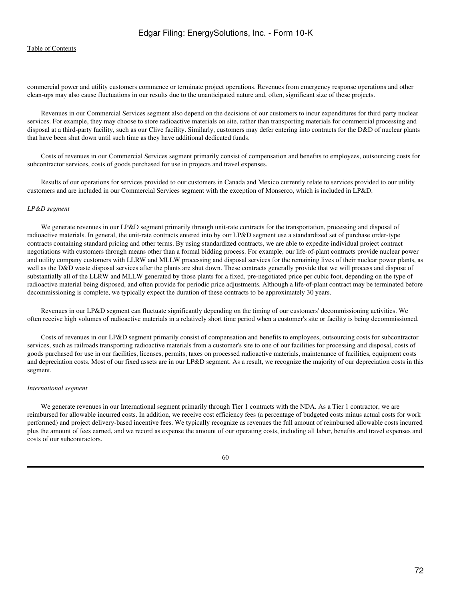commercial power and utility customers commence or terminate project operations. Revenues from emergency response operations and other clean-ups may also cause fluctuations in our results due to the unanticipated nature and, often, significant size of these projects.

 Revenues in our Commercial Services segment also depend on the decisions of our customers to incur expenditures for third party nuclear services. For example, they may choose to store radioactive materials on site, rather than transporting materials for commercial processing and disposal at a third-party facility, such as our Clive facility. Similarly, customers may defer entering into contracts for the D&D of nuclear plants that have been shut down until such time as they have additional dedicated funds.

 Costs of revenues in our Commercial Services segment primarily consist of compensation and benefits to employees, outsourcing costs for subcontractor services, costs of goods purchased for use in projects and travel expenses.

 Results of our operations for services provided to our customers in Canada and Mexico currently relate to services provided to our utility customers and are included in our Commercial Services segment with the exception of Monserco, which is included in LP&D.

#### *LP&D segment*

We generate revenues in our LP&D segment primarily through unit-rate contracts for the transportation, processing and disposal of radioactive materials. In general, the unit-rate contracts entered into by our LP&D segment use a standardized set of purchase order-type contracts containing standard pricing and other terms. By using standardized contracts, we are able to expedite individual project contract negotiations with customers through means other than a formal bidding process. For example, our life-of-plant contracts provide nuclear power and utility company customers with LLRW and MLLW processing and disposal services for the remaining lives of their nuclear power plants, as well as the D&D waste disposal services after the plants are shut down. These contracts generally provide that we will process and dispose of substantially all of the LLRW and MLLW generated by those plants for a fixed, pre-negotiated price per cubic foot, depending on the type of radioactive material being disposed, and often provide for periodic price adjustments. Although a life-of-plant contract may be terminated before decommissioning is complete, we typically expect the duration of these contracts to be approximately 30 years.

 Revenues in our LP&D segment can fluctuate significantly depending on the timing of our customers' decommissioning activities. We often receive high volumes of radioactive materials in a relatively short time period when a customer's site or facility is being decommissioned.

 Costs of revenues in our LP&D segment primarily consist of compensation and benefits to employees, outsourcing costs for subcontractor services, such as railroads transporting radioactive materials from a customer's site to one of our facilities for processing and disposal, costs of goods purchased for use in our facilities, licenses, permits, taxes on processed radioactive materials, maintenance of facilities, equipment costs and depreciation costs. Most of our fixed assets are in our LP&D segment. As a result, we recognize the majority of our depreciation costs in this segment.

#### *International segment*

We generate revenues in our International segment primarily through Tier 1 contracts with the NDA. As a Tier 1 contractor, we are reimbursed for allowable incurred costs. In addition, we receive cost efficiency fees (a percentage of budgeted costs minus actual costs for work performed) and project delivery-based incentive fees. We typically recognize as revenues the full amount of reimbursed allowable costs incurred plus the amount of fees earned, and we record as expense the amount of our operating costs, including all labor, benefits and travel expenses and costs of our subcontractors.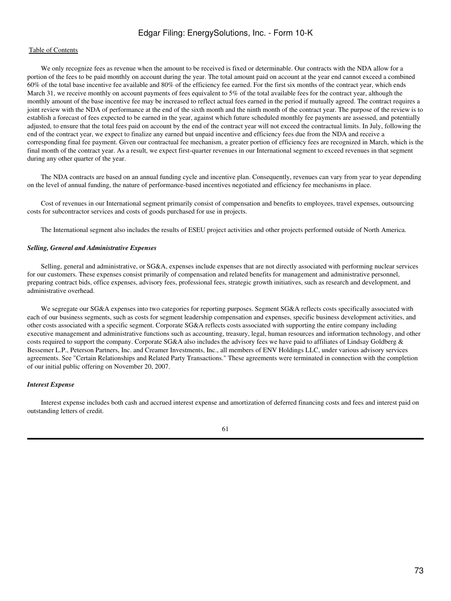We only recognize fees as revenue when the amount to be received is fixed or determinable. Our contracts with the NDA allow for a portion of the fees to be paid monthly on account during the year. The total amount paid on account at the year end cannot exceed a combined 60% of the total base incentive fee available and 80% of the efficiency fee earned. For the first six months of the contract year, which ends March 31, we receive monthly on account payments of fees equivalent to 5% of the total available fees for the contract year, although the monthly amount of the base incentive fee may be increased to reflect actual fees earned in the period if mutually agreed. The contract requires a joint review with the NDA of performance at the end of the sixth month and the ninth month of the contract year. The purpose of the review is to establish a forecast of fees expected to be earned in the year, against which future scheduled monthly fee payments are assessed, and potentially adjusted, to ensure that the total fees paid on account by the end of the contract year will not exceed the contractual limits. In July, following the end of the contract year, we expect to finalize any earned but unpaid incentive and efficiency fees due from the NDA and receive a corresponding final fee payment. Given our contractual fee mechanism, a greater portion of efficiency fees are recognized in March, which is the final month of the contract year. As a result, we expect first-quarter revenues in our International segment to exceed revenues in that segment during any other quarter of the year.

 The NDA contracts are based on an annual funding cycle and incentive plan. Consequently, revenues can vary from year to year depending on the level of annual funding, the nature of performance-based incentives negotiated and efficiency fee mechanisms in place.

 Cost of revenues in our International segment primarily consist of compensation and benefits to employees, travel expenses, outsourcing costs for subcontractor services and costs of goods purchased for use in projects.

The International segment also includes the results of ESEU project activities and other projects performed outside of North America.

#### *Selling, General and Administrative Expenses*

 Selling, general and administrative, or SG&A, expenses include expenses that are not directly associated with performing nuclear services for our customers. These expenses consist primarily of compensation and related benefits for management and administrative personnel, preparing contract bids, office expenses, advisory fees, professional fees, strategic growth initiatives, such as research and development, and administrative overhead.

 We segregate our SG&A expenses into two categories for reporting purposes. Segment SG&A reflects costs specifically associated with each of our business segments, such as costs for segment leadership compensation and expenses, specific business development activities, and other costs associated with a specific segment. Corporate SG&A reflects costs associated with supporting the entire company including executive management and administrative functions such as accounting, treasury, legal, human resources and information technology, and other costs required to support the company. Corporate SG&A also includes the advisory fees we have paid to affiliates of Lindsay Goldberg & Bessemer L.P., Peterson Partners, Inc. and Creamer Investments, Inc., all members of ENV Holdings LLC, under various advisory services agreements. See "Certain Relationships and Related Party Transactions." These agreements were terminated in connection with the completion of our initial public offering on November 20, 2007.

#### *Interest Expense*

 Interest expense includes both cash and accrued interest expense and amortization of deferred financing costs and fees and interest paid on outstanding letters of credit.

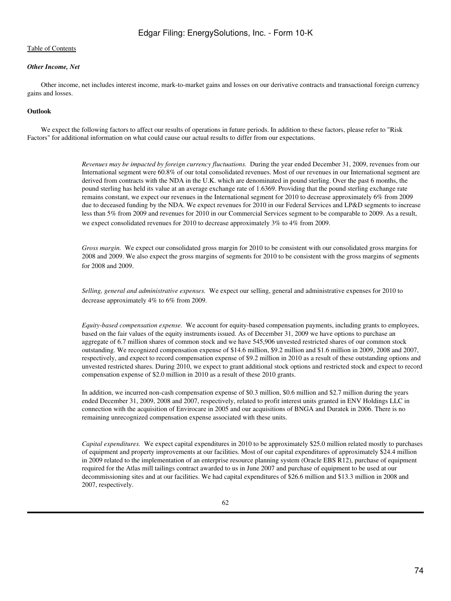## *Other Income, Net*

 Other income, net includes interest income, mark-to-market gains and losses on our derivative contracts and transactional foreign currency gains and losses.

## **Outlook**

 We expect the following factors to affect our results of operations in future periods. In addition to these factors, please refer to "Risk Factors" for additional information on what could cause our actual results to differ from our expectations.

> *Revenues may be impacted by foreign currency fluctuations.* During the year ended December 31, 2009, revenues from our International segment were 60.8% of our total consolidated revenues. Most of our revenues in our International segment are derived from contracts with the NDA in the U.K. which are denominated in pound sterling. Over the past 6 months, the pound sterling has held its value at an average exchange rate of 1.6369. Providing that the pound sterling exchange rate remains constant, we expect our revenues in the International segment for 2010 to decrease approximately 6% from 2009 due to deceased funding by the NDA. We expect revenues for 2010 in our Federal Services and LP&D segments to increase less than 5% from 2009 and revenues for 2010 in our Commercial Services segment to be comparable to 2009. As a result, we expect consolidated revenues for 2010 to decrease approximately 3% to 4% from 2009.

> *Gross margin.* We expect our consolidated gross margin for 2010 to be consistent with our consolidated gross margins for 2008 and 2009. We also expect the gross margins of segments for 2010 to be consistent with the gross margins of segments for 2008 and 2009.

*Selling, general and administrative expenses.* We expect our selling, general and administrative expenses for 2010 to decrease approximately 4% to 6% from 2009.

*Equity-based compensation expense.* We account for equity-based compensation payments, including grants to employees, based on the fair values of the equity instruments issued. As of December 31, 2009 we have options to purchase an aggregate of 6.7 million shares of common stock and we have 545,906 unvested restricted shares of our common stock outstanding. We recognized compensation expense of \$14.6 million, \$9.2 million and \$1.6 million in 2009, 2008 and 2007, respectively, and expect to record compensation expense of \$9.2 million in 2010 as a result of these outstanding options and unvested restricted shares. During 2010, we expect to grant additional stock options and restricted stock and expect to record compensation expense of \$2.0 million in 2010 as a result of these 2010 grants.

In addition, we incurred non-cash compensation expense of \$0.3 million, \$0.6 million and \$2.7 million during the years ended December 31, 2009, 2008 and 2007, respectively, related to profit interest units granted in ENV Holdings LLC in connection with the acquisition of Envirocare in 2005 and our acquisitions of BNGA and Duratek in 2006. There is no remaining unrecognized compensation expense associated with these units.

*Capital expenditures.* We expect capital expenditures in 2010 to be approximately \$25.0 million related mostly to purchases of equipment and property improvements at our facilities. Most of our capital expenditures of approximately \$24.4 million in 2009 related to the implementation of an enterprise resource planning system (Oracle EBS R12), purchase of equipment required for the Atlas mill tailings contract awarded to us in June 2007 and purchase of equipment to be used at our decommissioning sites and at our facilities. We had capital expenditures of \$26.6 million and \$13.3 million in 2008 and 2007, respectively.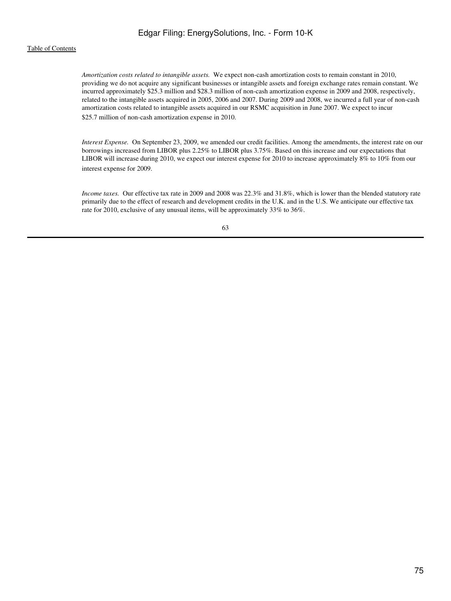## [Table of Contents](#page-2-0)

*Amortization costs related to intangible assets.* We expect non-cash amortization costs to remain constant in 2010, providing we do not acquire any significant businesses or intangible assets and foreign exchange rates remain constant. We incurred approximately \$25.3 million and \$28.3 million of non-cash amortization expense in 2009 and 2008, respectively, related to the intangible assets acquired in 2005, 2006 and 2007. During 2009 and 2008, we incurred a full year of non-cash amortization costs related to intangible assets acquired in our RSMC acquisition in June 2007. We expect to incur \$25.7 million of non-cash amortization expense in 2010.

*Interest Expense.* On September 23, 2009, we amended our credit facilities. Among the amendments, the interest rate on our borrowings increased from LIBOR plus 2.25% to LIBOR plus 3.75%. Based on this increase and our expectations that LIBOR will increase during 2010, we expect our interest expense for 2010 to increase approximately 8% to 10% from our interest expense for 2009.

*Income taxes.* Our effective tax rate in 2009 and 2008 was 22.3% and 31.8%, which is lower than the blended statutory rate primarily due to the effect of research and development credits in the U.K. and in the U.S. We anticipate our effective tax rate for 2010, exclusive of any unusual items, will be approximately 33% to 36%.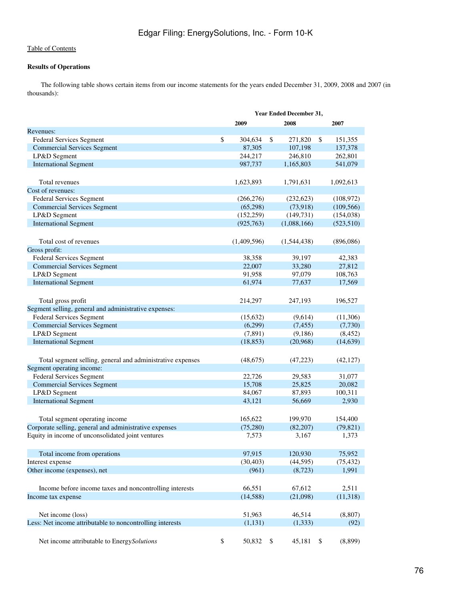## **Results of Operations**

 The following table shows certain items from our income statements for the years ended December 31, 2009, 2008 and 2007 (in thousands):

|                                                            | Year Ended December 31, |      |                     |    |                     |
|------------------------------------------------------------|-------------------------|------|---------------------|----|---------------------|
|                                                            | 2009                    |      | 2008                |    | 2007                |
| Revenues:                                                  |                         |      |                     |    |                     |
| Federal Services Segment                                   | \$<br>304,634           | \$   | 271,820             | \$ | 151,355             |
| <b>Commercial Services Segment</b>                         | 87,305                  |      | 107,198             |    | 137,378             |
| LP&D Segment                                               | 244,217                 |      | 246,810             |    | 262,801             |
| <b>International Segment</b>                               | 987,737                 |      | 1,165,803           |    | 541,079             |
|                                                            |                         |      |                     |    |                     |
| Total revenues                                             | 1,623,893               |      | 1,791,631           |    | 1,092,613           |
| Cost of revenues:                                          |                         |      |                     |    |                     |
| Federal Services Segment                                   | (266, 276)              |      | (232, 623)          |    | (108, 972)          |
| <b>Commercial Services Segment</b>                         | (65,298)                |      | (73,918)            |    | (109, 566)          |
| LP&D Segment                                               | (152, 259)              |      | (149, 731)          |    | (154, 038)          |
| <b>International Segment</b>                               | (925, 763)              |      | (1,088,166)         |    | (523, 510)          |
|                                                            |                         |      |                     |    |                     |
| Total cost of revenues                                     | (1,409,596)             |      | (1,544,438)         |    | (896,086)           |
| Gross profit:                                              |                         |      |                     |    |                     |
| <b>Federal Services Segment</b>                            | 38,358                  |      | 39,197              |    | 42,383              |
| <b>Commercial Services Segment</b>                         | 22,007                  |      | 33,280              |    | 27,812              |
| LP&D Segment                                               | 91,958                  |      | 97,079              |    | 108,763             |
| <b>International Segment</b>                               | 61,974                  |      | 77,637              |    | 17,569              |
|                                                            |                         |      |                     |    |                     |
| Total gross profit                                         | 214,297                 |      | 247,193             |    | 196,527             |
| Segment selling, general and administrative expenses:      |                         |      |                     |    |                     |
| <b>Federal Services Segment</b>                            | (15,632)                |      |                     |    |                     |
| <b>Commercial Services Segment</b>                         | (6,299)                 |      | (9,614)<br>(7, 455) |    | (11,306)<br>(7,730) |
| LP&D Segment                                               | (7, 891)                |      | (9,186)             |    | (8, 452)            |
| <b>International Segment</b>                               | (18, 853)               |      |                     |    |                     |
|                                                            |                         |      | (20,968)            |    | (14, 639)           |
|                                                            |                         |      |                     |    |                     |
| Total segment selling, general and administrative expenses | (48,675)                |      | (47,223)            |    | (42, 127)           |
| Segment operating income:                                  |                         |      |                     |    |                     |
| <b>Federal Services Segment</b>                            | 22,726                  |      | 29,583              |    | 31,077              |
| <b>Commercial Services Segment</b>                         | 15,708                  |      | 25,825              |    | 20,082              |
| LP&D Segment                                               | 84,067                  |      | 87,893              |    | 100,311             |
| <b>International Segment</b>                               | 43,121                  |      | 56,669              |    | 2,930               |
|                                                            |                         |      |                     |    |                     |
| Total segment operating income                             | 165,622                 |      | 199,970             |    | 154,400             |
| Corporate selling, general and administrative expenses     | (75,280)                |      | (82, 207)           |    | (79, 821)           |
| Equity in income of unconsolidated joint ventures          | 7,573                   |      | 3,167               |    | 1,373               |
|                                                            |                         |      |                     |    |                     |
| Total income from operations                               | 97,915                  |      | 120,930             |    | 75,952              |
| Interest expense                                           | (30, 403)               |      | (44, 595)           |    | (75, 432)           |
| Other income (expenses), net                               | (961)                   |      | (8,723)             |    | 1,991               |
|                                                            |                         |      |                     |    |                     |
| Income before income taxes and noncontrolling interests    | 66,551                  |      | 67,612              |    | 2,511               |
| Income tax expense                                         | (14, 588)               |      | (21,098)            |    | (11,318)            |
|                                                            |                         |      |                     |    |                     |
|                                                            |                         |      |                     |    |                     |
| Net income (loss)                                          | 51,963                  |      | 46,514              |    | (8,807)             |
| Less: Net income attributable to noncontrolling interests  | (1, 131)                |      | (1, 333)            |    | (92)                |
|                                                            |                         |      |                     |    |                     |
| Net income attributable to EnergySolutions                 | \$<br>50,832            | - \$ | 45,181              | \$ | (8,899)             |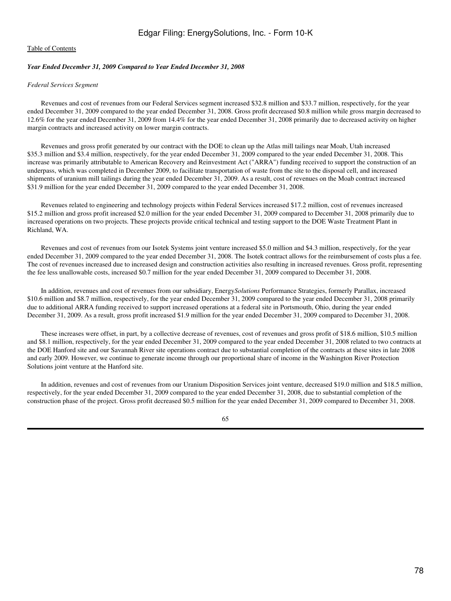## *Year Ended December 31, 2009 Compared to Year Ended December 31, 2008*

## *Federal Services Segment*

 Revenues and cost of revenues from our Federal Services segment increased \$32.8 million and \$33.7 million, respectively, for the year ended December 31, 2009 compared to the year ended December 31, 2008. Gross profit decreased \$0.8 million while gross margin decreased to 12.6% for the year ended December 31, 2009 from 14.4% for the year ended December 31, 2008 primarily due to decreased activity on higher margin contracts and increased activity on lower margin contracts.

 Revenues and gross profit generated by our contract with the DOE to clean up the Atlas mill tailings near Moab, Utah increased \$35.3 million and \$3.4 million, respectively, for the year ended December 31, 2009 compared to the year ended December 31, 2008. This increase was primarily attributable to American Recovery and Reinvestment Act ("ARRA") funding received to support the construction of an underpass, which was completed in December 2009, to facilitate transportation of waste from the site to the disposal cell, and increased shipments of uranium mill tailings during the year ended December 31, 2009. As a result, cost of revenues on the Moab contract increased \$31.9 million for the year ended December 31, 2009 compared to the year ended December 31, 2008.

 Revenues related to engineering and technology projects within Federal Services increased \$17.2 million, cost of revenues increased \$15.2 million and gross profit increased \$2.0 million for the year ended December 31, 2009 compared to December 31, 2008 primarily due to increased operations on two projects. These projects provide critical technical and testing support to the DOE Waste Treatment Plant in Richland, WA.

 Revenues and cost of revenues from our Isotek Systems joint venture increased \$5.0 million and \$4.3 million, respectively, for the year ended December 31, 2009 compared to the year ended December 31, 2008. The Isotek contract allows for the reimbursement of costs plus a fee. The cost of revenues increased due to increased design and construction activities also resulting in increased revenues. Gross profit, representing the fee less unallowable costs, increased \$0.7 million for the year ended December 31, 2009 compared to December 31, 2008.

 In addition, revenues and cost of revenues from our subsidiary, Energy*Solutions* Performance Strategies, formerly Parallax, increased \$10.6 million and \$8.7 million, respectively, for the year ended December 31, 2009 compared to the year ended December 31, 2008 primarily due to additional ARRA funding received to support increased operations at a federal site in Portsmouth, Ohio, during the year ended December 31, 2009. As a result, gross profit increased \$1.9 million for the year ended December 31, 2009 compared to December 31, 2008.

 These increases were offset, in part, by a collective decrease of revenues, cost of revenues and gross profit of \$18.6 million, \$10.5 million and \$8.1 million, respectively, for the year ended December 31, 2009 compared to the year ended December 31, 2008 related to two contracts at the DOE Hanford site and our Savannah River site operations contract due to substantial completion of the contracts at these sites in late 2008 and early 2009. However, we continue to generate income through our proportional share of income in the Washington River Protection Solutions joint venture at the Hanford site.

 In addition, revenues and cost of revenues from our Uranium Disposition Services joint venture, decreased \$19.0 million and \$18.5 million, respectively, for the year ended December 31, 2009 compared to the year ended December 31, 2008, due to substantial completion of the construction phase of the project. Gross profit decreased \$0.5 million for the year ended December 31, 2009 compared to December 31, 2008.

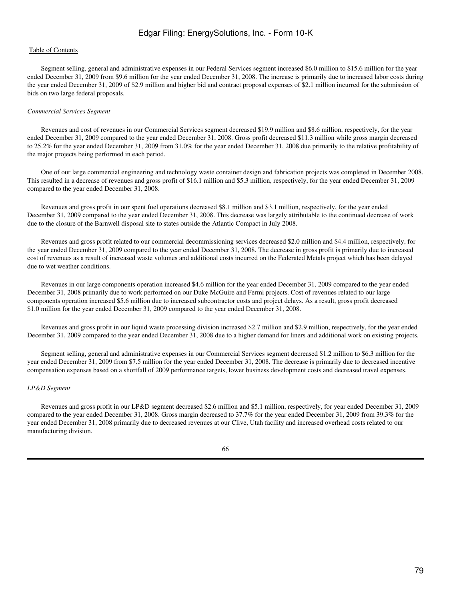## [Table of Contents](#page-2-0)

 Segment selling, general and administrative expenses in our Federal Services segment increased \$6.0 million to \$15.6 million for the year ended December 31, 2009 from \$9.6 million for the year ended December 31, 2008. The increase is primarily due to increased labor costs during the year ended December 31, 2009 of \$2.9 million and higher bid and contract proposal expenses of \$2.1 million incurred for the submission of bids on two large federal proposals.

#### *Commercial Services Segment*

 Revenues and cost of revenues in our Commercial Services segment decreased \$19.9 million and \$8.6 million, respectively, for the year ended December 31, 2009 compared to the year ended December 31, 2008. Gross profit decreased \$11.3 million while gross margin decreased to 25.2% for the year ended December 31, 2009 from 31.0% for the year ended December 31, 2008 due primarily to the relative profitability of the major projects being performed in each period.

 One of our large commercial engineering and technology waste container design and fabrication projects was completed in December 2008. This resulted in a decrease of revenues and gross profit of \$16.1 million and \$5.3 million, respectively, for the year ended December 31, 2009 compared to the year ended December 31, 2008.

 Revenues and gross profit in our spent fuel operations decreased \$8.1 million and \$3.1 million, respectively, for the year ended December 31, 2009 compared to the year ended December 31, 2008. This decrease was largely attributable to the continued decrease of work due to the closure of the Barnwell disposal site to states outside the Atlantic Compact in July 2008.

 Revenues and gross profit related to our commercial decommissioning services decreased \$2.0 million and \$4.4 million, respectively, for the year ended December 31, 2009 compared to the year ended December 31, 2008. The decrease in gross profit is primarily due to increased cost of revenues as a result of increased waste volumes and additional costs incurred on the Federated Metals project which has been delayed due to wet weather conditions.

 Revenues in our large components operation increased \$4.6 million for the year ended December 31, 2009 compared to the year ended December 31, 2008 primarily due to work performed on our Duke McGuire and Fermi projects. Cost of revenues related to our large components operation increased \$5.6 million due to increased subcontractor costs and project delays. As a result, gross profit decreased \$1.0 million for the year ended December 31, 2009 compared to the year ended December 31, 2008.

 Revenues and gross profit in our liquid waste processing division increased \$2.7 million and \$2.9 million, respectively, for the year ended December 31, 2009 compared to the year ended December 31, 2008 due to a higher demand for liners and additional work on existing projects.

 Segment selling, general and administrative expenses in our Commercial Services segment decreased \$1.2 million to \$6.3 million for the year ended December 31, 2009 from \$7.5 million for the year ended December 31, 2008. The decrease is primarily due to decreased incentive compensation expenses based on a shortfall of 2009 performance targets, lower business development costs and decreased travel expenses.

#### *LP&D Segment*

 Revenues and gross profit in our LP&D segment decreased \$2.6 million and \$5.1 million, respectively, for year ended December 31, 2009 compared to the year ended December 31, 2008. Gross margin decreased to 37.7% for the year ended December 31, 2009 from 39.3% for the year ended December 31, 2008 primarily due to decreased revenues at our Clive, Utah facility and increased overhead costs related to our manufacturing division.

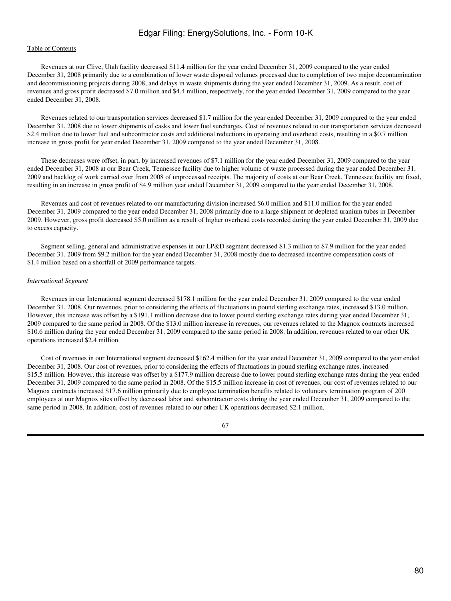## [Table of Contents](#page-2-0)

 Revenues at our Clive, Utah facility decreased \$11.4 million for the year ended December 31, 2009 compared to the year ended December 31, 2008 primarily due to a combination of lower waste disposal volumes processed due to completion of two major decontamination and decommissioning projects during 2008, and delays in waste shipments during the year ended December 31, 2009. As a result, cost of revenues and gross profit decreased \$7.0 million and \$4.4 million, respectively, for the year ended December 31, 2009 compared to the year ended December 31, 2008.

 Revenues related to our transportation services decreased \$1.7 million for the year ended December 31, 2009 compared to the year ended December 31, 2008 due to lower shipments of casks and lower fuel surcharges. Cost of revenues related to our transportation services decreased \$2.4 million due to lower fuel and subcontractor costs and additional reductions in operating and overhead costs, resulting in a \$0.7 million increase in gross profit for year ended December 31, 2009 compared to the year ended December 31, 2008.

 These decreases were offset, in part, by increased revenues of \$7.1 million for the year ended December 31, 2009 compared to the year ended December 31, 2008 at our Bear Creek, Tennessee facility due to higher volume of waste processed during the year ended December 31, 2009 and backlog of work carried over from 2008 of unprocessed receipts. The majority of costs at our Bear Creek, Tennessee facility are fixed, resulting in an increase in gross profit of \$4.9 million year ended December 31, 2009 compared to the year ended December 31, 2008.

 Revenues and cost of revenues related to our manufacturing division increased \$6.0 million and \$11.0 million for the year ended December 31, 2009 compared to the year ended December 31, 2008 primarily due to a large shipment of depleted uranium tubes in December 2009. However, gross profit decreased \$5.0 million as a result of higher overhead costs recorded during the year ended December 31, 2009 due to excess capacity.

 Segment selling, general and administrative expenses in our LP&D segment decreased \$1.3 million to \$7.9 million for the year ended December 31, 2009 from \$9.2 million for the year ended December 31, 2008 mostly due to decreased incentive compensation costs of \$1.4 million based on a shortfall of 2009 performance targets.

#### *International Segment*

 Revenues in our International segment decreased \$178.1 million for the year ended December 31, 2009 compared to the year ended December 31, 2008. Our revenues, prior to considering the effects of fluctuations in pound sterling exchange rates, increased \$13.0 million. However, this increase was offset by a \$191.1 million decrease due to lower pound sterling exchange rates during year ended December 31, 2009 compared to the same period in 2008. Of the \$13.0 million increase in revenues, our revenues related to the Magnox contracts increased \$10.6 million during the year ended December 31, 2009 compared to the same period in 2008. In addition, revenues related to our other UK operations increased \$2.4 million.

 Cost of revenues in our International segment decreased \$162.4 million for the year ended December 31, 2009 compared to the year ended December 31, 2008. Our cost of revenues, prior to considering the effects of fluctuations in pound sterling exchange rates, increased \$15.5 million. However, this increase was offset by a \$177.9 million decrease due to lower pound sterling exchange rates during the year ended December 31, 2009 compared to the same period in 2008. Of the \$15.5 million increase in cost of revenues, our cost of revenues related to our Magnox contracts increased \$17.6 million primarily due to employee termination benefits related to voluntary termination program of 200 employees at our Magnox sites offset by decreased labor and subcontractor costs during the year ended December 31, 2009 compared to the same period in 2008. In addition, cost of revenues related to our other UK operations decreased \$2.1 million.

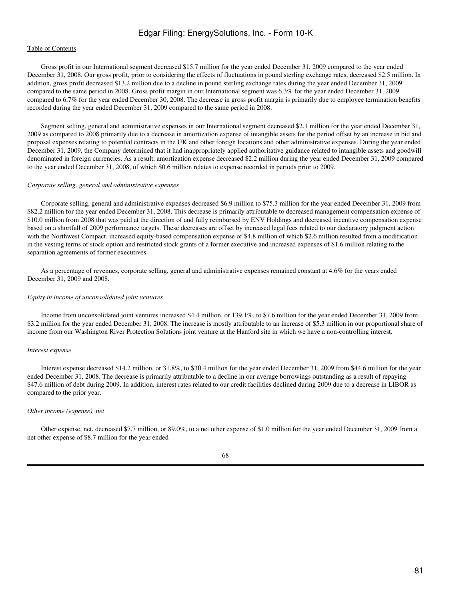## [Table of Contents](#page-2-0)

 Gross profit in our International segment decreased \$15.7 million for the year ended December 31, 2009 compared to the year ended December 31, 2008. Our gross profit, prior to considering the effects of fluctuations in pound sterling exchange rates, decreased \$2.5 million. In addition, gross profit decreased \$13.2 million due to a decline in pound sterling exchange rates during the year ended December 31, 2009 compared to the same period in 2008. Gross profit margin in our International segment was 6.3% for the year ended December 31, 2009 compared to 6.7% for the year ended December 30, 2008. The decrease in gross profit margin is primarily due to employee termination benefits recorded during the year ended December 31, 2009 compared to the same period in 2008.

 Segment selling, general and administrative expenses in our International segment decreased \$2.1 million for the year ended December 31, 2009 as compared to 2008 primarily due to a decrease in amortization expense of intangible assets for the period offset by an increase in bid and proposal expenses relating to potential contracts in the UK and other foreign locations and other administrative expenses. During the year ended December 31, 2009, the Company determined that it had inappropriately applied authoritative guidance related to intangible assets and goodwill denominated in foreign currencies. As a result, amortization expense decreased \$2.2 million during the year ended December 31, 2009 compared to the year ended December 31, 2008, of which \$0.6 million relates to expense recorded in periods prior to 2009.

#### *Corporate selling, general and administrative expenses*

 Corporate selling, general and administrative expenses decreased \$6.9 million to \$75.3 million for the year ended December 31, 2009 from \$82.2 million for the year ended December 31, 2008. This decrease is primarily attributable to decreased management compensation expense of \$10.0 million from 2008 that was paid at the direction of and fully reimbursed by ENV Holdings and decreased incentive compensation expense based on a shortfall of 2009 performance targets. These decreases are offset by increased legal fees related to our declaratory judgment action with the Northwest Compact, increased equity-based compensation expense of \$4.8 million of which \$2.6 million resulted from a modification in the vesting terms of stock option and restricted stock grants of a former executive and increased expenses of \$1.6 million relating to the separation agreements of former executives.

 As a percentage of revenues, corporate selling, general and administrative expenses remained constant at 4.6% for the years ended December 31, 2009 and 2008.

#### *Equity in income of unconsolidated joint ventures*

 Income from unconsolidated joint ventures increased \$4.4 million, or 139.1%, to \$7.6 million for the year ended December 31, 2009 from \$3.2 million for the year ended December 31, 2008. The increase is mostly attributable to an increase of \$5.3 million in our proportional share of income from our Washington River Protection Solutions joint venture at the Hanford site in which we have a non-controlling interest.

#### *Interest expense*

 Interest expense decreased \$14.2 million, or 31.8%, to \$30.4 million for the year ended December 31, 2009 from \$44.6 million for the year ended December 31, 2008. The decrease is primarily attributable to a decline in our average borrowings outstanding as a result of repaying \$47.6 million of debt during 2009. In addition, interest rates related to our credit facilities declined during 2009 due to a decrease in LIBOR as compared to the prior year.

#### *Other income (expense), net*

 Other expense, net, decreased \$7.7 million, or 89.0%, to a net other expense of \$1.0 million for the year ended December 31, 2009 from a net other expense of \$8.7 million for the year ended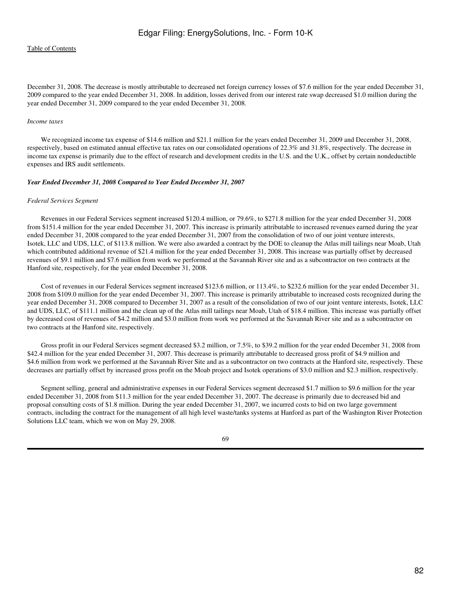December 31, 2008. The decrease is mostly attributable to decreased net foreign currency losses of \$7.6 million for the year ended December 31, 2009 compared to the year ended December 31, 2008. In addition, losses derived from our interest rate swap decreased \$1.0 million during the year ended December 31, 2009 compared to the year ended December 31, 2008.

#### *Income taxes*

 We recognized income tax expense of \$14.6 million and \$21.1 million for the years ended December 31, 2009 and December 31, 2008, respectively, based on estimated annual effective tax rates on our consolidated operations of 22.3% and 31.8%, respectively. The decrease in income tax expense is primarily due to the effect of research and development credits in the U.S. and the U.K., offset by certain nondeductible expenses and IRS audit settlements.

#### *Year Ended December 31, 2008 Compared to Year Ended December 31, 2007*

#### *Federal Services Segment*

 Revenues in our Federal Services segment increased \$120.4 million, or 79.6%, to \$271.8 million for the year ended December 31, 2008 from \$151.4 million for the year ended December 31, 2007. This increase is primarily attributable to increased revenues earned during the year ended December 31, 2008 compared to the year ended December 31, 2007 from the consolidation of two of our joint venture interests, Isotek, LLC and UDS, LLC, of \$113.8 million. We were also awarded a contract by the DOE to cleanup the Atlas mill tailings near Moab, Utah which contributed additional revenue of \$21.4 million for the year ended December 31, 2008. This increase was partially offset by decreased revenues of \$9.1 million and \$7.6 million from work we performed at the Savannah River site and as a subcontractor on two contracts at the Hanford site, respectively, for the year ended December 31, 2008.

 Cost of revenues in our Federal Services segment increased \$123.6 million, or 113.4%, to \$232.6 million for the year ended December 31, 2008 from \$109.0 million for the year ended December 31, 2007. This increase is primarily attributable to increased costs recognized during the year ended December 31, 2008 compared to December 31, 2007 as a result of the consolidation of two of our joint venture interests, Isotek, LLC and UDS, LLC, of \$111.1 million and the clean up of the Atlas mill tailings near Moab, Utah of \$18.4 million. This increase was partially offset by decreased cost of revenues of \$4.2 million and \$3.0 million from work we performed at the Savannah River site and as a subcontractor on two contracts at the Hanford site, respectively.

 Gross profit in our Federal Services segment decreased \$3.2 million, or 7.5%, to \$39.2 million for the year ended December 31, 2008 from \$42.4 million for the year ended December 31, 2007. This decrease is primarily attributable to decreased gross profit of \$4.9 million and \$4.6 million from work we performed at the Savannah River Site and as a subcontractor on two contracts at the Hanford site, respectively. These decreases are partially offset by increased gross profit on the Moab project and Isotek operations of \$3.0 million and \$2.3 million, respectively.

 Segment selling, general and administrative expenses in our Federal Services segment decreased \$1.7 million to \$9.6 million for the year ended December 31, 2008 from \$11.3 million for the year ended December 31, 2007. The decrease is primarily due to decreased bid and proposal consulting costs of \$1.8 million. During the year ended December 31, 2007, we incurred costs to bid on two large government contracts, including the contract for the management of all high level waste/tanks systems at Hanford as part of the Washington River Protection Solutions LLC team, which we won on May 29, 2008.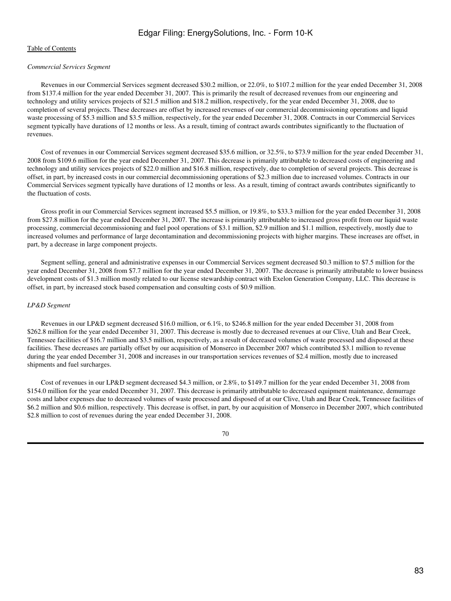## *Commercial Services Segment*

 Revenues in our Commercial Services segment decreased \$30.2 million, or 22.0%, to \$107.2 million for the year ended December 31, 2008 from \$137.4 million for the year ended December 31, 2007. This is primarily the result of decreased revenues from our engineering and technology and utility services projects of \$21.5 million and \$18.2 million, respectively, for the year ended December 31, 2008, due to completion of several projects. These decreases are offset by increased revenues of our commercial decommissioning operations and liquid waste processing of \$5.3 million and \$3.5 million, respectively, for the year ended December 31, 2008. Contracts in our Commercial Services segment typically have durations of 12 months or less. As a result, timing of contract awards contributes significantly to the fluctuation of revenues.

 Cost of revenues in our Commercial Services segment decreased \$35.6 million, or 32.5%, to \$73.9 million for the year ended December 31, 2008 from \$109.6 million for the year ended December 31, 2007. This decrease is primarily attributable to decreased costs of engineering and technology and utility services projects of \$22.0 million and \$16.8 million, respectively, due to completion of several projects. This decrease is offset, in part, by increased costs in our commercial decommissioning operations of \$2.3 million due to increased volumes. Contracts in our Commercial Services segment typically have durations of 12 months or less. As a result, timing of contract awards contributes significantly to the fluctuation of costs.

 Gross profit in our Commercial Services segment increased \$5.5 million, or 19.8%, to \$33.3 million for the year ended December 31, 2008 from \$27.8 million for the year ended December 31, 2007. The increase is primarily attributable to increased gross profit from our liquid waste processing, commercial decommissioning and fuel pool operations of \$3.1 million, \$2.9 million and \$1.1 million, respectively, mostly due to increased volumes and performance of large decontamination and decommissioning projects with higher margins. These increases are offset, in part, by a decrease in large component projects.

 Segment selling, general and administrative expenses in our Commercial Services segment decreased \$0.3 million to \$7.5 million for the year ended December 31, 2008 from \$7.7 million for the year ended December 31, 2007. The decrease is primarily attributable to lower business development costs of \$1.3 million mostly related to our license stewardship contract with Exelon Generation Company, LLC. This decrease is offset, in part, by increased stock based compensation and consulting costs of \$0.9 million.

## *LP&D Segment*

 Revenues in our LP&D segment decreased \$16.0 million, or 6.1%, to \$246.8 million for the year ended December 31, 2008 from \$262.8 million for the year ended December 31, 2007. This decrease is mostly due to decreased revenues at our Clive, Utah and Bear Creek, Tennessee facilities of \$16.7 million and \$3.5 million, respectively, as a result of decreased volumes of waste processed and disposed at these facilities. These decreases are partially offset by our acquisition of Monserco in December 2007 which contributed \$3.1 million to revenue during the year ended December 31, 2008 and increases in our transportation services revenues of \$2.4 million, mostly due to increased shipments and fuel surcharges.

 Cost of revenues in our LP&D segment decreased \$4.3 million, or 2.8%, to \$149.7 million for the year ended December 31, 2008 from \$154.0 million for the year ended December 31, 2007. This decrease is primarily attributable to decreased equipment maintenance, demurrage costs and labor expenses due to decreased volumes of waste processed and disposed of at our Clive, Utah and Bear Creek, Tennessee facilities of \$6.2 million and \$0.6 million, respectively. This decrease is offset, in part, by our acquisition of Monserco in December 2007, which contributed \$2.8 million to cost of revenues during the year ended December 31, 2008.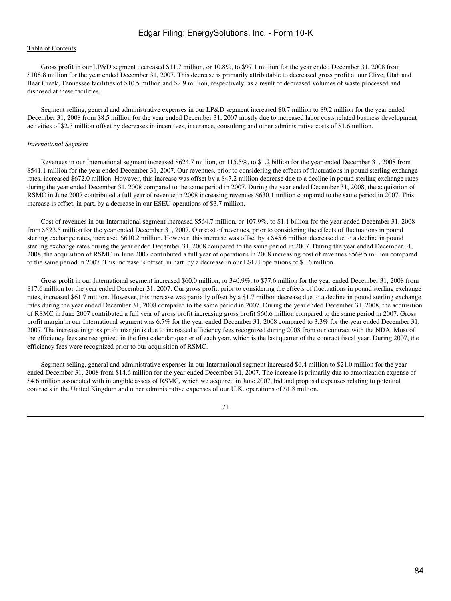## [Table of Contents](#page-2-0)

 Gross profit in our LP&D segment decreased \$11.7 million, or 10.8%, to \$97.1 million for the year ended December 31, 2008 from \$108.8 million for the year ended December 31, 2007. This decrease is primarily attributable to decreased gross profit at our Clive, Utah and Bear Creek, Tennessee facilities of \$10.5 million and \$2.9 million, respectively, as a result of decreased volumes of waste processed and disposed at these facilities.

 Segment selling, general and administrative expenses in our LP&D segment increased \$0.7 million to \$9.2 million for the year ended December 31, 2008 from \$8.5 million for the year ended December 31, 2007 mostly due to increased labor costs related business development activities of \$2.3 million offset by decreases in incentives, insurance, consulting and other administrative costs of \$1.6 million.

#### *International Segment*

 Revenues in our International segment increased \$624.7 million, or 115.5%, to \$1.2 billion for the year ended December 31, 2008 from \$541.1 million for the year ended December 31, 2007. Our revenues, prior to considering the effects of fluctuations in pound sterling exchange rates, increased \$672.0 million. However, this increase was offset by a \$47.2 million decrease due to a decline in pound sterling exchange rates during the year ended December 31, 2008 compared to the same period in 2007. During the year ended December 31, 2008, the acquisition of RSMC in June 2007 contributed a full year of revenue in 2008 increasing revenues \$630.1 million compared to the same period in 2007. This increase is offset, in part, by a decrease in our ESEU operations of \$3.7 million.

 Cost of revenues in our International segment increased \$564.7 million, or 107.9%, to \$1.1 billion for the year ended December 31, 2008 from \$523.5 million for the year ended December 31, 2007. Our cost of revenues, prior to considering the effects of fluctuations in pound sterling exchange rates, increased \$610.2 million. However, this increase was offset by a \$45.6 million decrease due to a decline in pound sterling exchange rates during the year ended December 31, 2008 compared to the same period in 2007. During the year ended December 31, 2008, the acquisition of RSMC in June 2007 contributed a full year of operations in 2008 increasing cost of revenues \$569.5 million compared to the same period in 2007. This increase is offset, in part, by a decrease in our ESEU operations of \$1.6 million.

 Gross profit in our International segment increased \$60.0 million, or 340.9%, to \$77.6 million for the year ended December 31, 2008 from \$17.6 million for the year ended December 31, 2007. Our gross profit, prior to considering the effects of fluctuations in pound sterling exchange rates, increased \$61.7 million. However, this increase was partially offset by a \$1.7 million decrease due to a decline in pound sterling exchange rates during the year ended December 31, 2008 compared to the same period in 2007. During the year ended December 31, 2008, the acquisition of RSMC in June 2007 contributed a full year of gross profit increasing gross profit \$60.6 million compared to the same period in 2007. Gross profit margin in our International segment was 6.7% for the year ended December 31, 2008 compared to 3.3% for the year ended December 31, 2007. The increase in gross profit margin is due to increased efficiency fees recognized during 2008 from our contract with the NDA. Most of the efficiency fees are recognized in the first calendar quarter of each year, which is the last quarter of the contract fiscal year. During 2007, the efficiency fees were recognized prior to our acquisition of RSMC.

 Segment selling, general and administrative expenses in our International segment increased \$6.4 million to \$21.0 million for the year ended December 31, 2008 from \$14.6 million for the year ended December 31, 2007. The increase is primarily due to amortization expense of \$4.6 million associated with intangible assets of RSMC, which we acquired in June 2007, bid and proposal expenses relating to potential contracts in the United Kingdom and other administrative expenses of our U.K. operations of \$1.8 million.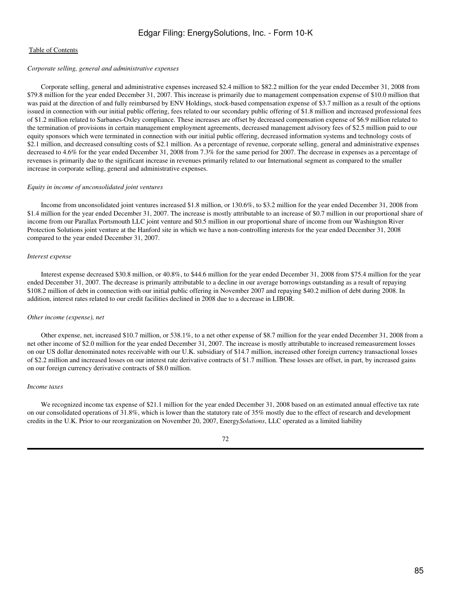#### *Corporate selling, general and administrative expenses*

 Corporate selling, general and administrative expenses increased \$2.4 million to \$82.2 million for the year ended December 31, 2008 from \$79.8 million for the year ended December 31, 2007. This increase is primarily due to management compensation expense of \$10.0 million that was paid at the direction of and fully reimbursed by ENV Holdings, stock-based compensation expense of \$3.7 million as a result of the options issued in connection with our initial public offering, fees related to our secondary public offering of \$1.8 million and increased professional fees of \$1.2 million related to Sarbanes-Oxley compliance. These increases are offset by decreased compensation expense of \$6.9 million related to the termination of provisions in certain management employment agreements, decreased management advisory fees of \$2.5 million paid to our equity sponsors which were terminated in connection with our initial public offering, decreased information systems and technology costs of \$2.1 million, and decreased consulting costs of \$2.1 million. As a percentage of revenue, corporate selling, general and administrative expenses decreased to 4.6% for the year ended December 31, 2008 from 7.3% for the same period for 2007. The decrease in expenses as a percentage of revenues is primarily due to the significant increase in revenues primarily related to our International segment as compared to the smaller increase in corporate selling, general and administrative expenses.

#### *Equity in income of unconsolidated joint ventures*

 Income from unconsolidated joint ventures increased \$1.8 million, or 130.6%, to \$3.2 million for the year ended December 31, 2008 from \$1.4 million for the year ended December 31, 2007. The increase is mostly attributable to an increase of \$0.7 million in our proportional share of income from our Parallax Portsmouth LLC joint venture and \$0.5 million in our proportional share of income from our Washington River Protection Solutions joint venture at the Hanford site in which we have a non-controlling interests for the year ended December 31, 2008 compared to the year ended December 31, 2007.

#### *Interest expense*

 Interest expense decreased \$30.8 million, or 40.8%, to \$44.6 million for the year ended December 31, 2008 from \$75.4 million for the year ended December 31, 2007. The decrease is primarily attributable to a decline in our average borrowings outstanding as a result of repaying \$108.2 million of debt in connection with our initial public offering in November 2007 and repaying \$40.2 million of debt during 2008. In addition, interest rates related to our credit facilities declined in 2008 due to a decrease in LIBOR.

#### *Other income (expense), net*

 Other expense, net, increased \$10.7 million, or 538.1%, to a net other expense of \$8.7 million for the year ended December 31, 2008 from a net other income of \$2.0 million for the year ended December 31, 2007. The increase is mostly attributable to increased remeasurement losses on our US dollar denominated notes receivable with our U.K. subsidiary of \$14.7 million, increased other foreign currency transactional losses of \$2.2 million and increased losses on our interest rate derivative contracts of \$1.7 million. These losses are offset, in part, by increased gains on our foreign currency derivative contracts of \$8.0 million.

#### *Income taxes*

We recognized income tax expense of \$21.1 million for the year ended December 31, 2008 based on an estimated annual effective tax rate on our consolidated operations of 31.8%, which is lower than the statutory rate of 35% mostly due to the effect of research and development credits in the U.K. Prior to our reorganization on November 20, 2007, Energy*Solutions*, LLC operated as a limited liability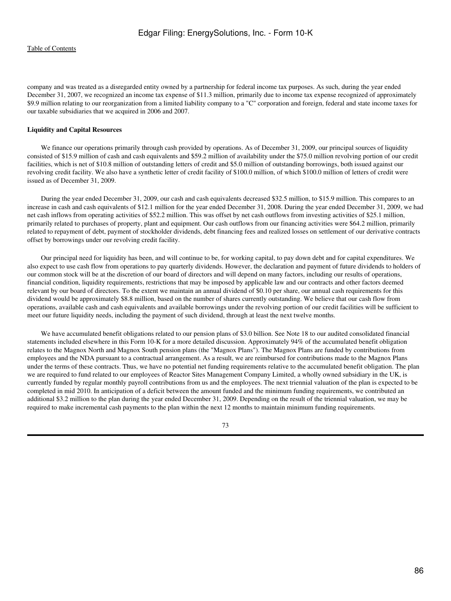company and was treated as a disregarded entity owned by a partnership for federal income tax purposes. As such, during the year ended December 31, 2007, we recognized an income tax expense of \$11.3 million, primarily due to income tax expense recognized of approximately \$9.9 million relating to our reorganization from a limited liability company to a "C" corporation and foreign, federal and state income taxes for our taxable subsidiaries that we acquired in 2006 and 2007.

#### **Liquidity and Capital Resources**

We finance our operations primarily through cash provided by operations. As of December 31, 2009, our principal sources of liquidity consisted of \$15.9 million of cash and cash equivalents and \$59.2 million of availability under the \$75.0 million revolving portion of our credit facilities, which is net of \$10.8 million of outstanding letters of credit and \$5.0 million of outstanding borrowings, both issued against our revolving credit facility. We also have a synthetic letter of credit facility of \$100.0 million, of which \$100.0 million of letters of credit were issued as of December 31, 2009.

 During the year ended December 31, 2009, our cash and cash equivalents decreased \$32.5 million, to \$15.9 million. This compares to an increase in cash and cash equivalents of \$12.1 million for the year ended December 31, 2008. During the year ended December 31, 2009, we had net cash inflows from operating activities of \$52.2 million. This was offset by net cash outflows from investing activities of \$25.1 million, primarily related to purchases of property, plant and equipment. Our cash outflows from our financing activities were \$64.2 million, primarily related to repayment of debt, payment of stockholder dividends, debt financing fees and realized losses on settlement of our derivative contracts offset by borrowings under our revolving credit facility.

 Our principal need for liquidity has been, and will continue to be, for working capital, to pay down debt and for capital expenditures. We also expect to use cash flow from operations to pay quarterly dividends. However, the declaration and payment of future dividends to holders of our common stock will be at the discretion of our board of directors and will depend on many factors, including our results of operations, financial condition, liquidity requirements, restrictions that may be imposed by applicable law and our contracts and other factors deemed relevant by our board of directors. To the extent we maintain an annual dividend of \$0.10 per share, our annual cash requirements for this dividend would be approximately \$8.8 million, based on the number of shares currently outstanding. We believe that our cash flow from operations, available cash and cash equivalents and available borrowings under the revolving portion of our credit facilities will be sufficient to meet our future liquidity needs, including the payment of such dividend, through at least the next twelve months.

We have accumulated benefit obligations related to our pension plans of \$3.0 billion. See Note 18 to our audited consolidated financial statements included elsewhere in this Form 10-K for a more detailed discussion. Approximately 94% of the accumulated benefit obligation relates to the Magnox North and Magnox South pension plans (the "Magnox Plans"). The Magnox Plans are funded by contributions from employees and the NDA pursuant to a contractual arrangement. As a result, we are reimbursed for contributions made to the Magnox Plans under the terms of these contracts. Thus, we have no potential net funding requirements relative to the accumulated benefit obligation. The plan we are required to fund related to our employees of Reactor Sites Management Company Limited, a wholly owned subsidiary in the UK, is currently funded by regular monthly payroll contributions from us and the employees. The next triennial valuation of the plan is expected to be completed in mid 2010. In anticipation of a deficit between the amount funded and the minimum funding requirements, we contributed an additional \$3.2 million to the plan during the year ended December 31, 2009. Depending on the result of the triennial valuation, we may be required to make incremental cash payments to the plan within the next 12 months to maintain minimum funding requirements.

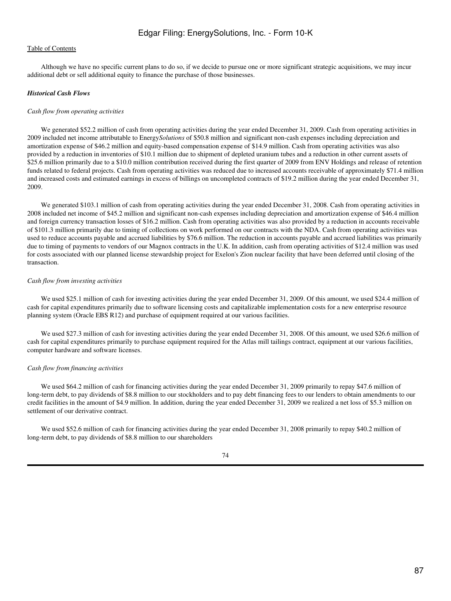Although we have no specific current plans to do so, if we decide to pursue one or more significant strategic acquisitions, we may incur additional debt or sell additional equity to finance the purchase of those businesses.

#### *Historical Cash Flows*

#### *Cash flow from operating activities*

 We generated \$52.2 million of cash from operating activities during the year ended December 31, 2009. Cash from operating activities in 2009 included net income attributable to Energy*Solutions* of \$50.8 million and significant non-cash expenses including depreciation and amortization expense of \$46.2 million and equity-based compensation expense of \$14.9 million. Cash from operating activities was also provided by a reduction in inventories of \$10.1 million due to shipment of depleted uranium tubes and a reduction in other current assets of \$25.6 million primarily due to a \$10.0 million contribution received during the first quarter of 2009 from ENV Holdings and release of retention funds related to federal projects. Cash from operating activities was reduced due to increased accounts receivable of approximately \$71.4 million and increased costs and estimated earnings in excess of billings on uncompleted contracts of \$19.2 million during the year ended December 31, 2009.

We generated \$103.1 million of cash from operating activities during the year ended December 31, 2008. Cash from operating activities in 2008 included net income of \$45.2 million and significant non-cash expenses including depreciation and amortization expense of \$46.4 million and foreign currency transaction losses of \$16.2 million. Cash from operating activities was also provided by a reduction in accounts receivable of \$101.3 million primarily due to timing of collections on work performed on our contracts with the NDA. Cash from operating activities was used to reduce accounts payable and accrued liabilities by \$76.6 million. The reduction in accounts payable and accrued liabilities was primarily due to timing of payments to vendors of our Magnox contracts in the U.K. In addition, cash from operating activities of \$12.4 million was used for costs associated with our planned license stewardship project for Exelon's Zion nuclear facility that have been deferred until closing of the transaction.

#### *Cash flow from investing activities*

We used \$25.1 million of cash for investing activities during the year ended December 31, 2009. Of this amount, we used \$24.4 million of cash for capital expenditures primarily due to software licensing costs and capitalizable implementation costs for a new enterprise resource planning system (Oracle EBS R12) and purchase of equipment required at our various facilities.

 We used \$27.3 million of cash for investing activities during the year ended December 31, 2008. Of this amount, we used \$26.6 million of cash for capital expenditures primarily to purchase equipment required for the Atlas mill tailings contract, equipment at our various facilities, computer hardware and software licenses.

#### *Cash flow from financing activities*

We used \$64.2 million of cash for financing activities during the year ended December 31, 2009 primarily to repay \$47.6 million of long-term debt, to pay dividends of \$8.8 million to our stockholders and to pay debt financing fees to our lenders to obtain amendments to our credit facilities in the amount of \$4.9 million. In addition, during the year ended December 31, 2009 we realized a net loss of \$5.3 million on settlement of our derivative contract.

We used \$52.6 million of cash for financing activities during the year ended December 31, 2008 primarily to repay \$40.2 million of long-term debt, to pay dividends of \$8.8 million to our shareholders

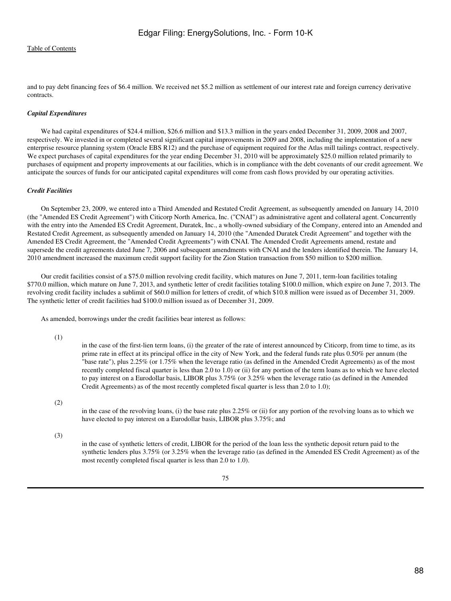and to pay debt financing fees of \$6.4 million. We received net \$5.2 million as settlement of our interest rate and foreign currency derivative contracts.

## *Capital Expenditures*

 We had capital expenditures of \$24.4 million, \$26.6 million and \$13.3 million in the years ended December 31, 2009, 2008 and 2007, respectively. We invested in or completed several significant capital improvements in 2009 and 2008, including the implementation of a new enterprise resource planning system (Oracle EBS R12) and the purchase of equipment required for the Atlas mill tailings contract, respectively. We expect purchases of capital expenditures for the year ending December 31, 2010 will be approximately \$25.0 million related primarily to purchases of equipment and property improvements at our facilities, which is in compliance with the debt covenants of our credit agreement. We anticipate the sources of funds for our anticipated capital expenditures will come from cash flows provided by our operating activities.

#### *Credit Facilities*

 On September 23, 2009, we entered into a Third Amended and Restated Credit Agreement, as subsequently amended on January 14, 2010 (the "Amended ES Credit Agreement") with Citicorp North America, Inc. ("CNAI") as administrative agent and collateral agent. Concurrently with the entry into the Amended ES Credit Agreement, Duratek, Inc., a wholly-owned subsidiary of the Company, entered into an Amended and Restated Credit Agreement, as subsequently amended on January 14, 2010 (the "Amended Duratek Credit Agreement" and together with the Amended ES Credit Agreement, the "Amended Credit Agreements") with CNAI. The Amended Credit Agreements amend, restate and supersede the credit agreements dated June 7, 2006 and subsequent amendments with CNAI and the lenders identified therein. The January 14, 2010 amendment increased the maximum credit support facility for the Zion Station transaction from \$50 million to \$200 million.

 Our credit facilities consist of a \$75.0 million revolving credit facility, which matures on June 7, 2011, term-loan facilities totaling \$770.0 million, which mature on June 7, 2013, and synthetic letter of credit facilities totaling \$100.0 million, which expire on June 7, 2013. The revolving credit facility includes a sublimit of \$60.0 million for letters of credit, of which \$10.8 million were issued as of December 31, 2009. The synthetic letter of credit facilities had \$100.0 million issued as of December 31, 2009.

As amended, borrowings under the credit facilities bear interest as follows:

(1)

in the case of the first-lien term loans, (i) the greater of the rate of interest announced by Citicorp, from time to time, as its prime rate in effect at its principal office in the city of New York, and the federal funds rate plus 0.50% per annum (the "base rate"), plus 2.25% (or 1.75% when the leverage ratio (as defined in the Amended Credit Agreements) as of the most recently completed fiscal quarter is less than 2.0 to 1.0) or (ii) for any portion of the term loans as to which we have elected to pay interest on a Eurodollar basis, LIBOR plus 3.75% (or 3.25% when the leverage ratio (as defined in the Amended Credit Agreements) as of the most recently completed fiscal quarter is less than 2.0 to 1.0);

(2)

in the case of the revolving loans, (i) the base rate plus 2.25% or (ii) for any portion of the revolving loans as to which we have elected to pay interest on a Eurodollar basis, LIBOR plus 3.75%; and

(3)

in the case of synthetic letters of credit, LIBOR for the period of the loan less the synthetic deposit return paid to the synthetic lenders plus 3.75% (or 3.25% when the leverage ratio (as defined in the Amended ES Credit Agreement) as of the most recently completed fiscal quarter is less than 2.0 to 1.0).

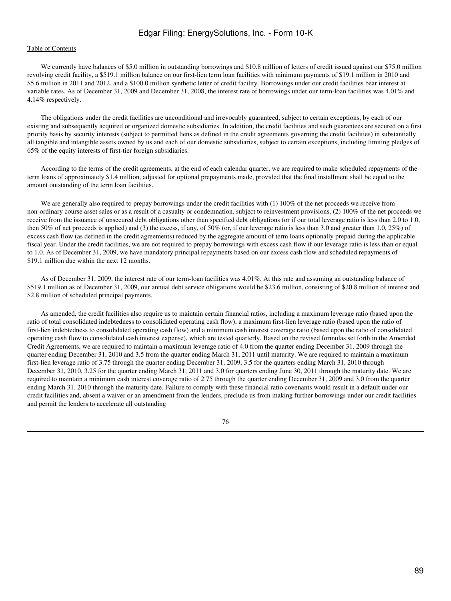## [Table of Contents](#page-2-0)

We currently have balances of \$5.0 million in outstanding borrowings and \$10.8 million of letters of credit issued against our \$75.0 million revolving credit facility, a \$519.1 million balance on our first-lien term loan facilities with minimum payments of \$19.1 million in 2010 and \$5.6 million in 2011 and 2012, and a \$100.0 million synthetic letter of credit facility. Borrowings under our credit facilities bear interest at variable rates. As of December 31, 2009 and December 31, 2008, the interest rate of borrowings under our term-loan facilities was 4.01% and 4.14% respectively.

 The obligations under the credit facilities are unconditional and irrevocably guaranteed, subject to certain exceptions, by each of our existing and subsequently acquired or organized domestic subsidiaries. In addition, the credit facilities and such guarantees are secured on a first priority basis by security interests (subject to permitted liens as defined in the credit agreements governing the credit facilities) in substantially all tangible and intangible assets owned by us and each of our domestic subsidiaries, subject to certain exceptions, including limiting pledges of 65% of the equity interests of first-tier foreign subsidiaries.

 According to the terms of the credit agreements, at the end of each calendar quarter, we are required to make scheduled repayments of the term loans of approximately \$1.4 million, adjusted for optional prepayments made, provided that the final installment shall be equal to the amount outstanding of the term loan facilities.

We are generally also required to prepay borrowings under the credit facilities with (1) 100% of the net proceeds we receive from non-ordinary course asset sales or as a result of a casualty or condemnation, subject to reinvestment provisions, (2) 100% of the net proceeds we receive from the issuance of unsecured debt obligations other than specified debt obligations (or if our total leverage ratio is less than 2.0 to 1.0, then 50% of net proceeds is applied) and (3) the excess, if any, of 50% (or, if our leverage ratio is less than 3.0 and greater than 1.0, 25%) of excess cash flow (as defined in the credit agreements) reduced by the aggregate amount of term loans optionally prepaid during the applicable fiscal year. Under the credit facilities, we are not required to prepay borrowings with excess cash flow if our leverage ratio is less than or equal to 1.0. As of December 31, 2009, we have mandatory principal repayments based on our excess cash flow and scheduled repayments of \$19.1 million due within the next 12 months.

 As of December 31, 2009, the interest rate of our term-loan facilities was 4.01%. At this rate and assuming an outstanding balance of \$519.1 million as of December 31, 2009, our annual debt service obligations would be \$23.6 million, consisting of \$20.8 million of interest and \$2.8 million of scheduled principal payments.

 As amended, the credit facilities also require us to maintain certain financial ratios, including a maximum leverage ratio (based upon the ratio of total consolidated indebtedness to consolidated operating cash flow), a maximum first-lien leverage ratio (based upon the ratio of first-lien indebtedness to consolidated operating cash flow) and a minimum cash interest coverage ratio (based upon the ratio of consolidated operating cash flow to consolidated cash interest expense), which are tested quarterly. Based on the revised formulas set forth in the Amended Credit Agreements, we are required to maintain a maximum leverage ratio of 4.0 from the quarter ending December 31, 2009 through the quarter ending December 31, 2010 and 3.5 from the quarter ending March 31, 2011 until maturity. We are required to maintain a maximum first-lien leverage ratio of 3.75 through the quarter ending December 31, 2009, 3.5 for the quarters ending March 31, 2010 through December 31, 2010, 3.25 for the quarter ending March 31, 2011 and 3.0 for quarters ending June 30, 2011 through the maturity date. We are required to maintain a minimum cash interest coverage ratio of 2.75 through the quarter ending December 31, 2009 and 3.0 from the quarter ending March 31, 2010 through the maturity date. Failure to comply with these financial ratio covenants would result in a default under our credit facilities and, absent a waiver or an amendment from the lenders, preclude us from making further borrowings under our credit facilities and permit the lenders to accelerate all outstanding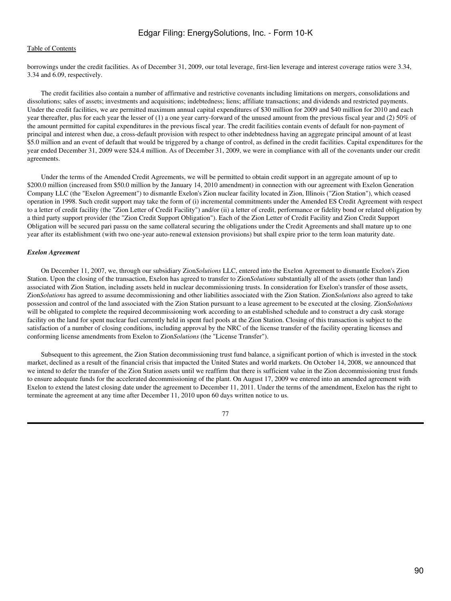borrowings under the credit facilities. As of December 31, 2009, our total leverage, first-lien leverage and interest coverage ratios were 3.34, 3.34 and 6.09, respectively.

 The credit facilities also contain a number of affirmative and restrictive covenants including limitations on mergers, consolidations and dissolutions; sales of assets; investments and acquisitions; indebtedness; liens; affiliate transactions; and dividends and restricted payments. Under the credit facilities, we are permitted maximum annual capital expenditures of \$30 million for 2009 and \$40 million for 2010 and each year thereafter, plus for each year the lesser of (1) a one year carry-forward of the unused amount from the previous fiscal year and (2) 50% of the amount permitted for capital expenditures in the previous fiscal year. The credit facilities contain events of default for non-payment of principal and interest when due, a cross-default provision with respect to other indebtedness having an aggregate principal amount of at least \$5.0 million and an event of default that would be triggered by a change of control, as defined in the credit facilities. Capital expenditures for the year ended December 31, 2009 were \$24.4 million. As of December 31, 2009, we were in compliance with all of the covenants under our credit agreements.

 Under the terms of the Amended Credit Agreements, we will be permitted to obtain credit support in an aggregate amount of up to \$200.0 million (increased from \$50.0 million by the January 14, 2010 amendment) in connection with our agreement with Exelon Generation Company LLC (the "Exelon Agreement") to dismantle Exelon's Zion nuclear facility located in Zion, Illinois ("Zion Station"), which ceased operation in 1998. Such credit support may take the form of (i) incremental commitments under the Amended ES Credit Agreement with respect to a letter of credit facility (the "Zion Letter of Credit Facility") and/or (ii) a letter of credit, performance or fidelity bond or related obligation by a third party support provider (the "Zion Credit Support Obligation"). Each of the Zion Letter of Credit Facility and Zion Credit Support Obligation will be secured pari passu on the same collateral securing the obligations under the Credit Agreements and shall mature up to one year after its establishment (with two one-year auto-renewal extension provisions) but shall expire prior to the term loan maturity date.

#### *Exelon Agreement*

 On December 11, 2007, we, through our subsidiary Zion*Solutions* LLC, entered into the Exelon Agreement to dismantle Exelon's Zion Station. Upon the closing of the transaction, Exelon has agreed to transfer to Zion*Solutions* substantially all of the assets (other than land) associated with Zion Station, including assets held in nuclear decommissioning trusts. In consideration for Exelon's transfer of those assets, Zion*Solutions* has agreed to assume decommissioning and other liabilities associated with the Zion Station. Zion*Solutions* also agreed to take possession and control of the land associated with the Zion Station pursuant to a lease agreement to be executed at the closing. Zion*Solutions* will be obligated to complete the required decommissioning work according to an established schedule and to construct a dry cask storage facility on the land for spent nuclear fuel currently held in spent fuel pools at the Zion Station. Closing of this transaction is subject to the satisfaction of a number of closing conditions, including approval by the NRC of the license transfer of the facility operating licenses and conforming license amendments from Exelon to Zion*Solutions* (the "License Transfer").

 Subsequent to this agreement, the Zion Station decommissioning trust fund balance, a significant portion of which is invested in the stock market, declined as a result of the financial crisis that impacted the United States and world markets. On October 14, 2008, we announced that we intend to defer the transfer of the Zion Station assets until we reaffirm that there is sufficient value in the Zion decommissioning trust funds to ensure adequate funds for the accelerated decommissioning of the plant. On August 17, 2009 we entered into an amended agreement with Exelon to extend the latest closing date under the agreement to December 11, 2011. Under the terms of the amendment, Exelon has the right to terminate the agreement at any time after December 11, 2010 upon 60 days written notice to us.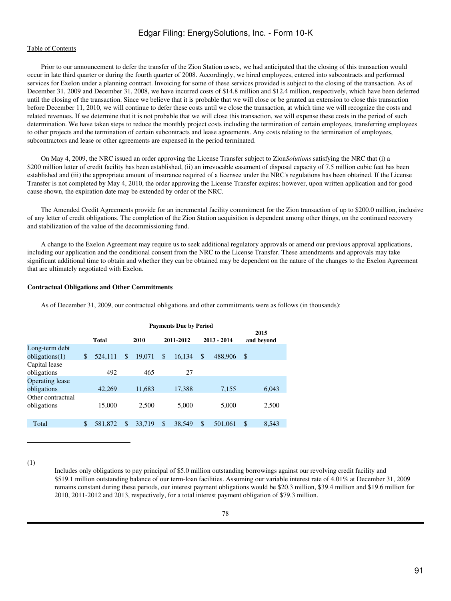## [Table of Contents](#page-2-0)

 Prior to our announcement to defer the transfer of the Zion Station assets, we had anticipated that the closing of this transaction would occur in late third quarter or during the fourth quarter of 2008. Accordingly, we hired employees, entered into subcontracts and performed services for Exelon under a planning contract. Invoicing for some of these services provided is subject to the closing of the transaction. As of December 31, 2009 and December 31, 2008, we have incurred costs of \$14.8 million and \$12.4 million, respectively, which have been deferred until the closing of the transaction. Since we believe that it is probable that we will close or be granted an extension to close this transaction before December 11, 2010, we will continue to defer these costs until we close the transaction, at which time we will recognize the costs and related revenues. If we determine that it is not probable that we will close this transaction, we will expense these costs in the period of such determination. We have taken steps to reduce the monthly project costs including the termination of certain employees, transferring employees to other projects and the termination of certain subcontracts and lease agreements. Any costs relating to the termination of employees, subcontractors and lease or other agreements are expensed in the period terminated.

 On May 4, 2009, the NRC issued an order approving the License Transfer subject to Zion*Solutions* satisfying the NRC that (i) a \$200 million letter of credit facility has been established, (ii) an irrevocable easement of disposal capacity of 7.5 million cubic feet has been established and (iii) the appropriate amount of insurance required of a licensee under the NRC's regulations has been obtained. If the License Transfer is not completed by May 4, 2010, the order approving the License Transfer expires; however, upon written application and for good cause shown, the expiration date may be extended by order of the NRC.

 The Amended Credit Agreements provide for an incremental facility commitment for the Zion transaction of up to \$200.0 million, inclusive of any letter of credit obligations. The completion of the Zion Station acquisition is dependent among other things, on the continued recovery and stabilization of the value of the decommissioning fund.

 A change to the Exelon Agreement may require us to seek additional regulatory approvals or amend our previous approval applications, including our application and the conditional consent from the NRC to the License Transfer. These amendments and approvals may take significant additional time to obtain and whether they can be obtained may be dependent on the nature of the changes to the Exelon Agreement that are ultimately negotiated with Exelon.

#### **Contractual Obligations and Other Commitments**

As of December 31, 2009, our contractual obligations and other commitments were as follows (in thousands):

|                   | <b>Payments Due by Period</b> |         |      |        |           |        |               |         |                    |       |
|-------------------|-------------------------------|---------|------|--------|-----------|--------|---------------|---------|--------------------|-------|
|                   | <b>Total</b>                  |         | 2010 |        | 2011-2012 |        | $2013 - 2014$ |         | 2015<br>and beyond |       |
| Long-term debt    |                               |         |      |        |           |        |               |         |                    |       |
| obligations(1)    | \$                            | 524.111 | S    | 19.071 | \$        | 16.134 | \$            | 488,906 | $\mathcal{S}$      |       |
| Capital lease     |                               |         |      |        |           |        |               |         |                    |       |
| obligations       |                               | 492     |      | 465    |           | 27     |               |         |                    |       |
| Operating lease   |                               |         |      |        |           |        |               |         |                    |       |
| obligations       |                               | 42.269  |      | 11,683 |           | 17.388 |               | 7,155   |                    | 6,043 |
| Other contractual |                               |         |      |        |           |        |               |         |                    |       |
| obligations       |                               | 15,000  |      | 2,500  |           | 5.000  |               | 5.000   |                    | 2,500 |
|                   |                               |         |      |        |           |        |               |         |                    |       |
| Total             | \$                            | 581.872 | \$   | 33,719 | \$        | 38.549 | \$            | 501,061 | \$                 | 8,543 |
|                   |                               |         |      |        |           |        |               |         |                    |       |

(1)

Includes only obligations to pay principal of \$5.0 million outstanding borrowings against our revolving credit facility and \$519.1 million outstanding balance of our term-loan facilities. Assuming our variable interest rate of 4.01% at December 31, 2009 remains constant during these periods, our interest payment obligations would be \$20.3 million, \$39.4 million and \$19.6 million for 2010, 2011-2012 and 2013, respectively, for a total interest payment obligation of \$79.3 million.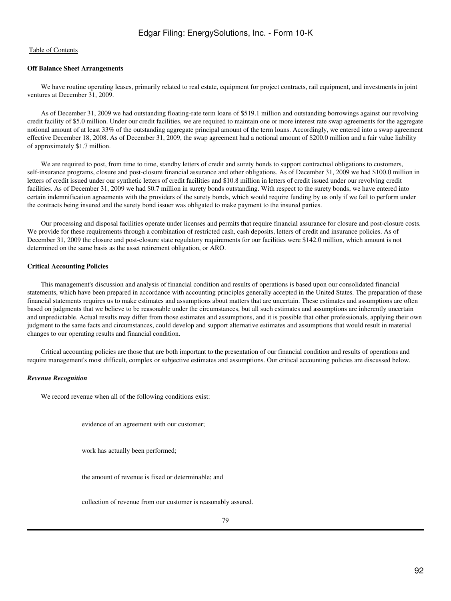## **Off Balance Sheet Arrangements**

 We have routine operating leases, primarily related to real estate, equipment for project contracts, rail equipment, and investments in joint ventures at December 31, 2009.

 As of December 31, 2009 we had outstanding floating-rate term loans of \$519.1 million and outstanding borrowings against our revolving credit facility of \$5.0 million. Under our credit facilities, we are required to maintain one or more interest rate swap agreements for the aggregate notional amount of at least 33% of the outstanding aggregate principal amount of the term loans. Accordingly, we entered into a swap agreement effective December 18, 2008. As of December 31, 2009, the swap agreement had a notional amount of \$200.0 million and a fair value liability of approximately \$1.7 million.

We are required to post, from time to time, standby letters of credit and surety bonds to support contractual obligations to customers, self-insurance programs, closure and post-closure financial assurance and other obligations. As of December 31, 2009 we had \$100.0 million in letters of credit issued under our synthetic letters of credit facilities and \$10.8 million in letters of credit issued under our revolving credit facilities. As of December 31, 2009 we had \$0.7 million in surety bonds outstanding. With respect to the surety bonds, we have entered into certain indemnification agreements with the providers of the surety bonds, which would require funding by us only if we fail to perform under the contracts being insured and the surety bond issuer was obligated to make payment to the insured parties.

 Our processing and disposal facilities operate under licenses and permits that require financial assurance for closure and post-closure costs. We provide for these requirements through a combination of restricted cash, cash deposits, letters of credit and insurance policies. As of December 31, 2009 the closure and post-closure state regulatory requirements for our facilities were \$142.0 million, which amount is not determined on the same basis as the asset retirement obligation, or ARO.

## **Critical Accounting Policies**

 This management's discussion and analysis of financial condition and results of operations is based upon our consolidated financial statements, which have been prepared in accordance with accounting principles generally accepted in the United States. The preparation of these financial statements requires us to make estimates and assumptions about matters that are uncertain. These estimates and assumptions are often based on judgments that we believe to be reasonable under the circumstances, but all such estimates and assumptions are inherently uncertain and unpredictable. Actual results may differ from those estimates and assumptions, and it is possible that other professionals, applying their own judgment to the same facts and circumstances, could develop and support alternative estimates and assumptions that would result in material changes to our operating results and financial condition.

 Critical accounting policies are those that are both important to the presentation of our financial condition and results of operations and require management's most difficult, complex or subjective estimates and assumptions. Our critical accounting policies are discussed below.

#### *Revenue Recognition*

We record revenue when all of the following conditions exist:

evidence of an agreement with our customer;

work has actually been performed;

the amount of revenue is fixed or determinable; and

collection of revenue from our customer is reasonably assured.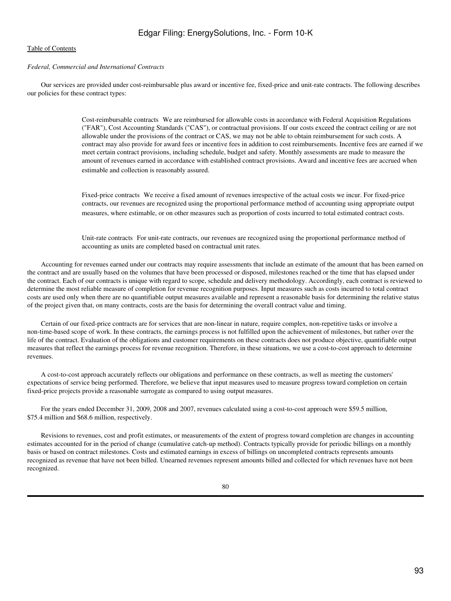## *Federal, Commercial and International Contracts*

 Our services are provided under cost-reimbursable plus award or incentive fee, fixed-price and unit-rate contracts. The following describes our policies for these contract types:

> Cost-reimbursable contractsWe are reimbursed for allowable costs in accordance with Federal Acquisition Regulations ("FAR"), Cost Accounting Standards ("CAS"), or contractual provisions. If our costs exceed the contract ceiling or are not allowable under the provisions of the contract or CAS, we may not be able to obtain reimbursement for such costs. A contract may also provide for award fees or incentive fees in addition to cost reimbursements. Incentive fees are earned if we meet certain contract provisions, including schedule, budget and safety. Monthly assessments are made to measure the amount of revenues earned in accordance with established contract provisions. Award and incentive fees are accrued when estimable and collection is reasonably assured.

Fixed-price contracts We receive a fixed amount of revenues irrespective of the actual costs we incur. For fixed-price contracts, our revenues are recognized using the proportional performance method of accounting using appropriate output measures, where estimable, or on other measures such as proportion of costs incurred to total estimated contract costs.

Unit-rate contracts For unit-rate contracts, our revenues are recognized using the proportional performance method of accounting as units are completed based on contractual unit rates.

 Accounting for revenues earned under our contracts may require assessments that include an estimate of the amount that has been earned on the contract and are usually based on the volumes that have been processed or disposed, milestones reached or the time that has elapsed under the contract. Each of our contracts is unique with regard to scope, schedule and delivery methodology. Accordingly, each contract is reviewed to determine the most reliable measure of completion for revenue recognition purposes. Input measures such as costs incurred to total contract costs are used only when there are no quantifiable output measures available and represent a reasonable basis for determining the relative status of the project given that, on many contracts, costs are the basis for determining the overall contract value and timing.

 Certain of our fixed-price contracts are for services that are non-linear in nature, require complex, non-repetitive tasks or involve a non-time-based scope of work. In these contracts, the earnings process is not fulfilled upon the achievement of milestones, but rather over the life of the contract. Evaluation of the obligations and customer requirements on these contracts does not produce objective, quantifiable output measures that reflect the earnings process for revenue recognition. Therefore, in these situations, we use a cost-to-cost approach to determine revenues.

 A cost-to-cost approach accurately reflects our obligations and performance on these contracts, as well as meeting the customers' expectations of service being performed. Therefore, we believe that input measures used to measure progress toward completion on certain fixed-price projects provide a reasonable surrogate as compared to using output measures.

For the years ended December 31, 2009, 2008 and 2007, revenues calculated using a cost-to-cost approach were \$59.5 million, \$75.4 million and \$68.6 million, respectively.

 Revisions to revenues, cost and profit estimates, or measurements of the extent of progress toward completion are changes in accounting estimates accounted for in the period of change (cumulative catch-up method). Contracts typically provide for periodic billings on a monthly basis or based on contract milestones. Costs and estimated earnings in excess of billings on uncompleted contracts represents amounts recognized as revenue that have not been billed. Unearned revenues represent amounts billed and collected for which revenues have not been recognized.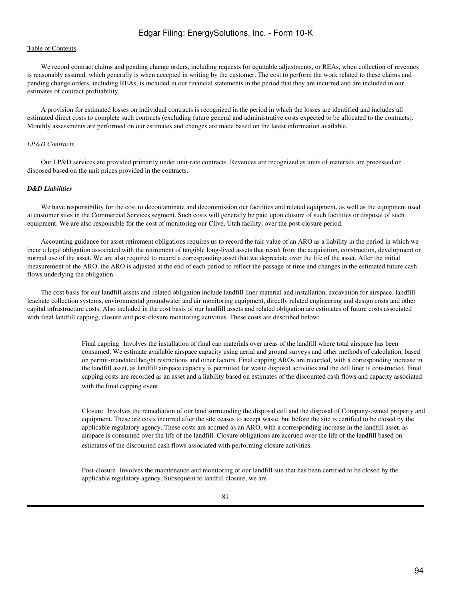We record contract claims and pending change orders, including requests for equitable adjustments, or REAs, when collection of revenues is reasonably assured, which generally is when accepted in writing by the customer. The cost to perform the work related to these claims and pending change orders, including REAs, is included in our financial statements in the period that they are incurred and are included in our estimates of contract profitability.

 A provision for estimated losses on individual contracts is recognized in the period in which the losses are identified and includes all estimated direct costs to complete such contracts (excluding future general and administrative costs expected to be allocated to the contracts). Monthly assessments are performed on our estimates and changes are made based on the latest information available.

#### *LP&D Contracts*

 Our LP&D services are provided primarily under unit-rate contracts. Revenues are recognized as units of materials are processed or disposed based on the unit prices provided in the contracts.

## *D&D Liabilities*

 We have responsibility for the cost to decontaminate and decommission our facilities and related equipment, as well as the equipment used at customer sites in the Commercial Services segment. Such costs will generally be paid upon closure of such facilities or disposal of such equipment. We are also responsible for the cost of monitoring our Clive, Utah facility, over the post-closure period.

 Accounting guidance for asset retirement obligations requires us to record the fair value of an ARO as a liability in the period in which we incur a legal obligation associated with the retirement of tangible long-lived assets that result from the acquisition, construction, development or normal use of the asset. We are also required to record a corresponding asset that we depreciate over the life of the asset. After the initial measurement of the ARO, the ARO is adjusted at the end of each period to reflect the passage of time and changes in the estimated future cash flows underlying the obligation.

 The cost basis for our landfill assets and related obligation include landfill liner material and installation, excavation for airspace, landfill leachate collection systems, environmental groundwater and air monitoring equipment, directly related engineering and design costs and other capital infrastructure costs. Also included in the cost basis of our landfill assets and related obligation are estimates of future costs associated with final landfill capping, closure and post-closure monitoring activities. These costs are described below:

> Final capping Involves the installation of final cap materials over areas of the landfill where total airspace has been consumed. We estimate available airspace capacity using aerial and ground surveys and other methods of calculation, based on permit-mandated height restrictions and other factors. Final capping AROs are recorded, with a corresponding increase in the landfill asset, as landfill airspace capacity is permitted for waste disposal activities and the cell liner is constructed. Final capping costs are recorded as an asset and a liability based on estimates of the discounted cash flows and capacity associated with the final capping event.

> Closure Involves the remediation of our land surrounding the disposal cell and the disposal of Company-owned property and equipment. These are costs incurred after the site ceases to accept waste, but before the site is certified to be closed by the applicable regulatory agency. These costs are accrued as an ARO, with a corresponding increase in the landfill asset, as airspace is consumed over the life of the landfill. Closure obligations are accrued over the life of the landfill based on estimates of the discounted cash flows associated with performing closure activities.

Post-closure Involves the maintenance and monitoring of our landfill site that has been certified to be closed by the applicable regulatory agency. Subsequent to landfill closure, we are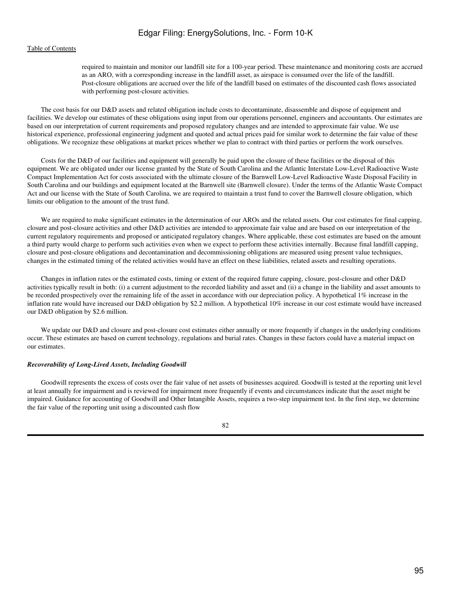required to maintain and monitor our landfill site for a 100-year period. These maintenance and monitoring costs are accrued as an ARO, with a corresponding increase in the landfill asset, as airspace is consumed over the life of the landfill. Post-closure obligations are accrued over the life of the landfill based on estimates of the discounted cash flows associated with performing post-closure activities.

 The cost basis for our D&D assets and related obligation include costs to decontaminate, disassemble and dispose of equipment and facilities. We develop our estimates of these obligations using input from our operations personnel, engineers and accountants. Our estimates are based on our interpretation of current requirements and proposed regulatory changes and are intended to approximate fair value. We use historical experience, professional engineering judgment and quoted and actual prices paid for similar work to determine the fair value of these obligations. We recognize these obligations at market prices whether we plan to contract with third parties or perform the work ourselves.

 Costs for the D&D of our facilities and equipment will generally be paid upon the closure of these facilities or the disposal of this equipment. We are obligated under our license granted by the State of South Carolina and the Atlantic Interstate Low-Level Radioactive Waste Compact Implementation Act for costs associated with the ultimate closure of the Barnwell Low-Level Radioactive Waste Disposal Facility in South Carolina and our buildings and equipment located at the Barnwell site (Barnwell closure). Under the terms of the Atlantic Waste Compact Act and our license with the State of South Carolina, we are required to maintain a trust fund to cover the Barnwell closure obligation, which limits our obligation to the amount of the trust fund.

 We are required to make significant estimates in the determination of our AROs and the related assets. Our cost estimates for final capping, closure and post-closure activities and other D&D activities are intended to approximate fair value and are based on our interpretation of the current regulatory requirements and proposed or anticipated regulatory changes. Where applicable, these cost estimates are based on the amount a third party would charge to perform such activities even when we expect to perform these activities internally. Because final landfill capping, closure and post-closure obligations and decontamination and decommissioning obligations are measured using present value techniques, changes in the estimated timing of the related activities would have an effect on these liabilities, related assets and resulting operations.

 Changes in inflation rates or the estimated costs, timing or extent of the required future capping, closure, post-closure and other D&D activities typically result in both: (i) a current adjustment to the recorded liability and asset and (ii) a change in the liability and asset amounts to be recorded prospectively over the remaining life of the asset in accordance with our depreciation policy. A hypothetical 1% increase in the inflation rate would have increased our D&D obligation by \$2.2 million. A hypothetical 10% increase in our cost estimate would have increased our D&D obligation by \$2.6 million.

We update our D&D and closure and post-closure cost estimates either annually or more frequently if changes in the underlying conditions occur. These estimates are based on current technology, regulations and burial rates. Changes in these factors could have a material impact on our estimates.

#### *Recoverability of Long-Lived Assets, Including Goodwill*

 Goodwill represents the excess of costs over the fair value of net assets of businesses acquired. Goodwill is tested at the reporting unit level at least annually for impairment and is reviewed for impairment more frequently if events and circumstances indicate that the asset might be impaired. Guidance for accounting of Goodwill and Other Intangible Assets, requires a two-step impairment test. In the first step, we determine the fair value of the reporting unit using a discounted cash flow

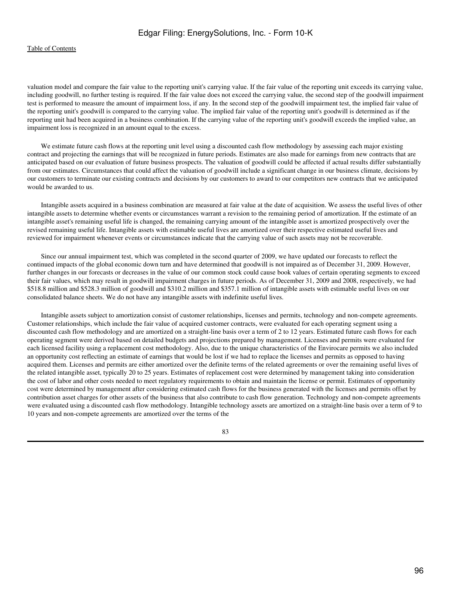#### [Table of Contents](#page-2-0)

valuation model and compare the fair value to the reporting unit's carrying value. If the fair value of the reporting unit exceeds its carrying value, including goodwill, no further testing is required. If the fair value does not exceed the carrying value, the second step of the goodwill impairment test is performed to measure the amount of impairment loss, if any. In the second step of the goodwill impairment test, the implied fair value of the reporting unit's goodwill is compared to the carrying value. The implied fair value of the reporting unit's goodwill is determined as if the reporting unit had been acquired in a business combination. If the carrying value of the reporting unit's goodwill exceeds the implied value, an impairment loss is recognized in an amount equal to the excess.

We estimate future cash flows at the reporting unit level using a discounted cash flow methodology by assessing each major existing contract and projecting the earnings that will be recognized in future periods. Estimates are also made for earnings from new contracts that are anticipated based on our evaluation of future business prospects. The valuation of goodwill could be affected if actual results differ substantially from our estimates. Circumstances that could affect the valuation of goodwill include a significant change in our business climate, decisions by our customers to terminate our existing contracts and decisions by our customers to award to our competitors new contracts that we anticipated would be awarded to us.

 Intangible assets acquired in a business combination are measured at fair value at the date of acquisition. We assess the useful lives of other intangible assets to determine whether events or circumstances warrant a revision to the remaining period of amortization. If the estimate of an intangible asset's remaining useful life is changed, the remaining carrying amount of the intangible asset is amortized prospectively over the revised remaining useful life. Intangible assets with estimable useful lives are amortized over their respective estimated useful lives and reviewed for impairment whenever events or circumstances indicate that the carrying value of such assets may not be recoverable.

 Since our annual impairment test, which was completed in the second quarter of 2009, we have updated our forecasts to reflect the continued impacts of the global economic down turn and have determined that goodwill is not impaired as of December 31, 2009. However, further changes in our forecasts or decreases in the value of our common stock could cause book values of certain operating segments to exceed their fair values, which may result in goodwill impairment charges in future periods. As of December 31, 2009 and 2008, respectively, we had \$518.8 million and \$528.3 million of goodwill and \$310.2 million and \$357.1 million of intangible assets with estimable useful lives on our consolidated balance sheets. We do not have any intangible assets with indefinite useful lives.

 Intangible assets subject to amortization consist of customer relationships, licenses and permits, technology and non-compete agreements. Customer relationships, which include the fair value of acquired customer contracts, were evaluated for each operating segment using a discounted cash flow methodology and are amortized on a straight-line basis over a term of 2 to 12 years. Estimated future cash flows for each operating segment were derived based on detailed budgets and projections prepared by management. Licenses and permits were evaluated for each licensed facility using a replacement cost methodology. Also, due to the unique characteristics of the Envirocare permits we also included an opportunity cost reflecting an estimate of earnings that would be lost if we had to replace the licenses and permits as opposed to having acquired them. Licenses and permits are either amortized over the definite terms of the related agreements or over the remaining useful lives of the related intangible asset, typically 20 to 25 years. Estimates of replacement cost were determined by management taking into consideration the cost of labor and other costs needed to meet regulatory requirements to obtain and maintain the license or permit. Estimates of opportunity cost were determined by management after considering estimated cash flows for the business generated with the licenses and permits offset by contribution asset charges for other assets of the business that also contribute to cash flow generation. Technology and non-compete agreements were evaluated using a discounted cash flow methodology. Intangible technology assets are amortized on a straight-line basis over a term of 9 to 10 years and non-compete agreements are amortized over the terms of the

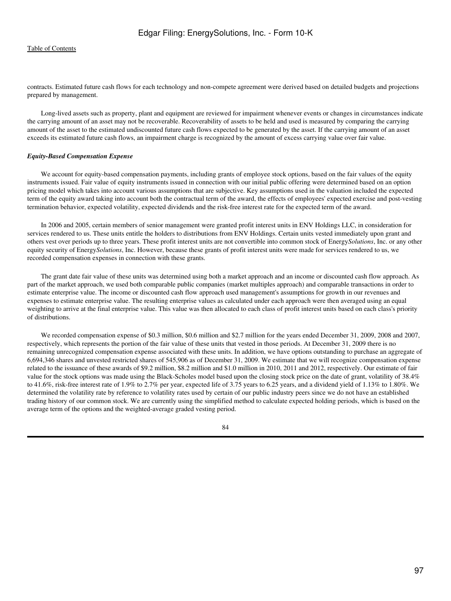contracts. Estimated future cash flows for each technology and non-compete agreement were derived based on detailed budgets and projections prepared by management.

 Long-lived assets such as property, plant and equipment are reviewed for impairment whenever events or changes in circumstances indicate the carrying amount of an asset may not be recoverable. Recoverability of assets to be held and used is measured by comparing the carrying amount of the asset to the estimated undiscounted future cash flows expected to be generated by the asset. If the carrying amount of an asset exceeds its estimated future cash flows, an impairment charge is recognized by the amount of excess carrying value over fair value.

#### *Equity-Based Compensation Expense*

We account for equity-based compensation payments, including grants of employee stock options, based on the fair values of the equity instruments issued. Fair value of equity instruments issued in connection with our initial public offering were determined based on an option pricing model which takes into account various assumptions that are subjective. Key assumptions used in the valuation included the expected term of the equity award taking into account both the contractual term of the award, the effects of employees' expected exercise and post-vesting termination behavior, expected volatility, expected dividends and the risk-free interest rate for the expected term of the award.

 In 2006 and 2005, certain members of senior management were granted profit interest units in ENV Holdings LLC, in consideration for services rendered to us. These units entitle the holders to distributions from ENV Holdings. Certain units vested immediately upon grant and others vest over periods up to three years. These profit interest units are not convertible into common stock of Energy*Solutions*, Inc. or any other equity security of Energy*Solutions*, Inc. However, because these grants of profit interest units were made for services rendered to us, we recorded compensation expenses in connection with these grants.

 The grant date fair value of these units was determined using both a market approach and an income or discounted cash flow approach. As part of the market approach, we used both comparable public companies (market multiples approach) and comparable transactions in order to estimate enterprise value. The income or discounted cash flow approach used management's assumptions for growth in our revenues and expenses to estimate enterprise value. The resulting enterprise values as calculated under each approach were then averaged using an equal weighting to arrive at the final enterprise value. This value was then allocated to each class of profit interest units based on each class's priority of distributions.

 We recorded compensation expense of \$0.3 million, \$0.6 million and \$2.7 million for the years ended December 31, 2009, 2008 and 2007, respectively, which represents the portion of the fair value of these units that vested in those periods. At December 31, 2009 there is no remaining unrecognized compensation expense associated with these units. In addition, we have options outstanding to purchase an aggregate of 6,694,346 shares and unvested restricted shares of 545,906 as of December 31, 2009. We estimate that we will recognize compensation expense related to the issuance of these awards of \$9.2 million, \$8.2 million and \$1.0 million in 2010, 2011 and 2012, respectively. Our estimate of fair value for the stock options was made using the Black-Scholes model based upon the closing stock price on the date of grant, volatility of 38.4% to 41.6%, risk-free interest rate of 1.9% to 2.7% per year, expected life of 3.75 years to 6.25 years, and a dividend yield of 1.13% to 1.80%. We determined the volatility rate by reference to volatility rates used by certain of our public industry peers since we do not have an established trading history of our common stock. We are currently using the simplified method to calculate expected holding periods, which is based on the average term of the options and the weighted-average graded vesting period.

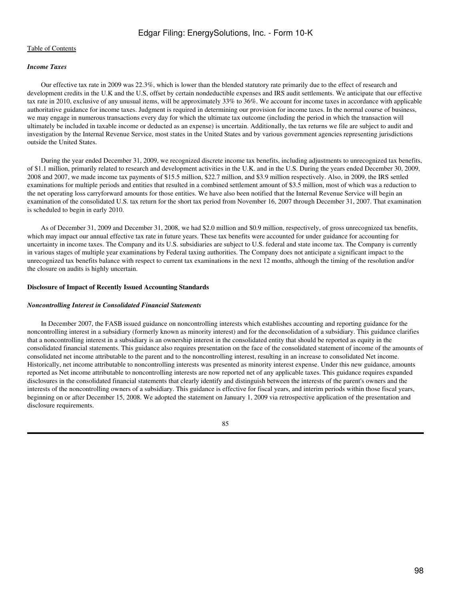## [Table of Contents](#page-2-0)

## *Income Taxes*

 Our effective tax rate in 2009 was 22.3%, which is lower than the blended statutory rate primarily due to the effect of research and development credits in the U.K and the U.S, offset by certain nondeductible expenses and IRS audit settlements. We anticipate that our effective tax rate in 2010, exclusive of any unusual items, will be approximately 33% to 36%. We account for income taxes in accordance with applicable authoritative guidance for income taxes. Judgment is required in determining our provision for income taxes. In the normal course of business, we may engage in numerous transactions every day for which the ultimate tax outcome (including the period in which the transaction will ultimately be included in taxable income or deducted as an expense) is uncertain. Additionally, the tax returns we file are subject to audit and investigation by the Internal Revenue Service, most states in the United States and by various government agencies representing jurisdictions outside the United States.

 During the year ended December 31, 2009, we recognized discrete income tax benefits, including adjustments to unrecognized tax benefits, of \$1.1 million, primarily related to research and development activities in the U.K. and in the U.S. During the years ended December 30, 2009, 2008 and 2007, we made income tax payments of \$15.5 million, \$22.7 million, and \$3.9 million respectively. Also, in 2009, the IRS settled examinations for multiple periods and entities that resulted in a combined settlement amount of \$3.5 million, most of which was a reduction to the net operating loss carryforward amounts for those entities. We have also been notified that the Internal Revenue Service will begin an examination of the consolidated U.S. tax return for the short tax period from November 16, 2007 through December 31, 2007. That examination is scheduled to begin in early 2010.

 As of December 31, 2009 and December 31, 2008, we had \$2.0 million and \$0.9 million, respectively, of gross unrecognized tax benefits, which may impact our annual effective tax rate in future years. These tax benefits were accounted for under guidance for accounting for uncertainty in income taxes. The Company and its U.S. subsidiaries are subject to U.S. federal and state income tax. The Company is currently in various stages of multiple year examinations by Federal taxing authorities. The Company does not anticipate a significant impact to the unrecognized tax benefits balance with respect to current tax examinations in the next 12 months, although the timing of the resolution and/or the closure on audits is highly uncertain.

#### **Disclosure of Impact of Recently Issued Accounting Standards**

#### *Noncontrolling Interest in Consolidated Financial Statements*

 In December 2007, the FASB issued guidance on noncontrolling interests which establishes accounting and reporting guidance for the noncontrolling interest in a subsidiary (formerly known as minority interest) and for the deconsolidation of a subsidiary. This guidance clarifies that a noncontrolling interest in a subsidiary is an ownership interest in the consolidated entity that should be reported as equity in the consolidated financial statements. This guidance also requires presentation on the face of the consolidated statement of income of the amounts of consolidated net income attributable to the parent and to the noncontrolling interest, resulting in an increase to consolidated Net income. Historically, net income attributable to noncontrolling interests was presented as minority interest expense. Under this new guidance, amounts reported as Net income attributable to noncontrolling interests are now reported net of any applicable taxes. This guidance requires expanded disclosures in the consolidated financial statements that clearly identify and distinguish between the interests of the parent's owners and the interests of the noncontrolling owners of a subsidiary. This guidance is effective for fiscal years, and interim periods within those fiscal years, beginning on or after December 15, 2008. We adopted the statement on January 1, 2009 via retrospective application of the presentation and disclosure requirements.

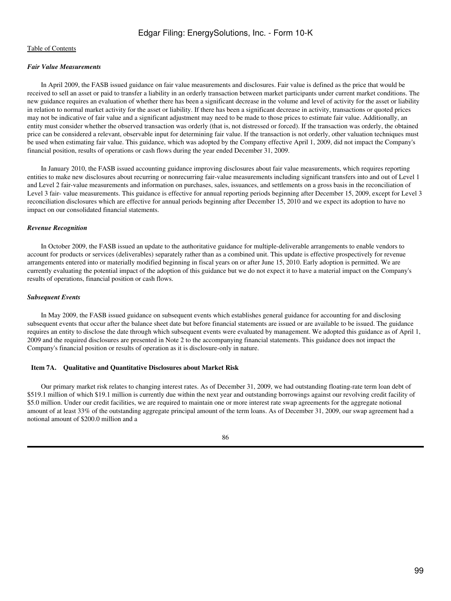## *Fair Value Measurements*

 In April 2009, the FASB issued guidance on fair value measurements and disclosures. Fair value is defined as the price that would be received to sell an asset or paid to transfer a liability in an orderly transaction between market participants under current market conditions. The new guidance requires an evaluation of whether there has been a significant decrease in the volume and level of activity for the asset or liability in relation to normal market activity for the asset or liability. If there has been a significant decrease in activity, transactions or quoted prices may not be indicative of fair value and a significant adjustment may need to be made to those prices to estimate fair value. Additionally, an entity must consider whether the observed transaction was orderly (that is, not distressed or forced). If the transaction was orderly, the obtained price can be considered a relevant, observable input for determining fair value. If the transaction is not orderly, other valuation techniques must be used when estimating fair value. This guidance, which was adopted by the Company effective April 1, 2009, did not impact the Company's financial position, results of operations or cash flows during the year ended December 31, 2009.

 In January 2010, the FASB issued accounting guidance improving disclosures about fair value measurements, which requires reporting entities to make new disclosures about recurring or nonrecurring fair-value measurements including significant transfers into and out of Level 1 and Level 2 fair-value measurements and information on purchases, sales, issuances, and settlements on a gross basis in the reconciliation of Level 3 fair- value measurements. This guidance is effective for annual reporting periods beginning after December 15, 2009, except for Level 3 reconciliation disclosures which are effective for annual periods beginning after December 15, 2010 and we expect its adoption to have no impact on our consolidated financial statements.

## *Revenue Recognition*

 In October 2009, the FASB issued an update to the authoritative guidance for multiple-deliverable arrangements to enable vendors to account for products or services (deliverables) separately rather than as a combined unit. This update is effective prospectively for revenue arrangements entered into or materially modified beginning in fiscal years on or after June 15, 2010. Early adoption is permitted. We are currently evaluating the potential impact of the adoption of this guidance but we do not expect it to have a material impact on the Company's results of operations, financial position or cash flows.

## *Subsequent Events*

 In May 2009, the FASB issued guidance on subsequent events which establishes general guidance for accounting for and disclosing subsequent events that occur after the balance sheet date but before financial statements are issued or are available to be issued. The guidance requires an entity to disclose the date through which subsequent events were evaluated by management. We adopted this guidance as of April 1, 2009 and the required disclosures are presented in Note 2 to the accompanying financial statements. This guidance does not impact the Company's financial position or results of operation as it is disclosure-only in nature.

## **Item 7A. Qualitative and Quantitative Disclosures about Market Risk**

 Our primary market risk relates to changing interest rates. As of December 31, 2009, we had outstanding floating-rate term loan debt of \$519.1 million of which \$19.1 million is currently due within the next year and outstanding borrowings against our revolving credit facility of \$5.0 million. Under our credit facilities, we are required to maintain one or more interest rate swap agreements for the aggregate notional amount of at least 33% of the outstanding aggregate principal amount of the term loans. As of December 31, 2009, our swap agreement had a notional amount of \$200.0 million and a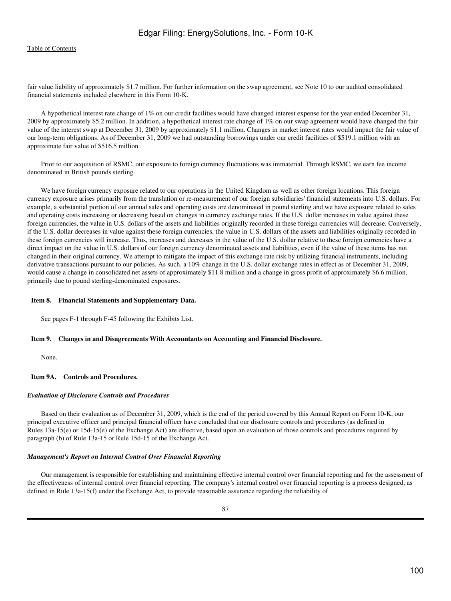fair value liability of approximately \$1.7 million. For further information on the swap agreement, see Note 10 to our audited consolidated financial statements included elsewhere in this Form 10-K.

 A hypothetical interest rate change of 1% on our credit facilities would have changed interest expense for the year ended December 31, 2009 by approximately \$5.2 million. In addition, a hypothetical interest rate change of 1% on our swap agreement would have changed the fair value of the interest swap at December 31, 2009 by approximately \$1.1 million. Changes in market interest rates would impact the fair value of our long-term obligations. As of December 31, 2009 we had outstanding borrowings under our credit facilities of \$519.1 million with an approximate fair value of \$516.5 million.

 Prior to our acquisition of RSMC, our exposure to foreign currency fluctuations was immaterial. Through RSMC, we earn fee income denominated in British pounds sterling.

We have foreign currency exposure related to our operations in the United Kingdom as well as other foreign locations. This foreign currency exposure arises primarily from the translation or re-measurement of our foreign subsidiaries' financial statements into U.S. dollars. For example, a substantial portion of our annual sales and operating costs are denominated in pound sterling and we have exposure related to sales and operating costs increasing or decreasing based on changes in currency exchange rates. If the U.S. dollar increases in value against these foreign currencies, the value in U.S. dollars of the assets and liabilities originally recorded in these foreign currencies will decrease. Conversely, if the U.S. dollar decreases in value against these foreign currencies, the value in U.S. dollars of the assets and liabilities originally recorded in these foreign currencies will increase. Thus, increases and decreases in the value of the U.S. dollar relative to these foreign currencies have a direct impact on the value in U.S. dollars of our foreign currency denominated assets and liabilities, even if the value of these items has not changed in their original currency. We attempt to mitigate the impact of this exchange rate risk by utilizing financial instruments, including derivative transactions pursuant to our policies. As such, a 10% change in the U.S. dollar exchange rates in effect as of December 31, 2009, would cause a change in consolidated net assets of approximately \$11.8 million and a change in gross profit of approximately \$6.6 million, primarily due to pound sterling-denominated exposures.

#### **Item 8. Financial Statements and Supplementary Data.**

See pages F-1 through F-45 following the Exhibits List.

#### **Item 9. Changes in and Disagreements With Accountants on Accounting and Financial Disclosure.**

None.

## **Item 9A. Controls and Procedures.**

#### *Evaluation of Disclosure Controls and Procedures*

 Based on their evaluation as of December 31, 2009, which is the end of the period covered by this Annual Report on Form 10-K, our principal executive officer and principal financial officer have concluded that our disclosure controls and procedures (as defined in Rules 13a-15(e) or 15d-15(e) of the Exchange Act) are effective, based upon an evaluation of those controls and procedures required by paragraph (b) of Rule 13a-15 or Rule 15d-15 of the Exchange Act.

#### *Management's Report on Internal Control Over Financial Reporting*

 Our management is responsible for establishing and maintaining effective internal control over financial reporting and for the assessment of the effectiveness of internal control over financial reporting. The company's internal control over financial reporting is a process designed, as defined in Rule 13a-15(f) under the Exchange Act, to provide reasonable assurance regarding the reliability of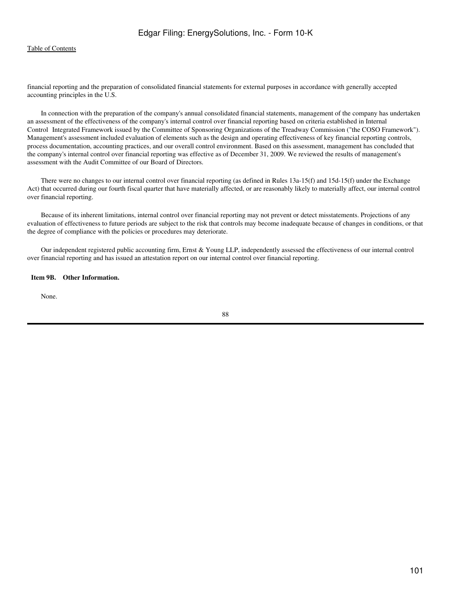financial reporting and the preparation of consolidated financial statements for external purposes in accordance with generally accepted accounting principles in the U.S.

 In connection with the preparation of the company's annual consolidated financial statements, management of the company has undertaken an assessment of the effectiveness of the company's internal control over financial reporting based on criteria established in Internal Control Integrated Framework issued by the Committee of Sponsoring Organizations of the Treadway Commission ("the COSO Framework"). Management's assessment included evaluation of elements such as the design and operating effectiveness of key financial reporting controls, process documentation, accounting practices, and our overall control environment. Based on this assessment, management has concluded that the company's internal control over financial reporting was effective as of December 31, 2009. We reviewed the results of management's assessment with the Audit Committee of our Board of Directors.

 There were no changes to our internal control over financial reporting (as defined in Rules 13a-15(f) and 15d-15(f) under the Exchange Act) that occurred during our fourth fiscal quarter that have materially affected, or are reasonably likely to materially affect, our internal control over financial reporting.

 Because of its inherent limitations, internal control over financial reporting may not prevent or detect misstatements. Projections of any evaluation of effectiveness to future periods are subject to the risk that controls may become inadequate because of changes in conditions, or that the degree of compliance with the policies or procedures may deteriorate.

 Our independent registered public accounting firm, Ernst & Young LLP, independently assessed the effectiveness of our internal control over financial reporting and has issued an attestation report on our internal control over financial reporting.

## **Item 9B. Other Information.**

None.

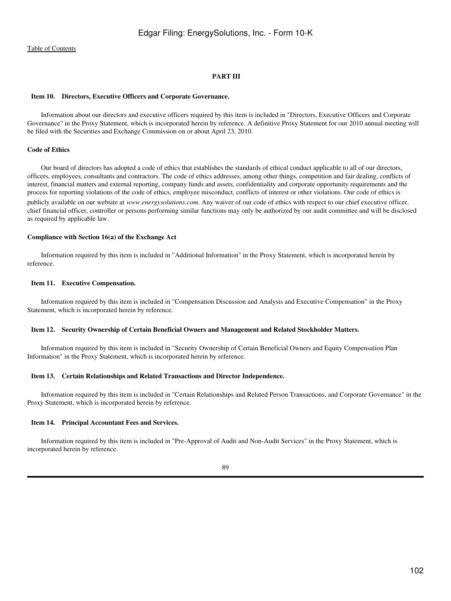## **PART III**

#### **Item 10. Directors, Executive Officers and Corporate Governance.**

 Information about our directors and executive officers required by this item is included in "Directors, Executive Officers and Corporate Governance" in the Proxy Statement, which is incorporated herein by reference. A definitive Proxy Statement for our 2010 annual meeting will be filed with the Securities and Exchange Commission on or about April 23, 2010.

#### **Code of Ethics**

 Our board of directors has adopted a code of ethics that establishes the standards of ethical conduct applicable to all of our directors, officers, employees, consultants and contractors. The code of ethics addresses, among other things, competition and fair dealing, conflicts of interest, financial matters and external reporting, company funds and assets, confidentiality and corporate opportunity requirements and the process for reporting violations of the code of ethics, employee misconduct, conflicts of interest or other violations. Our code of ethics is publicly available on our website at *www.energysolutions.com*. Any waiver of our code of ethics with respect to our chief executive officer, chief financial officer, controller or persons performing similar functions may only be authorized by our audit committee and will be disclosed as required by applicable law.

#### **Compliance with Section 16(a) of the Exchange Act**

 Information required by this item is included in "Additional Information" in the Proxy Statement, which is incorporated herein by reference.

## **Item 11. Executive Compensation.**

 Information required by this item is included in "Compensation Discussion and Analysis and Executive Compensation" in the Proxy Statement, which is incorporated herein by reference.

#### **Item 12. Security Ownership of Certain Beneficial Owners and Management and Related Stockholder Matters.**

 Information required by this item is included in "Security Ownership of Certain Beneficial Owners and Equity Compensation Plan Information" in the Proxy Statement, which is incorporated herein by reference.

#### **Item 13. Certain Relationships and Related Transactions and Director Independence.**

 Information required by this item is included in "Certain Relationships and Related Person Transactions, and Corporate Governance" in the Proxy Statement, which is incorporated herein by reference.

#### **Item 14. Principal Accountant Fees and Services.**

 Information required by this item is included in "Pre-Approval of Audit and Non-Audit Services" in the Proxy Statement, which is incorporated herein by reference.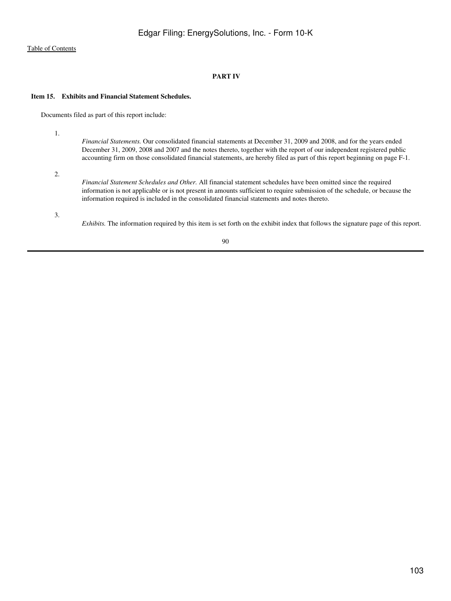## **PART IV**

## **Item 15. Exhibits and Financial Statement Schedules.**

Documents filed as part of this report include:

1.

*Financial Statements.* Our consolidated financial statements at December 31, 2009 and 2008, and for the years ended December 31, 2009, 2008 and 2007 and the notes thereto, together with the report of our independent registered public accounting firm on those consolidated financial statements, are hereby filed as part of this report beginning on page F-1.

2.

*Financial Statement Schedules and Other.* All financial statement schedules have been omitted since the required information is not applicable or is not present in amounts sufficient to require submission of the schedule, or because the information required is included in the consolidated financial statements and notes thereto.

3.

*Exhibits.* The information required by this item is set forth on the exhibit index that follows the signature page of this report.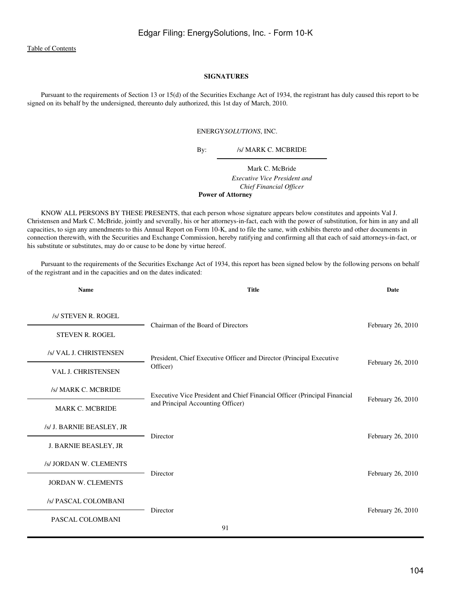## **SIGNATURES**

 Pursuant to the requirements of Section 13 or 15(d) of the Securities Exchange Act of 1934, the registrant has duly caused this report to be signed on its behalf by the undersigned, thereunto duly authorized, this 1st day of March, 2010.

#### ENERGY*SOLUTIONS*, INC.

By: /s/ MARK C. MCBRIDE

Mark C. McBride *Executive Vice President and Chief Financial Officer* **Power of Attorney**

 KNOW ALL PERSONS BY THESE PRESENTS, that each person whose signature appears below constitutes and appoints Val J. Christensen and Mark C. McBride, jointly and severally, his or her attorneys-in-fact, each with the power of substitution, for him in any and all capacities, to sign any amendments to this Annual Report on Form 10-K, and to file the same, with exhibits thereto and other documents in connection therewith, with the Securities and Exchange Commission, hereby ratifying and confirming all that each of said attorneys-in-fact, or his substitute or substitutes, may do or cause to be done by virtue hereof.

 Pursuant to the requirements of the Securities Exchange Act of 1934, this report has been signed below by the following persons on behalf of the registrant and in the capacities and on the dates indicated:

| <b>Name</b>               | <b>Title</b>                                                              | <b>Date</b>       |
|---------------------------|---------------------------------------------------------------------------|-------------------|
| /s/ STEVEN R. ROGEL       |                                                                           |                   |
| <b>STEVEN R. ROGEL</b>    | Chairman of the Board of Directors                                        | February 26, 2010 |
| /s/ VAL J. CHRISTENSEN    | President, Chief Executive Officer and Director (Principal Executive      |                   |
| <b>VAL J. CHRISTENSEN</b> | Officer)                                                                  | February 26, 2010 |
| /s/ MARK C. MCBRIDE       | Executive Vice President and Chief Financial Officer (Principal Financial | February 26, 2010 |
| <b>MARK C. MCBRIDE</b>    | and Principal Accounting Officer)                                         |                   |
| /s/ J. BARNIE BEASLEY, JR | Director                                                                  | February 26, 2010 |
| J. BARNIE BEASLEY, JR     |                                                                           |                   |
| /s/ JORDAN W. CLEMENTS    | Director                                                                  | February 26, 2010 |
| <b>JORDAN W. CLEMENTS</b> |                                                                           |                   |
| /s/ PASCAL COLOMBANI      | Director                                                                  | February 26, 2010 |
| PASCAL COLOMBANI          | 91                                                                        |                   |
|                           |                                                                           |                   |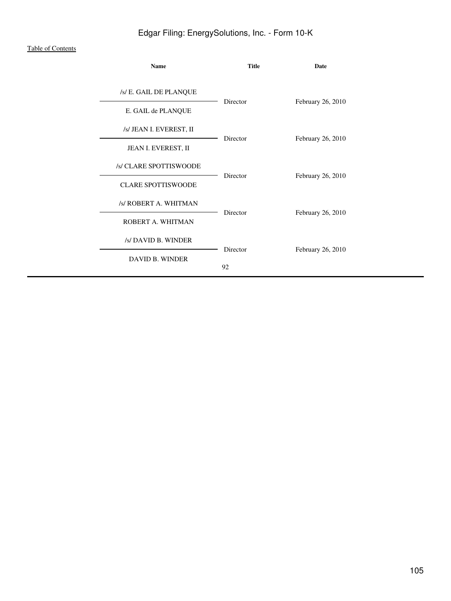## [Table of Contents](#page-2-0)

| Name                                          | <b>Title</b> | Date              |
|-----------------------------------------------|--------------|-------------------|
| /s/ E. GAIL DE PLANQUE                        | Director     | February 26, 2010 |
| E. GAIL de PLANQUE<br>/s/ JEAN I. EVEREST, II |              |                   |
| JEAN I. EVEREST, II<br>/s/ CLARE SPOTTISWOODE | Director     | February 26, 2010 |
| <b>CLARE SPOTTISWOODE</b>                     | Director     | February 26, 2010 |
| /s/ ROBERT A. WHITMAN<br>ROBERT A. WHITMAN    | Director     | February 26, 2010 |
| /s/ DAVID B. WINDER                           | Director     | February 26, 2010 |
| <b>DAVID B. WINDER</b>                        | 92           |                   |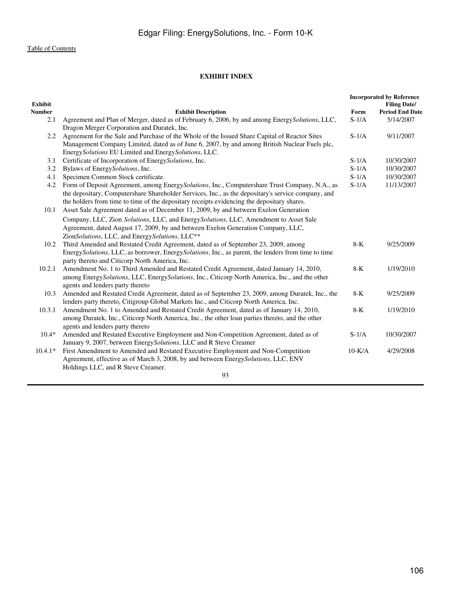# **EXHIBIT INDEX**

| <b>Exhibit</b> |                                                                                                      |          | <b>Incorporated by Reference</b><br><b>Filing Date/</b> |
|----------------|------------------------------------------------------------------------------------------------------|----------|---------------------------------------------------------|
| <b>Number</b>  | <b>Exhibit Description</b>                                                                           | Form     | <b>Period End Date</b>                                  |
| 2.1            | Agreement and Plan of Merger, dated as of February 6, 2006, by and among Energy Solutions, LLC,      | $S-1/A$  | 5/14/2007                                               |
|                | Dragon Merger Corporation and Duratek, Inc.                                                          |          |                                                         |
| 2.2            | Agreement for the Sale and Purchase of the Whole of the Issued Share Capital of Reactor Sites        | $S-1/A$  | 9/11/2007                                               |
|                | Management Company Limited, dated as of June 6, 2007, by and among British Nuclear Fuels plc,        |          |                                                         |
|                | EnergySolutions EU Limited and EnergySolutions, LLC.                                                 |          |                                                         |
| 3.1            | Certificate of Incorporation of EnergySolutions, Inc.                                                | $S-1/A$  | 10/30/2007                                              |
| 3.2            | Bylaws of EnergySolutions, Inc.                                                                      | $S-1/A$  | 10/30/2007                                              |
| 4.1            | Specimen Common Stock certificate.                                                                   | $S-1/A$  | 10/30/2007                                              |
| 4.2            | Form of Deposit Agreement, among Energy Solutions, Inc., Computershare Trust Company, N.A., as       | $S-1/A$  | 11/13/2007                                              |
|                | the depositary, Computershare Shareholder Services, Inc., as the depositary's service company, and   |          |                                                         |
|                | the holders from time to time of the depositary receipts evidencing the depositary shares.           |          |                                                         |
| 10.1           | Asset Sale Agreement dated as of December 11, 2009, by and between Exelon Generation                 |          |                                                         |
|                | Company, LLC, Zion Solutions, LLC, and EnergySolutions, LLC; Amendment to Asset Sale                 |          |                                                         |
|                | Agreement, dated August 17, 2009, by and between Exelon Generation Company, LLC,                     |          |                                                         |
|                | ZionSolutions, LLC, and EnergySolutions, LLC**                                                       |          |                                                         |
| 10.2           | Third Amended and Restated Credit Agreement, dated as of September 23, 2009, among                   | $8-K$    | 9/25/2009                                               |
|                | Energy Solutions, LLC, as borrower, Energy Solutions, Inc., as parent, the lenders from time to time |          |                                                         |
|                | party thereto and Citicorp North America, Inc.                                                       |          |                                                         |
| 10.2.1         | Amendment No. 1 to Third Amended and Restated Credit Agreement, dated January 14, 2010,              | $8-K$    | 1/19/2010                                               |
|                | among Energy Solutions, LLC, Energy Solutions, Inc., Citicorp North America, Inc., and the other     |          |                                                         |
|                | agents and lenders party thereto                                                                     |          |                                                         |
| 10.3           | Amended and Restated Credit Agreement, dated as of September 23, 2009, among Duratek, Inc., the      | $8-K$    | 9/25/2009                                               |
|                | lenders party thereto, Citigroup Global Markets Inc., and Citicorp North America, Inc.               |          |                                                         |
| 10.3.1         | Amendment No. 1 to Amended and Restated Credit Agreement, dated as of January 14, 2010,              | $8-K$    | 1/19/2010                                               |
|                | among Duratek, Inc., Citicorp North America, Inc., the other loan parties thereto, and the other     |          |                                                         |
|                | agents and lenders party thereto                                                                     |          |                                                         |
| $10.4*$        | Amended and Restated Executive Employment and Non-Competition Agreement, dated as of                 | $S-1/A$  | 10/30/2007                                              |
|                | January 9, 2007, between EnergySolutions, LLC and R Steve Creamer                                    |          |                                                         |
| $10.4.1*$      | First Amendment to Amended and Restated Executive Employment and Non-Competition                     | $10-K/A$ | 4/29/2008                                               |
|                | Agreement, effective as of March 3, 2008, by and between EnergySolutions, LLC, ENV                   |          |                                                         |
|                | Holdings LLC, and R Steve Creamer.                                                                   |          |                                                         |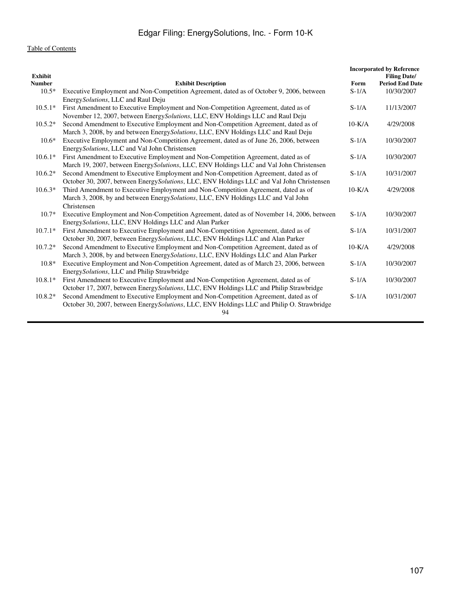| <b>Exhibit</b> |                                                                                                                                                                                                    |          | <b>Incorporated by Reference</b><br><b>Filing Date/</b> |
|----------------|----------------------------------------------------------------------------------------------------------------------------------------------------------------------------------------------------|----------|---------------------------------------------------------|
| Number         | <b>Exhibit Description</b>                                                                                                                                                                         | Form     | <b>Period End Date</b>                                  |
| $10.5*$        | Executive Employment and Non-Competition Agreement, dated as of October 9, 2006, between<br>Energy Solutions, LLC and Raul Deju                                                                    | $S-1/A$  | 10/30/2007                                              |
| $10.5.1*$      | First Amendment to Executive Employment and Non-Competition Agreement, dated as of<br>November 12, 2007, between Energy Solutions, LLC, ENV Holdings LLC and Raul Deju                             | $S-1/A$  | 11/13/2007                                              |
| $10.5.2*$      | Second Amendment to Executive Employment and Non-Competition Agreement, dated as of<br>March 3, 2008, by and between Energy Solutions, LLC, ENV Holdings LLC and Raul Deju                         | $10-K/A$ | 4/29/2008                                               |
| $10.6*$        | Executive Employment and Non-Competition Agreement, dated as of June 26, 2006, between<br>EnergySolutions, LLC and Val John Christensen                                                            | $S-1/A$  | 10/30/2007                                              |
| $10.6.1*$      | First Amendment to Executive Employment and Non-Competition Agreement, dated as of<br>March 19, 2007, between Energy Solutions, LLC, ENV Holdings LLC and Val John Christensen                     | $S-1/A$  | 10/30/2007                                              |
| $10.6.2*$      | Second Amendment to Executive Employment and Non-Competition Agreement, dated as of<br>October 30, 2007, between EnergySolutions, LLC, ENV Holdings LLC and Val John Christensen                   | $S-1/A$  | 10/31/2007                                              |
| $10.6.3*$      | Third Amendment to Executive Employment and Non-Competition Agreement, dated as of<br>March 3, 2008, by and between EnergySolutions, LLC, ENV Holdings LLC and Val John<br>Christensen             | $10-K/A$ | 4/29/2008                                               |
| $10.7*$        | Executive Employment and Non-Competition Agreement, dated as of November 14, 2006, between<br>EnergySolutions, LLC, ENV Holdings LLC and Alan Parker                                               | $S-1/A$  | 10/30/2007                                              |
| $10.7.1*$      | First Amendment to Executive Employment and Non-Competition Agreement, dated as of<br>October 30, 2007, between EnergySolutions, LLC, ENV Holdings LLC and Alan Parker                             | $S-1/A$  | 10/31/2007                                              |
| $10.7.2*$      | Second Amendment to Executive Employment and Non-Competition Agreement, dated as of<br>March 3, 2008, by and between Energy Solutions, LLC, ENV Holdings LLC and Alan Parker                       | $10-K/A$ | 4/29/2008                                               |
| $10.8*$        | Executive Employment and Non-Competition Agreement, dated as of March 23, 2006, between<br>EnergySolutions, LLC and Philip Strawbridge                                                             | $S-1/A$  | 10/30/2007                                              |
| $10.8.1*$      | First Amendment to Executive Employment and Non-Competition Agreement, dated as of<br>October 17, 2007, between Energy Solutions, LLC, ENV Holdings LLC and Philip Strawbridge                     | $S-1/A$  | 10/30/2007                                              |
| $10.8.2*$      | Second Amendment to Executive Employment and Non-Competition Agreement, dated as of<br>October 30, 2007, between Energy Solutions, LLC, ENV Holdings LLC and Philip O. Strawbridge<br>$\mathbf{A}$ | $S-1/A$  | 10/31/2007                                              |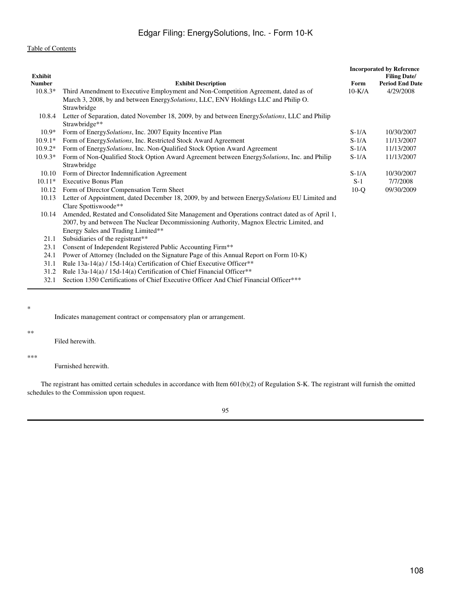| <b>Exhibit Description</b><br><b>Number</b><br>Form<br>$10.8.3*$<br>Third Amendment to Executive Employment and Non-Competition Agreement, dated as of<br>$10-K/A$<br>March 3, 2008, by and between EnergySolutions, LLC, ENV Holdings LLC and Philip O.<br>Strawbridge<br>Letter of Separation, dated November 18, 2009, by and between Energy Solutions, LLC and Philip<br>10.8.4<br>Strawbridge**<br>Form of EnergySolutions, Inc. 2007 Equity Incentive Plan<br>$S-1/A$<br>$10.9*$<br>$10.9.1*$<br>Form of Energy Solutions, Inc. Restricted Stock Award Agreement<br>$S-1/A$<br>$10.9.2*$<br>Form of Energy Solutions, Inc. Non-Qualified Stock Option Award Agreement<br>$S-1/A$<br>Form of Non-Qualified Stock Option Award Agreement between Energy Solutions, Inc. and Philip<br>$10.9.3*$<br>$S-1/A$<br>Strawbridge<br>Form of Director Indemnification Agreement<br>$S-1/A$<br>10.10<br>$10.11*$<br>Executive Bonus Plan<br>$S-1$<br>10.12<br>Form of Director Compensation Term Sheet<br>$10-Q$<br>Letter of Appointment, dated December 18, 2009, by and between Energy Solutions EU Limited and<br>10.13<br>Clare Spottiswoode**<br>Amended, Restated and Consolidated Site Management and Operations contract dated as of April 1,<br>10.14<br>2007, by and between The Nuclear Decommissioning Authority, Magnox Electric Limited, and<br>Energy Sales and Trading Limited**<br>Subsidiaries of the registrant**<br>21.1<br>23.1<br>Consent of Independent Registered Public Accounting Firm**<br>Power of Attorney (Included on the Signature Page of this Annual Report on Form 10-K)<br>24.1<br>Rule 13a-14(a) / 15d-14(a) Certification of Chief Executive Officer**<br>31.1<br>Rule 13a-14(a) / 15d-14(a) Certification of Chief Financial Officer**<br>31.2<br>Section 1350 Certifications of Chief Executive Officer And Chief Financial Officer***<br>32.1 | <b>Exhibit</b> |  | <b>Incorporated by Reference</b><br><b>Filing Date/</b> |
|------------------------------------------------------------------------------------------------------------------------------------------------------------------------------------------------------------------------------------------------------------------------------------------------------------------------------------------------------------------------------------------------------------------------------------------------------------------------------------------------------------------------------------------------------------------------------------------------------------------------------------------------------------------------------------------------------------------------------------------------------------------------------------------------------------------------------------------------------------------------------------------------------------------------------------------------------------------------------------------------------------------------------------------------------------------------------------------------------------------------------------------------------------------------------------------------------------------------------------------------------------------------------------------------------------------------------------------------------------------------------------------------------------------------------------------------------------------------------------------------------------------------------------------------------------------------------------------------------------------------------------------------------------------------------------------------------------------------------------------------------------------------------------------------------------------------------------------------------------------------------------|----------------|--|---------------------------------------------------------|
|                                                                                                                                                                                                                                                                                                                                                                                                                                                                                                                                                                                                                                                                                                                                                                                                                                                                                                                                                                                                                                                                                                                                                                                                                                                                                                                                                                                                                                                                                                                                                                                                                                                                                                                                                                                                                                                                                    |                |  | <b>Period End Date</b>                                  |
|                                                                                                                                                                                                                                                                                                                                                                                                                                                                                                                                                                                                                                                                                                                                                                                                                                                                                                                                                                                                                                                                                                                                                                                                                                                                                                                                                                                                                                                                                                                                                                                                                                                                                                                                                                                                                                                                                    |                |  | 4/29/2008                                               |
|                                                                                                                                                                                                                                                                                                                                                                                                                                                                                                                                                                                                                                                                                                                                                                                                                                                                                                                                                                                                                                                                                                                                                                                                                                                                                                                                                                                                                                                                                                                                                                                                                                                                                                                                                                                                                                                                                    |                |  |                                                         |
|                                                                                                                                                                                                                                                                                                                                                                                                                                                                                                                                                                                                                                                                                                                                                                                                                                                                                                                                                                                                                                                                                                                                                                                                                                                                                                                                                                                                                                                                                                                                                                                                                                                                                                                                                                                                                                                                                    |                |  |                                                         |
|                                                                                                                                                                                                                                                                                                                                                                                                                                                                                                                                                                                                                                                                                                                                                                                                                                                                                                                                                                                                                                                                                                                                                                                                                                                                                                                                                                                                                                                                                                                                                                                                                                                                                                                                                                                                                                                                                    |                |  |                                                         |
|                                                                                                                                                                                                                                                                                                                                                                                                                                                                                                                                                                                                                                                                                                                                                                                                                                                                                                                                                                                                                                                                                                                                                                                                                                                                                                                                                                                                                                                                                                                                                                                                                                                                                                                                                                                                                                                                                    |                |  | 10/30/2007                                              |
|                                                                                                                                                                                                                                                                                                                                                                                                                                                                                                                                                                                                                                                                                                                                                                                                                                                                                                                                                                                                                                                                                                                                                                                                                                                                                                                                                                                                                                                                                                                                                                                                                                                                                                                                                                                                                                                                                    |                |  | 11/13/2007                                              |
|                                                                                                                                                                                                                                                                                                                                                                                                                                                                                                                                                                                                                                                                                                                                                                                                                                                                                                                                                                                                                                                                                                                                                                                                                                                                                                                                                                                                                                                                                                                                                                                                                                                                                                                                                                                                                                                                                    |                |  | 11/13/2007                                              |
|                                                                                                                                                                                                                                                                                                                                                                                                                                                                                                                                                                                                                                                                                                                                                                                                                                                                                                                                                                                                                                                                                                                                                                                                                                                                                                                                                                                                                                                                                                                                                                                                                                                                                                                                                                                                                                                                                    |                |  | 11/13/2007                                              |
|                                                                                                                                                                                                                                                                                                                                                                                                                                                                                                                                                                                                                                                                                                                                                                                                                                                                                                                                                                                                                                                                                                                                                                                                                                                                                                                                                                                                                                                                                                                                                                                                                                                                                                                                                                                                                                                                                    |                |  |                                                         |
|                                                                                                                                                                                                                                                                                                                                                                                                                                                                                                                                                                                                                                                                                                                                                                                                                                                                                                                                                                                                                                                                                                                                                                                                                                                                                                                                                                                                                                                                                                                                                                                                                                                                                                                                                                                                                                                                                    |                |  | 10/30/2007                                              |
|                                                                                                                                                                                                                                                                                                                                                                                                                                                                                                                                                                                                                                                                                                                                                                                                                                                                                                                                                                                                                                                                                                                                                                                                                                                                                                                                                                                                                                                                                                                                                                                                                                                                                                                                                                                                                                                                                    |                |  | 7/7/2008                                                |
|                                                                                                                                                                                                                                                                                                                                                                                                                                                                                                                                                                                                                                                                                                                                                                                                                                                                                                                                                                                                                                                                                                                                                                                                                                                                                                                                                                                                                                                                                                                                                                                                                                                                                                                                                                                                                                                                                    |                |  | 09/30/2009                                              |
|                                                                                                                                                                                                                                                                                                                                                                                                                                                                                                                                                                                                                                                                                                                                                                                                                                                                                                                                                                                                                                                                                                                                                                                                                                                                                                                                                                                                                                                                                                                                                                                                                                                                                                                                                                                                                                                                                    |                |  |                                                         |
|                                                                                                                                                                                                                                                                                                                                                                                                                                                                                                                                                                                                                                                                                                                                                                                                                                                                                                                                                                                                                                                                                                                                                                                                                                                                                                                                                                                                                                                                                                                                                                                                                                                                                                                                                                                                                                                                                    |                |  |                                                         |
|                                                                                                                                                                                                                                                                                                                                                                                                                                                                                                                                                                                                                                                                                                                                                                                                                                                                                                                                                                                                                                                                                                                                                                                                                                                                                                                                                                                                                                                                                                                                                                                                                                                                                                                                                                                                                                                                                    |                |  |                                                         |
|                                                                                                                                                                                                                                                                                                                                                                                                                                                                                                                                                                                                                                                                                                                                                                                                                                                                                                                                                                                                                                                                                                                                                                                                                                                                                                                                                                                                                                                                                                                                                                                                                                                                                                                                                                                                                                                                                    |                |  |                                                         |
|                                                                                                                                                                                                                                                                                                                                                                                                                                                                                                                                                                                                                                                                                                                                                                                                                                                                                                                                                                                                                                                                                                                                                                                                                                                                                                                                                                                                                                                                                                                                                                                                                                                                                                                                                                                                                                                                                    |                |  |                                                         |
|                                                                                                                                                                                                                                                                                                                                                                                                                                                                                                                                                                                                                                                                                                                                                                                                                                                                                                                                                                                                                                                                                                                                                                                                                                                                                                                                                                                                                                                                                                                                                                                                                                                                                                                                                                                                                                                                                    |                |  |                                                         |
|                                                                                                                                                                                                                                                                                                                                                                                                                                                                                                                                                                                                                                                                                                                                                                                                                                                                                                                                                                                                                                                                                                                                                                                                                                                                                                                                                                                                                                                                                                                                                                                                                                                                                                                                                                                                                                                                                    |                |  |                                                         |
|                                                                                                                                                                                                                                                                                                                                                                                                                                                                                                                                                                                                                                                                                                                                                                                                                                                                                                                                                                                                                                                                                                                                                                                                                                                                                                                                                                                                                                                                                                                                                                                                                                                                                                                                                                                                                                                                                    |                |  |                                                         |
|                                                                                                                                                                                                                                                                                                                                                                                                                                                                                                                                                                                                                                                                                                                                                                                                                                                                                                                                                                                                                                                                                                                                                                                                                                                                                                                                                                                                                                                                                                                                                                                                                                                                                                                                                                                                                                                                                    |                |  |                                                         |
|                                                                                                                                                                                                                                                                                                                                                                                                                                                                                                                                                                                                                                                                                                                                                                                                                                                                                                                                                                                                                                                                                                                                                                                                                                                                                                                                                                                                                                                                                                                                                                                                                                                                                                                                                                                                                                                                                    |                |  |                                                         |

\*

L,

Indicates management contract or compensatory plan or arrangement.

\*\*

Filed herewith.

\*\*\*

Furnished herewith.

 The registrant has omitted certain schedules in accordance with Item 601(b)(2) of Regulation S-K. The registrant will furnish the omitted schedules to the Commission upon request.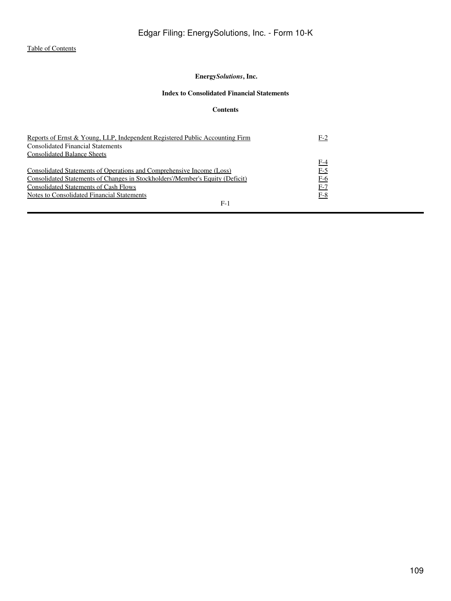# **Energy***Solutions***, Inc.**

# **Index to Consolidated Financial Statements**

# **Contents**

| Reports of Ernst & Young, LLP, Independent Registered Public Accounting Firm  | $F-2$ |
|-------------------------------------------------------------------------------|-------|
| <b>Consolidated Financial Statements</b>                                      |       |
| <b>Consolidated Balance Sheets</b>                                            |       |
|                                                                               | F-4   |
| Consolidated Statements of Operations and Comprehensive Income (Loss)         | $F-5$ |
| Consolidated Statements of Changes in Stockholders'/Member's Equity (Deficit) | $F-6$ |
| Consolidated Statements of Cash Flows                                         | $F-7$ |
| Notes to Consolidated Financial Statements                                    | $F-8$ |
| $F-1$                                                                         |       |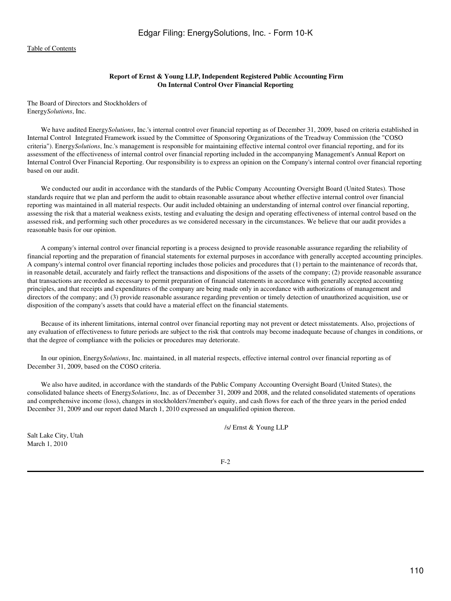# **Report of Ernst & Young LLP, Independent Registered Public Accounting Firm On Internal Control Over Financial Reporting**

<span id="page-109-0"></span>The Board of Directors and Stockholders of Energy*Solutions*, Inc.

 We have audited Energy*Solutions*, Inc.'s internal control over financial reporting as of December 31, 2009, based on criteria established in Internal Control Integrated Framework issued by the Committee of Sponsoring Organizations of the Treadway Commission (the "COSO") criteria"). Energy*Solutions*, Inc.'s management is responsible for maintaining effective internal control over financial reporting, and for its assessment of the effectiveness of internal control over financial reporting included in the accompanying Management's Annual Report on Internal Control Over Financial Reporting. Our responsibility is to express an opinion on the Company's internal control over financial reporting based on our audit.

 We conducted our audit in accordance with the standards of the Public Company Accounting Oversight Board (United States). Those standards require that we plan and perform the audit to obtain reasonable assurance about whether effective internal control over financial reporting was maintained in all material respects. Our audit included obtaining an understanding of internal control over financial reporting, assessing the risk that a material weakness exists, testing and evaluating the design and operating effectiveness of internal control based on the assessed risk, and performing such other procedures as we considered necessary in the circumstances. We believe that our audit provides a reasonable basis for our opinion.

 A company's internal control over financial reporting is a process designed to provide reasonable assurance regarding the reliability of financial reporting and the preparation of financial statements for external purposes in accordance with generally accepted accounting principles. A company's internal control over financial reporting includes those policies and procedures that (1) pertain to the maintenance of records that, in reasonable detail, accurately and fairly reflect the transactions and dispositions of the assets of the company; (2) provide reasonable assurance that transactions are recorded as necessary to permit preparation of financial statements in accordance with generally accepted accounting principles, and that receipts and expenditures of the company are being made only in accordance with authorizations of management and directors of the company; and (3) provide reasonable assurance regarding prevention or timely detection of unauthorized acquisition, use or disposition of the company's assets that could have a material effect on the financial statements.

 Because of its inherent limitations, internal control over financial reporting may not prevent or detect misstatements. Also, projections of any evaluation of effectiveness to future periods are subject to the risk that controls may become inadequate because of changes in conditions, or that the degree of compliance with the policies or procedures may deteriorate.

 In our opinion, Energy*Solutions*, Inc. maintained, in all material respects, effective internal control over financial reporting as of December 31, 2009, based on the COSO criteria.

 We also have audited, in accordance with the standards of the Public Company Accounting Oversight Board (United States), the consolidated balance sheets of Energy*Solutions*, Inc. as of December 31, 2009 and 2008, and the related consolidated statements of operations and comprehensive income (loss), changes in stockholders'/member's equity, and cash flows for each of the three years in the period ended December 31, 2009 and our report dated March 1, 2010 expressed an unqualified opinion thereon.

/s/ Ernst & Young LLP

Salt Lake City, Utah March 1, 2010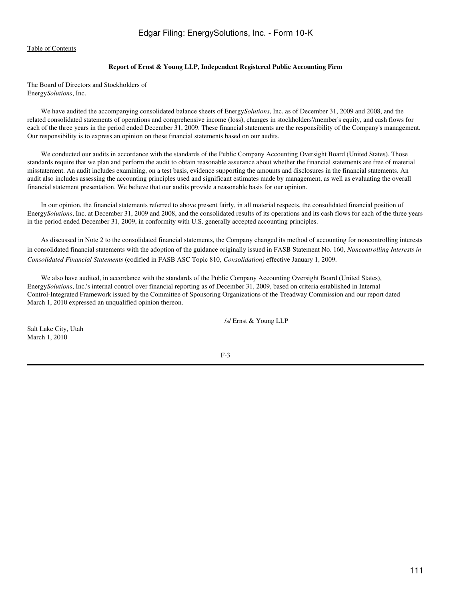# **Report of Ernst & Young LLP, Independent Registered Public Accounting Firm**

The Board of Directors and Stockholders of Energy*Solutions*, Inc.

 We have audited the accompanying consolidated balance sheets of Energy*Solutions*, Inc. as of December 31, 2009 and 2008, and the related consolidated statements of operations and comprehensive income (loss), changes in stockholders'/member's equity, and cash flows for each of the three years in the period ended December 31, 2009. These financial statements are the responsibility of the Company's management. Our responsibility is to express an opinion on these financial statements based on our audits.

 We conducted our audits in accordance with the standards of the Public Company Accounting Oversight Board (United States). Those standards require that we plan and perform the audit to obtain reasonable assurance about whether the financial statements are free of material misstatement. An audit includes examining, on a test basis, evidence supporting the amounts and disclosures in the financial statements. An audit also includes assessing the accounting principles used and significant estimates made by management, as well as evaluating the overall financial statement presentation. We believe that our audits provide a reasonable basis for our opinion.

 In our opinion, the financial statements referred to above present fairly, in all material respects, the consolidated financial position of Energy*Solutions*, Inc. at December 31, 2009 and 2008, and the consolidated results of its operations and its cash flows for each of the three years in the period ended December 31, 2009, in conformity with U.S. generally accepted accounting principles.

 As discussed in Note 2 to the consolidated financial statements, the Company changed its method of accounting for noncontrolling interests in consolidated financial statements with the adoption of the guidance originally issued in FASB Statement No. 160, *Noncontrolling Interests in Consolidated Financial Statements* (codified in FASB ASC Topic 810, *Consolidation)* effective January 1, 2009.

 We also have audited, in accordance with the standards of the Public Company Accounting Oversight Board (United States), Energy*Solutions*, Inc.'s internal control over financial reporting as of December 31, 2009, based on criteria established in Internal Control-Integrated Framework issued by the Committee of Sponsoring Organizations of the Treadway Commission and our report dated March 1, 2010 expressed an unqualified opinion thereon.

/s/ Ernst & Young LLP

Salt Lake City, Utah March 1, 2010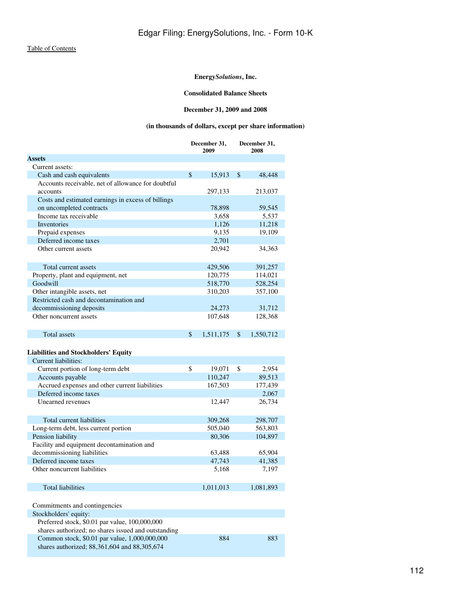# **Consolidated Balance Sheets**

# **December 31, 2009 and 2008**

# **(in thousands of dollars, except per share information)**

<span id="page-111-0"></span>

|                                                           | December 31,<br>2009 |           |    | December 31,<br>2008 |
|-----------------------------------------------------------|----------------------|-----------|----|----------------------|
| <b>Assets</b>                                             |                      |           |    |                      |
| Current assets:                                           |                      |           |    |                      |
| Cash and cash equivalents                                 | $\mathbb{S}$         | 15,913    | \$ | 48,448               |
| Accounts receivable, net of allowance for doubtful        |                      |           |    |                      |
| accounts                                                  |                      | 297,133   |    | 213,037              |
| Costs and estimated earnings in excess of billings        |                      |           |    |                      |
| on uncompleted contracts                                  |                      | 78,898    |    | 59,545               |
| Income tax receivable                                     |                      | 3,658     |    | 5,537                |
| Inventories                                               |                      | 1,126     |    | 11,218               |
| Prepaid expenses                                          |                      | 9.135     |    | 19,109               |
| Deferred income taxes                                     |                      | 2,701     |    |                      |
| Other current assets                                      |                      | 20,942    |    | 34,363               |
|                                                           |                      |           |    |                      |
| Total current assets                                      |                      | 429,506   |    | 391,257              |
| Property, plant and equipment, net                        |                      | 120,775   |    | 114,021              |
| Goodwill                                                  |                      | 518,770   |    | 528,254              |
| Other intangible assets, net                              |                      | 310,203   |    | 357,100              |
| Restricted cash and decontamination and                   |                      |           |    |                      |
| decommissioning deposits                                  |                      | 24,273    |    | 31,712               |
| Other noncurrent assets                                   |                      | 107,648   |    | 128,368              |
|                                                           |                      |           |    |                      |
| <b>Total assets</b>                                       | $\mathsf{\$}$        | 1,511,175 | \$ | 1,550,712            |
|                                                           |                      |           |    |                      |
| <b>Liabilities and Stockholders' Equity</b>               |                      |           |    |                      |
| Current liabilities:                                      |                      |           |    |                      |
| Current portion of long-term debt                         | \$                   | 19,071    | \$ | 2,954                |
| Accounts payable                                          |                      | 110,247   |    | 89,513               |
| Accrued expenses and other current liabilities            |                      | 167,503   |    | 177,439              |
| Deferred income taxes                                     |                      |           |    | 2,067                |
| Unearned revenues                                         |                      | 12,447    |    | 26,734               |
|                                                           |                      |           |    |                      |
| Total current liabilities                                 |                      | 309,268   |    | 298,707              |
|                                                           |                      | 505,040   |    | 563,803              |
| Long-term debt, less current portion<br>Pension liability |                      | 80,306    |    | 104,897              |
| Facility and equipment decontamination and                |                      |           |    |                      |
| decommissioning liabilities                               |                      | 63,488    |    | 65,904               |
| Deferred income taxes                                     |                      | 47,743    |    | 41,385               |
| Other noncurrent liabilities                              |                      | 5,168     |    | 7,197                |
|                                                           |                      |           |    |                      |
|                                                           |                      |           |    |                      |
| <b>Total liabilities</b>                                  |                      | 1,011,013 |    | 1,081,893            |
|                                                           |                      |           |    |                      |
| Commitments and contingencies                             |                      |           |    |                      |
| Stockholders' equity:                                     |                      |           |    |                      |
| Preferred stock, \$0.01 par value, 100,000,000            |                      |           |    |                      |
| shares authorized; no shares issued and outstanding       |                      |           |    |                      |
| Common stock, \$0.01 par value, 1,000,000,000             |                      | 884       |    | 883                  |
| shares authorized; 88,361,604 and 88,305,674              |                      |           |    |                      |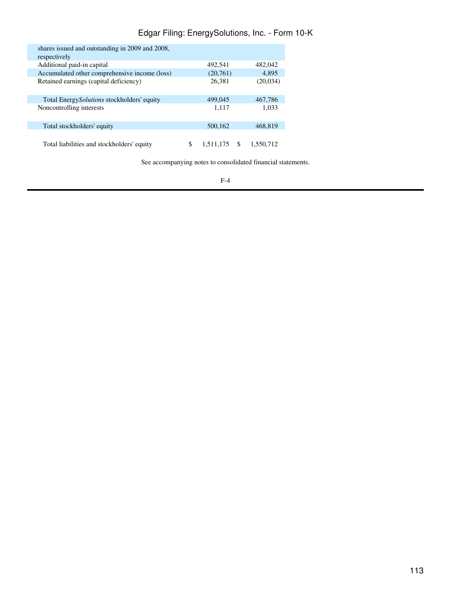# Edgar Filing: EnergySolutions, Inc. - Form 10-K

| shares issued and outstanding in 2009 and 2008,<br>respectively |           |    |           |
|-----------------------------------------------------------------|-----------|----|-----------|
| Additional paid-in capital                                      | 492,541   |    | 482,042   |
| Accumulated other comprehensive income (loss)                   | (20,761)  |    | 4.895     |
| Retained earnings (capital deficiency)                          | 26,381    |    | (20,034)  |
| Total Energy <i>Solutions</i> stockholders' equity              | 499,045   |    | 467.786   |
| Noncontrolling interests                                        | 1,117     |    | 1,033     |
| Total stockholders' equity                                      | 500,162   |    | 468.819   |
| Total liabilities and stockholders' equity                      | 1.511,175 | S. | 1.550.712 |

See accompanying notes to consolidated financial statements.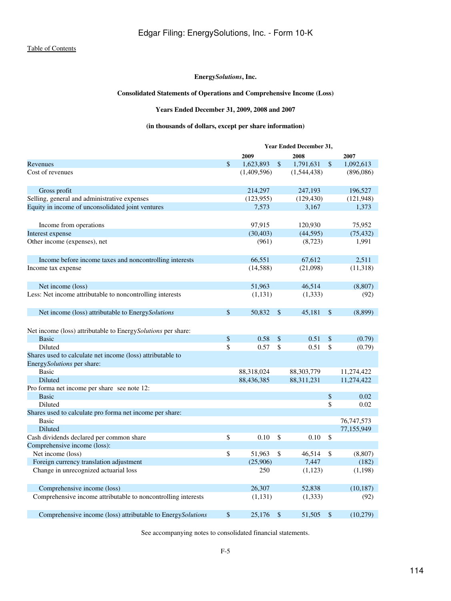# **Consolidated Statements of Operations and Comprehensive Income (Loss)**

# **Years Ended December 31, 2009, 2008 and 2007**

# **(in thousands of dollars, except per share information)**

<span id="page-113-0"></span>

|                                                               | Year Ended December 31, |             |               |              |    |            |  |  |  |
|---------------------------------------------------------------|-------------------------|-------------|---------------|--------------|----|------------|--|--|--|
|                                                               |                         | 2009        |               | 2008         |    | 2007       |  |  |  |
| Revenues                                                      | \$                      | 1,623,893   | $\mathbb{S}$  | 1,791,631    | \$ | 1,092,613  |  |  |  |
| Cost of revenues                                              |                         | (1,409,596) |               | (1,544,438)  |    | (896,086)  |  |  |  |
|                                                               |                         |             |               |              |    |            |  |  |  |
| Gross profit                                                  |                         | 214,297     |               | 247,193      |    | 196,527    |  |  |  |
| Selling, general and administrative expenses                  |                         | (123, 955)  |               | (129, 430)   |    | (121, 948) |  |  |  |
| Equity in income of unconsolidated joint ventures             |                         | 7,573       |               | 3,167        |    | 1,373      |  |  |  |
|                                                               |                         |             |               |              |    |            |  |  |  |
| Income from operations                                        |                         | 97,915      |               | 120,930      |    | 75,952     |  |  |  |
| Interest expense                                              |                         | (30, 403)   |               | (44, 595)    |    | (75, 432)  |  |  |  |
| Other income (expenses), net                                  |                         | (961)       |               | (8,723)      |    | 1,991      |  |  |  |
|                                                               |                         |             |               |              |    |            |  |  |  |
| Income before income taxes and noncontrolling interests       |                         | 66,551      |               | 67,612       |    | 2,511      |  |  |  |
| Income tax expense                                            |                         | (14, 588)   |               | (21,098)     |    | (11,318)   |  |  |  |
|                                                               |                         |             |               |              |    |            |  |  |  |
| Net income (loss)                                             |                         | 51,963      |               | 46,514       |    | (8, 807)   |  |  |  |
| Less: Net income attributable to noncontrolling interests     |                         | (1,131)     |               | (1, 333)     |    | (92)       |  |  |  |
|                                                               |                         |             |               |              |    |            |  |  |  |
| Net income (loss) attributable to EnergySolutions             | \$                      | 50,832      | <sup>\$</sup> | 45,181       | \$ | (8,899)    |  |  |  |
|                                                               |                         |             |               |              |    |            |  |  |  |
| Net income (loss) attributable to EnergySolutions per share:  |                         |             |               |              |    |            |  |  |  |
| <b>Basic</b>                                                  | \$                      | 0.58        | \$            | 0.51         | \$ | (0.79)     |  |  |  |
| Diluted                                                       | \$                      | 0.57        | \$            | 0.51         | \$ | (0.79)     |  |  |  |
| Shares used to calculate net income (loss) attributable to    |                         |             |               |              |    |            |  |  |  |
| EnergySolutions per share:                                    |                         |             |               |              |    |            |  |  |  |
| <b>Basic</b>                                                  |                         | 88,318,024  |               | 88, 303, 779 |    | 11,274,422 |  |  |  |
| Diluted                                                       |                         | 88,436,385  |               | 88,311,231   |    | 11,274,422 |  |  |  |
| Pro forma net income per share see note 12:                   |                         |             |               |              |    |            |  |  |  |
| <b>Basic</b>                                                  |                         |             |               |              | \$ | 0.02       |  |  |  |
| Diluted                                                       |                         |             |               |              | \$ | 0.02       |  |  |  |
| Shares used to calculate pro forma net income per share:      |                         |             |               |              |    |            |  |  |  |
| Basic                                                         |                         |             |               |              |    | 76,747,573 |  |  |  |
| Diluted                                                       |                         |             |               |              |    | 77,155,949 |  |  |  |
| Cash dividends declared per common share                      | \$                      | 0.10        | <sup>\$</sup> | 0.10         | \$ |            |  |  |  |
| Comprehensive income (loss):                                  |                         |             |               |              |    |            |  |  |  |
| Net income (loss)                                             | \$                      | 51,963      | \$            | 46,514       | \$ | (8,807)    |  |  |  |
| Foreign currency translation adjustment                       |                         | (25,906)    |               | 7,447        |    | (182)      |  |  |  |
| Change in unrecognized actuarial loss                         |                         | 250         |               | (1,123)      |    | (1, 198)   |  |  |  |
|                                                               |                         |             |               |              |    |            |  |  |  |
| Comprehensive income (loss)                                   |                         | 26,307      |               | 52,838       |    | (10, 187)  |  |  |  |
| Comprehensive income attributable to noncontrolling interests |                         | (1,131)     |               | (1, 333)     |    | (92)       |  |  |  |
|                                                               |                         |             |               |              |    |            |  |  |  |
| Comprehensive income (loss) attributable to EnergySolutions   | \$                      | 25,176      | \$            | 51,505       | \$ | (10,279)   |  |  |  |

See accompanying notes to consolidated financial statements.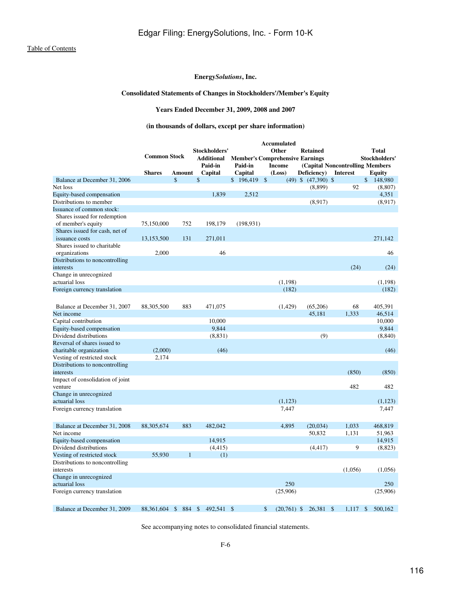# **Consolidated Statements of Changes in Stockholders'/Member's Equity**

**Years Ended December 31, 2009, 2008 and 2007**

# **(in thousands of dollars, except per share information)**

<span id="page-115-0"></span>

|                                  |                     |           |                         |                                        |                    | Accumulated   |                         |                                  |               |
|----------------------------------|---------------------|-----------|-------------------------|----------------------------------------|--------------------|---------------|-------------------------|----------------------------------|---------------|
|                                  |                     |           | Stockholders'           |                                        |                    | Other         | <b>Retained</b>         |                                  | <b>Total</b>  |
|                                  | <b>Common Stock</b> |           | <b>Additional</b>       | <b>Member's Comprehensive Earnings</b> |                    |               |                         |                                  | Stockholders' |
|                                  |                     |           | Paid-in                 | Paid-in                                |                    | <b>Income</b> |                         | (Capital Noncontrolling Members) |               |
|                                  | <b>Shares</b>       | Amount    | Capital                 | Capital                                |                    | (Loss)        | Deficiency)             | <b>Interest</b>                  | <b>Equity</b> |
| Balance at December 31, 2006     |                     | \$        | $\mathbf{\hat{S}}$      | \$196,419                              | $\mathbf{\hat{S}}$ |               | $(49)$ \$ $(47,390)$ \$ |                                  | \$<br>148,980 |
| Net loss                         |                     |           |                         |                                        |                    |               | (8,899)                 | 92                               | (8,807)       |
| Equity-based compensation        |                     |           | 1.839                   | 2,512                                  |                    |               |                         |                                  | 4,351         |
| Distributions to member          |                     |           |                         |                                        |                    |               | (8,917)                 |                                  | (8,917)       |
| Issuance of common stock:        |                     |           |                         |                                        |                    |               |                         |                                  |               |
| Shares issued for redemption     |                     |           |                         |                                        |                    |               |                         |                                  |               |
| of member's equity               | 75,150,000          | 752       | 198,179                 | (198, 931)                             |                    |               |                         |                                  |               |
| Shares issued for cash, net of   |                     |           |                         |                                        |                    |               |                         |                                  |               |
| issuance costs                   | 13,153,500          | 131       | 271,011                 |                                        |                    |               |                         |                                  | 271,142       |
| Shares issued to charitable      |                     |           |                         |                                        |                    |               |                         |                                  |               |
| organizations                    | 2,000               |           | 46                      |                                        |                    |               |                         |                                  | 46            |
| Distributions to noncontrolling  |                     |           |                         |                                        |                    |               |                         |                                  |               |
| interests                        |                     |           |                         |                                        |                    |               |                         | (24)                             | (24)          |
| Change in unrecognized           |                     |           |                         |                                        |                    |               |                         |                                  |               |
| actuarial loss                   |                     |           |                         |                                        |                    | (1,198)       |                         |                                  | (1,198)       |
| Foreign currency translation     |                     |           |                         |                                        |                    | (182)         |                         |                                  | (182)         |
|                                  |                     |           |                         |                                        |                    |               |                         |                                  |               |
|                                  |                     |           |                         |                                        |                    |               |                         |                                  |               |
| Balance at December 31, 2007     | 88,305,500          | 883       | 471,075                 |                                        |                    | (1,429)       | (65,206)                | 68                               | 405,391       |
| Net income                       |                     |           |                         |                                        |                    |               | 45,181                  | 1,333                            | 46,514        |
| Capital contribution             |                     |           | 10,000                  |                                        |                    |               |                         |                                  | 10,000        |
| Equity-based compensation        |                     |           | 9,844                   |                                        |                    |               |                         |                                  | 9.844         |
| Dividend distributions           |                     |           | (8,831)                 |                                        |                    |               | (9)                     |                                  | (8, 840)      |
| Reversal of shares issued to     |                     |           |                         |                                        |                    |               |                         |                                  |               |
| charitable organization          | (2,000)             |           | (46)                    |                                        |                    |               |                         |                                  | (46)          |
| Vesting of restricted stock      | 2.174               |           |                         |                                        |                    |               |                         |                                  |               |
| Distributions to noncontrolling  |                     |           |                         |                                        |                    |               |                         |                                  |               |
| interests                        |                     |           |                         |                                        |                    |               |                         | (850)                            | (850)         |
| Impact of consolidation of joint |                     |           |                         |                                        |                    |               |                         |                                  |               |
| venture                          |                     |           |                         |                                        |                    |               |                         | 482                              | 482           |
| Change in unrecognized           |                     |           |                         |                                        |                    |               |                         |                                  |               |
| actuarial loss                   |                     |           |                         |                                        |                    | (1,123)       |                         |                                  | (1, 123)      |
| Foreign currency translation     |                     |           |                         |                                        |                    | 7,447         |                         |                                  | 7,447         |
|                                  |                     |           |                         |                                        |                    |               |                         |                                  |               |
| Balance at December 31, 2008     | 88,305,674          | 883       | 482,042                 |                                        |                    | 4,895         | (20, 034)               | 1,033                            | 468,819       |
| Net income                       |                     |           |                         |                                        |                    |               | 50,832                  | 1,131                            | 51,963        |
| Equity-based compensation        |                     |           | 14,915                  |                                        |                    |               |                         |                                  | 14,915        |
| Dividend distributions           |                     |           | (4, 415)                |                                        |                    |               | (4, 417)                | 9                                | (8,823)       |
| Vesting of restricted stock      | 55,930              | 1         | (1)                     |                                        |                    |               |                         |                                  |               |
| Distributions to noncontrolling  |                     |           |                         |                                        |                    |               |                         |                                  |               |
| interests                        |                     |           |                         |                                        |                    |               |                         | (1,056)                          | (1,056)       |
| Change in unrecognized           |                     |           |                         |                                        |                    |               |                         |                                  |               |
| actuarial loss                   |                     |           |                         |                                        |                    | 250           |                         |                                  | 250           |
| Foreign currency translation     |                     |           |                         |                                        |                    | (25,906)      |                         |                                  | (25,906)      |
|                                  |                     |           |                         |                                        |                    |               |                         |                                  |               |
|                                  |                     |           |                         |                                        |                    |               |                         |                                  |               |
| Balance at December 31, 2009     | 88.361.604          | \$<br>884 | $\mathbb{S}$<br>492,541 | $\mathbb{S}$                           | \$                 | $(20,761)$ \$ | 26.381                  | $\mathbb{S}$<br>1.117            | \$<br>500,162 |

See accompanying notes to consolidated financial statements.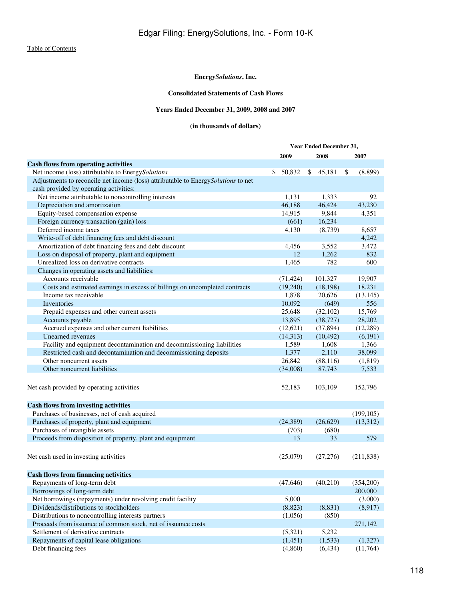# **Consolidated Statements of Cash Flows**

# **Years Ended December 31, 2009, 2008 and 2007**

# **(in thousands of dollars)**

<span id="page-117-0"></span>

|                                                                                   | <b>Year Ended December 31,</b> |           |              |           |    |            |
|-----------------------------------------------------------------------------------|--------------------------------|-----------|--------------|-----------|----|------------|
|                                                                                   | 2009                           |           |              | 2008      |    | 2007       |
| <b>Cash flows from operating activities</b>                                       |                                |           |              |           |    |            |
| Net income (loss) attributable to EnergySolutions                                 | \$                             | 50,832    | $\mathbb{S}$ | 45,181    | \$ | (8,899)    |
| Adjustments to reconcile net income (loss) attributable to EnergySolutions to net |                                |           |              |           |    |            |
| cash provided by operating activities:                                            |                                |           |              |           |    |            |
| Net income attributable to noncontrolling interests                               |                                | 1,131     |              | 1,333     |    | 92         |
| Depreciation and amortization                                                     |                                | 46,188    |              | 46,424    |    | 43,230     |
| Equity-based compensation expense                                                 |                                | 14,915    |              | 9,844     |    | 4,351      |
| Foreign currency transaction (gain) loss                                          |                                | (661)     |              | 16,234    |    |            |
| Deferred income taxes                                                             |                                | 4,130     |              | (8,739)   |    | 8,657      |
| Write-off of debt financing fees and debt discount                                |                                |           |              |           |    | 4,242      |
| Amortization of debt financing fees and debt discount                             |                                | 4,456     |              | 3,552     |    | 3,472      |
| Loss on disposal of property, plant and equipment                                 |                                | 12        |              | 1,262     |    | 832        |
| Unrealized loss on derivative contracts                                           |                                | 1,465     |              | 782       |    | 600        |
| Changes in operating assets and liabilities:                                      |                                |           |              |           |    |            |
| Accounts receivable                                                               |                                | (71, 424) |              | 101,327   |    | 19,907     |
| Costs and estimated earnings in excess of billings on uncompleted contracts       |                                | (19,240)  |              | (18, 198) |    | 18,231     |
| Income tax receivable                                                             |                                | 1,878     |              | 20,626    |    | (13, 145)  |
| Inventories                                                                       |                                | 10,092    |              | (649)     |    | 556        |
| Prepaid expenses and other current assets                                         |                                | 25,648    |              | (32, 102) |    | 15,769     |
| Accounts payable                                                                  |                                | 13,895    |              | (38, 727) |    | 28,202     |
| Accrued expenses and other current liabilities                                    |                                | (12, 621) |              | (37, 894) |    | (12, 289)  |
| Unearned revenues                                                                 |                                | (14, 313) |              | (10, 492) |    | (6, 191)   |
| Facility and equipment decontamination and decommissioning liabilities            |                                | 1,589     |              | 1,608     |    | 1,366      |
| Restricted cash and decontamination and decommissioning deposits                  |                                | 1,377     |              | 2,110     |    | 38,099     |
| Other noncurrent assets                                                           |                                | 26,842    |              | (88, 116) |    | (1, 819)   |
| Other noncurrent liabilities                                                      |                                | (34,008)  |              | 87,743    |    | 7,533      |
| Net cash provided by operating activities                                         |                                | 52,183    |              | 103,109   |    | 152,796    |
| <b>Cash flows from investing activities</b>                                       |                                |           |              |           |    |            |
| Purchases of businesses, net of cash acquired                                     |                                |           |              |           |    | (199, 105) |
| Purchases of property, plant and equipment                                        |                                | (24, 389) |              | (26,629)  |    | (13,312)   |
| Purchases of intangible assets                                                    |                                | (703)     |              | (680)     |    |            |
| Proceeds from disposition of property, plant and equipment                        |                                | 13        |              | 33        |    | 579        |
|                                                                                   |                                |           |              |           |    |            |
| Net cash used in investing activities                                             |                                | (25,079)  |              | (27,276)  |    | (211, 838) |
| <b>Cash flows from financing activities</b>                                       |                                |           |              |           |    |            |
| Repayments of long-term debt                                                      |                                | (47, 646) |              | (40,210)  |    | (354,200)  |
| Borrowings of long-term debt                                                      |                                |           |              |           |    | 200,000    |
| Net borrowings (repayments) under revolving credit facility                       |                                | 5,000     |              |           |    | (3,000)    |
| Dividends/distributions to stockholders                                           |                                | (8, 823)  |              | (8, 831)  |    | (8,917)    |
| Distributions to noncontrolling interests partners                                |                                | (1,056)   |              | (850)     |    |            |
| Proceeds from issuance of common stock, net of issuance costs                     |                                |           |              |           |    | 271,142    |
| Settlement of derivative contracts                                                |                                | (5,321)   |              | 5,232     |    |            |
| Repayments of capital lease obligations                                           |                                | (1,451)   |              | (1,533)   |    | (1,327)    |
| Debt financing fees                                                               |                                | (4,860)   |              | (6, 434)  |    | (11,764)   |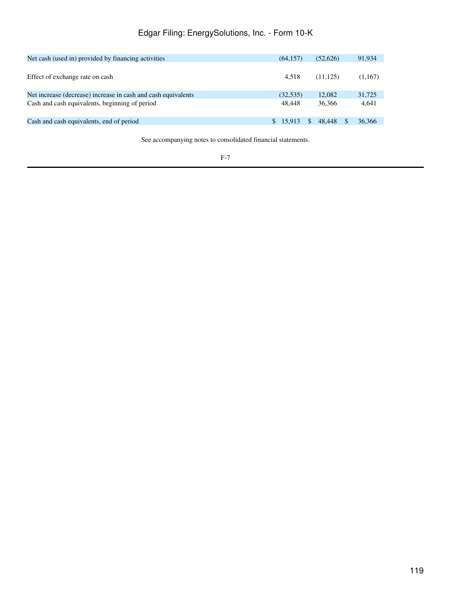# Edgar Filing: EnergySolutions, Inc. - Form 10-K

| Net cash (used in) provided by financing activities           | (64.157)  | (52.626)     | 91,934  |
|---------------------------------------------------------------|-----------|--------------|---------|
| Effect of exchange rate on cash                               | 4.518     | (11, 125)    | (1,167) |
| Net increase (decrease) increase in cash and cash equivalents | (32, 535) | 12,082       | 31,725  |
| Cash and cash equivalents, beginning of period                | 48,448    | 36.366       | 4,641   |
| Cash and cash equivalents, end of period                      | \$ 15.913 | 48.448<br>-S | 36,366  |

See accompanying notes to consolidated financial statements.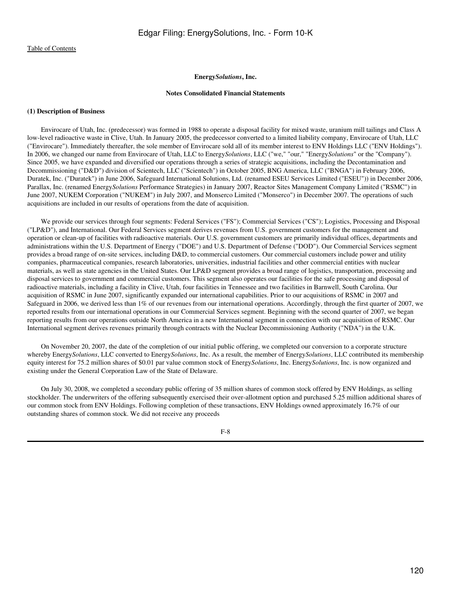#### **Notes Consolidated Financial Statements**

#### <span id="page-119-0"></span>**(1) Description of Business**

 Envirocare of Utah, Inc. (predecessor) was formed in 1988 to operate a disposal facility for mixed waste, uranium mill tailings and Class A low-level radioactive waste in Clive, Utah. In January 2005, the predecessor converted to a limited liability company, Envirocare of Utah, LLC ("Envirocare"). Immediately thereafter, the sole member of Envirocare sold all of its member interest to ENV Holdings LLC ("ENV Holdings"). In 2006, we changed our name from Envirocare of Utah, LLC to Energy*Solutions*, LLC ("we," "our," "Energy*Solutions*" or the "Company"). Since 2005, we have expanded and diversified our operations through a series of strategic acquisitions, including the Decontamination and Decommissioning ("D&D") division of Scientech, LLC ("Scientech") in October 2005, BNG America, LLC ("BNGA") in February 2006, Duratek, Inc. ("Duratek") in June 2006, Safeguard International Solutions, Ltd. (renamed ESEU Services Limited ("ESEU")) in December 2006, Parallax, Inc. (renamed Energy*Solutions* Performance Strategies) in January 2007, Reactor Sites Management Company Limited ("RSMC") in June 2007, NUKEM Corporation ("NUKEM") in July 2007, and Monserco Limited ("Monserco") in December 2007. The operations of such acquisitions are included in our results of operations from the date of acquisition.

 We provide our services through four segments: Federal Services ("FS"); Commercial Services ("CS"); Logistics, Processing and Disposal ("LP&D"), and International. Our Federal Services segment derives revenues from U.S. government customers for the management and operation or clean-up of facilities with radioactive materials. Our U.S. government customers are primarily individual offices, departments and administrations within the U.S. Department of Energy ("DOE") and U.S. Department of Defense ("DOD"). Our Commercial Services segment provides a broad range of on-site services, including D&D, to commercial customers. Our commercial customers include power and utility companies, pharmaceutical companies, research laboratories, universities, industrial facilities and other commercial entities with nuclear materials, as well as state agencies in the United States. Our LP&D segment provides a broad range of logistics, transportation, processing and disposal services to government and commercial customers. This segment also operates our facilities for the safe processing and disposal of radioactive materials, including a facility in Clive, Utah, four facilities in Tennessee and two facilities in Barnwell, South Carolina. Our acquisition of RSMC in June 2007, significantly expanded our international capabilities. Prior to our acquisitions of RSMC in 2007 and Safeguard in 2006, we derived less than 1% of our revenues from our international operations. Accordingly, through the first quarter of 2007, we reported results from our international operations in our Commercial Services segment. Beginning with the second quarter of 2007, we began reporting results from our operations outside North America in a new International segment in connection with our acquisition of RSMC. Our International segment derives revenues primarily through contracts with the Nuclear Decommissioning Authority ("NDA") in the U.K.

 On November 20, 2007, the date of the completion of our initial public offering, we completed our conversion to a corporate structure whereby Energy*Solutions*, LLC converted to Energy*Solutions*, Inc. As a result, the member of Energy*Solutions*, LLC contributed its membership equity interest for 75.2 million shares of \$0.01 par value common stock of Energy*Solutions*, Inc. Energy*Solutions*, Inc. is now organized and existing under the General Corporation Law of the State of Delaware.

 On July 30, 2008, we completed a secondary public offering of 35 million shares of common stock offered by ENV Holdings, as selling stockholder. The underwriters of the offering subsequently exercised their over-allotment option and purchased 5.25 million additional shares of our common stock from ENV Holdings. Following completion of these transactions, ENV Holdings owned approximately 16.7% of our outstanding shares of common stock. We did not receive any proceeds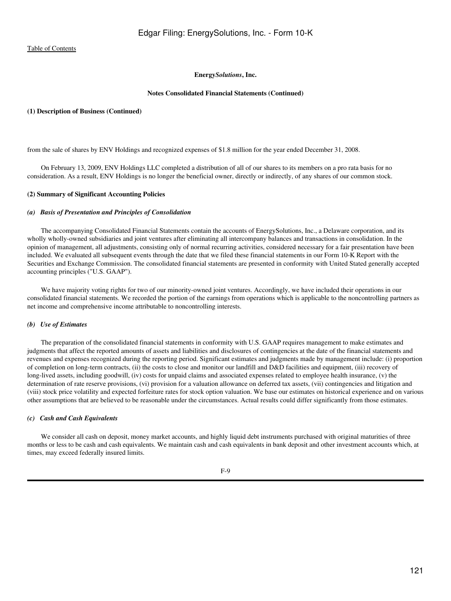#### **Notes Consolidated Financial Statements (Continued)**

#### **(1) Description of Business (Continued)**

from the sale of shares by ENV Holdings and recognized expenses of \$1.8 million for the year ended December 31, 2008.

 On February 13, 2009, ENV Holdings LLC completed a distribution of all of our shares to its members on a pro rata basis for no consideration. As a result, ENV Holdings is no longer the beneficial owner, directly or indirectly, of any shares of our common stock.

#### **(2) Summary of Significant Accounting Policies**

#### *(a) Basis of Presentation and Principles of Consolidation*

 The accompanying Consolidated Financial Statements contain the accounts of EnergySolutions, Inc., a Delaware corporation, and its wholly wholly-owned subsidiaries and joint ventures after eliminating all intercompany balances and transactions in consolidation. In the opinion of management, all adjustments, consisting only of normal recurring activities, considered necessary for a fair presentation have been included. We evaluated all subsequent events through the date that we filed these financial statements in our Form 10-K Report with the Securities and Exchange Commission. The consolidated financial statements are presented in conformity with United Stated generally accepted accounting principles ("U.S. GAAP").

We have majority voting rights for two of our minority-owned joint ventures. Accordingly, we have included their operations in our consolidated financial statements. We recorded the portion of the earnings from operations which is applicable to the noncontrolling partners as net income and comprehensive income attributable to noncontrolling interests.

### *(b) Use of Estimates*

 The preparation of the consolidated financial statements in conformity with U.S. GAAP requires management to make estimates and judgments that affect the reported amounts of assets and liabilities and disclosures of contingencies at the date of the financial statements and revenues and expenses recognized during the reporting period. Significant estimates and judgments made by management include: (i) proportion of completion on long-term contracts, (ii) the costs to close and monitor our landfill and D&D facilities and equipment, (iii) recovery of long-lived assets, including goodwill, (iv) costs for unpaid claims and associated expenses related to employee health insurance, (v) the determination of rate reserve provisions, (vi) provision for a valuation allowance on deferred tax assets, (vii) contingencies and litigation and (viii) stock price volatility and expected forfeiture rates for stock option valuation. We base our estimates on historical experience and on various other assumptions that are believed to be reasonable under the circumstances. Actual results could differ significantly from those estimates.

#### *(c) Cash and Cash Equivalents*

We consider all cash on deposit, money market accounts, and highly liquid debt instruments purchased with original maturities of three months or less to be cash and cash equivalents. We maintain cash and cash equivalents in bank deposit and other investment accounts which, at times, may exceed federally insured limits.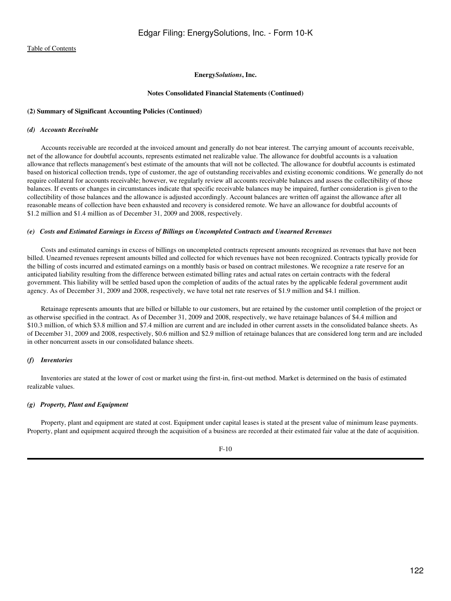#### **Notes Consolidated Financial Statements (Continued)**

#### **(2) Summary of Significant Accounting Policies (Continued)**

#### *(d) Accounts Receivable*

 Accounts receivable are recorded at the invoiced amount and generally do not bear interest. The carrying amount of accounts receivable, net of the allowance for doubtful accounts, represents estimated net realizable value. The allowance for doubtful accounts is a valuation allowance that reflects management's best estimate of the amounts that will not be collected. The allowance for doubtful accounts is estimated based on historical collection trends, type of customer, the age of outstanding receivables and existing economic conditions. We generally do not require collateral for accounts receivable; however, we regularly review all accounts receivable balances and assess the collectibility of those balances. If events or changes in circumstances indicate that specific receivable balances may be impaired, further consideration is given to the collectibility of those balances and the allowance is adjusted accordingly. Account balances are written off against the allowance after all reasonable means of collection have been exhausted and recovery is considered remote. We have an allowance for doubtful accounts of \$1.2 million and \$1.4 million as of December 31, 2009 and 2008, respectively.

#### *(e) Costs and Estimated Earnings in Excess of Billings on Uncompleted Contracts and Unearned Revenues*

 Costs and estimated earnings in excess of billings on uncompleted contracts represent amounts recognized as revenues that have not been billed. Unearned revenues represent amounts billed and collected for which revenues have not been recognized. Contracts typically provide for the billing of costs incurred and estimated earnings on a monthly basis or based on contract milestones. We recognize a rate reserve for an anticipated liability resulting from the difference between estimated billing rates and actual rates on certain contracts with the federal government. This liability will be settled based upon the completion of audits of the actual rates by the applicable federal government audit agency. As of December 31, 2009 and 2008, respectively, we have total net rate reserves of \$1.9 million and \$4.1 million.

 Retainage represents amounts that are billed or billable to our customers, but are retained by the customer until completion of the project or as otherwise specified in the contract. As of December 31, 2009 and 2008, respectively, we have retainage balances of \$4.4 million and \$10.3 million, of which \$3.8 million and \$7.4 million are current and are included in other current assets in the consolidated balance sheets. As of December 31, 2009 and 2008, respectively, \$0.6 million and \$2.9 million of retainage balances that are considered long term and are included in other noncurrent assets in our consolidated balance sheets.

#### *(f) Inventories*

 Inventories are stated at the lower of cost or market using the first-in, first-out method. Market is determined on the basis of estimated realizable values.

# *(g) Property, Plant and Equipment*

 Property, plant and equipment are stated at cost. Equipment under capital leases is stated at the present value of minimum lease payments. Property, plant and equipment acquired through the acquisition of a business are recorded at their estimated fair value at the date of acquisition.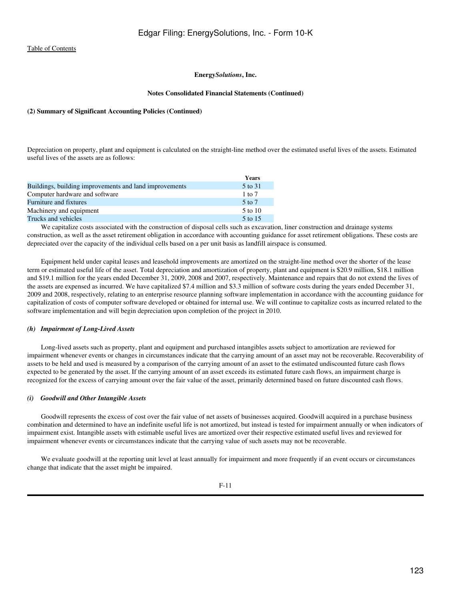#### **Notes Consolidated Financial Statements (Continued)**

#### **(2) Summary of Significant Accounting Policies (Continued)**

Depreciation on property, plant and equipment is calculated on the straight-line method over the estimated useful lives of the assets. Estimated useful lives of the assets are as follows:

|                                                        | Years      |
|--------------------------------------------------------|------------|
| Buildings, building improvements and land improvements | 5 to 31    |
| Computer hardware and software                         | $1$ to $7$ |
| <b>Furniture and fixtures</b>                          | $5$ to $7$ |
| Machinery and equipment                                | 5 to 10    |
| Trucks and vehicles                                    | 5 to 15    |

 We capitalize costs associated with the construction of disposal cells such as excavation, liner construction and drainage systems construction, as well as the asset retirement obligation in accordance with accounting guidance for asset retirement obligations. These costs are depreciated over the capacity of the individual cells based on a per unit basis as landfill airspace is consumed.

 Equipment held under capital leases and leasehold improvements are amortized on the straight-line method over the shorter of the lease term or estimated useful life of the asset. Total depreciation and amortization of property, plant and equipment is \$20.9 million, \$18.1 million and \$19.1 million for the years ended December 31, 2009, 2008 and 2007, respectively. Maintenance and repairs that do not extend the lives of the assets are expensed as incurred. We have capitalized \$7.4 million and \$3.3 million of software costs during the years ended December 31, 2009 and 2008, respectively, relating to an enterprise resource planning software implementation in accordance with the accounting guidance for capitalization of costs of computer software developed or obtained for internal use. We will continue to capitalize costs as incurred related to the software implementation and will begin depreciation upon completion of the project in 2010.

# *(h) Impairment of Long-Lived Assets*

 Long-lived assets such as property, plant and equipment and purchased intangibles assets subject to amortization are reviewed for impairment whenever events or changes in circumstances indicate that the carrying amount of an asset may not be recoverable. Recoverability of assets to be held and used is measured by a comparison of the carrying amount of an asset to the estimated undiscounted future cash flows expected to be generated by the asset. If the carrying amount of an asset exceeds its estimated future cash flows, an impairment charge is recognized for the excess of carrying amount over the fair value of the asset, primarily determined based on future discounted cash flows.

#### *(i) Goodwill and Other Intangible Assets*

 Goodwill represents the excess of cost over the fair value of net assets of businesses acquired. Goodwill acquired in a purchase business combination and determined to have an indefinite useful life is not amortized, but instead is tested for impairment annually or when indicators of impairment exist. Intangible assets with estimable useful lives are amortized over their respective estimated useful lives and reviewed for impairment whenever events or circumstances indicate that the carrying value of such assets may not be recoverable.

 We evaluate goodwill at the reporting unit level at least annually for impairment and more frequently if an event occurs or circumstances change that indicate that the asset might be impaired.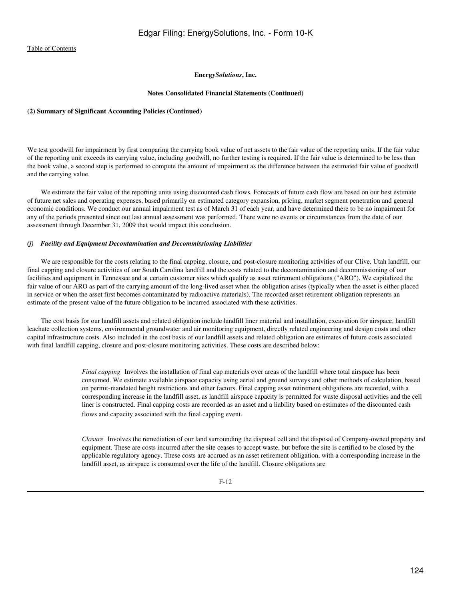# **Energy***Solutions***, Inc.**

#### **Notes Consolidated Financial Statements (Continued)**

#### **(2) Summary of Significant Accounting Policies (Continued)**

We test goodwill for impairment by first comparing the carrying book value of net assets to the fair value of the reporting units. If the fair value of the reporting unit exceeds its carrying value, including goodwill, no further testing is required. If the fair value is determined to be less than the book value, a second step is performed to compute the amount of impairment as the difference between the estimated fair value of goodwill and the carrying value.

We estimate the fair value of the reporting units using discounted cash flows. Forecasts of future cash flow are based on our best estimate of future net sales and operating expenses, based primarily on estimated category expansion, pricing, market segment penetration and general economic conditions. We conduct our annual impairment test as of March 31 of each year, and have determined there to be no impairment for any of the periods presented since out last annual assessment was performed. There were no events or circumstances from the date of our assessment through December 31, 2009 that would impact this conclusion.

#### *(j) Facility and Equipment Decontamination and Decommissioning Liabilities*

 We are responsible for the costs relating to the final capping, closure, and post-closure monitoring activities of our Clive, Utah landfill, our final capping and closure activities of our South Carolina landfill and the costs related to the decontamination and decommissioning of our facilities and equipment in Tennessee and at certain customer sites which qualify as asset retirement obligations ("ARO"). We capitalized the fair value of our ARO as part of the carrying amount of the long-lived asset when the obligation arises (typically when the asset is either placed in service or when the asset first becomes contaminated by radioactive materials). The recorded asset retirement obligation represents an estimate of the present value of the future obligation to be incurred associated with these activities.

 The cost basis for our landfill assets and related obligation include landfill liner material and installation, excavation for airspace, landfill leachate collection systems, environmental groundwater and air monitoring equipment, directly related engineering and design costs and other capital infrastructure costs. Also included in the cost basis of our landfill assets and related obligation are estimates of future costs associated with final landfill capping, closure and post-closure monitoring activities. These costs are described below:

> *Final capping* Involves the installation of final cap materials over areas of the landfill where total airspace has been consumed. We estimate available airspace capacity using aerial and ground surveys and other methods of calculation, based on permit-mandated height restrictions and other factors. Final capping asset retirement obligations are recorded, with a corresponding increase in the landfill asset, as landfill airspace capacity is permitted for waste disposal activities and the cell liner is constructed. Final capping costs are recorded as an asset and a liability based on estimates of the discounted cash flows and capacity associated with the final capping event.

> *Closure* Involves the remediation of our land surrounding the disposal cell and the disposal of Company-owned property and equipment. These are costs incurred after the site ceases to accept waste, but before the site is certified to be closed by the applicable regulatory agency. These costs are accrued as an asset retirement obligation, with a corresponding increase in the landfill asset, as airspace is consumed over the life of the landfill. Closure obligations are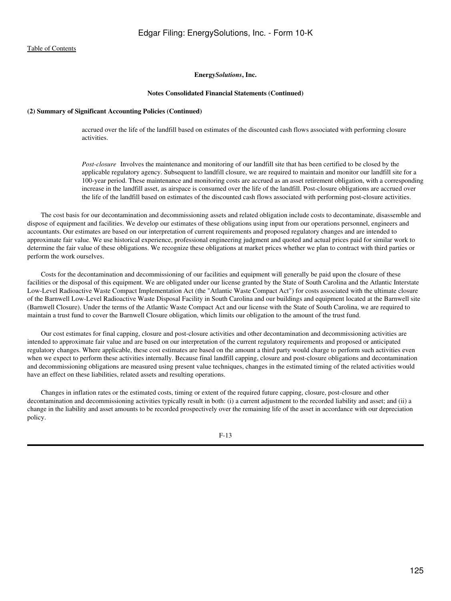#### **Notes Consolidated Financial Statements (Continued)**

# **(2) Summary of Significant Accounting Policies (Continued)**

accrued over the life of the landfill based on estimates of the discounted cash flows associated with performing closure activities.

*Post-closure* Involves the maintenance and monitoring of our landfill site that has been certified to be closed by the applicable regulatory agency. Subsequent to landfill closure, we are required to maintain and monitor our landfill site for a 100-year period. These maintenance and monitoring costs are accrued as an asset retirement obligation, with a corresponding increase in the landfill asset, as airspace is consumed over the life of the landfill. Post-closure obligations are accrued over the life of the landfill based on estimates of the discounted cash flows associated with performing post-closure activities.

 The cost basis for our decontamination and decommissioning assets and related obligation include costs to decontaminate, disassemble and dispose of equipment and facilities. We develop our estimates of these obligations using input from our operations personnel, engineers and accountants. Our estimates are based on our interpretation of current requirements and proposed regulatory changes and are intended to approximate fair value. We use historical experience, professional engineering judgment and quoted and actual prices paid for similar work to determine the fair value of these obligations. We recognize these obligations at market prices whether we plan to contract with third parties or perform the work ourselves.

 Costs for the decontamination and decommissioning of our facilities and equipment will generally be paid upon the closure of these facilities or the disposal of this equipment. We are obligated under our license granted by the State of South Carolina and the Atlantic Interstate Low-Level Radioactive Waste Compact Implementation Act (the "Atlantic Waste Compact Act") for costs associated with the ultimate closure of the Barnwell Low-Level Radioactive Waste Disposal Facility in South Carolina and our buildings and equipment located at the Barnwell site (Barnwell Closure). Under the terms of the Atlantic Waste Compact Act and our license with the State of South Carolina, we are required to maintain a trust fund to cover the Barnwell Closure obligation, which limits our obligation to the amount of the trust fund.

 Our cost estimates for final capping, closure and post-closure activities and other decontamination and decommissioning activities are intended to approximate fair value and are based on our interpretation of the current regulatory requirements and proposed or anticipated regulatory changes. Where applicable, these cost estimates are based on the amount a third party would charge to perform such activities even when we expect to perform these activities internally. Because final landfill capping, closure and post-closure obligations and decontamination and decommissioning obligations are measured using present value techniques, changes in the estimated timing of the related activities would have an effect on these liabilities, related assets and resulting operations.

 Changes in inflation rates or the estimated costs, timing or extent of the required future capping, closure, post-closure and other decontamination and decommissioning activities typically result in both: (i) a current adjustment to the recorded liability and asset; and (ii) a change in the liability and asset amounts to be recorded prospectively over the remaining life of the asset in accordance with our depreciation policy.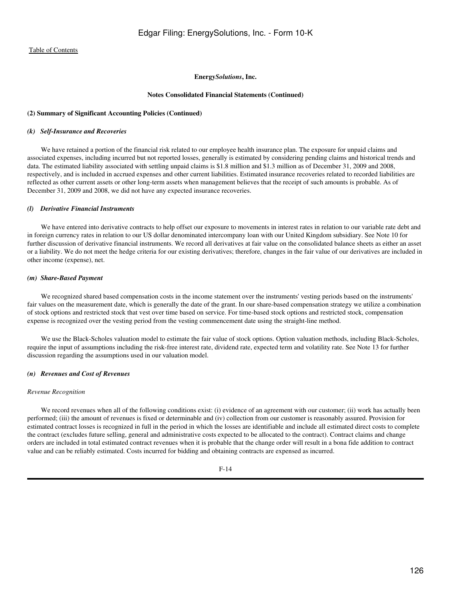#### **Notes Consolidated Financial Statements (Continued)**

#### **(2) Summary of Significant Accounting Policies (Continued)**

#### *(k) Self-Insurance and Recoveries*

 We have retained a portion of the financial risk related to our employee health insurance plan. The exposure for unpaid claims and associated expenses, including incurred but not reported losses, generally is estimated by considering pending claims and historical trends and data. The estimated liability associated with settling unpaid claims is \$1.8 million and \$1.3 million as of December 31, 2009 and 2008, respectively, and is included in accrued expenses and other current liabilities. Estimated insurance recoveries related to recorded liabilities are reflected as other current assets or other long-term assets when management believes that the receipt of such amounts is probable. As of December 31, 2009 and 2008, we did not have any expected insurance recoveries.

## *(l) Derivative Financial Instruments*

 We have entered into derivative contracts to help offset our exposure to movements in interest rates in relation to our variable rate debt and in foreign currency rates in relation to our US dollar denominated intercompany loan with our United Kingdom subsidiary. See Note 10 for further discussion of derivative financial instruments. We record all derivatives at fair value on the consolidated balance sheets as either an asset or a liability. We do not meet the hedge criteria for our existing derivatives; therefore, changes in the fair value of our derivatives are included in other income (expense), net.

#### *(m) Share-Based Payment*

 We recognized shared based compensation costs in the income statement over the instruments' vesting periods based on the instruments' fair values on the measurement date, which is generally the date of the grant. In our share-based compensation strategy we utilize a combination of stock options and restricted stock that vest over time based on service. For time-based stock options and restricted stock, compensation expense is recognized over the vesting period from the vesting commencement date using the straight-line method.

 We use the Black-Scholes valuation model to estimate the fair value of stock options. Option valuation methods, including Black-Scholes, require the input of assumptions including the risk-free interest rate, dividend rate, expected term and volatility rate. See Note 13 for further discussion regarding the assumptions used in our valuation model.

#### *(n) Revenues and Cost of Revenues*

#### *Revenue Recognition*

We record revenues when all of the following conditions exist: (i) evidence of an agreement with our customer; (ii) work has actually been performed; (iii) the amount of revenues is fixed or determinable and (iv) collection from our customer is reasonably assured. Provision for estimated contract losses is recognized in full in the period in which the losses are identifiable and include all estimated direct costs to complete the contract (excludes future selling, general and administrative costs expected to be allocated to the contract). Contract claims and change orders are included in total estimated contract revenues when it is probable that the change order will result in a bona fide addition to contract value and can be reliably estimated. Costs incurred for bidding and obtaining contracts are expensed as incurred.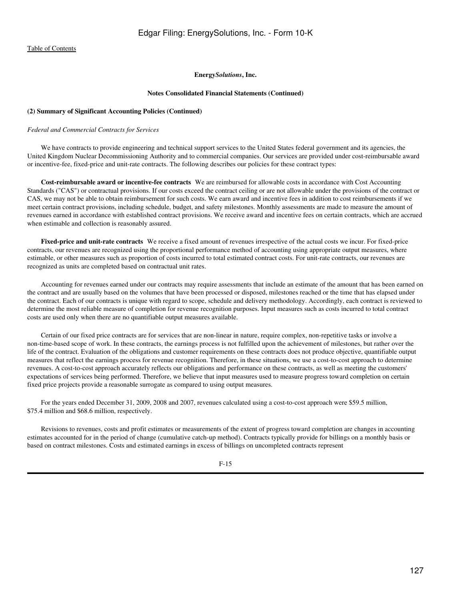#### **Notes Consolidated Financial Statements (Continued)**

#### **(2) Summary of Significant Accounting Policies (Continued)**

#### *Federal and Commercial Contracts for Services*

 We have contracts to provide engineering and technical support services to the United States federal government and its agencies, the United Kingdom Nuclear Decommissioning Authority and to commercial companies. Our services are provided under cost-reimbursable award or incentive-fee, fixed-price and unit-rate contracts. The following describes our policies for these contract types:

 **Cost-reimbursable award or incentive-fee contracts**We are reimbursed for allowable costs in accordance with Cost Accounting Standards ("CAS") or contractual provisions. If our costs exceed the contract ceiling or are not allowable under the provisions of the contract or CAS, we may not be able to obtain reimbursement for such costs. We earn award and incentive fees in addition to cost reimbursements if we meet certain contract provisions, including schedule, budget, and safety milestones. Monthly assessments are made to measure the amount of revenues earned in accordance with established contract provisions. We receive award and incentive fees on certain contracts, which are accrued when estimable and collection is reasonably assured.

 **Fixed-price and unit-rate contracts**We receive a fixed amount of revenues irrespective of the actual costs we incur. For fixed-price contracts, our revenues are recognized using the proportional performance method of accounting using appropriate output measures, where estimable, or other measures such as proportion of costs incurred to total estimated contract costs. For unit-rate contracts, our revenues are recognized as units are completed based on contractual unit rates.

 Accounting for revenues earned under our contracts may require assessments that include an estimate of the amount that has been earned on the contract and are usually based on the volumes that have been processed or disposed, milestones reached or the time that has elapsed under the contract. Each of our contracts is unique with regard to scope, schedule and delivery methodology. Accordingly, each contract is reviewed to determine the most reliable measure of completion for revenue recognition purposes. Input measures such as costs incurred to total contract costs are used only when there are no quantifiable output measures available.

 Certain of our fixed price contracts are for services that are non-linear in nature, require complex, non-repetitive tasks or involve a non-time-based scope of work. In these contracts, the earnings process is not fulfilled upon the achievement of milestones, but rather over the life of the contract. Evaluation of the obligations and customer requirements on these contracts does not produce objective, quantifiable output measures that reflect the earnings process for revenue recognition. Therefore, in these situations, we use a cost-to-cost approach to determine revenues. A cost-to-cost approach accurately reflects our obligations and performance on these contracts, as well as meeting the customers' expectations of services being performed. Therefore, we believe that input measures used to measure progress toward completion on certain fixed price projects provide a reasonable surrogate as compared to using output measures.

 For the years ended December 31, 2009, 2008 and 2007, revenues calculated using a cost-to-cost approach were \$59.5 million, \$75.4 million and \$68.6 million, respectively.

 Revisions to revenues, costs and profit estimates or measurements of the extent of progress toward completion are changes in accounting estimates accounted for in the period of change (cumulative catch-up method). Contracts typically provide for billings on a monthly basis or based on contract milestones. Costs and estimated earnings in excess of billings on uncompleted contracts represent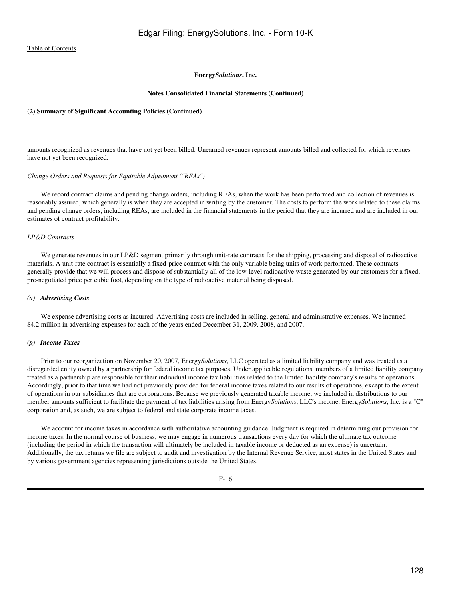#### **Notes Consolidated Financial Statements (Continued)**

#### **(2) Summary of Significant Accounting Policies (Continued)**

amounts recognized as revenues that have not yet been billed. Unearned revenues represent amounts billed and collected for which revenues have not yet been recognized.

#### *Change Orders and Requests for Equitable Adjustment ("REAs")*

 We record contract claims and pending change orders, including REAs, when the work has been performed and collection of revenues is reasonably assured, which generally is when they are accepted in writing by the customer. The costs to perform the work related to these claims and pending change orders, including REAs, are included in the financial statements in the period that they are incurred and are included in our estimates of contract profitability.

#### *LP&D Contracts*

We generate revenues in our LP&D segment primarily through unit-rate contracts for the shipping, processing and disposal of radioactive materials. A unit-rate contract is essentially a fixed-price contract with the only variable being units of work performed. These contracts generally provide that we will process and dispose of substantially all of the low-level radioactive waste generated by our customers for a fixed, pre-negotiated price per cubic foot, depending on the type of radioactive material being disposed.

#### *(o) Advertising Costs*

 We expense advertising costs as incurred. Advertising costs are included in selling, general and administrative expenses. We incurred \$4.2 million in advertising expenses for each of the years ended December 31, 2009, 2008, and 2007.

#### *(p) Income Taxes*

 Prior to our reorganization on November 20, 2007, Energy*Solutions*, LLC operated as a limited liability company and was treated as a disregarded entity owned by a partnership for federal income tax purposes. Under applicable regulations, members of a limited liability company treated as a partnership are responsible for their individual income tax liabilities related to the limited liability company's results of operations. Accordingly, prior to that time we had not previously provided for federal income taxes related to our results of operations, except to the extent of operations in our subsidiaries that are corporations. Because we previously generated taxable income, we included in distributions to our member amounts sufficient to facilitate the payment of tax liabilities arising from Energy*Solutions*, LLC's income. Energy*Solutions*, Inc. is a "C" corporation and, as such, we are subject to federal and state corporate income taxes.

 We account for income taxes in accordance with authoritative accounting guidance. Judgment is required in determining our provision for income taxes. In the normal course of business, we may engage in numerous transactions every day for which the ultimate tax outcome (including the period in which the transaction will ultimately be included in taxable income or deducted as an expense) is uncertain. Additionally, the tax returns we file are subject to audit and investigation by the Internal Revenue Service, most states in the United States and by various government agencies representing jurisdictions outside the United States.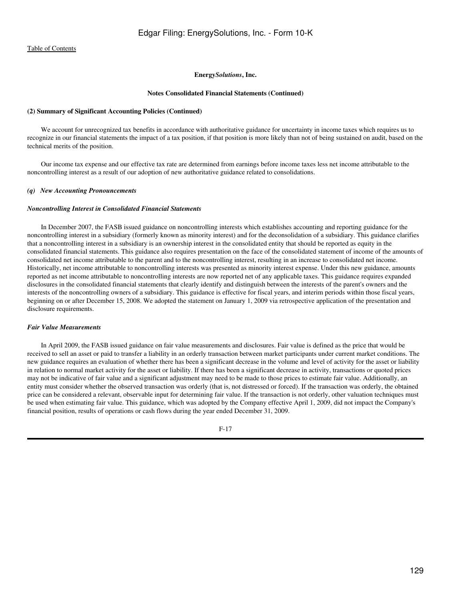#### **Notes Consolidated Financial Statements (Continued)**

#### **(2) Summary of Significant Accounting Policies (Continued)**

 We account for unrecognized tax benefits in accordance with authoritative guidance for uncertainty in income taxes which requires us to recognize in our financial statements the impact of a tax position, if that position is more likely than not of being sustained on audit, based on the technical merits of the position.

 Our income tax expense and our effective tax rate are determined from earnings before income taxes less net income attributable to the noncontrolling interest as a result of our adoption of new authoritative guidance related to consolidations.

#### *(q) New Accounting Pronouncements*

#### *Noncontrolling Interest in Consolidated Financial Statements*

 In December 2007, the FASB issued guidance on noncontrolling interests which establishes accounting and reporting guidance for the noncontrolling interest in a subsidiary (formerly known as minority interest) and for the deconsolidation of a subsidiary. This guidance clarifies that a noncontrolling interest in a subsidiary is an ownership interest in the consolidated entity that should be reported as equity in the consolidated financial statements. This guidance also requires presentation on the face of the consolidated statement of income of the amounts of consolidated net income attributable to the parent and to the noncontrolling interest, resulting in an increase to consolidated net income. Historically, net income attributable to noncontrolling interests was presented as minority interest expense. Under this new guidance, amounts reported as net income attributable to noncontrolling interests are now reported net of any applicable taxes. This guidance requires expanded disclosures in the consolidated financial statements that clearly identify and distinguish between the interests of the parent's owners and the interests of the noncontrolling owners of a subsidiary. This guidance is effective for fiscal years, and interim periods within those fiscal years, beginning on or after December 15, 2008. We adopted the statement on January 1, 2009 via retrospective application of the presentation and disclosure requirements.

#### *Fair Value Measurements*

 In April 2009, the FASB issued guidance on fair value measurements and disclosures. Fair value is defined as the price that would be received to sell an asset or paid to transfer a liability in an orderly transaction between market participants under current market conditions. The new guidance requires an evaluation of whether there has been a significant decrease in the volume and level of activity for the asset or liability in relation to normal market activity for the asset or liability. If there has been a significant decrease in activity, transactions or quoted prices may not be indicative of fair value and a significant adjustment may need to be made to those prices to estimate fair value. Additionally, an entity must consider whether the observed transaction was orderly (that is, not distressed or forced). If the transaction was orderly, the obtained price can be considered a relevant, observable input for determining fair value. If the transaction is not orderly, other valuation techniques must be used when estimating fair value. This guidance, which was adopted by the Company effective April 1, 2009, did not impact the Company's financial position, results of operations or cash flows during the year ended December 31, 2009.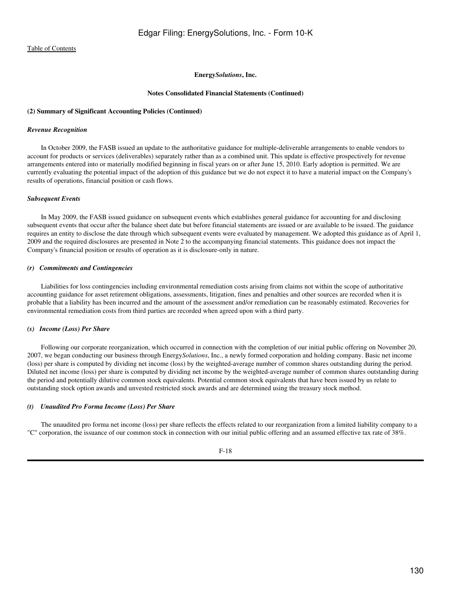#### **Notes Consolidated Financial Statements (Continued)**

#### **(2) Summary of Significant Accounting Policies (Continued)**

#### *Revenue Recognition*

 In October 2009, the FASB issued an update to the authoritative guidance for multiple-deliverable arrangements to enable vendors to account for products or services (deliverables) separately rather than as a combined unit. This update is effective prospectively for revenue arrangements entered into or materially modified beginning in fiscal years on or after June 15, 2010. Early adoption is permitted. We are currently evaluating the potential impact of the adoption of this guidance but we do not expect it to have a material impact on the Company's results of operations, financial position or cash flows.

#### *Subsequent Events*

 In May 2009, the FASB issued guidance on subsequent events which establishes general guidance for accounting for and disclosing subsequent events that occur after the balance sheet date but before financial statements are issued or are available to be issued. The guidance requires an entity to disclose the date through which subsequent events were evaluated by management. We adopted this guidance as of April 1, 2009 and the required disclosures are presented in Note 2 to the accompanying financial statements. This guidance does not impact the Company's financial position or results of operation as it is disclosure-only in nature.

#### *(r) Commitments and Contingencies*

 Liabilities for loss contingencies including environmental remediation costs arising from claims not within the scope of authoritative accounting guidance for asset retirement obligations, assessments, litigation, fines and penalties and other sources are recorded when it is probable that a liability has been incurred and the amount of the assessment and/or remediation can be reasonably estimated. Recoveries for environmental remediation costs from third parties are recorded when agreed upon with a third party.

# *(s) Income (Loss) Per Share*

 Following our corporate reorganization, which occurred in connection with the completion of our initial public offering on November 20, 2007, we began conducting our business through Energy*Solutions*, Inc., a newly formed corporation and holding company. Basic net income (loss) per share is computed by dividing net income (loss) by the weighted-average number of common shares outstanding during the period. Diluted net income (loss) per share is computed by dividing net income by the weighted-average number of common shares outstanding during the period and potentially dilutive common stock equivalents. Potential common stock equivalents that have been issued by us relate to outstanding stock option awards and unvested restricted stock awards and are determined using the treasury stock method.

#### *(t) Unaudited Pro Forma Income (Loss) Per Share*

 The unaudited pro forma net income (loss) per share reflects the effects related to our reorganization from a limited liability company to a "C" corporation, the issuance of our common stock in connection with our initial public offering and an assumed effective tax rate of 38%.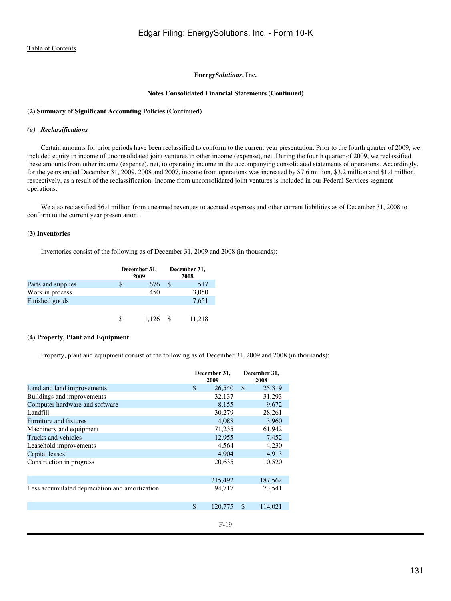#### **Notes Consolidated Financial Statements (Continued)**

## **(2) Summary of Significant Accounting Policies (Continued)**

#### *(u) Reclassifications*

 Certain amounts for prior periods have been reclassified to conform to the current year presentation. Prior to the fourth quarter of 2009, we included equity in income of unconsolidated joint ventures in other income (expense), net. During the fourth quarter of 2009, we reclassified these amounts from other income (expense), net, to operating income in the accompanying consolidated statements of operations. Accordingly, for the years ended December 31, 2009, 2008 and 2007, income from operations was increased by \$7.6 million, \$3.2 million and \$1.4 million, respectively, as a result of the reclassification. Income from unconsolidated joint ventures is included in our Federal Services segment operations.

 We also reclassified \$6.4 million from unearned revenues to accrued expenses and other current liabilities as of December 31, 2008 to conform to the current year presentation.

# **(3) Inventories**

Inventories consist of the following as of December 31, 2009 and 2008 (in thousands):

|                    | December 31,<br>2009 | December 31,<br>2008 |        |  |  |
|--------------------|----------------------|----------------------|--------|--|--|
| Parts and supplies | 676                  | \$.                  | 517    |  |  |
| Work in process    | 450                  |                      | 3,050  |  |  |
| Finished goods     |                      |                      | 7,651  |  |  |
|                    |                      |                      |        |  |  |
|                    | 1.126                |                      | 11,218 |  |  |

## **(4) Property, Plant and Equipment**

Property, plant and equipment consist of the following as of December 31, 2009 and 2008 (in thousands):

|                                                | December 31,<br>2009 |               | December 31,<br>2008 |
|------------------------------------------------|----------------------|---------------|----------------------|
| Land and land improvements                     | \$<br>26,540         | $\mathcal{S}$ | 25,319               |
| Buildings and improvements                     | 32,137               |               | 31,293               |
| Computer hardware and software                 | 8,155                |               | 9,672                |
| Landfill                                       | 30,279               |               | 28,261               |
| Furniture and fixtures                         | 4,088                |               | 3,960                |
| Machinery and equipment                        | 71,235               |               | 61,942               |
| Trucks and vehicles                            | 12,955               |               | 7,452                |
| Leasehold improvements                         | 4,564                |               | 4,230                |
| Capital leases                                 | 4,904                |               | 4,913                |
| Construction in progress                       | 20,635               |               | 10,520               |
|                                                | 215,492              |               | 187,562              |
| Less accumulated depreciation and amortization | 94,717               |               | 73,541               |
|                                                | \$<br>120,775        | $\mathbb{S}$  | 114,021              |
|                                                | $F-19$               |               |                      |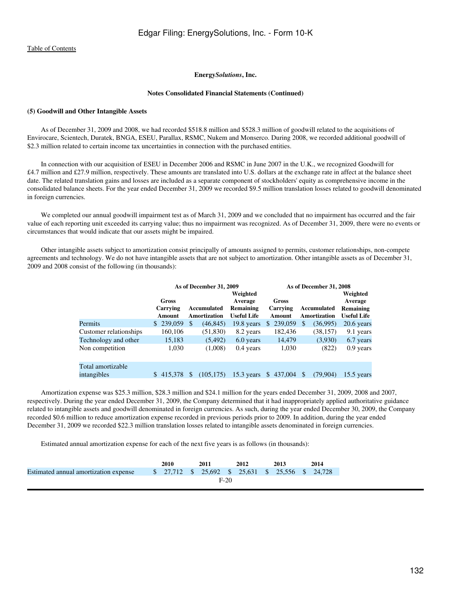#### **Notes Consolidated Financial Statements (Continued)**

#### **(5) Goodwill and Other Intangible Assets**

 As of December 31, 2009 and 2008, we had recorded \$518.8 million and \$528.3 million of goodwill related to the acquisitions of Envirocare, Scientech, Duratek, BNGA, ESEU, Parallax, RSMC, Nukem and Monserco. During 2008, we recorded additional goodwill of \$2.3 million related to certain income tax uncertainties in connection with the purchased entities.

 In connection with our acquisition of ESEU in December 2006 and RSMC in June 2007 in the U.K., we recognized Goodwill for £4.7 million and £27.9 million, respectively. These amounts are translated into U.S. dollars at the exchange rate in affect at the balance sheet date. The related translation gains and losses are included as a separate component of stockholders' equity as comprehensive income in the consolidated balance sheets. For the year ended December 31, 2009 we recorded \$9.5 million translation losses related to goodwill denominated in foreign currencies.

 We completed our annual goodwill impairment test as of March 31, 2009 and we concluded that no impairment has occurred and the fair value of each reporting unit exceeded its carrying value; thus no impairment was recognized. As of December 31, 2009, there were no events or circumstances that would indicate that our assets might be impaired.

 Other intangible assets subject to amortization consist principally of amounts assigned to permits, customer relationships, non-compete agreements and technology. We do not have intangible assets that are not subject to amortization. Other intangible assets as of December 31, 2009 and 2008 consist of the following (in thousands):

|                        |           |     | As of December 31, 2009 |                    |           |               | As of December 31, 2008 |                    |
|------------------------|-----------|-----|-------------------------|--------------------|-----------|---------------|-------------------------|--------------------|
|                        |           |     |                         | Weighted           |           |               |                         | Weighted           |
|                        | Gross     |     |                         | Average            | Gross     |               |                         | Average            |
|                        | Carrying  |     | Accumulated             | Remaining          | Carrying  |               | Accumulated             | <b>Remaining</b>   |
|                        | Amount    |     | <b>Amortization</b>     | <b>Useful Life</b> | Amount    |               | <b>Amortization</b>     | <b>Useful Life</b> |
| Permits                | \$239,059 | \$. | (46, 845)               | $19.8$ years       | \$239,059 | <sup>\$</sup> | (36,995)                | $20.6$ years       |
| Customer relationships | 160,106   |     | (51,830)                | 8.2 years          | 182,436   |               | (38, 157)               | 9.1 years          |
| Technology and other   | 15,183    |     | (5, 492)                | 6.0 years          | 14,479    |               | (3,930)                 | 6.7 years          |
| Non competition        | 1,030     |     | (1,008)                 | $0.4$ years        | 1,030     |               | (822)                   | $0.9$ years        |
| Total amortizable      |           |     |                         |                    |           |               |                         |                    |
| intangibles            | \$415.378 | \$. | (105, 175)              | $15.3$ years       | \$437,004 | <sup>\$</sup> | (79,904)                | $15.5$ years       |

 Amortization expense was \$25.3 million, \$28.3 million and \$24.1 million for the years ended December 31, 2009, 2008 and 2007, respectively. During the year ended December 31, 2009, the Company determined that it had inappropriately applied authoritative guidance related to intangible assets and goodwill denominated in foreign currencies. As such, during the year ended December 30, 2009, the Company recorded \$0.6 million to reduce amortization expense recorded in previous periods prior to 2009. In addition, during the year ended December 31, 2009 we recorded \$22.3 million translation losses related to intangible assets denominated in foreign currencies.

Estimated annual amortization expense for each of the next five years is as follows (in thousands):

|                                       | 2010   |  | 2011                                              |  | 2012 |  | 2013 |  | 2014 |
|---------------------------------------|--------|--|---------------------------------------------------|--|------|--|------|--|------|
| Estimated annual amortization expense |        |  | $$27,712$ \$ 25,692 \$ 25,631 \$ 25,556 \$ 24,728 |  |      |  |      |  |      |
|                                       | $F-20$ |  |                                                   |  |      |  |      |  |      |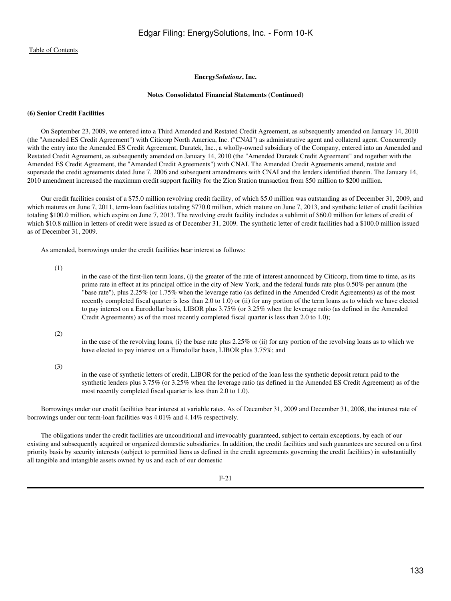#### **Notes Consolidated Financial Statements (Continued)**

## **(6) Senior Credit Facilities**

 On September 23, 2009, we entered into a Third Amended and Restated Credit Agreement, as subsequently amended on January 14, 2010 (the "Amended ES Credit Agreement") with Citicorp North America, Inc. ("CNAI") as administrative agent and collateral agent. Concurrently with the entry into the Amended ES Credit Agreement, Duratek, Inc., a wholly-owned subsidiary of the Company, entered into an Amended and Restated Credit Agreement, as subsequently amended on January 14, 2010 (the "Amended Duratek Credit Agreement" and together with the Amended ES Credit Agreement, the "Amended Credit Agreements") with CNAI. The Amended Credit Agreements amend, restate and supersede the credit agreements dated June 7, 2006 and subsequent amendments with CNAI and the lenders identified therein. The January 14, 2010 amendment increased the maximum credit support facility for the Zion Station transaction from \$50 million to \$200 million.

 Our credit facilities consist of a \$75.0 million revolving credit facility, of which \$5.0 million was outstanding as of December 31, 2009, and which matures on June 7, 2011, term-loan facilities totaling \$770.0 million, which mature on June 7, 2013, and synthetic letter of credit facilities totaling \$100.0 million, which expire on June 7, 2013. The revolving credit facility includes a sublimit of \$60.0 million for letters of credit of which \$10.8 million in letters of credit were issued as of December 31, 2009. The synthetic letter of credit facilities had a \$100.0 million issued as of December 31, 2009.

As amended, borrowings under the credit facilities bear interest as follows:

(1)

in the case of the first-lien term loans, (i) the greater of the rate of interest announced by Citicorp, from time to time, as its prime rate in effect at its principal office in the city of New York, and the federal funds rate plus 0.50% per annum (the "base rate"), plus 2.25% (or 1.75% when the leverage ratio (as defined in the Amended Credit Agreements) as of the most recently completed fiscal quarter is less than 2.0 to 1.0) or (ii) for any portion of the term loans as to which we have elected to pay interest on a Eurodollar basis, LIBOR plus 3.75% (or 3.25% when the leverage ratio (as defined in the Amended Credit Agreements) as of the most recently completed fiscal quarter is less than 2.0 to 1.0);

#### (2)

in the case of the revolving loans, (i) the base rate plus 2.25% or (ii) for any portion of the revolving loans as to which we have elected to pay interest on a Eurodollar basis, LIBOR plus 3.75%; and

#### (3)

in the case of synthetic letters of credit, LIBOR for the period of the loan less the synthetic deposit return paid to the synthetic lenders plus 3.75% (or 3.25% when the leverage ratio (as defined in the Amended ES Credit Agreement) as of the most recently completed fiscal quarter is less than 2.0 to 1.0).

 Borrowings under our credit facilities bear interest at variable rates. As of December 31, 2009 and December 31, 2008, the interest rate of borrowings under our term-loan facilities was 4.01% and 4.14% respectively.

 The obligations under the credit facilities are unconditional and irrevocably guaranteed, subject to certain exceptions, by each of our existing and subsequently acquired or organized domestic subsidiaries. In addition, the credit facilities and such guarantees are secured on a first priority basis by security interests (subject to permitted liens as defined in the credit agreements governing the credit facilities) in substantially all tangible and intangible assets owned by us and each of our domestic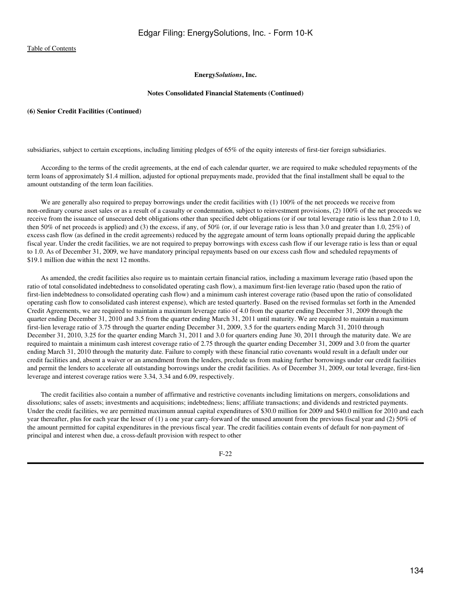# **Energy***Solutions***, Inc.**

#### **Notes Consolidated Financial Statements (Continued)**

# **(6) Senior Credit Facilities (Continued)**

subsidiaries, subject to certain exceptions, including limiting pledges of 65% of the equity interests of first-tier foreign subsidiaries.

 According to the terms of the credit agreements, at the end of each calendar quarter, we are required to make scheduled repayments of the term loans of approximately \$1.4 million, adjusted for optional prepayments made, provided that the final installment shall be equal to the amount outstanding of the term loan facilities.

We are generally also required to prepay borrowings under the credit facilities with (1) 100% of the net proceeds we receive from non-ordinary course asset sales or as a result of a casualty or condemnation, subject to reinvestment provisions, (2) 100% of the net proceeds we receive from the issuance of unsecured debt obligations other than specified debt obligations (or if our total leverage ratio is less than 2.0 to 1.0, then 50% of net proceeds is applied) and (3) the excess, if any, of 50% (or, if our leverage ratio is less than 3.0 and greater than 1.0, 25%) of excess cash flow (as defined in the credit agreements) reduced by the aggregate amount of term loans optionally prepaid during the applicable fiscal year. Under the credit facilities, we are not required to prepay borrowings with excess cash flow if our leverage ratio is less than or equal to 1.0. As of December 31, 2009, we have mandatory principal repayments based on our excess cash flow and scheduled repayments of \$19.1 million due within the next 12 months.

 As amended, the credit facilities also require us to maintain certain financial ratios, including a maximum leverage ratio (based upon the ratio of total consolidated indebtedness to consolidated operating cash flow), a maximum first-lien leverage ratio (based upon the ratio of first-lien indebtedness to consolidated operating cash flow) and a minimum cash interest coverage ratio (based upon the ratio of consolidated operating cash flow to consolidated cash interest expense), which are tested quarterly. Based on the revised formulas set forth in the Amended Credit Agreements, we are required to maintain a maximum leverage ratio of 4.0 from the quarter ending December 31, 2009 through the quarter ending December 31, 2010 and 3.5 from the quarter ending March 31, 2011 until maturity. We are required to maintain a maximum first-lien leverage ratio of 3.75 through the quarter ending December 31, 2009, 3.5 for the quarters ending March 31, 2010 through December 31, 2010, 3.25 for the quarter ending March 31, 2011 and 3.0 for quarters ending June 30, 2011 through the maturity date. We are required to maintain a minimum cash interest coverage ratio of 2.75 through the quarter ending December 31, 2009 and 3.0 from the quarter ending March 31, 2010 through the maturity date. Failure to comply with these financial ratio covenants would result in a default under our credit facilities and, absent a waiver or an amendment from the lenders, preclude us from making further borrowings under our credit facilities and permit the lenders to accelerate all outstanding borrowings under the credit facilities. As of December 31, 2009, our total leverage, first-lien leverage and interest coverage ratios were 3.34, 3.34 and 6.09, respectively.

 The credit facilities also contain a number of affirmative and restrictive covenants including limitations on mergers, consolidations and dissolutions; sales of assets; investments and acquisitions; indebtedness; liens; affiliate transactions; and dividends and restricted payments. Under the credit facilities, we are permitted maximum annual capital expenditures of \$30.0 million for 2009 and \$40.0 million for 2010 and each year thereafter, plus for each year the lesser of (1) a one year carry-forward of the unused amount from the previous fiscal year and (2) 50% of the amount permitted for capital expenditures in the previous fiscal year. The credit facilities contain events of default for non-payment of principal and interest when due, a cross-default provision with respect to other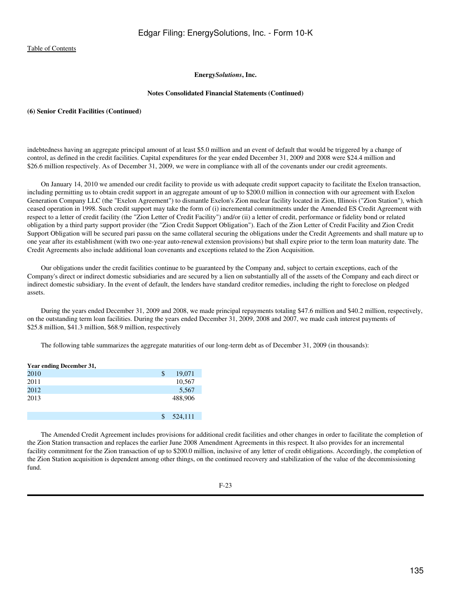# **Energy***Solutions***, Inc.**

#### **Notes Consolidated Financial Statements (Continued)**

#### **(6) Senior Credit Facilities (Continued)**

indebtedness having an aggregate principal amount of at least \$5.0 million and an event of default that would be triggered by a change of control, as defined in the credit facilities. Capital expenditures for the year ended December 31, 2009 and 2008 were \$24.4 million and \$26.6 million respectively. As of December 31, 2009, we were in compliance with all of the covenants under our credit agreements.

 On January 14, 2010 we amended our credit facility to provide us with adequate credit support capacity to facilitate the Exelon transaction, including permitting us to obtain credit support in an aggregate amount of up to \$200.0 million in connection with our agreement with Exelon Generation Company LLC (the "Exelon Agreement") to dismantle Exelon's Zion nuclear facility located in Zion, Illinois ("Zion Station"), which ceased operation in 1998. Such credit support may take the form of (i) incremental commitments under the Amended ES Credit Agreement with respect to a letter of credit facility (the "Zion Letter of Credit Facility") and/or (ii) a letter of credit, performance or fidelity bond or related obligation by a third party support provider (the "Zion Credit Support Obligation"). Each of the Zion Letter of Credit Facility and Zion Credit Support Obligation will be secured pari passu on the same collateral securing the obligations under the Credit Agreements and shall mature up to one year after its establishment (with two one-year auto-renewal extension provisions) but shall expire prior to the term loan maturity date. The Credit Agreements also include additional loan covenants and exceptions related to the Zion Acquisition.

 Our obligations under the credit facilities continue to be guaranteed by the Company and, subject to certain exceptions, each of the Company's direct or indirect domestic subsidiaries and are secured by a lien on substantially all of the assets of the Company and each direct or indirect domestic subsidiary. In the event of default, the lenders have standard creditor remedies, including the right to foreclose on pledged assets.

 During the years ended December 31, 2009 and 2008, we made principal repayments totaling \$47.6 million and \$40.2 million, respectively, on the outstanding term loan facilities. During the years ended December 31, 2009, 2008 and 2007, we made cash interest payments of \$25.8 million, \$41.3 million, \$68.9 million, respectively

The following table summarizes the aggregate maturities of our long-term debt as of December 31, 2009 (in thousands):

| Year ending December 31, |     |         |
|--------------------------|-----|---------|
| 2010                     | \$  | 19,071  |
| 2011                     |     | 10,567  |
| 2012                     |     | 5,567   |
| 2013                     |     | 488,906 |
|                          |     |         |
|                          | \$. | 524,111 |

 The Amended Credit Agreement includes provisions for additional credit facilities and other changes in order to facilitate the completion of the Zion Station transaction and replaces the earlier June 2008 Amendment Agreements in this respect. It also provides for an incremental facility commitment for the Zion transaction of up to \$200.0 million, inclusive of any letter of credit obligations. Accordingly, the completion of the Zion Station acquisition is dependent among other things, on the continued recovery and stabilization of the value of the decommissioning fund.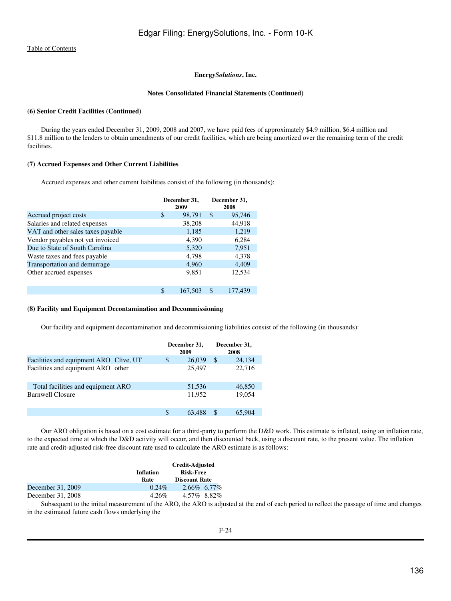## **Energy***Solutions***, Inc.**

#### **Notes Consolidated Financial Statements (Continued)**

# **(6) Senior Credit Facilities (Continued)**

 During the years ended December 31, 2009, 2008 and 2007, we have paid fees of approximately \$4.9 million, \$6.4 million and \$11.8 million to the lenders to obtain amendments of our credit facilities, which are being amortized over the remaining term of the credit facilities.

## **(7) Accrued Expenses and Other Current Liabilities**

Accrued expenses and other current liabilities consist of the following (in thousands):

|                                   | December 31,<br>2009 |         |     | December 31,<br>2008 |
|-----------------------------------|----------------------|---------|-----|----------------------|
| Accrued project costs             | \$                   | 98,791  | S   | 95,746               |
| Salaries and related expenses     |                      | 38,208  |     | 44,918               |
| VAT and other sales taxes payable |                      | 1,185   |     | 1,219                |
| Vendor payables not yet invoiced  |                      | 4.390   |     | 6,284                |
| Due to State of South Carolina    |                      | 5,320   |     | 7,951                |
| Waste taxes and fees payable      |                      | 4,798   |     | 4,378                |
| Transportation and demurrage      |                      | 4,960   |     | 4,409                |
| Other accrued expenses            |                      | 9,851   |     | 12,534               |
|                                   |                      |         |     |                      |
|                                   | \$                   | 167,503 | \$. | 177.439              |

# **(8) Facility and Equipment Decontamination and Decommissioning**

Our facility and equipment decontamination and decommissioning liabilities consist of the following (in thousands):

|                                        | December 31,<br>2009 |        |    | December 31,<br>2008 |
|----------------------------------------|----------------------|--------|----|----------------------|
| Facilities and equipment ARO Clive, UT | \$                   | 26,039 | S  | 24,134               |
| Facilities and equipment ARO other     |                      | 25,497 |    | 22,716               |
| Total facilities and equipment ARO     |                      | 51,536 |    | 46,850               |
| <b>Barnwell Closure</b>                |                      | 11.952 |    | 19,054               |
|                                        | \$.                  | 63.488 | \$ | 65,904               |

 Our ARO obligation is based on a cost estimate for a third-party to perform the D&D work. This estimate is inflated, using an inflation rate, to the expected time at which the D&D activity will occur, and then discounted back, using a discount rate, to the present value. The inflation rate and credit-adjusted risk-free discount rate used to calculate the ARO estimate is as follows:

|                   | Inflation<br>Rate | Credit-Adjusted<br><b>Risk-Free</b><br><b>Discount Rate</b> |
|-------------------|-------------------|-------------------------------------------------------------|
| December 31, 2009 | $0.24\%$          | 2.66% 6.77%                                                 |
| December 31, 2008 | $4.26\%$          | 4.57\% 8.82\%                                               |

 Subsequent to the initial measurement of the ARO, the ARO is adjusted at the end of each period to reflect the passage of time and changes in the estimated future cash flows underlying the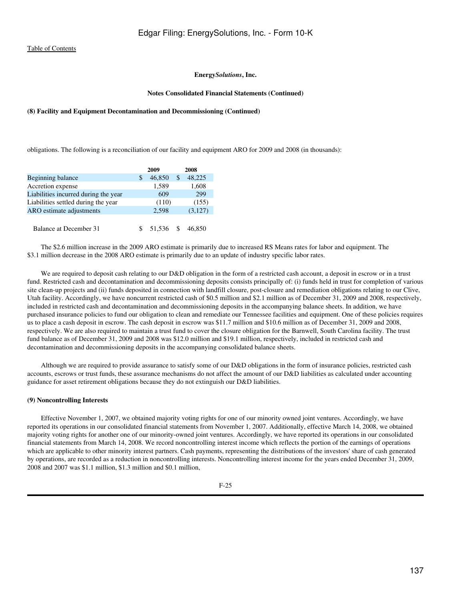#### **Notes Consolidated Financial Statements (Continued)**

## **(8) Facility and Equipment Decontamination and Decommissioning (Continued)**

obligations. The following is a reconciliation of our facility and equipment ARO for 2009 and 2008 (in thousands):

|                                      |   | 2009   |               | 2008    |
|--------------------------------------|---|--------|---------------|---------|
| Beginning balance                    | S | 46,850 | <sup>\$</sup> | 48,225  |
| Accretion expense                    |   | 1,589  |               | 1,608   |
| Liabilities incurred during the year |   | 609    |               | 299     |
| Liabilities settled during the year  |   | (110)  |               | (155)   |
| ARO estimate adjustments             |   | 2,598  |               | (3,127) |
|                                      |   |        |               |         |
| Balance at December 31               |   | 51.536 |               | 46,850  |

 The \$2.6 million increase in the 2009 ARO estimate is primarily due to increased RS Means rates for labor and equipment. The \$3.1 million decrease in the 2008 ARO estimate is primarily due to an update of industry specific labor rates.

We are required to deposit cash relating to our D&D obligation in the form of a restricted cash account, a deposit in escrow or in a trust fund. Restricted cash and decontamination and decommissioning deposits consists principally of: (i) funds held in trust for completion of various site clean-up projects and (ii) funds deposited in connection with landfill closure, post-closure and remediation obligations relating to our Clive, Utah facility. Accordingly, we have noncurrent restricted cash of \$0.5 million and \$2.1 million as of December 31, 2009 and 2008, respectively, included in restricted cash and decontamination and decommissioning deposits in the accompanying balance sheets. In addition, we have purchased insurance policies to fund our obligation to clean and remediate our Tennessee facilities and equipment. One of these policies requires us to place a cash deposit in escrow. The cash deposit in escrow was \$11.7 million and \$10.6 million as of December 31, 2009 and 2008, respectively. We are also required to maintain a trust fund to cover the closure obligation for the Barnwell, South Carolina facility. The trust fund balance as of December 31, 2009 and 2008 was \$12.0 million and \$19.1 million, respectively, included in restricted cash and decontamination and decommissioning deposits in the accompanying consolidated balance sheets.

 Although we are required to provide assurance to satisfy some of our D&D obligations in the form of insurance policies, restricted cash accounts, escrows or trust funds, these assurance mechanisms do not affect the amount of our D&D liabilities as calculated under accounting guidance for asset retirement obligations because they do not extinguish our D&D liabilities.

#### **(9) Noncontrolling Interests**

 Effective November 1, 2007, we obtained majority voting rights for one of our minority owned joint ventures. Accordingly, we have reported its operations in our consolidated financial statements from November 1, 2007. Additionally, effective March 14, 2008, we obtained majority voting rights for another one of our minority-owned joint ventures. Accordingly, we have reported its operations in our consolidated financial statements from March 14, 2008. We record noncontrolling interest income which reflects the portion of the earnings of operations which are applicable to other minority interest partners. Cash payments, representing the distributions of the investors' share of cash generated by operations, are recorded as a reduction in noncontrolling interests. Noncontrolling interest income for the years ended December 31, 2009, 2008 and 2007 was \$1.1 million, \$1.3 million and \$0.1 million,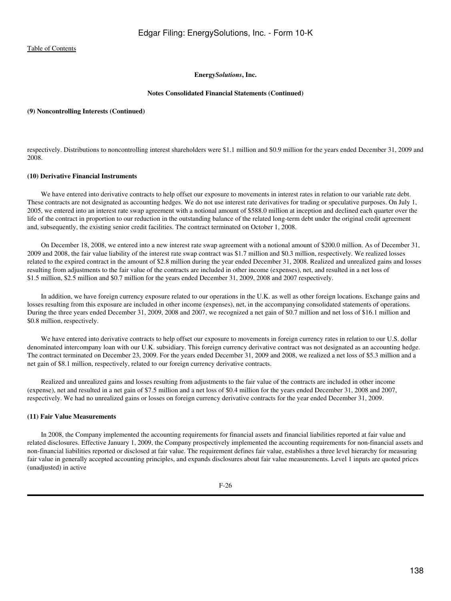# **Energy***Solutions***, Inc.**

#### **Notes Consolidated Financial Statements (Continued)**

#### **(9) Noncontrolling Interests (Continued)**

respectively. Distributions to noncontrolling interest shareholders were \$1.1 million and \$0.9 million for the years ended December 31, 2009 and 2008.

#### **(10) Derivative Financial Instruments**

 We have entered into derivative contracts to help offset our exposure to movements in interest rates in relation to our variable rate debt. These contracts are not designated as accounting hedges. We do not use interest rate derivatives for trading or speculative purposes. On July 1, 2005, we entered into an interest rate swap agreement with a notional amount of \$588.0 million at inception and declined each quarter over the life of the contract in proportion to our reduction in the outstanding balance of the related long-term debt under the original credit agreement and, subsequently, the existing senior credit facilities. The contract terminated on October 1, 2008.

 On December 18, 2008, we entered into a new interest rate swap agreement with a notional amount of \$200.0 million. As of December 31, 2009 and 2008, the fair value liability of the interest rate swap contract was \$1.7 million and \$0.3 million, respectively. We realized losses related to the expired contract in the amount of \$2.8 million during the year ended December 31, 2008. Realized and unrealized gains and losses resulting from adjustments to the fair value of the contracts are included in other income (expenses), net, and resulted in a net loss of \$1.5 million, \$2.5 million and \$0.7 million for the years ended December 31, 2009, 2008 and 2007 respectively.

 In addition, we have foreign currency exposure related to our operations in the U.K. as well as other foreign locations. Exchange gains and losses resulting from this exposure are included in other income (expenses), net, in the accompanying consolidated statements of operations. During the three years ended December 31, 2009, 2008 and 2007, we recognized a net gain of \$0.7 million and net loss of \$16.1 million and \$0.8 million, respectively.

We have entered into derivative contracts to help offset our exposure to movements in foreign currency rates in relation to our U.S. dollar denominated intercompany loan with our U.K. subsidiary. This foreign currency derivative contract was not designated as an accounting hedge. The contract terminated on December 23, 2009. For the years ended December 31, 2009 and 2008, we realized a net loss of \$5.3 million and a net gain of \$8.1 million, respectively, related to our foreign currency derivative contracts.

 Realized and unrealized gains and losses resulting from adjustments to the fair value of the contracts are included in other income (expense), net and resulted in a net gain of \$7.5 million and a net loss of \$0.4 million for the years ended December 31, 2008 and 2007, respectively. We had no unrealized gains or losses on foreign currency derivative contracts for the year ended December 31, 2009.

#### **(11) Fair Value Measurements**

 In 2008, the Company implemented the accounting requirements for financial assets and financial liabilities reported at fair value and related disclosures. Effective January 1, 2009, the Company prospectively implemented the accounting requirements for non-financial assets and non-financial liabilities reported or disclosed at fair value. The requirement defines fair value, establishes a three level hierarchy for measuring fair value in generally accepted accounting principles, and expands disclosures about fair value measurements. Level 1 inputs are quoted prices (unadjusted) in active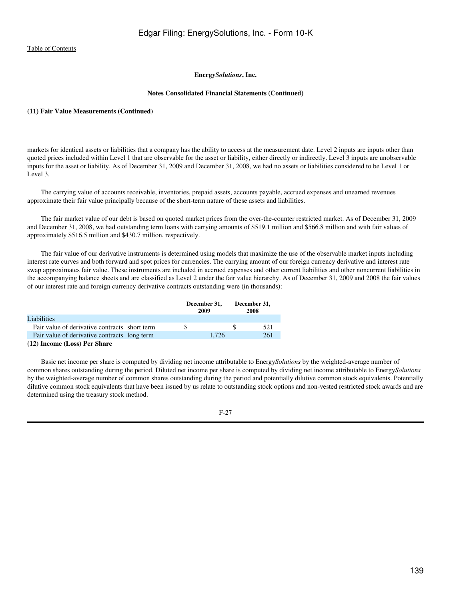# **Energy***Solutions***, Inc.**

#### **Notes Consolidated Financial Statements (Continued)**

#### **(11) Fair Value Measurements (Continued)**

markets for identical assets or liabilities that a company has the ability to access at the measurement date. Level 2 inputs are inputs other than quoted prices included within Level 1 that are observable for the asset or liability, either directly or indirectly. Level 3 inputs are unobservable inputs for the asset or liability. As of December 31, 2009 and December 31, 2008, we had no assets or liabilities considered to be Level 1 or Level 3.

 The carrying value of accounts receivable, inventories, prepaid assets, accounts payable, accrued expenses and unearned revenues approximate their fair value principally because of the short-term nature of these assets and liabilities.

 The fair market value of our debt is based on quoted market prices from the over-the-counter restricted market. As of December 31, 2009 and December 31, 2008, we had outstanding term loans with carrying amounts of \$519.1 million and \$566.8 million and with fair values of approximately \$516.5 million and \$430.7 million, respectively.

 The fair value of our derivative instruments is determined using models that maximize the use of the observable market inputs including interest rate curves and both forward and spot prices for currencies. The carrying amount of our foreign currency derivative and interest rate swap approximates fair value. These instruments are included in accrued expenses and other current liabilities and other noncurrent liabilities in the accompanying balance sheets and are classified as Level 2 under the fair value hierarchy. As of December 31, 2009 and 2008 the fair values of our interest rate and foreign currency derivative contracts outstanding were (in thousands):

|                                               | December 31,<br>2009 | December 31,<br>2008 |     |  |
|-----------------------------------------------|----------------------|----------------------|-----|--|
| Liabilities                                   |                      |                      |     |  |
| Fair value of derivative contracts short term |                      | Ж                    | 521 |  |
| Fair value of derivative contracts long term  | 1.726                |                      | 261 |  |
| $(12)$ Leasnes (Leas) Day Chang               |                      |                      |     |  |

**<sup>(12)</sup> Income (Loss) Per Share**

 Basic net income per share is computed by dividing net income attributable to Energy*Solutions* by the weighted-average number of common shares outstanding during the period. Diluted net income per share is computed by dividing net income attributable to Energy*Solutions* by the weighted-average number of common shares outstanding during the period and potentially dilutive common stock equivalents. Potentially dilutive common stock equivalents that have been issued by us relate to outstanding stock options and non-vested restricted stock awards and are determined using the treasury stock method.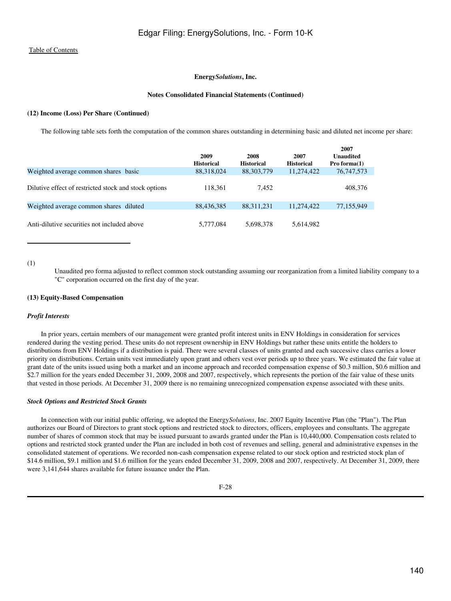#### **Energy***Solutions***, Inc.**

#### **Notes Consolidated Financial Statements (Continued)**

#### **(12) Income (Loss) Per Share (Continued)**

The following table sets forth the computation of the common shares outstanding in determining basic and diluted net income per share:

|                                                       | 2009<br><b>Historical</b> | 2008<br><b>Historical</b> | 2007<br><b>Historical</b> | 2007<br>Unaudited<br>Pro forma $(1)$ |
|-------------------------------------------------------|---------------------------|---------------------------|---------------------------|--------------------------------------|
| Weighted average common shares basic                  | 88,318,024                | 88, 303, 779              | 11,274,422                | 76, 747, 573                         |
| Dilutive effect of restricted stock and stock options | 118.361                   | 7.452                     |                           | 408,376                              |
| Weighted average common shares diluted                | 88,436,385                | 88, 311, 231              | 11,274,422                | 77,155,949                           |
| Anti-dilutive securities not included above           | 5,777,084                 | 5,698,378                 | 5,614,982                 |                                      |

# (1)

Unaudited pro forma adjusted to reflect common stock outstanding assuming our reorganization from a limited liability company to a "C" corporation occurred on the first day of the year.

#### **(13) Equity-Based Compensation**

#### *Profit Interests*

 In prior years, certain members of our management were granted profit interest units in ENV Holdings in consideration for services rendered during the vesting period. These units do not represent ownership in ENV Holdings but rather these units entitle the holders to distributions from ENV Holdings if a distribution is paid. There were several classes of units granted and each successive class carries a lower priority on distributions. Certain units vest immediately upon grant and others vest over periods up to three years. We estimated the fair value at grant date of the units issued using both a market and an income approach and recorded compensation expense of \$0.3 million, \$0.6 million and \$2.7 million for the years ended December 31, 2009, 2008 and 2007, respectively, which represents the portion of the fair value of these units that vested in those periods. At December 31, 2009 there is no remaining unrecognized compensation expense associated with these units.

#### *Stock Options and Restricted Stock Grants*

 In connection with our initial public offering, we adopted the Energy*Solutions*, Inc. 2007 Equity Incentive Plan (the "Plan"). The Plan authorizes our Board of Directors to grant stock options and restricted stock to directors, officers, employees and consultants. The aggregate number of shares of common stock that may be issued pursuant to awards granted under the Plan is 10,440,000. Compensation costs related to options and restricted stock granted under the Plan are included in both cost of revenues and selling, general and administrative expenses in the consolidated statement of operations. We recorded non-cash compensation expense related to our stock option and restricted stock plan of \$14.6 million, \$9.1 million and \$1.6 million for the years ended December 31, 2009, 2008 and 2007, respectively. At December 31, 2009, there were 3,141,644 shares available for future issuance under the Plan.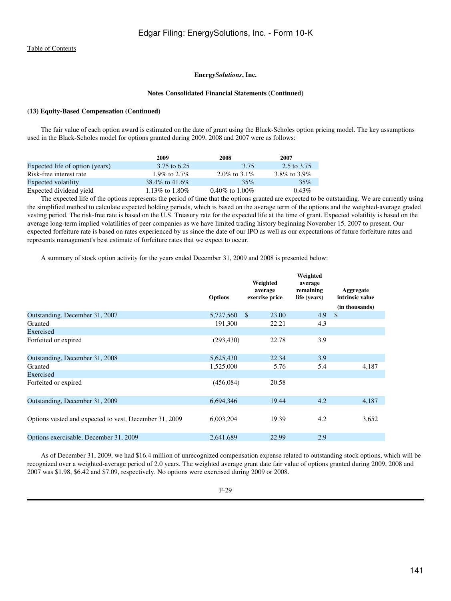## **Energy***Solutions***, Inc.**

#### **Notes Consolidated Financial Statements (Continued)**

# **(13) Equity-Based Compensation (Continued)**

 The fair value of each option award is estimated on the date of grant using the Black-Scholes option pricing model. The key assumptions used in the Black-Scholes model for options granted during 2009, 2008 and 2007 were as follows:

|                                 | 2009             | 2008             | 2007           |
|---------------------------------|------------------|------------------|----------------|
| Expected life of option (years) | 3.75 to 6.25     | 3.75             | 2.5 to 3.75    |
| Risk-free interest rate         | 1.9% to 2.7%     | 2.0\% to 3.1\%   | 3.8\% to 3.9\% |
| Expected volatility             | 38.4\% to 41.6\% | 35%              | 35%            |
| Expected dividend yield         | 1.13\% to 1.80\% | 0.40\% to 1.00\% | $0.43\%$       |

 The expected life of the options represents the period of time that the options granted are expected to be outstanding. We are currently using the simplified method to calculate expected holding periods, which is based on the average term of the options and the weighted-average graded vesting period. The risk-free rate is based on the U.S. Treasury rate for the expected life at the time of grant. Expected volatility is based on the average long-term implied volatilities of peer companies as we have limited trading history beginning November 15, 2007 to present. Our expected forfeiture rate is based on rates experienced by us since the date of our IPO as well as our expectations of future forfeiture rates and represents management's best estimate of forfeiture rates that we expect to occur.

A summary of stock option activity for the years ended December 31, 2009 and 2008 is presented below:

|                                                        | <b>Options</b> | Weighted<br>average<br>exercise price | Weighted<br>average<br>remaining<br>life (years) | Aggregate<br>intrinsic value |
|--------------------------------------------------------|----------------|---------------------------------------|--------------------------------------------------|------------------------------|
|                                                        |                |                                       |                                                  | (in thousands)               |
| Outstanding, December 31, 2007                         | 5,727,560      | <sup>\$</sup><br>23.00                | 4.9                                              | $\mathcal{S}$                |
| Granted                                                | 191,300        | 22.21                                 | 4.3                                              |                              |
| Exercised                                              |                |                                       |                                                  |                              |
| Forfeited or expired                                   | (293, 430)     | 22.78                                 | 3.9                                              |                              |
| Outstanding, December 31, 2008                         | 5,625,430      | 22.34                                 | 3.9                                              |                              |
| Granted                                                | 1,525,000      | 5.76                                  | 5.4                                              | 4,187                        |
| Exercised                                              |                |                                       |                                                  |                              |
| Forfeited or expired                                   | (456, 084)     | 20.58                                 |                                                  |                              |
| Outstanding, December 31, 2009                         | 6.694.346      | 19.44                                 | 4.2                                              | 4,187                        |
|                                                        |                |                                       |                                                  |                              |
| Options vested and expected to vest, December 31, 2009 | 6,003,204      | 19.39                                 | 4.2                                              | 3,652                        |
| Options exercisable, December 31, 2009                 | 2,641,689      | 22.99                                 | 2.9                                              |                              |

 As of December 31, 2009, we had \$16.4 million of unrecognized compensation expense related to outstanding stock options, which will be recognized over a weighted-average period of 2.0 years. The weighted average grant date fair value of options granted during 2009, 2008 and 2007 was \$1.98, \$6.42 and \$7.09, respectively. No options were exercised during 2009 or 2008.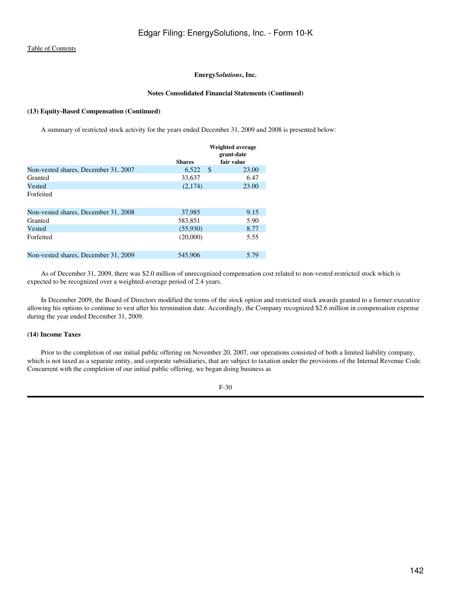# **Notes Consolidated Financial Statements (Continued)**

# **(13) Equity-Based Compensation (Continued)**

A summary of restricted stock activity for the years ended December 31, 2009 and 2008 is presented below:

|                                      |               | Weighted average<br>grant-date |
|--------------------------------------|---------------|--------------------------------|
|                                      | <b>Shares</b> | fair value                     |
| Non-vested shares, December 31, 2007 | 6,522         | S<br>23.00                     |
| Granted                              | 33.637        | 6.47                           |
| Vested                               | (2,174)       | 23.00                          |
| Forfeited                            |               |                                |
| Non-vested shares. December 31, 2008 | 37,985        | 9.15                           |
| Granted                              | 583,851       | 5.90                           |
| Vested                               | (55,930)      | 8.77                           |
| Forfeited                            | (20.000)      | 5.55                           |
| Non-vested shares, December 31, 2009 | 545,906       | 5.79                           |

 As of December 31, 2009, there was \$2.0 million of unrecognized compensation cost related to non-vested restricted stock which is expected to be recognized over a weighted-average period of 2.4 years.

 In December 2009, the Board of Directors modified the terms of the stock option and restricted stock awards granted to a former executive allowing his options to continue to vest after his termination date. Accordingly, the Company recognized \$2.6 million in compensation expense during the year ended December 31, 2009.

# **(14) Income Taxes**

 Prior to the completion of our initial public offering on November 20, 2007, our operations consisted of both a limited liability company, which is not taxed as a separate entity, and corporate subsidiaries, that are subject to taxation under the provisions of the Internal Revenue Code. Concurrent with the completion of our initial public offering, we began doing business as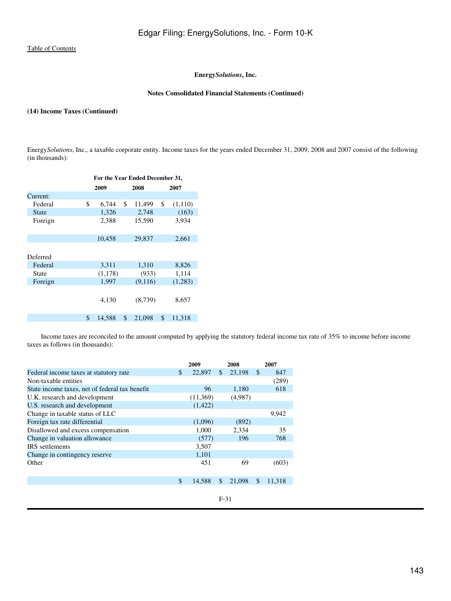# **Energy***Solutions***, Inc.**

## **Notes Consolidated Financial Statements (Continued)**

#### **(14) Income Taxes (Continued)**

Energy*Solutions*, Inc., a taxable corporate entity. Income taxes for the years ended December 31, 2009, 2008 and 2007 consist of the following (in thousands):

| 2007    |
|---------|
|         |
|         |
| (1,110) |
| (163)   |
| 3,934   |
|         |
| 2,661   |
|         |
|         |
| 8,826   |
| 1,114   |
| (1,283) |
|         |
| 8,657   |
|         |
| 11,318  |
|         |

 Income taxes are reconciled to the amount computed by applying the statutory federal income tax rate of 35% to income before income taxes as follows (in thousands):

|                                                | 2009         |     | 2008    |               | 2007   |
|------------------------------------------------|--------------|-----|---------|---------------|--------|
| Federal income taxes at statutory rate         | \$<br>22,897 | \$. | 23.198  | <sup>\$</sup> | 847    |
| Non-taxable entities                           |              |     |         |               | (289)  |
| State income taxes, net of federal tax benefit | 96           |     | 1.180   |               | 618    |
| U.K. research and development                  | (11,369)     |     | (4,987) |               |        |
| U.S. research and development                  | (1,422)      |     |         |               |        |
| Change in taxable status of LLC                |              |     |         |               | 9,942  |
| Foreign tax rate differential                  | (1,096)      |     | (892)   |               |        |
| Disallowed and excess compensation             | 1,000        |     | 2,334   |               | 35     |
| Change in valuation allowance                  | (577)        |     | 196     |               | 768    |
| <b>IRS</b> settlements                         | 3,507        |     |         |               |        |
| Change in contingency reserve                  | 1,101        |     |         |               |        |
| Other                                          | 451          |     | 69      |               | (603)  |
|                                                | \$<br>14.588 | \$  | 21,098  | <b>S</b>      | 11.318 |
|                                                |              |     |         |               |        |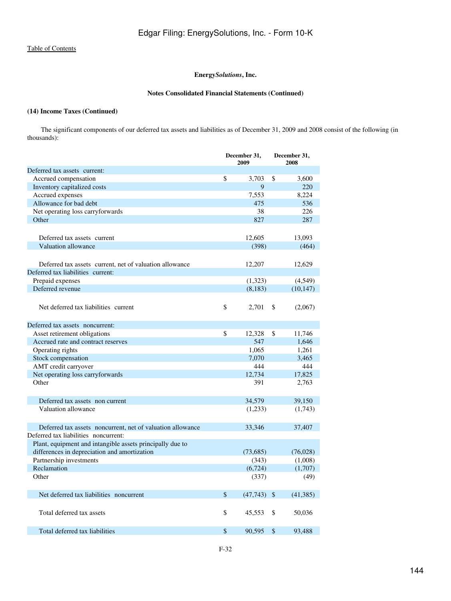# **Energy***Solutions***, Inc.**

# **Notes Consolidated Financial Statements (Continued)**

# **(14) Income Taxes (Continued)**

 The significant components of our deferred tax assets and liabilities as of December 31, 2009 and 2008 consist of the following (in thousands):

|                                                            | December 31,<br>2009 |           | December 31,<br>2008 |           |
|------------------------------------------------------------|----------------------|-----------|----------------------|-----------|
| Deferred tax assets current:                               |                      |           |                      |           |
| Accrued compensation                                       | \$                   | 3,703     | \$                   | 3,600     |
| Inventory capitalized costs                                |                      | 9         |                      | 220       |
| Accrued expenses                                           |                      | 7,553     |                      | 8,224     |
| Allowance for bad debt                                     |                      | 475       |                      | 536       |
| Net operating loss carryforwards                           |                      | 38        |                      | 226       |
| Other                                                      |                      | 827       |                      | 287       |
|                                                            |                      |           |                      |           |
| Deferred tax assets current                                |                      | 12,605    |                      | 13,093    |
| Valuation allowance                                        |                      | (398)     |                      | (464)     |
|                                                            |                      |           |                      |           |
| Deferred tax assets current, net of valuation allowance    |                      | 12,207    |                      | 12,629    |
| Deferred tax liabilities current:                          |                      |           |                      |           |
| Prepaid expenses                                           |                      | (1,323)   |                      | (4,549)   |
| Deferred revenue                                           |                      | (8,183)   |                      | (10, 147) |
|                                                            |                      |           |                      |           |
| Net deferred tax liabilities current                       | \$                   | 2,701     | \$                   | (2,067)   |
|                                                            |                      |           |                      |           |
| Deferred tax assets noncurrent:                            |                      |           |                      |           |
| Asset retirement obligations                               | \$                   | 12,328    | \$                   | 11,746    |
| Accrued rate and contract reserves                         |                      | 547       |                      | 1,646     |
| Operating rights                                           |                      | 1.065     |                      | 1,261     |
| Stock compensation                                         |                      | 7,070     |                      | 3,465     |
| AMT credit carryover                                       |                      | 444       |                      | 444       |
| Net operating loss carryforwards                           |                      | 12,734    |                      | 17,825    |
| Other                                                      |                      | 391       |                      | 2,763     |
|                                                            |                      |           |                      |           |
| Deferred tax assets non current                            |                      | 34,579    |                      | 39,150    |
| Valuation allowance                                        |                      | (1,233)   |                      | (1,743)   |
|                                                            |                      |           |                      |           |
| Deferred tax assets noncurrent, net of valuation allowance |                      | 33,346    |                      | 37,407    |
| Deferred tax liabilities noncurrent:                       |                      |           |                      |           |
| Plant, equipment and intangible assets principally due to  |                      |           |                      |           |
| differences in depreciation and amortization               |                      | (73,685)  |                      | (76,028)  |
| Partnership investments                                    |                      | (343)     |                      | (1,008)   |
| Reclamation                                                |                      | (6, 724)  |                      | (1,707)   |
| Other                                                      |                      | (337)     |                      | (49)      |
|                                                            |                      |           |                      |           |
| Net deferred tax liabilities noncurrent                    | \$                   | (47, 743) | $\mathcal{S}$        | (41, 385) |
|                                                            |                      |           |                      |           |
| Total deferred tax assets                                  | \$                   | 45,553    | \$                   | 50,036    |
|                                                            |                      |           |                      |           |
| Total deferred tax liabilities                             | \$                   | 90,595    | \$                   | 93,488    |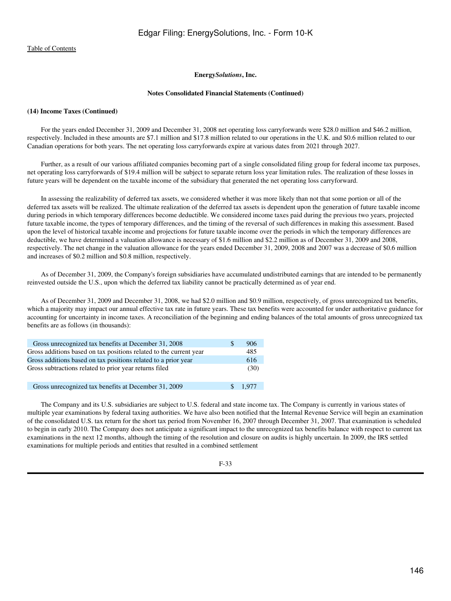#### **Notes Consolidated Financial Statements (Continued)**

#### **(14) Income Taxes (Continued)**

 For the years ended December 31, 2009 and December 31, 2008 net operating loss carryforwards were \$28.0 million and \$46.2 million, respectively. Included in these amounts are \$7.1 million and \$17.8 million related to our operations in the U.K. and \$0.6 million related to our Canadian operations for both years. The net operating loss carryforwards expire at various dates from 2021 through 2027.

 Further, as a result of our various affiliated companies becoming part of a single consolidated filing group for federal income tax purposes, net operating loss carryforwards of \$19.4 million will be subject to separate return loss year limitation rules. The realization of these losses in future years will be dependent on the taxable income of the subsidiary that generated the net operating loss carryforward.

 In assessing the realizability of deferred tax assets, we considered whether it was more likely than not that some portion or all of the deferred tax assets will be realized. The ultimate realization of the deferred tax assets is dependent upon the generation of future taxable income during periods in which temporary differences become deductible. We considered income taxes paid during the previous two years, projected future taxable income, the types of temporary differences, and the timing of the reversal of such differences in making this assessment. Based upon the level of historical taxable income and projections for future taxable income over the periods in which the temporary differences are deductible, we have determined a valuation allowance is necessary of \$1.6 million and \$2.2 million as of December 31, 2009 and 2008, respectively. The net change in the valuation allowance for the years ended December 31, 2009, 2008 and 2007 was a decrease of \$0.6 million and increases of \$0.2 million and \$0.8 million, respectively.

 As of December 31, 2009, the Company's foreign subsidiaries have accumulated undistributed earnings that are intended to be permanently reinvested outside the U.S., upon which the deferred tax liability cannot be practically determined as of year end.

 As of December 31, 2009 and December 31, 2008, we had \$2.0 million and \$0.9 million, respectively, of gross unrecognized tax benefits, which a majority may impact our annual effective tax rate in future years. These tax benefits were accounted for under authoritative guidance for accounting for uncertainty in income taxes. A reconciliation of the beginning and ending balances of the total amounts of gross unrecognized tax benefits are as follows (in thousands):

| Gross unrecognized tax benefits at December 31, 2008               | £. | 906   |
|--------------------------------------------------------------------|----|-------|
| Gross additions based on tax positions related to the current year |    | 485   |
| Gross additions based on tax positions related to a prior year     |    | 616   |
| Gross subtractions related to prior year returns filed             |    | (30)  |
|                                                                    |    |       |
| Gross unrecognized tax benefits at December 31, 2009               |    | 1.977 |

 The Company and its U.S. subsidiaries are subject to U.S. federal and state income tax. The Company is currently in various states of multiple year examinations by federal taxing authorities. We have also been notified that the Internal Revenue Service will begin an examination of the consolidated U.S. tax return for the short tax period from November 16, 2007 through December 31, 2007. That examination is scheduled to begin in early 2010. The Company does not anticipate a significant impact to the unrecognized tax benefits balance with respect to current tax examinations in the next 12 months, although the timing of the resolution and closure on audits is highly uncertain. In 2009, the IRS settled examinations for multiple periods and entities that resulted in a combined settlement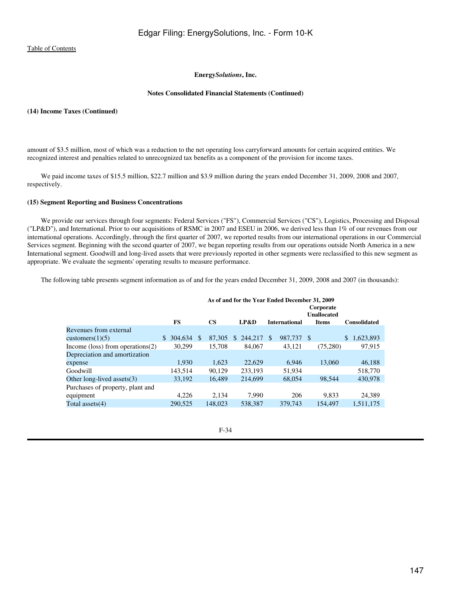# **Energy***Solutions***, Inc.**

#### **Notes Consolidated Financial Statements (Continued)**

# **(14) Income Taxes (Continued)**

amount of \$3.5 million, most of which was a reduction to the net operating loss carryforward amounts for certain acquired entities. We recognized interest and penalties related to unrecognized tax benefits as a component of the provision for income taxes.

 We paid income taxes of \$15.5 million, \$22.7 million and \$3.9 million during the years ended December 31, 2009, 2008 and 2007, respectively.

# **(15) Segment Reporting and Business Concentrations**

 We provide our services through four segments: Federal Services ("FS"), Commercial Services ("CS"), Logistics, Processing and Disposal ("LP&D"), and International. Prior to our acquisitions of RSMC in 2007 and ESEU in 2006, we derived less than 1% of our revenues from our international operations. Accordingly, through the first quarter of 2007, we reported results from our international operations in our Commercial Services segment. Beginning with the second quarter of 2007, we began reporting results from our operations outside North America in a new International segment. Goodwill and long-lived assets that were previously reported in other segments were reclassified to this new segment as appropriate. We evaluate the segments' operating results to measure performance.

The following table presents segment information as of and for the years ended December 31, 2009, 2008 and 2007 (in thousands):

|                                     | As of and for the Year Ended December 31, 2009 |         |    |                        |     |         |               |                      |      |                                 |                     |
|-------------------------------------|------------------------------------------------|---------|----|------------------------|-----|---------|---------------|----------------------|------|---------------------------------|---------------------|
|                                     |                                                |         |    |                        |     |         |               |                      |      | Corporate<br><b>Unallocated</b> |                     |
|                                     |                                                | FS      |    | $\overline{\text{CS}}$ |     | LP&D    |               | <b>International</b> |      | <b>Items</b>                    | <b>Consolidated</b> |
| Revenues from external              |                                                |         |    |                        |     |         |               |                      |      |                                 |                     |
| customers $(1)(5)$                  | \$.                                            | 304.634 | -S | 87,305                 | \$. | 244,217 | <sup>\$</sup> | 987.737              | - \$ |                                 | \$<br>1,623,893     |
| Income (loss) from operations $(2)$ |                                                | 30,299  |    | 15,708                 |     | 84,067  |               | 43,121               |      | (75,280)                        | 97,915              |
| Depreciation and amortization       |                                                |         |    |                        |     |         |               |                      |      |                                 |                     |
| expense                             |                                                | 1.930   |    | 1.623                  |     | 22,629  |               | 6.946                |      | 13,060                          | 46,188              |
| Goodwill                            |                                                | 143.514 |    | 90.129                 |     | 233.193 |               | 51,934               |      |                                 | 518,770             |
| Other long-lived assets $(3)$       |                                                | 33,192  |    | 16.489                 |     | 214,699 |               | 68,054               |      | 98.544                          | 430,978             |
| Purchases of property, plant and    |                                                |         |    |                        |     |         |               |                      |      |                                 |                     |
| equipment                           |                                                | 4.226   |    | 2.134                  |     | 7.990   |               | 206                  |      | 9.833                           | 24.389              |
| Total assets $(4)$                  |                                                | 290,525 |    | 148,023                |     | 538,387 |               | 379,743              |      | 154.497                         | 1,511,175           |
|                                     |                                                |         |    |                        |     |         |               |                      |      |                                 |                     |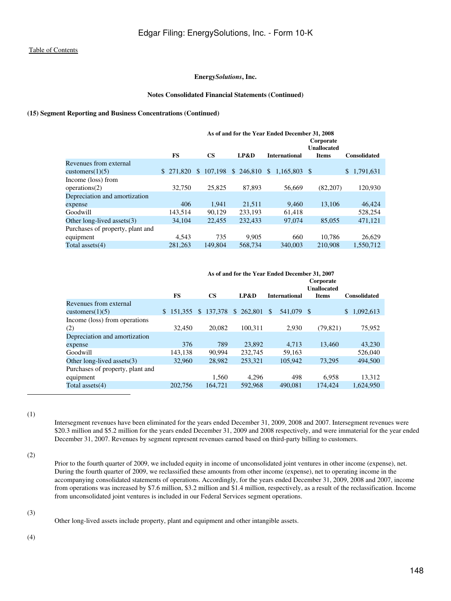# **Energy***Solutions***, Inc.**

# **Notes Consolidated Financial Statements (Continued)**

### **(15) Segment Reporting and Business Concentrations (Continued)**

|                                  | As of and for the Year Ended December 31, 2008 |    |           |              |            |  |                      |  |                                                 |                     |
|----------------------------------|------------------------------------------------|----|-----------|--------------|------------|--|----------------------|--|-------------------------------------------------|---------------------|
|                                  | <b>FS</b>                                      |    | <b>CS</b> |              | LP&D       |  | <b>International</b> |  | Corporate<br><b>Unallocated</b><br><b>Items</b> | <b>Consolidated</b> |
| Revenues from external           |                                                |    |           |              |            |  |                      |  |                                                 |                     |
| customers $(1)(5)$               | 271,820<br>\$.                                 | \$ | 107.198   | $\mathbb{S}$ | 246,810 \$ |  | 1.165.803 \$         |  |                                                 | \$1,791,631         |
| Income (loss) from               |                                                |    |           |              |            |  |                      |  |                                                 |                     |
| operations(2)                    | 32,750                                         |    | 25,825    |              | 87.893     |  | 56,669               |  | (82, 207)                                       | 120,930             |
| Depreciation and amortization    |                                                |    |           |              |            |  |                      |  |                                                 |                     |
| expense                          | 406                                            |    | 1.941     |              | 21.511     |  | 9,460                |  | 13.106                                          | 46,424              |
| Goodwill                         | 143.514                                        |    | 90,129    |              | 233,193    |  | 61.418               |  |                                                 | 528,254             |
| Other long-lived assets $(3)$    | 34,104                                         |    | 22,455    |              | 232,433    |  | 97,074               |  | 85,055                                          | 471,121             |
| Purchases of property, plant and |                                                |    |           |              |            |  |                      |  |                                                 |                     |
| equipment                        | 4.543                                          |    | 735       |              | 9.905      |  | 660                  |  | 10.786                                          | 26,629              |
| Total assets $(4)$               | 281.263                                        |    | 149,804   |              | 568,734    |  | 340,003              |  | 210,908                                         | 1.550.712           |

|                                  | As of and for the Year Ended December 31, 2007 |                              |           |                      |                    |                     |  |  |
|----------------------------------|------------------------------------------------|------------------------------|-----------|----------------------|--------------------|---------------------|--|--|
|                                  |                                                | Corporate                    |           |                      |                    |                     |  |  |
|                                  |                                                |                              |           |                      | <b>Unallocated</b> |                     |  |  |
|                                  | <b>FS</b>                                      | $\mathbf{CS}$                | LP&D      | <b>International</b> | <b>Items</b>       | <b>Consolidated</b> |  |  |
| Revenues from external           |                                                |                              |           |                      |                    |                     |  |  |
| customers $(1)(5)$               |                                                | $$151.355 \text{ } $137.378$ | \$262,801 | 541,079<br>\$        | - \$               | 1,092,613<br>\$     |  |  |
| Income (loss) from operations    |                                                |                              |           |                      |                    |                     |  |  |
| (2)                              | 32,450                                         | 20.082                       | 100.311   | 2,930                | (79, 821)          | 75,952              |  |  |
| Depreciation and amortization    |                                                |                              |           |                      |                    |                     |  |  |
| expense                          | 376                                            | 789                          | 23,892    | 4.713                | 13.460             | 43,230              |  |  |
| Goodwill                         | 143.138                                        | 90.994                       | 232,745   | 59.163               |                    | 526,040             |  |  |
| Other long-lived assets $(3)$    | 32,960                                         | 28,982                       | 253,321   | 105,942              | 73,295             | 494,500             |  |  |
| Purchases of property, plant and |                                                |                              |           |                      |                    |                     |  |  |
| equipment                        |                                                | 1,560                        | 4,296     | 498                  | 6.958              | 13,312              |  |  |
| Total assets $(4)$               | 202,756                                        | 164.721                      | 592,968   | 490.081              | 174.424            | 1,624,950           |  |  |

(1)

Intersegment revenues have been eliminated for the years ended December 31, 2009, 2008 and 2007. Intersegment revenues were \$20.3 million and \$5.2 million for the years ended December 31, 2009 and 2008 respectively, and were immaterial for the year ended December 31, 2007. Revenues by segment represent revenues earned based on third-party billing to customers.

(2)

Prior to the fourth quarter of 2009, we included equity in income of unconsolidated joint ventures in other income (expense), net. During the fourth quarter of 2009, we reclassified these amounts from other income (expense), net to operating income in the accompanying consolidated statements of operations. Accordingly, for the years ended December 31, 2009, 2008 and 2007, income from operations was increased by \$7.6 million, \$3.2 million and \$1.4 million, respectively, as a result of the reclassification. Income from unconsolidated joint ventures is included in our Federal Services segment operations.

(3)

Other long-lived assets include property, plant and equipment and other intangible assets.

(4)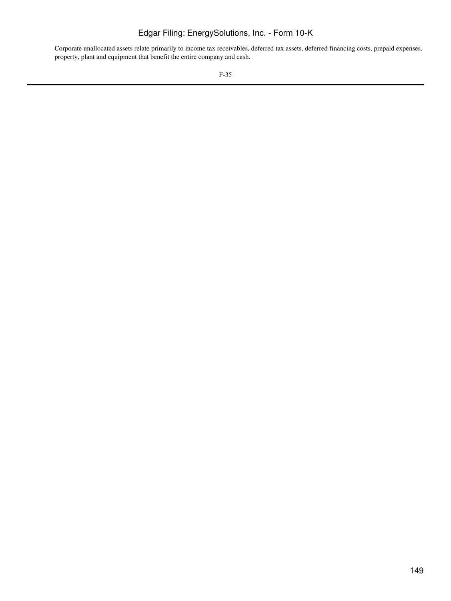# Edgar Filing: EnergySolutions, Inc. - Form 10-K

Corporate unallocated assets relate primarily to income tax receivables, deferred tax assets, deferred financing costs, prepaid expenses, property, plant and equipment that benefit the entire company and cash.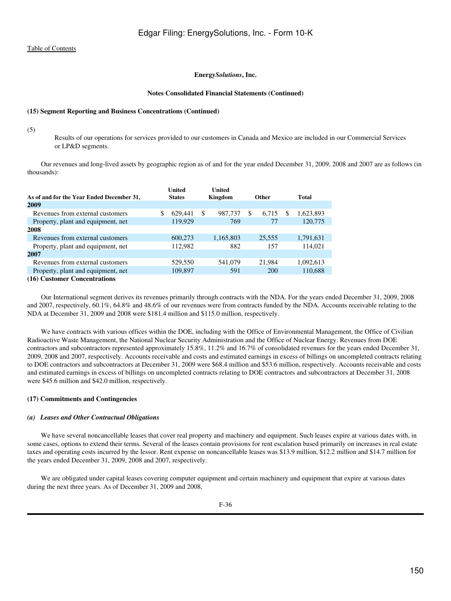#### **Notes Consolidated Financial Statements (Continued)**

## **(15) Segment Reporting and Business Concentrations (Continued)**

(5)

Results of our operations for services provided to our customers in Canada and Mexico are included in our Commercial Services or LP&D segments.

 Our revenues and long-lived assets by geographic region as of and for the year ended December 31, 2009, 2008 and 2007 are as follows (in thousands):

|                                           | United        | United        |     |              |          |              |
|-------------------------------------------|---------------|---------------|-----|--------------|----------|--------------|
| As of and for the Year Ended December 31, | <b>States</b> | Kingdom       |     | <b>Other</b> |          | <b>Total</b> |
| 2009                                      |               |               |     |              |          |              |
| Revenues from external customers          | \$<br>629.441 | \$<br>987,737 | \$. | 6.715        | <b>S</b> | 1,623,893    |
| Property, plant and equipment, net        | 119,929       | 769           |     | 77           |          | 120,775      |
| 2008                                      |               |               |     |              |          |              |
| Revenues from external customers          | 600,273       | 1,165,803     |     | 25.555       |          | 1,791,631    |
| Property, plant and equipment, net        | 112.982       | 882           |     | 157          |          | 114.021      |
| 2007                                      |               |               |     |              |          |              |
| Revenues from external customers          | 529,550       | 541,079       |     | 21,984       |          | 1,092,613    |
| Property, plant and equipment, net        | 109,897       | 591           |     | <b>200</b>   |          | 110,688      |
| (16) Customer Concentrations              |               |               |     |              |          |              |

**<sup>(16)</sup> Customer Concentrations**

 Our International segment derives its revenues primarily through contracts with the NDA. For the years ended December 31, 2009, 2008 and 2007, respectively, 60.1%, 64.8% and 48.6% of our revenues were from contracts funded by the NDA. Accounts receivable relating to the NDA at December 31, 2009 and 2008 were \$181.4 million and \$115.0 million, respectively.

We have contracts with various offices within the DOE, including with the Office of Environmental Management, the Office of Civilian Radioactive Waste Management, the National Nuclear Security Administration and the Office of Nuclear Energy. Revenues from DOE contractors and subcontractors represented approximately 15.8%, 11.2% and 16.7% of consolidated revenues for the years ended December 31, 2009, 2008 and 2007, respectively. Accounts receivable and costs and estimated earnings in excess of billings on uncompleted contracts relating to DOE contractors and subcontractors at December 31, 2009 were \$68.4 million and \$53.6 million, respectively. Accounts receivable and costs and estimated earnings in excess of billings on uncompleted contracts relating to DOE contractors and subcontractors at December 31, 2008 were \$45.6 million and \$42.0 million, respectively.

# **(17) Commitments and Contingencies**

# *(a) Leases and Other Contractual Obligations*

We have several noncancellable leases that cover real property and machinery and equipment. Such leases expire at various dates with, in some cases, options to extend their terms. Several of the leases contain provisions for rent escalation based primarily on increases in real estate taxes and operating costs incurred by the lessor. Rent expense on noncancellable leases was \$13.9 million, \$12.2 million and \$14.7 million for the years ended December 31, 2009, 2008 and 2007, respectively.

 We are obligated under capital leases covering computer equipment and certain machinery and equipment that expire at various dates during the next three years. As of December 31, 2009 and 2008,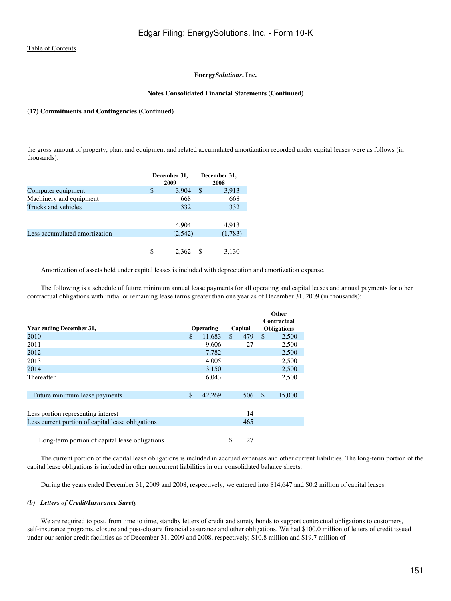#### **Notes Consolidated Financial Statements (Continued)**

# **(17) Commitments and Contingencies (Continued)**

the gross amount of property, plant and equipment and related accumulated amortization recorded under capital leases were as follows (in thousands):

|                               |    | December 31,<br>2009 | December 31,<br>2008 |
|-------------------------------|----|----------------------|----------------------|
| Computer equipment            | \$ | 3,904                | \$<br>3,913          |
| Machinery and equipment       |    | 668                  | 668                  |
| Trucks and vehicles           |    | 332                  | 332                  |
|                               |    |                      |                      |
|                               |    | 4,904                | 4,913                |
| Less accumulated amortization |    | (2,542)              | (1,783)              |
|                               |    |                      |                      |
|                               | S  | 2.362                | 3,130                |

Amortization of assets held under capital leases is included with depreciation and amortization expense.

 The following is a schedule of future minimum annual lease payments for all operating and capital leases and annual payments for other contractual obligations with initial or remaining lease terms greater than one year as of December 31, 2009 (in thousands):

|                                                   |               |                  |           |              | Other                             |
|---------------------------------------------------|---------------|------------------|-----------|--------------|-----------------------------------|
| Year ending December 31,                          |               | <b>Operating</b> | Capital   |              | Contractual<br><b>Obligations</b> |
| 2010                                              | $\mathbb{S}$  | 11,683           | \$<br>479 | $\mathbb{S}$ | 2,500                             |
| 2011                                              |               | 9,606            | 27        |              | 2,500                             |
| 2012                                              |               | 7,782            |           |              | 2,500                             |
| 2013                                              |               | 4,005            |           |              | 2,500                             |
| 2014                                              |               | 3,150            |           |              | 2,500                             |
| Thereafter                                        |               | 6,043            |           |              | 2,500                             |
|                                                   |               |                  |           |              |                                   |
| Future minimum lease payments                     | $\mathcal{S}$ | 42,269           | 506       | $\mathbb{S}$ | 15,000                            |
|                                                   |               |                  |           |              |                                   |
| Less portion representing interest                |               |                  | 14        |              |                                   |
| Less current portion of capital lease obligations |               |                  | 465       |              |                                   |
|                                                   |               |                  |           |              |                                   |
| Long-term portion of capital lease obligations    |               |                  | \$<br>27  |              |                                   |

 The current portion of the capital lease obligations is included in accrued expenses and other current liabilities. The long-term portion of the capital lease obligations is included in other noncurrent liabilities in our consolidated balance sheets.

During the years ended December 31, 2009 and 2008, respectively, we entered into \$14,647 and \$0.2 million of capital leases.

#### *(b) Letters of Credit/Insurance Surety*

 We are required to post, from time to time, standby letters of credit and surety bonds to support contractual obligations to customers, self-insurance programs, closure and post-closure financial assurance and other obligations. We had \$100.0 million of letters of credit issued under our senior credit facilities as of December 31, 2009 and 2008, respectively; \$10.8 million and \$19.7 million of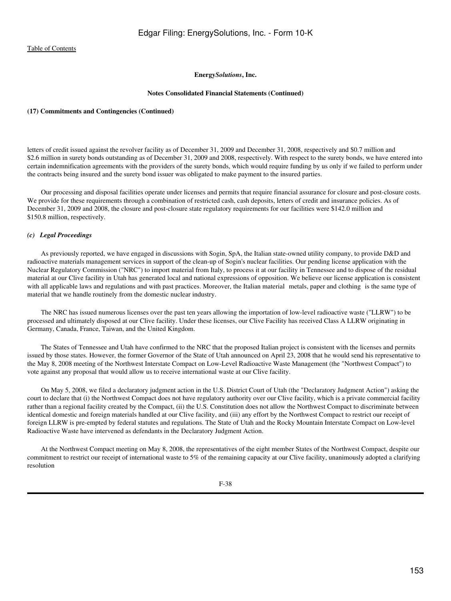#### **Notes Consolidated Financial Statements (Continued)**

#### **(17) Commitments and Contingencies (Continued)**

letters of credit issued against the revolver facility as of December 31, 2009 and December 31, 2008, respectively and \$0.7 million and \$2.6 million in surety bonds outstanding as of December 31, 2009 and 2008, respectively. With respect to the surety bonds, we have entered into certain indemnification agreements with the providers of the surety bonds, which would require funding by us only if we failed to perform under the contracts being insured and the surety bond issuer was obligated to make payment to the insured parties.

 Our processing and disposal facilities operate under licenses and permits that require financial assurance for closure and post-closure costs. We provide for these requirements through a combination of restricted cash, cash deposits, letters of credit and insurance policies. As of December 31, 2009 and 2008, the closure and post-closure state regulatory requirements for our facilities were \$142.0 million and \$150.8 million, respectively.

#### *(c) Legal Proceedings*

 As previously reported, we have engaged in discussions with Sogin, SpA, the Italian state-owned utility company, to provide D&D and radioactive materials management services in support of the clean-up of Sogin's nuclear facilities. Our pending license application with the Nuclear Regulatory Commission ("NRC") to import material from Italy, to process it at our facility in Tennessee and to dispose of the residual material at our Clive facility in Utah has generated local and national expressions of opposition. We believe our license application is consistent with all applicable laws and regulations and with past practices. Moreover, the Italian material metals, paper and clothing is the same type of material that we handle routinely from the domestic nuclear industry.

 The NRC has issued numerous licenses over the past ten years allowing the importation of low-level radioactive waste ("LLRW") to be processed and ultimately disposed at our Clive facility. Under these licenses, our Clive Facility has received Class A LLRW originating in Germany, Canada, France, Taiwan, and the United Kingdom.

 The States of Tennessee and Utah have confirmed to the NRC that the proposed Italian project is consistent with the licenses and permits issued by those states. However, the former Governor of the State of Utah announced on April 23, 2008 that he would send his representative to the May 8, 2008 meeting of the Northwest Interstate Compact on Low-Level Radioactive Waste Management (the "Northwest Compact") to vote against any proposal that would allow us to receive international waste at our Clive facility.

 On May 5, 2008, we filed a declaratory judgment action in the U.S. District Court of Utah (the "Declaratory Judgment Action") asking the court to declare that (i) the Northwest Compact does not have regulatory authority over our Clive facility, which is a private commercial facility rather than a regional facility created by the Compact, (ii) the U.S. Constitution does not allow the Northwest Compact to discriminate between identical domestic and foreign materials handled at our Clive facility, and (iii) any effort by the Northwest Compact to restrict our receipt of foreign LLRW is pre-empted by federal statutes and regulations. The State of Utah and the Rocky Mountain Interstate Compact on Low-level Radioactive Waste have intervened as defendants in the Declaratory Judgment Action.

 At the Northwest Compact meeting on May 8, 2008, the representatives of the eight member States of the Northwest Compact, despite our commitment to restrict our receipt of international waste to 5% of the remaining capacity at our Clive facility, unanimously adopted a clarifying resolution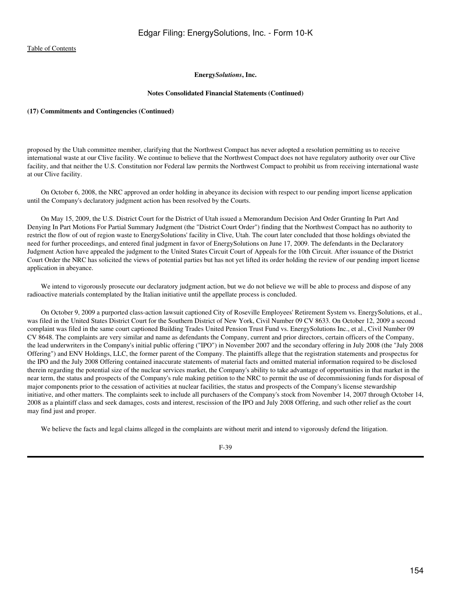#### **Notes Consolidated Financial Statements (Continued)**

# **(17) Commitments and Contingencies (Continued)**

proposed by the Utah committee member, clarifying that the Northwest Compact has never adopted a resolution permitting us to receive international waste at our Clive facility. We continue to believe that the Northwest Compact does not have regulatory authority over our Clive facility, and that neither the U.S. Constitution nor Federal law permits the Northwest Compact to prohibit us from receiving international waste at our Clive facility.

 On October 6, 2008, the NRC approved an order holding in abeyance its decision with respect to our pending import license application until the Company's declaratory judgment action has been resolved by the Courts.

 On May 15, 2009, the U.S. District Court for the District of Utah issued a Memorandum Decision And Order Granting In Part And Denying In Part Motions For Partial Summary Judgment (the "District Court Order") finding that the Northwest Compact has no authority to restrict the flow of out of region waste to EnergySolutions' facility in Clive, Utah. The court later concluded that those holdings obviated the need for further proceedings, and entered final judgment in favor of EnergySolutions on June 17, 2009. The defendants in the Declaratory Judgment Action have appealed the judgment to the United States Circuit Court of Appeals for the 10th Circuit. After issuance of the District Court Order the NRC has solicited the views of potential parties but has not yet lifted its order holding the review of our pending import license application in abeyance.

We intend to vigorously prosecute our declaratory judgment action, but we do not believe we will be able to process and dispose of any radioactive materials contemplated by the Italian initiative until the appellate process is concluded.

 On October 9, 2009 a purported class-action lawsuit captioned City of Roseville Employees' Retirement System vs. EnergySolutions, et al., was filed in the United States District Court for the Southern District of New York, Civil Number 09 CV 8633. On October 12, 2009 a second complaint was filed in the same court captioned Building Trades United Pension Trust Fund vs. EnergySolutions Inc., et al., Civil Number 09 CV 8648. The complaints are very similar and name as defendants the Company, current and prior directors, certain officers of the Company, the lead underwriters in the Company's initial public offering ("IPO") in November 2007 and the secondary offering in July 2008 (the "July 2008 Offering") and ENV Holdings, LLC, the former parent of the Company. The plaintiffs allege that the registration statements and prospectus for the IPO and the July 2008 Offering contained inaccurate statements of material facts and omitted material information required to be disclosed therein regarding the potential size of the nuclear services market, the Company's ability to take advantage of opportunities in that market in the near term, the status and prospects of the Company's rule making petition to the NRC to permit the use of decommissioning funds for disposal of major components prior to the cessation of activities at nuclear facilities, the status and prospects of the Company's license stewardship initiative, and other matters. The complaints seek to include all purchasers of the Company's stock from November 14, 2007 through October 14, 2008 as a plaintiff class and seek damages, costs and interest, rescission of the IPO and July 2008 Offering, and such other relief as the court may find just and proper.

We believe the facts and legal claims alleged in the complaints are without merit and intend to vigorously defend the litigation.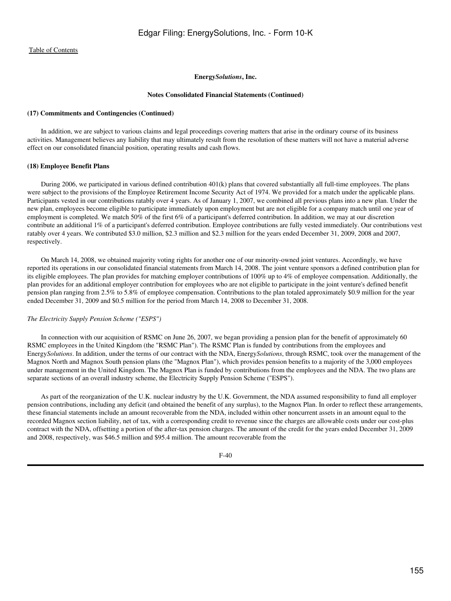#### **Energy***Solutions***, Inc.**

## **Notes Consolidated Financial Statements (Continued)**

#### **(17) Commitments and Contingencies (Continued)**

 In addition, we are subject to various claims and legal proceedings covering matters that arise in the ordinary course of its business activities. Management believes any liability that may ultimately result from the resolution of these matters will not have a material adverse effect on our consolidated financial position, operating results and cash flows.

# **(18) Employee Benefit Plans**

 During 2006, we participated in various defined contribution 401(k) plans that covered substantially all full-time employees. The plans were subject to the provisions of the Employee Retirement Income Security Act of 1974. We provided for a match under the applicable plans. Participants vested in our contributions ratably over 4 years. As of January 1, 2007, we combined all previous plans into a new plan. Under the new plan, employees become eligible to participate immediately upon employment but are not eligible for a company match until one year of employment is completed. We match 50% of the first 6% of a participant's deferred contribution. In addition, we may at our discretion contribute an additional 1% of a participant's deferred contribution. Employee contributions are fully vested immediately. Our contributions vest ratably over 4 years. We contributed \$3.0 million, \$2.3 million and \$2.3 million for the years ended December 31, 2009, 2008 and 2007, respectively.

 On March 14, 2008, we obtained majority voting rights for another one of our minority-owned joint ventures. Accordingly, we have reported its operations in our consolidated financial statements from March 14, 2008. The joint venture sponsors a defined contribution plan for its eligible employees. The plan provides for matching employer contributions of 100% up to 4% of employee compensation. Additionally, the plan provides for an additional employer contribution for employees who are not eligible to participate in the joint venture's defined benefit pension plan ranging from 2.5% to 5.8% of employee compensation. Contributions to the plan totaled approximately \$0.9 million for the year ended December 31, 2009 and \$0.5 million for the period from March 14, 2008 to December 31, 2008.

#### *The Electricity Supply Pension Scheme ("ESPS")*

 In connection with our acquisition of RSMC on June 26, 2007, we began providing a pension plan for the benefit of approximately 60 RSMC employees in the United Kingdom (the "RSMC Plan"). The RSMC Plan is funded by contributions from the employees and Energy*Solutions*. In addition, under the terms of our contract with the NDA, Energy*Solutions*, through RSMC, took over the management of the Magnox North and Magnox South pension plans (the "Magnox Plan"), which provides pension benefits to a majority of the 3,000 employees under management in the United Kingdom. The Magnox Plan is funded by contributions from the employees and the NDA. The two plans are separate sections of an overall industry scheme, the Electricity Supply Pension Scheme ("ESPS").

 As part of the reorganization of the U.K. nuclear industry by the U.K. Government, the NDA assumed responsibility to fund all employer pension contributions, including any deficit (and obtained the benefit of any surplus), to the Magnox Plan. In order to reflect these arrangements, these financial statements include an amount recoverable from the NDA, included within other noncurrent assets in an amount equal to the recorded Magnox section liability, net of tax, with a corresponding credit to revenue since the charges are allowable costs under our cost-plus contract with the NDA, offsetting a portion of the after-tax pension charges. The amount of the credit for the years ended December 31, 2009 and 2008, respectively, was \$46.5 million and \$95.4 million. The amount recoverable from the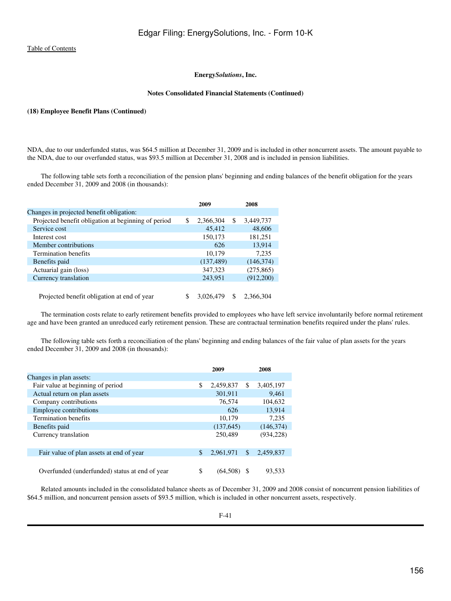#### **Notes Consolidated Financial Statements (Continued)**

# **(18) Employee Benefit Plans (Continued)**

NDA, due to our underfunded status, was \$64.5 million at December 31, 2009 and is included in other noncurrent assets. The amount payable to the NDA, due to our overfunded status, was \$93.5 million at December 31, 2008 and is included in pension liabilities.

 The following table sets forth a reconciliation of the pension plans' beginning and ending balances of the benefit obligation for the years ended December 31, 2009 and 2008 (in thousands):

|                                                     |    | 2009       |     | 2008       |
|-----------------------------------------------------|----|------------|-----|------------|
| Changes in projected benefit obligation:            |    |            |     |            |
| Projected benefit obligation at beginning of period | \$ | 2,366,304  | \$  | 3,449,737  |
| Service cost                                        |    | 45,412     |     | 48,606     |
| Interest cost                                       |    | 150,173    |     | 181,251    |
| Member contributions                                |    | 626        |     | 13.914     |
| Termination benefits                                |    | 10,179     |     | 7.235      |
| Benefits paid                                       |    | (137, 489) |     | (146, 374) |
| Actuarial gain (loss)                               |    | 347,323    |     | (275, 865) |
| Currency translation                                |    | 243.951    |     | (912,200)  |
|                                                     |    |            |     |            |
| Projected benefit obligation at end of year         | S  | 3.026.479  | \$. | 2.366.304  |

 The termination costs relate to early retirement benefits provided to employees who have left service involuntarily before normal retirement age and have been granted an unreduced early retirement pension. These are contractual termination benefits required under the plans' rules.

 The following table sets forth a reconciliation of the plans' beginning and ending balances of the fair value of plan assets for the years ended December 31, 2009 and 2008 (in thousands):

|                                                | 2009            |     | 2008       |
|------------------------------------------------|-----------------|-----|------------|
| Changes in plan assets:                        |                 |     |            |
| Fair value at beginning of period              | \$<br>2,459,837 | S   | 3,405,197  |
| Actual return on plan assets                   | 301,911         |     | 9.461      |
| Company contributions                          | 76,574          |     | 104,632    |
| <b>Employee contributions</b>                  | 626             |     | 13.914     |
| <b>Termination benefits</b>                    | 10.179          |     | 7.235      |
| Benefits paid                                  | (137, 645)      |     | (146, 374) |
| Currency translation                           | 250,489         |     | (934, 228) |
|                                                |                 |     |            |
| Fair value of plan assets at end of year       | \$<br>2,961,971 | \$. | 2.459.837  |
|                                                |                 |     |            |
| Overfunded (underfunded) status at end of year | \$<br>(64.50    |     | 93.533     |

 Related amounts included in the consolidated balance sheets as of December 31, 2009 and 2008 consist of noncurrent pension liabilities of \$64.5 million, and noncurrent pension assets of \$93.5 million, which is included in other noncurrent assets, respectively.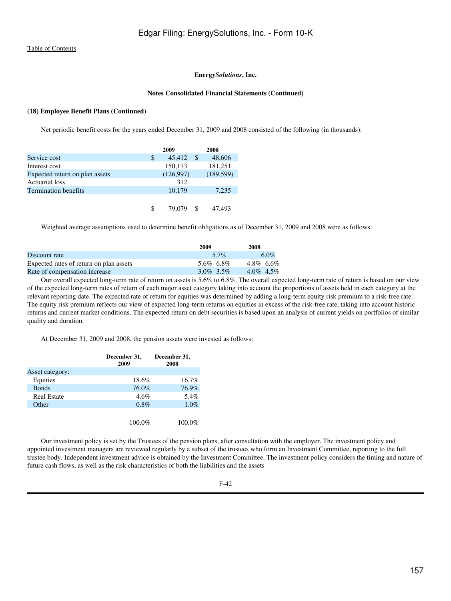#### **Notes Consolidated Financial Statements (Continued)**

# **(18) Employee Benefit Plans (Continued)**

Net periodic benefit costs for the years ended December 31, 2009 and 2008 consisted of the following (in thousands):

|                                | 2009         |   | 2008       |
|--------------------------------|--------------|---|------------|
| Service cost                   | \$<br>45,412 | S | 48,606     |
| Interest cost                  | 150,173      |   | 181,251    |
| Expected return on plan assets | (126,997)    |   | (189, 599) |
| Actuarial loss                 | 312          |   |            |
| <b>Termination benefits</b>    | 10,179       |   | 7.235      |
|                                |              |   |            |
|                                | 79.079       |   | .493       |

Weighted average assumptions used to determine benefit obligations as of December 31, 2009 and 2008 were as follows:

|                                         | 2009         | 2008            |
|-----------------------------------------|--------------|-----------------|
| Discount rate                           | 5.7%         | $6.0\%$         |
| Expected rates of return on plan assets | 5.6% 6.8%    | $4.8\%$ 6.6%    |
| Rate of compensation increase           | $3.0\%$ 3.5% | $4.0\%$ $4.5\%$ |

 Our overall expected long-term rate of return on assets is 5.6% to 6.8%. The overall expected long-term rate of return is based on our view of the expected long-term rates of return of each major asset category taking into account the proportions of assets held in each category at the relevant reporting date. The expected rate of return for equities was determined by adding a long-term equity risk premium to a risk-free rate. The equity risk premium reflects our view of expected long-term returns on equities in excess of the risk-free rate, taking into account historic returns and current market conditions. The expected return on debt securities is based upon an analysis of current yields on portfolios of similar quality and duration.

At December 31, 2009 and 2008, the pension assets were invested as follows:

|                    | December 31,<br>2009 | December 31,<br>2008 |
|--------------------|----------------------|----------------------|
| Asset category:    |                      |                      |
| Equities           | 18.6%                | 16.7%                |
| <b>Bonds</b>       | 76.0%                | 76.9%                |
| <b>Real Estate</b> | 4.6%                 | 5.4%                 |
| Other              | $0.8\%$              | 1.0%                 |
|                    |                      |                      |
|                    | 100.0%               | 100.0%               |

 Our investment policy is set by the Trustees of the pension plans, after consultation with the employer. The investment policy and appointed investment managers are reviewed regularly by a subset of the trustees who form an Investment Committee, reporting to the full trustee body. Independent investment advice is obtained by the Investment Committee. The investment policy considers the timing and nature of future cash flows, as well as the risk characteristics of both the liabilities and the assets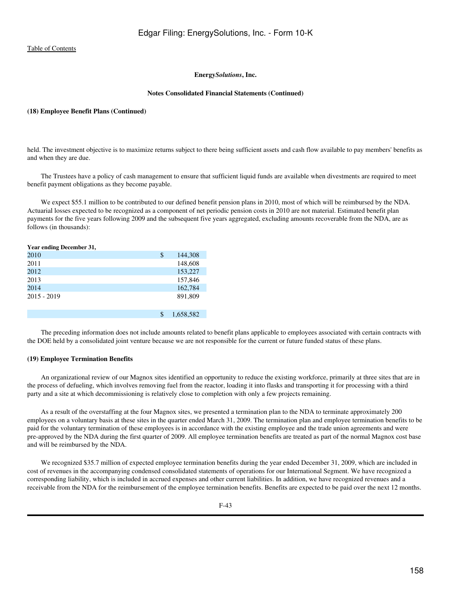# **Energy***Solutions***, Inc.**

#### **Notes Consolidated Financial Statements (Continued)**

#### **(18) Employee Benefit Plans (Continued)**

held. The investment objective is to maximize returns subject to there being sufficient assets and cash flow available to pay members' benefits as and when they are due.

 The Trustees have a policy of cash management to ensure that sufficient liquid funds are available when divestments are required to meet benefit payment obligations as they become payable.

 We expect \$55.1 million to be contributed to our defined benefit pension plans in 2010, most of which will be reimbursed by the NDA. Actuarial losses expected to be recognized as a component of net periodic pension costs in 2010 are not material. Estimated benefit plan payments for the five years following 2009 and the subsequent five years aggregated, excluding amounts recoverable from the NDA, are as follows (in thousands):

| Year ending December 31, |                 |
|--------------------------|-----------------|
| 2010                     | \$<br>144,308   |
| 2011                     | 148,608         |
| 2012                     | 153,227         |
| 2013                     | 157,846         |
| 2014                     | 162,784         |
| $2015 - 2019$            | 891,809         |
|                          | \$<br>1,658,582 |

 The preceding information does not include amounts related to benefit plans applicable to employees associated with certain contracts with the DOE held by a consolidated joint venture because we are not responsible for the current or future funded status of these plans.

# **(19) Employee Termination Benefits**

 An organizational review of our Magnox sites identified an opportunity to reduce the existing workforce, primarily at three sites that are in the process of defueling, which involves removing fuel from the reactor, loading it into flasks and transporting it for processing with a third party and a site at which decommissioning is relatively close to completion with only a few projects remaining.

 As a result of the overstaffing at the four Magnox sites, we presented a termination plan to the NDA to terminate approximately 200 employees on a voluntary basis at these sites in the quarter ended March 31, 2009. The termination plan and employee termination benefits to be paid for the voluntary termination of these employees is in accordance with the existing employee and the trade union agreements and were pre-approved by the NDA during the first quarter of 2009. All employee termination benefits are treated as part of the normal Magnox cost base and will be reimbursed by the NDA.

We recognized \$35.7 million of expected employee termination benefits during the year ended December 31, 2009, which are included in cost of revenues in the accompanying condensed consolidated statements of operations for our International Segment. We have recognized a corresponding liability, which is included in accrued expenses and other current liabilities. In addition, we have recognized revenues and a receivable from the NDA for the reimbursement of the employee termination benefits. Benefits are expected to be paid over the next 12 months.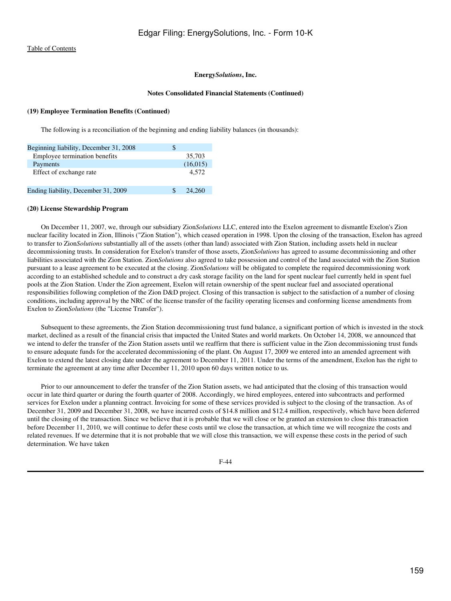## **Energy***Solutions***, Inc.**

#### **Notes Consolidated Financial Statements (Continued)**

# **(19) Employee Termination Benefits (Continued)**

The following is a reconciliation of the beginning and ending liability balances (in thousands):

| Beginning liability, December 31, 2008 | S        |  |
|----------------------------------------|----------|--|
| Employee termination benefits          | 35,703   |  |
| Payments                               | (16,015) |  |
| Effect of exchange rate                | 4.572    |  |
| Ending liability, December 31, 2009    | 24,260   |  |

#### **(20) License Stewardship Program**

 On December 11, 2007, we, through our subsidiary Zion*Solutions* LLC, entered into the Exelon agreement to dismantle Exelon's Zion nuclear facility located in Zion, Illinois ("Zion Station"), which ceased operation in 1998. Upon the closing of the transaction, Exelon has agreed to transfer to Zion*Solutions* substantially all of the assets (other than land) associated with Zion Station, including assets held in nuclear decommissioning trusts. In consideration for Exelon's transfer of those assets, Zion*Solutions* has agreed to assume decommissioning and other liabilities associated with the Zion Station. Zion*Solutions* also agreed to take possession and control of the land associated with the Zion Station pursuant to a lease agreement to be executed at the closing. Zion*Solutions* will be obligated to complete the required decommissioning work according to an established schedule and to construct a dry cask storage facility on the land for spent nuclear fuel currently held in spent fuel pools at the Zion Station. Under the Zion agreement, Exelon will retain ownership of the spent nuclear fuel and associated operational responsibilities following completion of the Zion D&D project. Closing of this transaction is subject to the satisfaction of a number of closing conditions, including approval by the NRC of the license transfer of the facility operating licenses and conforming license amendments from Exelon to Zion*Solutions* (the "License Transfer").

 Subsequent to these agreements, the Zion Station decommissioning trust fund balance, a significant portion of which is invested in the stock market, declined as a result of the financial crisis that impacted the United States and world markets. On October 14, 2008, we announced that we intend to defer the transfer of the Zion Station assets until we reaffirm that there is sufficient value in the Zion decommissioning trust funds to ensure adequate funds for the accelerated decommissioning of the plant. On August 17, 2009 we entered into an amended agreement with Exelon to extend the latest closing date under the agreement to December 11, 2011. Under the terms of the amendment, Exelon has the right to terminate the agreement at any time after December 11, 2010 upon 60 days written notice to us.

 Prior to our announcement to defer the transfer of the Zion Station assets, we had anticipated that the closing of this transaction would occur in late third quarter or during the fourth quarter of 2008. Accordingly, we hired employees, entered into subcontracts and performed services for Exelon under a planning contract. Invoicing for some of these services provided is subject to the closing of the transaction. As of December 31, 2009 and December 31, 2008, we have incurred costs of \$14.8 million and \$12.4 million, respectively, which have been deferred until the closing of the transaction. Since we believe that it is probable that we will close or be granted an extension to close this transaction before December 11, 2010, we will continue to defer these costs until we close the transaction, at which time we will recognize the costs and related revenues. If we determine that it is not probable that we will close this transaction, we will expense these costs in the period of such determination. We have taken